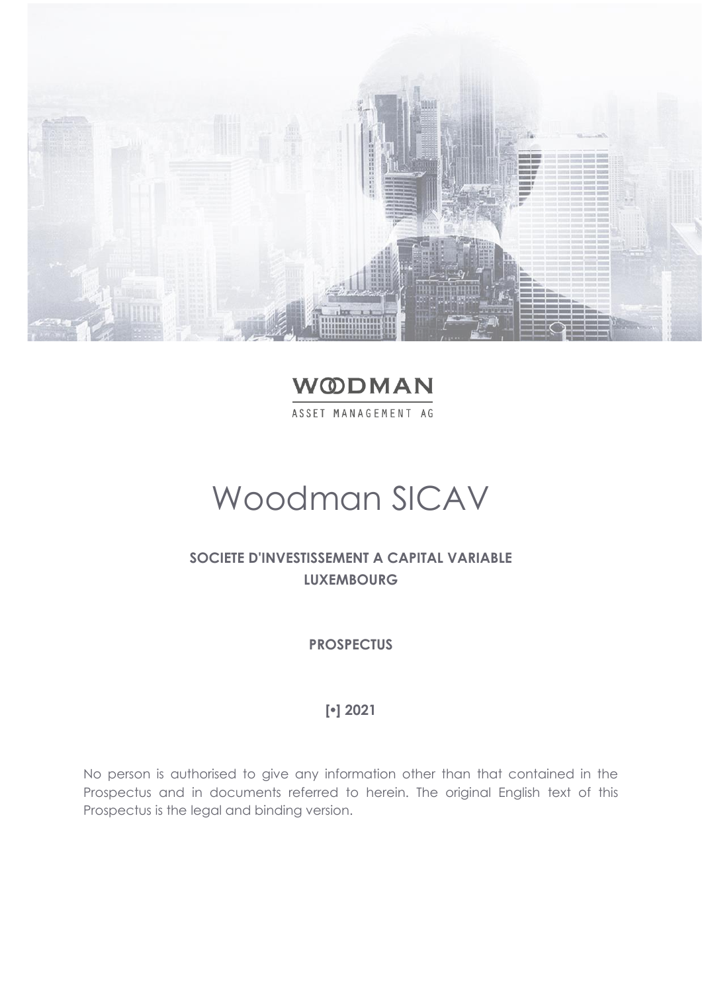

**WODMAN** ASSET MANAGEMENT AG

# Woodman SICAV

# **SOCIETE D'INVESTISSEMENT A CAPITAL VARIABLE LUXEMBOURG**

**PROSPECTUS**

# **[] 2021**

No person is authorised to give any information other than that contained in the Prospectus and in documents referred to herein. The original English text of this Prospectus is the legal and binding version.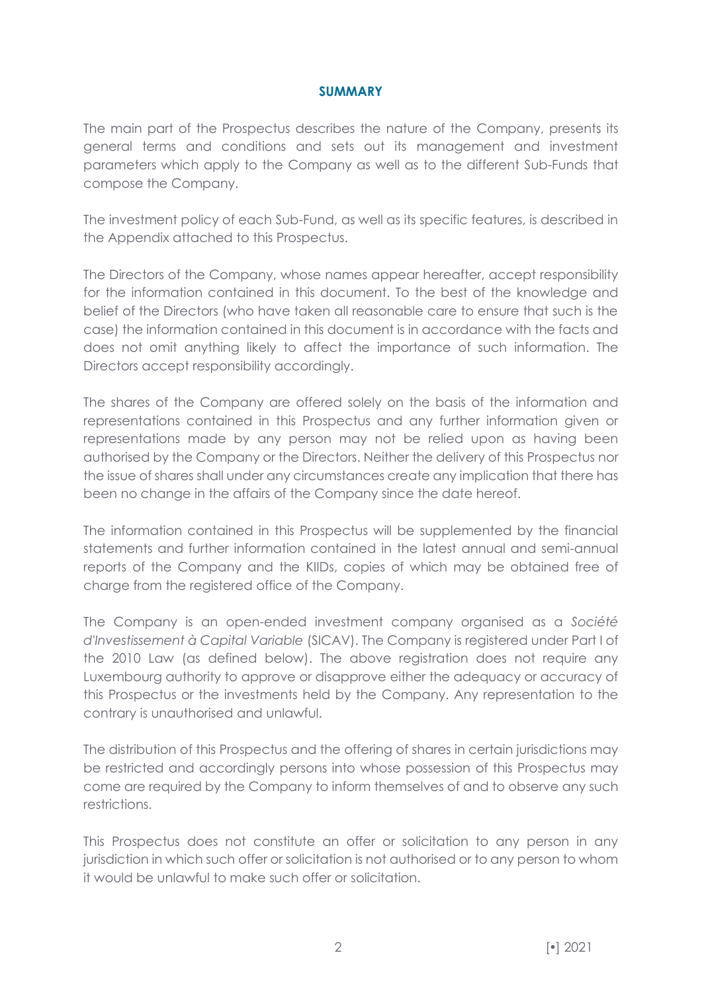#### **SUMMARY**

<span id="page-1-0"></span>The main part of the Prospectus describes the nature of the Company, presents its general terms and conditions and sets out its management and investment parameters which apply to the Company as well as to the different Sub-Funds that compose the Company.

The investment policy of each Sub-Fund, as well as its specific features, is described in the Appendix attached to this Prospectus.

The Directors of the Company, whose names appear hereafter, accept responsibility for the information contained in this document. To the best of the knowledge and belief of the Directors (who have taken all reasonable care to ensure that such is the case) the information contained in this document is in accordance with the facts and does not omit anything likely to affect the importance of such information. The Directors accept responsibility accordingly.

The shares of the Company are offered solely on the basis of the information and representations contained in this Prospectus and any further information given or representations made by any person may not be relied upon as having been authorised by the Company or the Directors. Neither the delivery of this Prospectus nor the issue of shares shall under any circumstances create any implication that there has been no change in the affairs of the Company since the date hereof.

The information contained in this Prospectus will be supplemented by the financial statements and further information contained in the latest annual and semi-annual reports of the Company and the KIIDs, copies of which may be obtained free of charge from the registered office of the Company.

The Company is an open-ended investment company organised as a *Société d'Investissement à Capital Variable* (SICAV). The Company is registered under Part I of the 2010 Law (as defined below). The above registration does not require any Luxembourg authority to approve or disapprove either the adequacy or accuracy of this Prospectus or the investments held by the Company. Any representation to the contrary is unauthorised and unlawful.

The distribution of this Prospectus and the offering of shares in certain jurisdictions may be restricted and accordingly persons into whose possession of this Prospectus may come are required by the Company to inform themselves of and to observe any such restrictions.

This Prospectus does not constitute an offer or solicitation to any person in any jurisdiction in which such offer or solicitation is not authorised or to any person to whom it would be unlawful to make such offer or solicitation.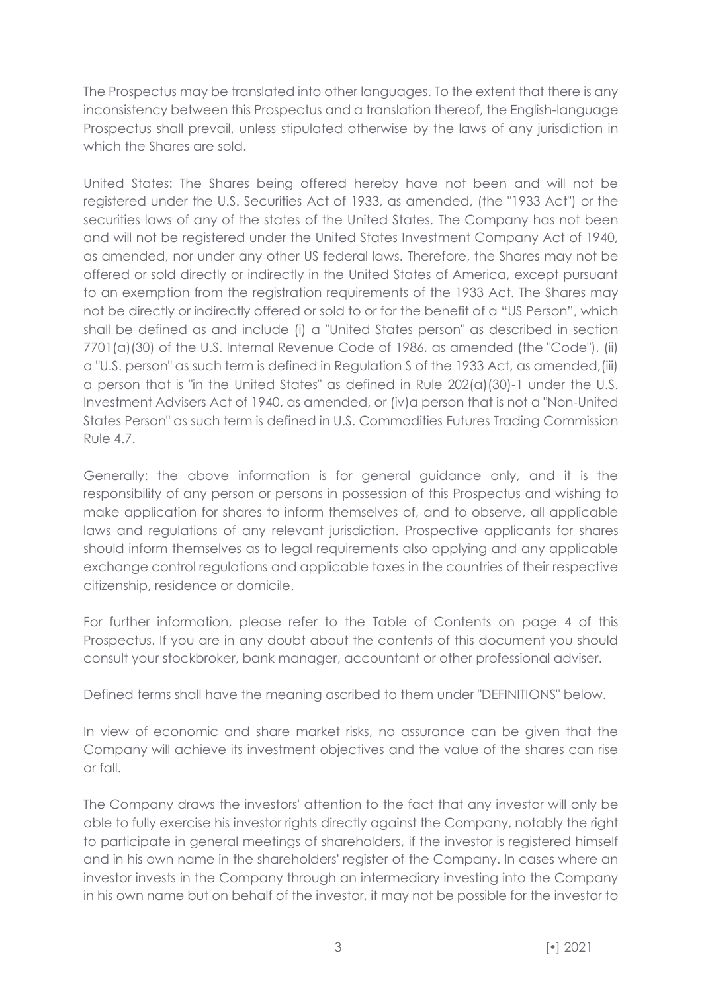The Prospectus may be translated into other languages. To the extent that there is any inconsistency between this Prospectus and a translation thereof, the English-language Prospectus shall prevail, unless stipulated otherwise by the laws of any jurisdiction in which the Shares are sold.

United States: The Shares being offered hereby have not been and will not be registered under the U.S. Securities Act of 1933, as amended, (the "1933 Act") or the securities laws of any of the states of the United States. The Company has not been and will not be registered under the United States Investment Company Act of 1940, as amended, nor under any other US federal laws. Therefore, the Shares may not be offered or sold directly or indirectly in the United States of America, except pursuant to an exemption from the registration requirements of the 1933 Act. The Shares may not be directly or indirectly offered or sold to or for the benefit of a "US Person", which shall be defined as and include (i) a "United States person" as described in section 7701(a)(30) of the U.S. Internal Revenue Code of 1986, as amended (the "Code"), (ii) a "U.S. person" as such term is defined in Regulation S of the 1933 Act, as amended,(iii) a person that is "in the United States" as defined in Rule 202(a)(30)-1 under the U.S. Investment Advisers Act of 1940, as amended, or (iv)a person that is not a "Non-United States Person" as such term is defined in U.S. Commodities Futures Trading Commission Rule 4.7.

Generally: the above information is for general guidance only, and it is the responsibility of any person or persons in possession of this Prospectus and wishing to make application for shares to inform themselves of, and to observe, all applicable laws and regulations of any relevant jurisdiction. Prospective applicants for shares should inform themselves as to legal requirements also applying and any applicable exchange control regulations and applicable taxes in the countries of their respective citizenship, residence or domicile.

For further information, please refer to the Table of Contents on page 4 of this Prospectus. If you are in any doubt about the contents of this document you should consult your stockbroker, bank manager, accountant or other professional adviser.

Defined terms shall have the meaning ascribed to them under "DEFINITIONS" below.

In view of economic and share market risks, no assurance can be given that the Company will achieve its investment objectives and the value of the shares can rise or fall.

The Company draws the investors' attention to the fact that any investor will only be able to fully exercise his investor rights directly against the Company, notably the right to participate in general meetings of shareholders, if the investor is registered himself and in his own name in the shareholders' register of the Company. In cases where an investor invests in the Company through an intermediary investing into the Company in his own name but on behalf of the investor, it may not be possible for the investor to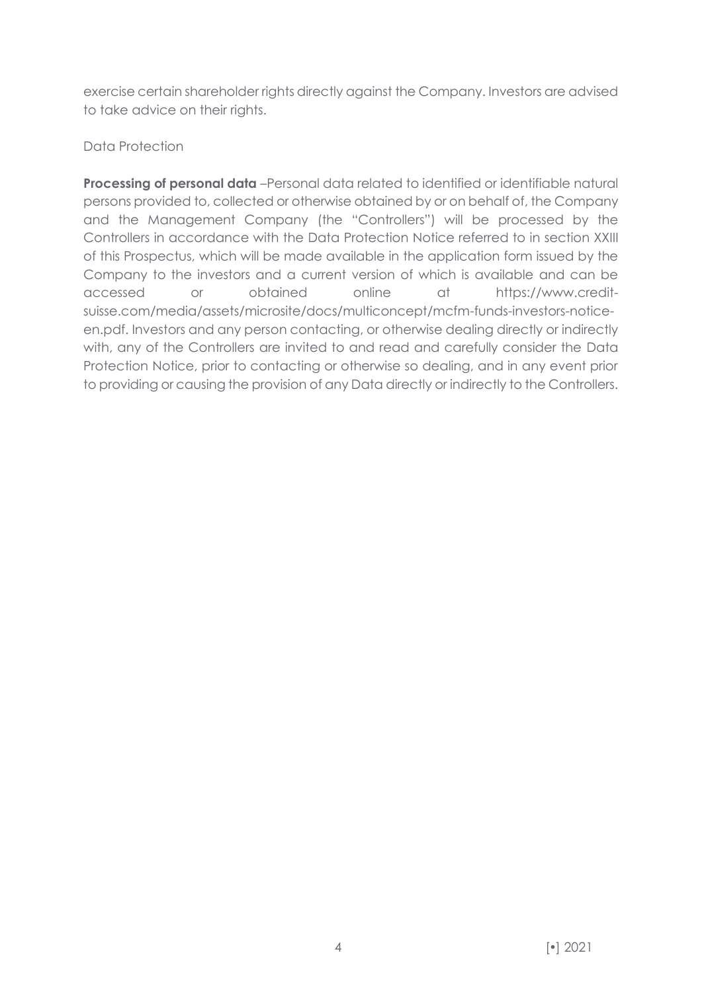exercise certain shareholder rights directly against the Company. Investors are advised to take advice on their rights.

# Data Protection

**Processing of personal data** –Personal data related to identified or identifiable natural persons provided to, collected or otherwise obtained by or on behalf of, the Company and the Management Company (the "Controllers") will be processed by the Controllers in accordance with the Data Protection Notice referred to in section XXIII of this Prospectus, which will be made available in the application form issued by the Company to the investors and a current version of which is available and can be accessed or obtained online at https://www.creditsuisse.com/media/assets/microsite/docs/multiconcept/mcfm-funds-investors-noticeen.pdf. Investors and any person contacting, or otherwise dealing directly or indirectly with, any of the Controllers are invited to and read and carefully consider the Data Protection Notice, prior to contacting or otherwise so dealing, and in any event prior to providing or causing the provision of any Data directly or indirectly to the Controllers.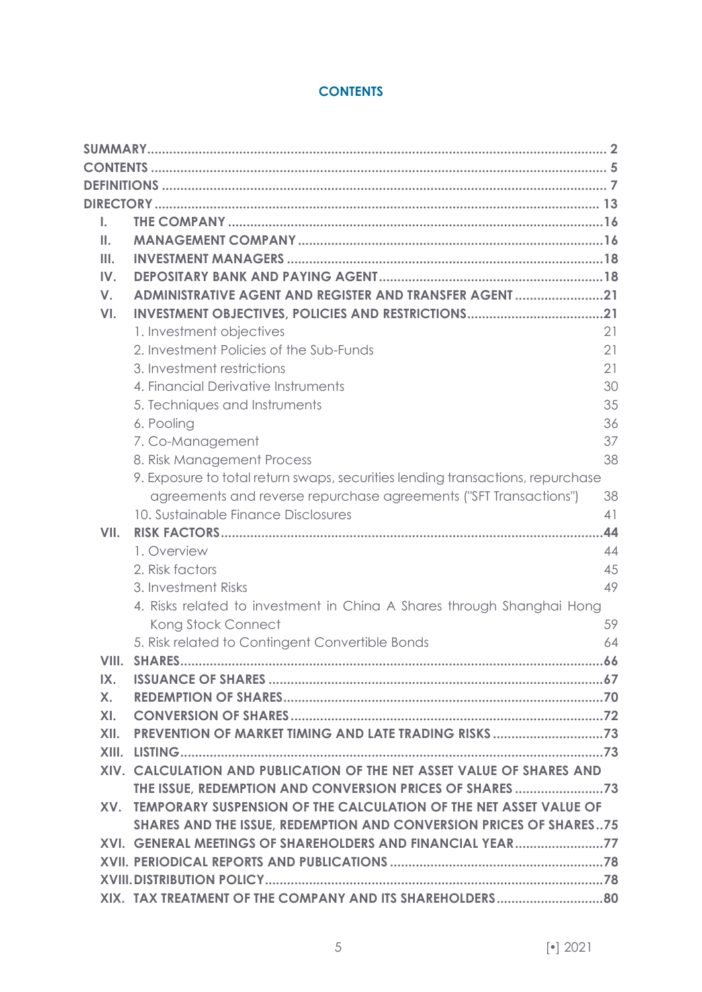# **CONTENTS**

<span id="page-4-0"></span>

| L.      |                                                                                |     |
|---------|--------------------------------------------------------------------------------|-----|
| Ш.      |                                                                                |     |
| III.    |                                                                                |     |
| IV.     |                                                                                |     |
| V.      | ADMINISTRATIVE AGENT AND REGISTER AND TRANSFER AGENT21                         |     |
| VI.     |                                                                                |     |
|         | 1. Investment objectives                                                       | 21  |
|         | 2. Investment Policies of the Sub-Funds                                        | 21  |
|         | 3. Investment restrictions                                                     | 21  |
|         | 4. Financial Derivative Instruments                                            | 30  |
|         | 5. Techniques and Instruments                                                  | 35  |
|         | 6. Pooling                                                                     | 36  |
|         | 7. Co-Management                                                               | 37  |
|         | 8. Risk Management Process                                                     | 38  |
|         | 9. Exposure to total return swaps, securities lending transactions, repurchase |     |
|         | agreements and reverse repurchase agreements ("SFT Transactions")              | 38  |
|         | 10. Sustainable Finance Disclosures                                            | 41  |
| VII.    |                                                                                | 44  |
|         | 1. Overview                                                                    | 44  |
|         | 2. Risk factors                                                                | 45  |
|         | 3. Investment Risks                                                            | 49  |
|         | 4. Risks related to investment in China A Shares through Shanghai Hong         |     |
|         | Kong Stock Connect                                                             | 59  |
|         | 5. Risk related to Contingent Convertible Bonds                                | 64  |
|         |                                                                                | .66 |
| IX.     |                                                                                |     |
| $X_{1}$ |                                                                                |     |
| XI.     |                                                                                |     |
|         |                                                                                |     |
|         |                                                                                |     |
|         | XIV. CALCULATION AND PUBLICATION OF THE NET ASSET VALUE OF SHARES AND          |     |
|         |                                                                                |     |
|         | XV. TEMPORARY SUSPENSION OF THE CALCULATION OF THE NET ASSET VALUE OF          |     |
|         | SHARES AND THE ISSUE, REDEMPTION AND CONVERSION PRICES OF SHARES75             |     |
|         | XVI. GENERAL MEETINGS OF SHAREHOLDERS AND FINANCIAL YEAR77                     |     |
|         |                                                                                |     |
|         |                                                                                |     |
|         |                                                                                |     |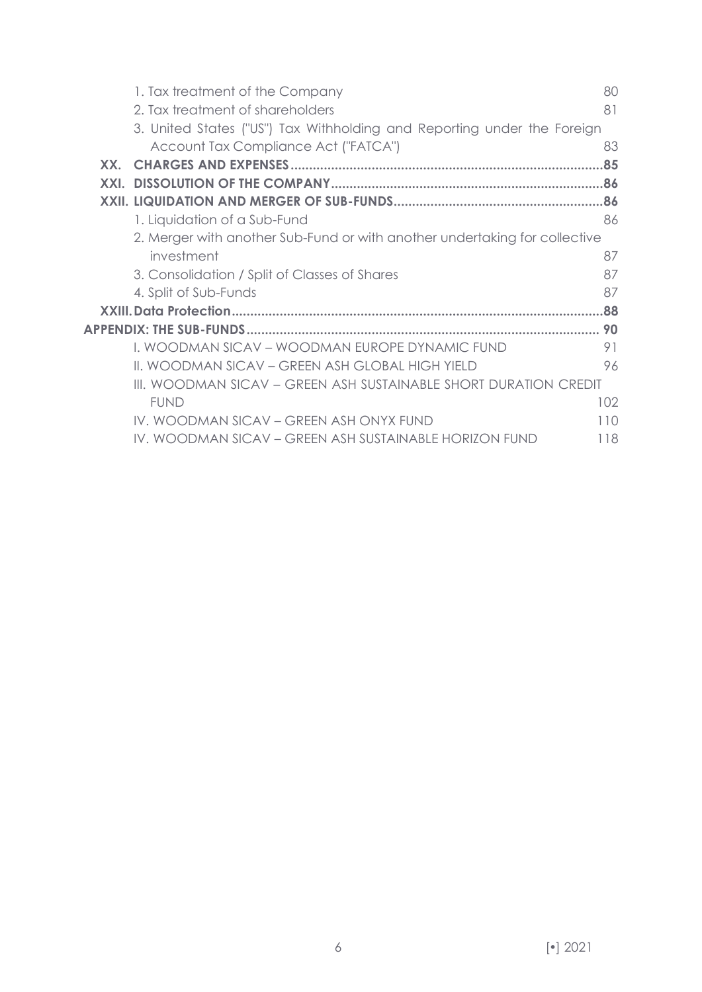|      | 1. Tax treatment of the Company                                            | 80  |
|------|----------------------------------------------------------------------------|-----|
|      | 2. Tax treatment of shareholders                                           | 81  |
|      | 3. United States ("US") Tax Withholding and Reporting under the Foreign    |     |
|      | Account Tax Compliance Act ("FATCA")                                       | 83  |
| XX.  |                                                                            | .85 |
| XXI. |                                                                            |     |
|      |                                                                            |     |
|      | 1. Liquidation of a Sub-Fund                                               | 86  |
|      | 2. Merger with another Sub-Fund or with another undertaking for collective |     |
|      | investment                                                                 | 87  |
|      | 3. Consolidation / Split of Classes of Shares                              | 87  |
|      | 4. Split of Sub-Funds                                                      | 87  |
|      |                                                                            | 88  |
|      |                                                                            | 90  |
|      | I. WOODMAN SICAV - WOODMAN EUROPE DYNAMIC FUND                             | 91  |
|      | II. WOODMAN SICAV – GREEN ASH GLOBAL HIGH YIELD                            | 96  |
|      | III. WOODMAN SICAV – GREEN ASH SUSTAINABLE SHORT DURATION CREDIT           |     |
|      | <b>FUND</b>                                                                | 102 |
|      | IV. WOODMAN SICAV - GREEN ASH ONYX FUND                                    | 110 |
|      | IV. WOODMAN SICAV – GREEN ASH SUSTAINABLE HORIZON FUND                     | 118 |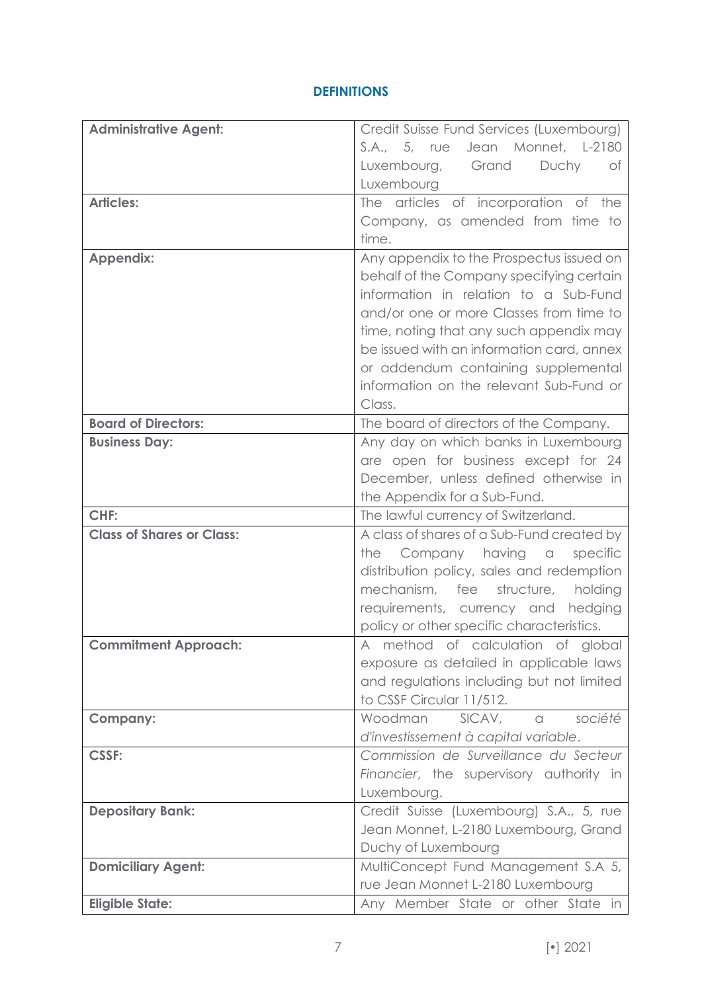# **DEFINITIONS**

<span id="page-6-0"></span>

| <b>Administrative Agent:</b>     | Credit Suisse Fund Services (Luxembourg)                                      |  |
|----------------------------------|-------------------------------------------------------------------------------|--|
|                                  | S.A., 5, rue Jean Monnet, L-2180                                              |  |
|                                  | Luxembourg, Grand<br>Duchy<br>оf                                              |  |
|                                  | Luxembourg                                                                    |  |
| <b>Articles:</b>                 | The articles of incorporation of the                                          |  |
|                                  | Company, as amended from time to                                              |  |
|                                  | time.                                                                         |  |
| <b>Appendix:</b>                 | Any appendix to the Prospectus issued on                                      |  |
|                                  | behalf of the Company specifying certain                                      |  |
|                                  | information in relation to a Sub-Fund                                         |  |
|                                  | and/or one or more Classes from time to                                       |  |
|                                  | time, noting that any such appendix may                                       |  |
|                                  | be issued with an information card, annex                                     |  |
|                                  | or addendum containing supplemental                                           |  |
|                                  | information on the relevant Sub-Fund or                                       |  |
|                                  | Class.                                                                        |  |
| <b>Board of Directors:</b>       | The board of directors of the Company.                                        |  |
| <b>Business Day:</b>             | Any day on which banks in Luxembourg                                          |  |
|                                  | are open for business except for 24                                           |  |
|                                  | December, unless defined otherwise in                                         |  |
|                                  | the Appendix for a Sub-Fund.                                                  |  |
| CHF:                             | The lawful currency of Switzerland.                                           |  |
| <b>Class of Shares or Class:</b> | A class of shares of a Sub-Fund created by                                    |  |
|                                  | Company having a<br>specific<br>the                                           |  |
|                                  | distribution policy, sales and redemption                                     |  |
|                                  | mechanism, fee<br>structure, holding                                          |  |
|                                  | requirements, currency and hedging                                            |  |
|                                  | policy or other specific characteristics.                                     |  |
| <b>Commitment Approach:</b>      | A method of calculation of global                                             |  |
|                                  | exposure as detailed in applicable laws                                       |  |
|                                  | and regulations including but not limited                                     |  |
|                                  | to CSSF Circular 11/512.                                                      |  |
| <b>Company:</b>                  | Woodman<br>SICAV, a<br>société                                                |  |
| <b>CSSF:</b>                     | d'investissement à capital variable.<br>Commission de Surveillance du Secteur |  |
|                                  | Financier, the supervisory authority in                                       |  |
|                                  | Luxembourg.                                                                   |  |
| <b>Depositary Bank:</b>          | Credit Suisse (Luxembourg) S.A., 5, rue                                       |  |
|                                  | Jean Monnet, L-2180 Luxembourg, Grand                                         |  |
|                                  |                                                                               |  |
|                                  | Duchy of Luxembourg                                                           |  |
| <b>Domiciliary Agent:</b>        | MultiConcept Fund Management S.A 5,                                           |  |
|                                  | rue Jean Monnet L-2180 Luxembourg                                             |  |
| <b>Eligible State:</b>           | Any Member State or other State in                                            |  |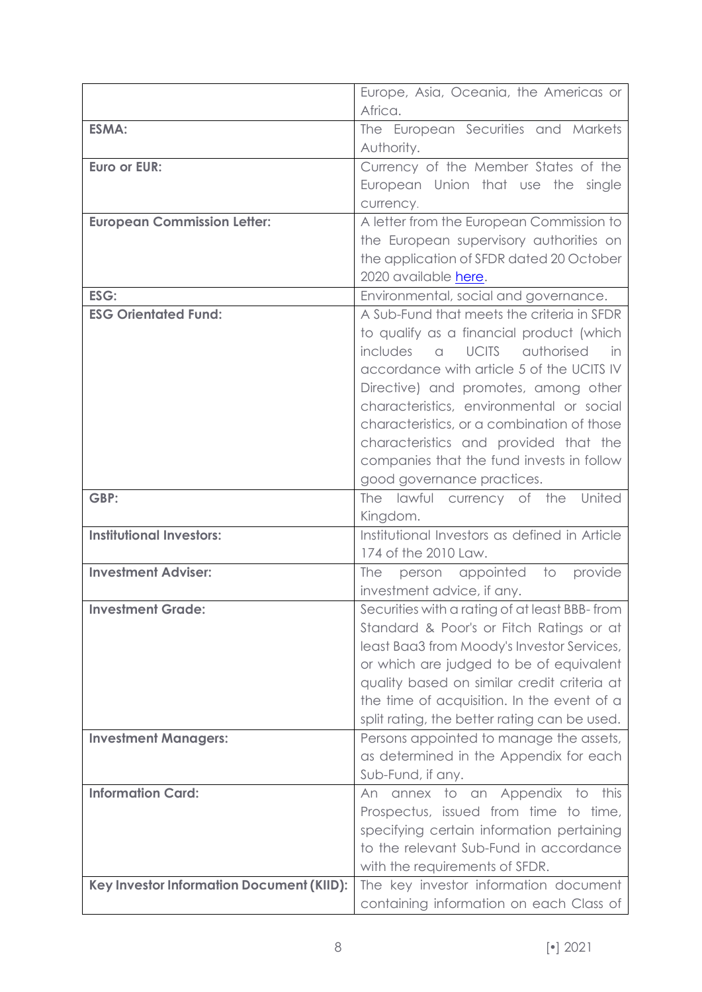|                                           | Europe, Asia, Oceania, the Americas or                                                |  |
|-------------------------------------------|---------------------------------------------------------------------------------------|--|
|                                           | Africa.                                                                               |  |
| <b>ESMA:</b>                              | The European Securities and Markets                                                   |  |
|                                           | Authority.                                                                            |  |
| Euro or EUR:                              | Currency of the Member States of the                                                  |  |
|                                           | European Union that use the single                                                    |  |
|                                           | currency.                                                                             |  |
| <b>European Commission Letter:</b>        | A letter from the European Commission to                                              |  |
|                                           | the European supervisory authorities on                                               |  |
|                                           | the application of SFDR dated 20 October                                              |  |
|                                           | 2020 available here.                                                                  |  |
| ESG:                                      | Environmental, social and governance.                                                 |  |
| <b>ESG Orientated Fund:</b>               | A Sub-Fund that meets the criteria in SFDR                                            |  |
|                                           | to qualify as a financial product (which                                              |  |
|                                           | includes<br><b>UCITS</b><br>authorised<br>in<br>$\Omega$                              |  |
|                                           | accordance with article 5 of the UCITS IV                                             |  |
|                                           | Directive) and promotes, among other                                                  |  |
|                                           | characteristics, environmental or social                                              |  |
|                                           | characteristics, or a combination of those                                            |  |
|                                           | characteristics and provided that the                                                 |  |
|                                           | companies that the fund invests in follow                                             |  |
|                                           | good governance practices.                                                            |  |
| GBP:                                      | The lawful currency of the United                                                     |  |
|                                           | Kingdom.                                                                              |  |
| <b>Institutional Investors:</b>           | Institutional Investors as defined in Article                                         |  |
|                                           | 174 of the 2010 Law.                                                                  |  |
| <b>Investment Adviser:</b>                | person appointed to<br>provide<br>The                                                 |  |
|                                           | investment advice, if any.                                                            |  |
| <b>Investment Grade:</b>                  | Securities with a rating of at least BBB-from                                         |  |
|                                           | Standard & Poor's or Fitch Ratings or at                                              |  |
|                                           | least Baa3 from Moody's Investor Services,<br>or which are judged to be of equivalent |  |
|                                           | quality based on similar credit criteria at                                           |  |
|                                           | the time of acquisition. In the event of a                                            |  |
|                                           | split rating, the better rating can be used.                                          |  |
| <b>Investment Managers:</b>               | Persons appointed to manage the assets,                                               |  |
|                                           | as determined in the Appendix for each                                                |  |
|                                           | Sub-Fund, if any.                                                                     |  |
| <b>Information Card:</b>                  | An annex to an Appendix to this                                                       |  |
|                                           | Prospectus, issued from time to time,                                                 |  |
|                                           | specifying certain information pertaining                                             |  |
|                                           | to the relevant Sub-Fund in accordance                                                |  |
|                                           | with the requirements of SFDR.                                                        |  |
| Key Investor Information Document (KIID): | The key investor information document                                                 |  |
|                                           | containing information on each Class of                                               |  |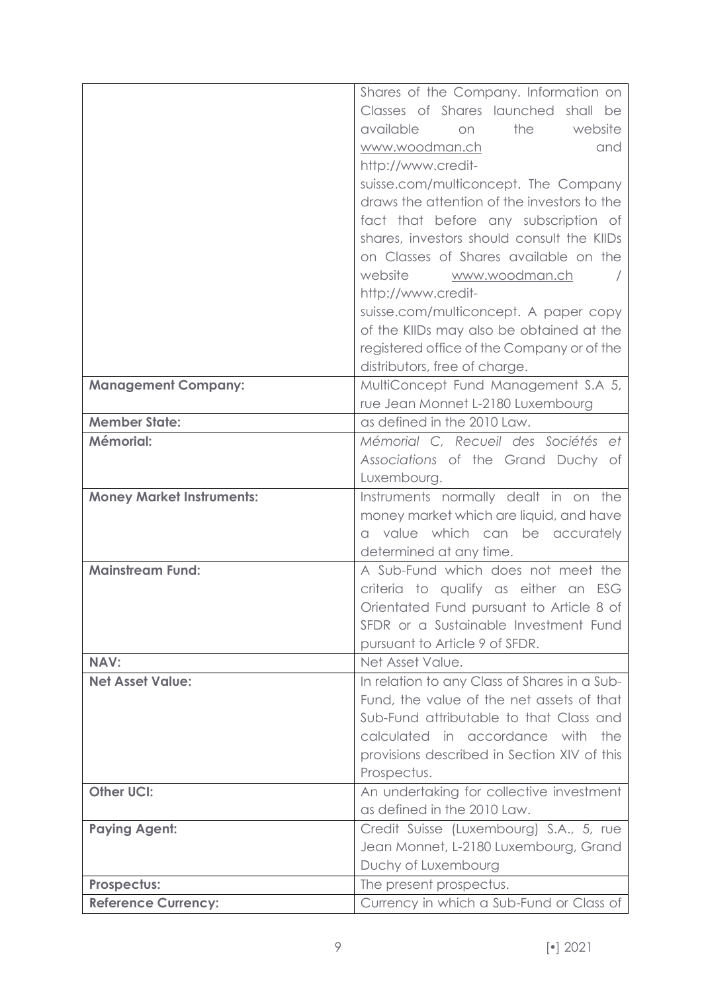|                                  | Shares of the Company. Information on        |  |
|----------------------------------|----------------------------------------------|--|
|                                  | Classes of Shares launched shall be          |  |
|                                  | available<br>the<br>website<br>on            |  |
|                                  | www.woodman.ch<br>and                        |  |
|                                  | http://www.credit-                           |  |
|                                  | suisse.com/multiconcept. The Company         |  |
|                                  | draws the attention of the investors to the  |  |
|                                  | fact that before any subscription of         |  |
|                                  | shares, investors should consult the KIIDs   |  |
|                                  | on Classes of Shares available on the        |  |
|                                  | website<br>www.woodman.ch                    |  |
|                                  | http://www.credit-                           |  |
|                                  | suisse.com/multiconcept. A paper copy        |  |
|                                  | of the KIIDs may also be obtained at the     |  |
|                                  | registered office of the Company or of the   |  |
|                                  | distributors, free of charge.                |  |
| <b>Management Company:</b>       | MultiConcept Fund Management S.A 5,          |  |
|                                  | rue Jean Monnet L-2180 Luxembourg            |  |
| <b>Member State:</b>             | as defined in the 2010 Law.                  |  |
| Mémorial:                        | Mémorial C, Recueil des Sociétés et          |  |
|                                  | Associations of the Grand Duchy of           |  |
|                                  | Luxembourg.                                  |  |
| <b>Money Market Instruments:</b> | Instruments normally dealt in on the         |  |
|                                  | money market which are liquid, and have      |  |
|                                  | a value which can be accurately              |  |
|                                  | determined at any time.                      |  |
| <b>Mainstream Fund:</b>          | A Sub-Fund which does not meet the           |  |
|                                  | criteria to qualify as either an ESG         |  |
|                                  | Orientated Fund pursuant to Article 8 of     |  |
|                                  | SFDR or a Sustainable Investment Fund        |  |
|                                  | pursuant to Article 9 of SFDR.               |  |
| <b>NAV:</b>                      | Net Asset Value.                             |  |
| <b>Net Asset Value:</b>          | In relation to any Class of Shares in a Sub- |  |
|                                  | Fund, the value of the net assets of that    |  |
|                                  | Sub-Fund attributable to that Class and      |  |
|                                  | calculated in accordance with the            |  |
|                                  | provisions described in Section XIV of this  |  |
|                                  | Prospectus.                                  |  |
| <b>Other UCI:</b>                | An undertaking for collective investment     |  |
|                                  | as defined in the 2010 Law.                  |  |
| <b>Paying Agent:</b>             | Credit Suisse (Luxembourg) S.A., 5, rue      |  |
|                                  | Jean Monnet, L-2180 Luxembourg, Grand        |  |
|                                  | Duchy of Luxembourg                          |  |
| Prospectus:                      | The present prospectus.                      |  |
| <b>Reference Currency:</b>       | Currency in which a Sub-Fund or Class of     |  |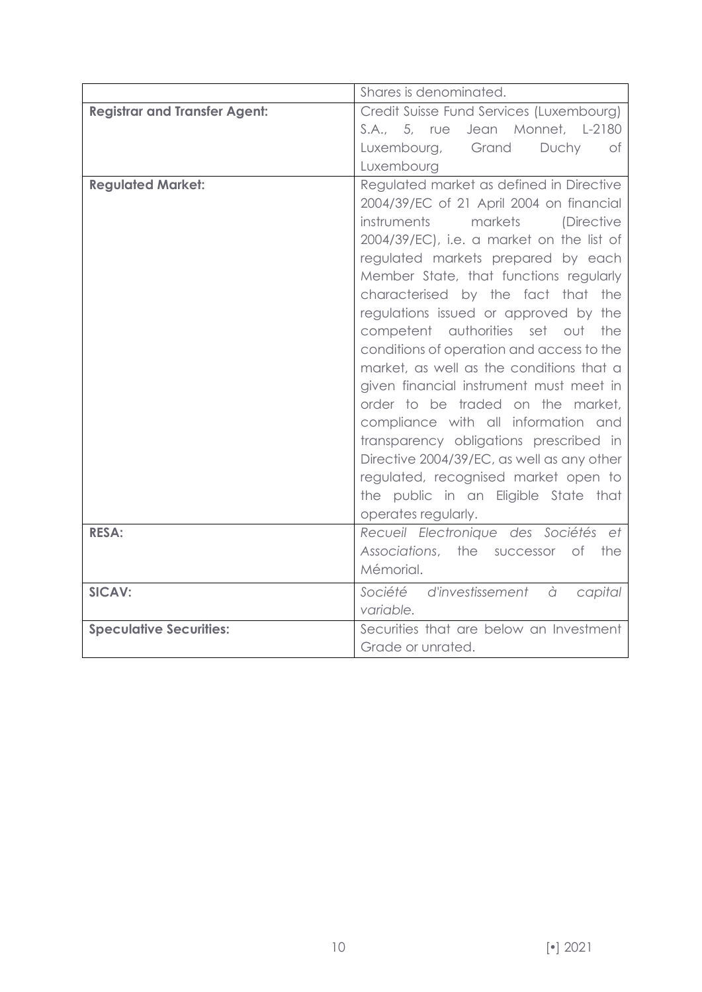|                                      | Shares is denominated.                                                                                                                                                                                                                                                                                                                                                                                                                                                                                                                                                                                                                                                                                                                                                                       |  |  |
|--------------------------------------|----------------------------------------------------------------------------------------------------------------------------------------------------------------------------------------------------------------------------------------------------------------------------------------------------------------------------------------------------------------------------------------------------------------------------------------------------------------------------------------------------------------------------------------------------------------------------------------------------------------------------------------------------------------------------------------------------------------------------------------------------------------------------------------------|--|--|
| <b>Registrar and Transfer Agent:</b> | Credit Suisse Fund Services (Luxembourg)                                                                                                                                                                                                                                                                                                                                                                                                                                                                                                                                                                                                                                                                                                                                                     |  |  |
|                                      | S.A., 5, rue Jean Monnet, L-2180                                                                                                                                                                                                                                                                                                                                                                                                                                                                                                                                                                                                                                                                                                                                                             |  |  |
|                                      | Luxembourg, Grand<br>Duchy<br>0t                                                                                                                                                                                                                                                                                                                                                                                                                                                                                                                                                                                                                                                                                                                                                             |  |  |
|                                      | Luxembourg                                                                                                                                                                                                                                                                                                                                                                                                                                                                                                                                                                                                                                                                                                                                                                                   |  |  |
| <b>Regulated Market:</b>             | Regulated market as defined in Directive<br>2004/39/EC of 21 April 2004 on financial<br>instruments<br>markets<br>(Directive<br>2004/39/EC), i.e. a market on the list of<br>regulated markets prepared by each<br>Member State, that functions regularly<br>characterised by the fact that the<br>regulations issued or approved by the<br>competent authorities set out the<br>conditions of operation and access to the<br>market, as well as the conditions that a<br>given financial instrument must meet in<br>order to be traded on the market,<br>compliance with all information and<br>transparency obligations prescribed in<br>Directive 2004/39/EC, as well as any other<br>regulated, recognised market open to<br>the public in an Eligible State that<br>operates regularly. |  |  |
| <b>RESA:</b>                         | Recueil Electronique des Sociétés et<br>Associations, the successor of the<br>Mémorial.                                                                                                                                                                                                                                                                                                                                                                                                                                                                                                                                                                                                                                                                                                      |  |  |
| <b>SICAV:</b>                        | Société d'investissement à<br>capital<br>variable.                                                                                                                                                                                                                                                                                                                                                                                                                                                                                                                                                                                                                                                                                                                                           |  |  |
| <b>Speculative Securities:</b>       | Securities that are below an Investment<br>Grade or unrated.                                                                                                                                                                                                                                                                                                                                                                                                                                                                                                                                                                                                                                                                                                                                 |  |  |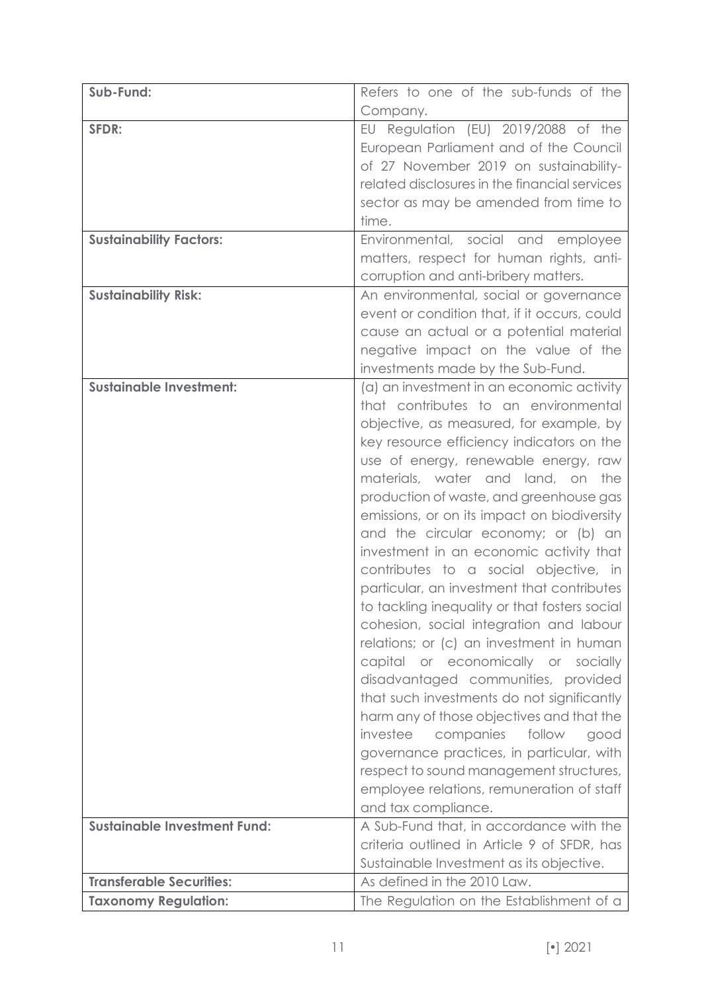| Sub-Fund:                           | Refers to one of the sub-funds of the                                                  |
|-------------------------------------|----------------------------------------------------------------------------------------|
|                                     | Company.                                                                               |
| SFDR:                               | EU Regulation (EU) 2019/2088 of the                                                    |
|                                     | European Parliament and of the Council                                                 |
|                                     | of 27 November 2019 on sustainability-                                                 |
|                                     | related disclosures in the financial services                                          |
|                                     | sector as may be amended from time to                                                  |
|                                     | time.                                                                                  |
| <b>Sustainability Factors:</b>      | Environmental, social and<br>employee                                                  |
|                                     | matters, respect for human rights, anti-                                               |
|                                     | corruption and anti-bribery matters.                                                   |
| <b>Sustainability Risk:</b>         | An environmental, social or governance                                                 |
|                                     | event or condition that, if it occurs, could                                           |
|                                     | cause an actual or a potential material                                                |
|                                     | negative impact on the value of the                                                    |
|                                     | investments made by the Sub-Fund.                                                      |
| <b>Sustainable Investment:</b>      | (a) an investment in an economic activity                                              |
|                                     | that contributes to an environmental                                                   |
|                                     | objective, as measured, for example, by                                                |
|                                     | key resource efficiency indicators on the                                              |
|                                     | use of energy, renewable energy, raw                                                   |
|                                     | materials, water and land, on<br>the                                                   |
|                                     | production of waste, and greenhouse gas                                                |
|                                     | emissions, or on its impact on biodiversity                                            |
|                                     | and the circular economy; or (b) an                                                    |
|                                     | investment in an economic activity that                                                |
|                                     | contributes to a social objective, in                                                  |
|                                     | particular, an investment that contributes                                             |
|                                     | to tackling inequality or that fosters social                                          |
|                                     | cohesion, social integration and labour                                                |
|                                     | relations; or (c) an investment in human                                               |
|                                     | capital or economically or socially                                                    |
|                                     | disadvantaged communities, provided                                                    |
|                                     | that such investments do not significantly                                             |
|                                     | harm any of those objectives and that the                                              |
|                                     | investee<br>companies follow<br>good                                                   |
|                                     | governance practices, in particular, with                                              |
|                                     | respect to sound management structures,                                                |
|                                     | employee relations, remuneration of staff                                              |
| <b>Sustainable Investment Fund:</b> | and tax compliance.                                                                    |
|                                     | A Sub-Fund that, in accordance with the<br>criteria outlined in Article 9 of SFDR, has |
|                                     | Sustainable Investment as its objective.                                               |
| <b>Transferable Securities:</b>     | As defined in the 2010 Law.                                                            |
| <b>Taxonomy Regulation:</b>         | The Regulation on the Establishment of a                                               |
|                                     |                                                                                        |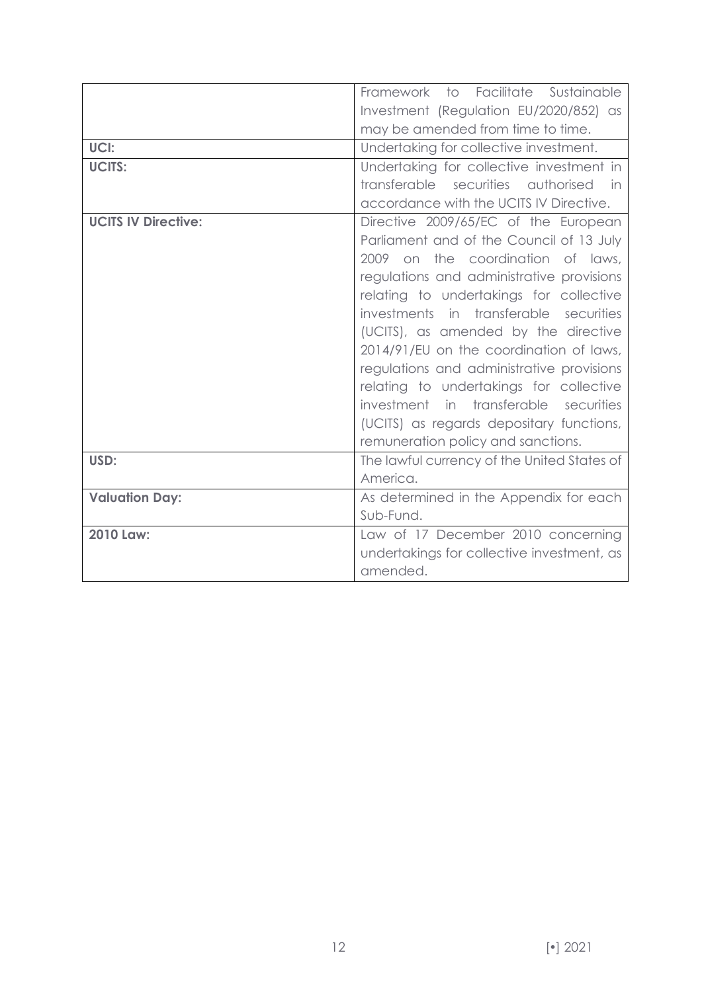| UCI:<br><b>UCITS:</b>      | Framework to Facilitate Sustainable<br>Investment (Regulation EU/2020/852) as<br>may be amended from time to time.<br>Undertaking for collective investment.<br>Undertaking for collective investment in<br>transferable securities authorised<br>in<br>accordance with the UCITS IV Directive.                                                                                                                                                                                                                                                               |  |  |
|----------------------------|---------------------------------------------------------------------------------------------------------------------------------------------------------------------------------------------------------------------------------------------------------------------------------------------------------------------------------------------------------------------------------------------------------------------------------------------------------------------------------------------------------------------------------------------------------------|--|--|
| <b>UCITS IV Directive:</b> | Directive 2009/65/EC of the European<br>Parliament and of the Council of 13 July<br>2009 on the coordination of laws,<br>regulations and administrative provisions<br>relating to undertakings for collective<br>investments in transferable securities<br>(UCITS), as amended by the directive<br>2014/91/EU on the coordination of laws,<br>regulations and administrative provisions<br>relating to undertakings for collective<br>investment in transferable securities<br>(UCITS) as regards depositary functions,<br>remuneration policy and sanctions. |  |  |
| USD:                       | The lawful currency of the United States of<br>America.                                                                                                                                                                                                                                                                                                                                                                                                                                                                                                       |  |  |
| <b>Valuation Day:</b>      | As determined in the Appendix for each<br>Sub-Fund.                                                                                                                                                                                                                                                                                                                                                                                                                                                                                                           |  |  |
| 2010 Law:                  | Law of 17 December 2010 concerning<br>undertakings for collective investment, as<br>amended.                                                                                                                                                                                                                                                                                                                                                                                                                                                                  |  |  |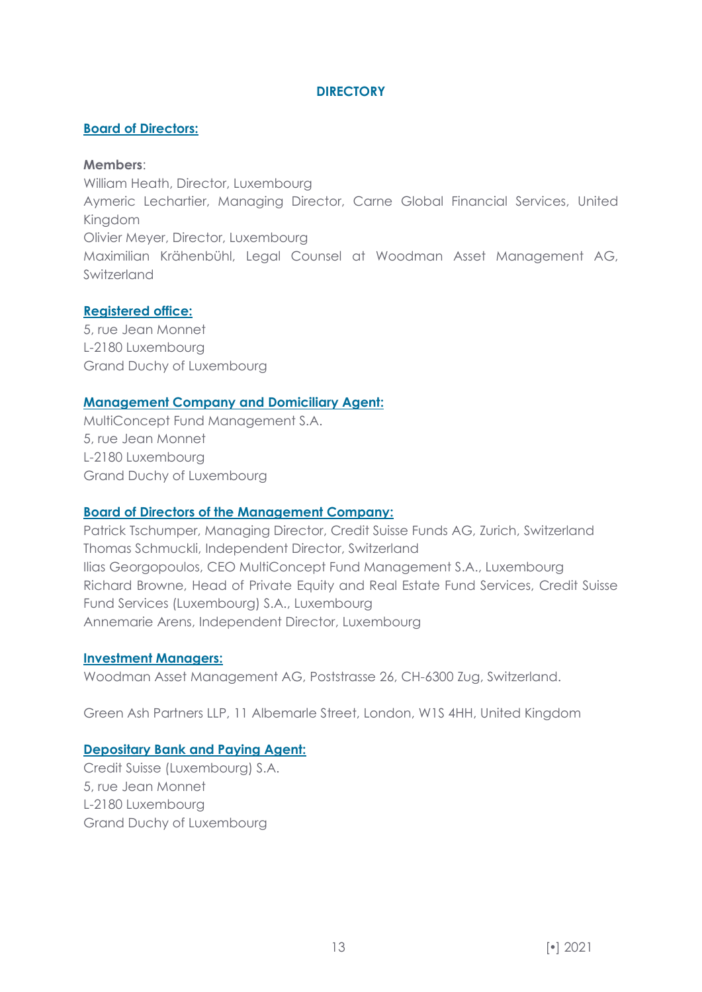# **DIRECTORY**

#### <span id="page-12-0"></span>**Board of Directors:**

#### **Members**:

William Heath, Director, Luxembourg Aymeric Lechartier, Managing Director, Carne Global Financial Services, United Kingdom Olivier Meyer, Director, Luxembourg Maximilian Krähenbühl, Legal Counsel at Woodman Asset Management AG, Switzerland

#### **Registered office:**

5, rue Jean Monnet L-2180 Luxembourg Grand Duchy of Luxembourg

#### **Management Company and Domiciliary Agent:**

MultiConcept Fund Management S.A. 5, rue Jean Monnet L-2180 Luxembourg Grand Duchy of Luxembourg

#### **Board of Directors of the Management Company:**

Patrick Tschumper, Managing Director, Credit Suisse Funds AG, Zurich, Switzerland Thomas Schmuckli, Independent Director, Switzerland Ilias Georgopoulos, CEO MultiConcept Fund Management S.A., Luxembourg Richard Browne, Head of Private Equity and Real Estate Fund Services, Credit Suisse Fund Services (Luxembourg) S.A., Luxembourg Annemarie Arens, Independent Director, Luxembourg

#### **Investment Managers:**

Woodman Asset Management AG, Poststrasse 26, CH-6300 Zug, Switzerland.

Green Ash Partners LLP, 11 Albemarle Street, London, W1S 4HH, United Kingdom

#### **Depositary Bank and Paying Agent:**

Credit Suisse (Luxembourg) S.A. 5, rue Jean Monnet L-2180 Luxembourg Grand Duchy of Luxembourg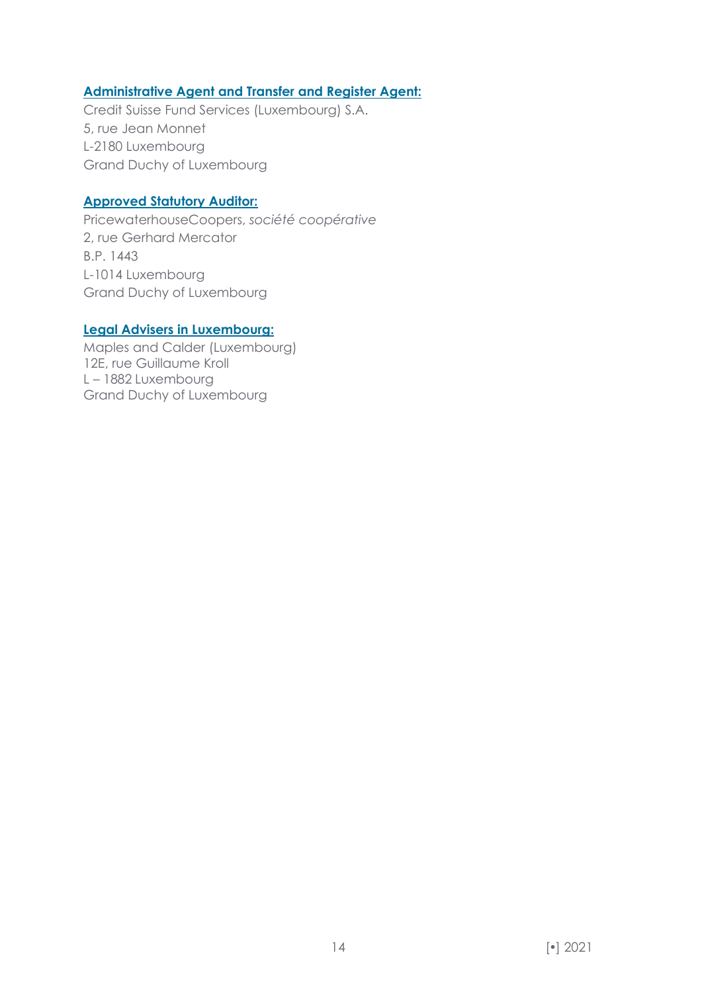#### **Administrative Agent and Transfer and Register Agent:**

Credit Suisse Fund Services (Luxembourg) S.A. 5, rue Jean Monnet L-2180 Luxembourg Grand Duchy of Luxembourg

#### **Approved Statutory Auditor:**

PricewaterhouseCoopers, *société coopérative* 2, rue Gerhard Mercator B.P. 1443 L-1014 Luxembourg Grand Duchy of Luxembourg

# **Legal Advisers in Luxembourg:**

Maples and Calder (Luxembourg) 12E, rue Guillaume Kroll L – 1882 Luxembourg Grand Duchy of Luxembourg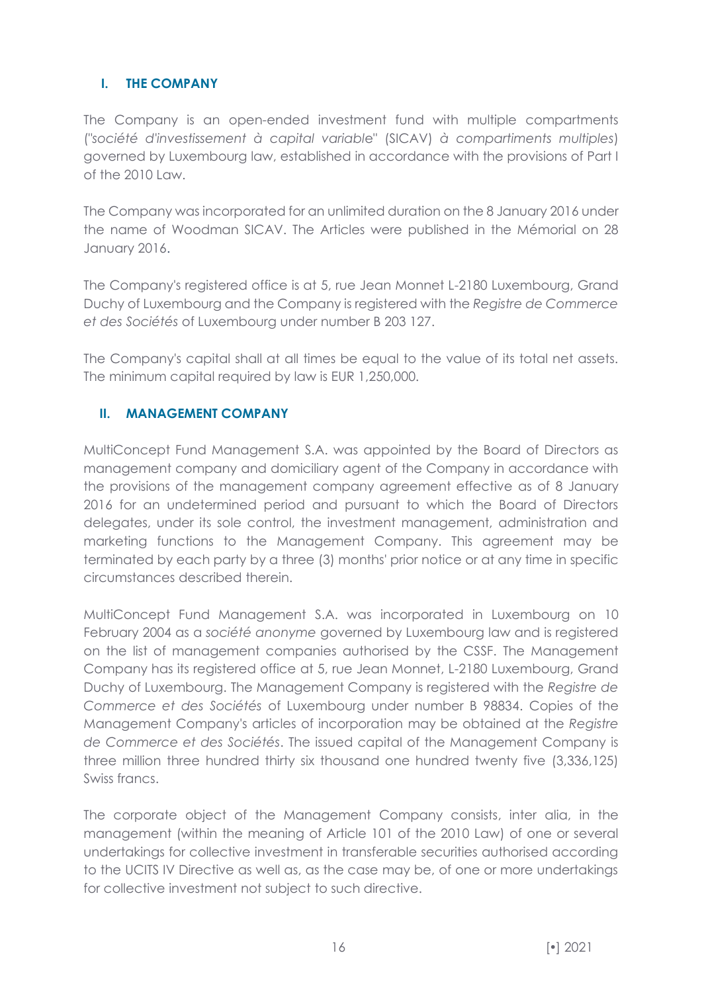# <span id="page-15-0"></span>**I. THE COMPANY**

The Company is an open-ended investment fund with multiple compartments ("*société d'investissement à capital variabl*e" (SICAV) *à compartiments multiples*) governed by Luxembourg law, established in accordance with the provisions of Part I of the  $2010$  Law.

The Company was incorporated for an unlimited duration on the 8 January 2016 under the name of Woodman SICAV. The Articles were published in the Mémorial on 28 January 2016.

The Company's registered office is at 5, rue Jean Monnet L-2180 Luxembourg, Grand Duchy of Luxembourg and the Company is registered with the *Registre de Commerce et des Sociétés* of Luxembourg under number B 203 127.

The Company's capital shall at all times be equal to the value of its total net assets. The minimum capital required by law is EUR 1,250,000.

# <span id="page-15-1"></span>**II. MANAGEMENT COMPANY**

MultiConcept Fund Management S.A. was appointed by the Board of Directors as management company and domiciliary agent of the Company in accordance with the provisions of the management company agreement effective as of 8 January 2016 for an undetermined period and pursuant to which the Board of Directors delegates, under its sole control, the investment management, administration and marketing functions to the Management Company. This agreement may be terminated by each party by a three (3) months' prior notice or at any time in specific circumstances described therein.

MultiConcept Fund Management S.A. was incorporated in Luxembourg on 10 February 2004 as a *société anonyme* governed by Luxembourg law and is registered on the list of management companies authorised by the CSSF. The Management Company has its registered office at 5, rue Jean Monnet, L-2180 Luxembourg, Grand Duchy of Luxembourg. The Management Company is registered with the *Registre de Commerce et des Sociétés* of Luxembourg under number B 98834. Copies of the Management Company's articles of incorporation may be obtained at the *Registre de Commerce et des Sociétés*. The issued capital of the Management Company is three million three hundred thirty six thousand one hundred twenty five (3,336,125) Swiss francs.

The corporate object of the Management Company consists, inter alia, in the management (within the meaning of Article 101 of the 2010 Law) of one or several undertakings for collective investment in transferable securities authorised according to the UCITS IV Directive as well as, as the case may be, of one or more undertakings for collective investment not subject to such directive.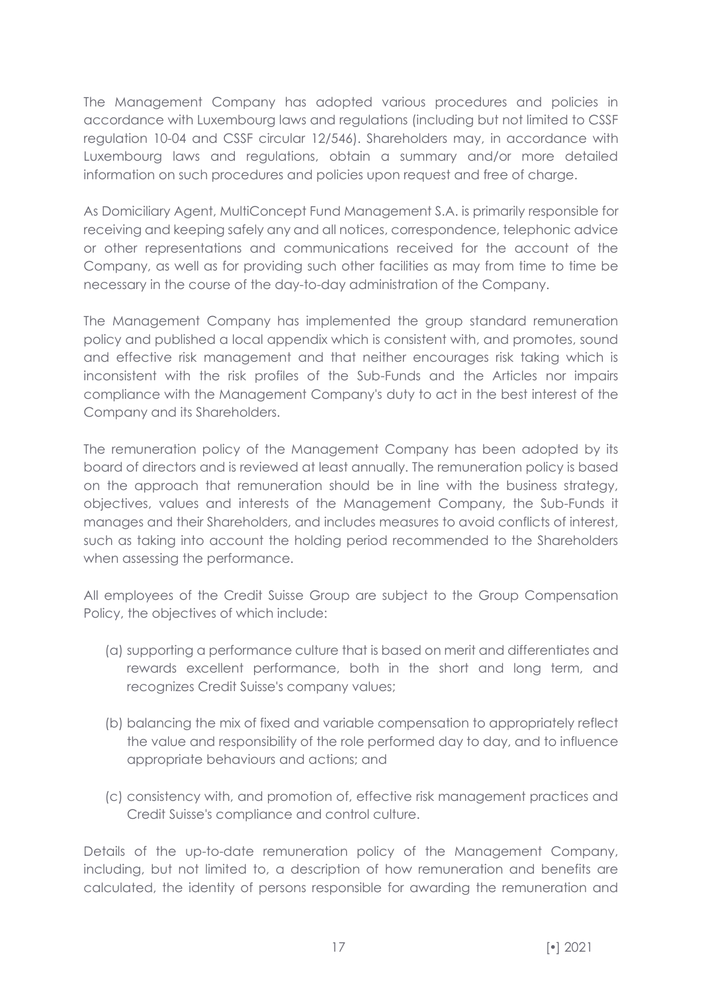The Management Company has adopted various procedures and policies in accordance with Luxembourg laws and regulations (including but not limited to CSSF regulation 10-04 and CSSF circular 12/546). Shareholders may, in accordance with Luxembourg laws and regulations, obtain a summary and/or more detailed information on such procedures and policies upon request and free of charge.

As Domiciliary Agent, MultiConcept Fund Management S.A. is primarily responsible for receiving and keeping safely any and all notices, correspondence, telephonic advice or other representations and communications received for the account of the Company, as well as for providing such other facilities as may from time to time be necessary in the course of the day-to-day administration of the Company.

The Management Company has implemented the group standard remuneration policy and published a local appendix which is consistent with, and promotes, sound and effective risk management and that neither encourages risk taking which is inconsistent with the risk profiles of the Sub-Funds and the Articles nor impairs compliance with the Management Company's duty to act in the best interest of the Company and its Shareholders.

The remuneration policy of the Management Company has been adopted by its board of directors and is reviewed at least annually. The remuneration policy is based on the approach that remuneration should be in line with the business strategy, objectives, values and interests of the Management Company, the Sub-Funds it manages and their Shareholders, and includes measures to avoid conflicts of interest, such as taking into account the holding period recommended to the Shareholders when assessing the performance.

All employees of the Credit Suisse Group are subject to the Group Compensation Policy, the objectives of which include:

- (a) supporting a performance culture that is based on merit and differentiates and rewards excellent performance, both in the short and long term, and recognizes Credit Suisse's company values;
- (b) balancing the mix of fixed and variable compensation to appropriately reflect the value and responsibility of the role performed day to day, and to influence appropriate behaviours and actions; and
- (c) consistency with, and promotion of, effective risk management practices and Credit Suisse's compliance and control culture.

Details of the up-to-date remuneration policy of the Management Company, including, but not limited to, a description of how remuneration and benefits are calculated, the identity of persons responsible for awarding the remuneration and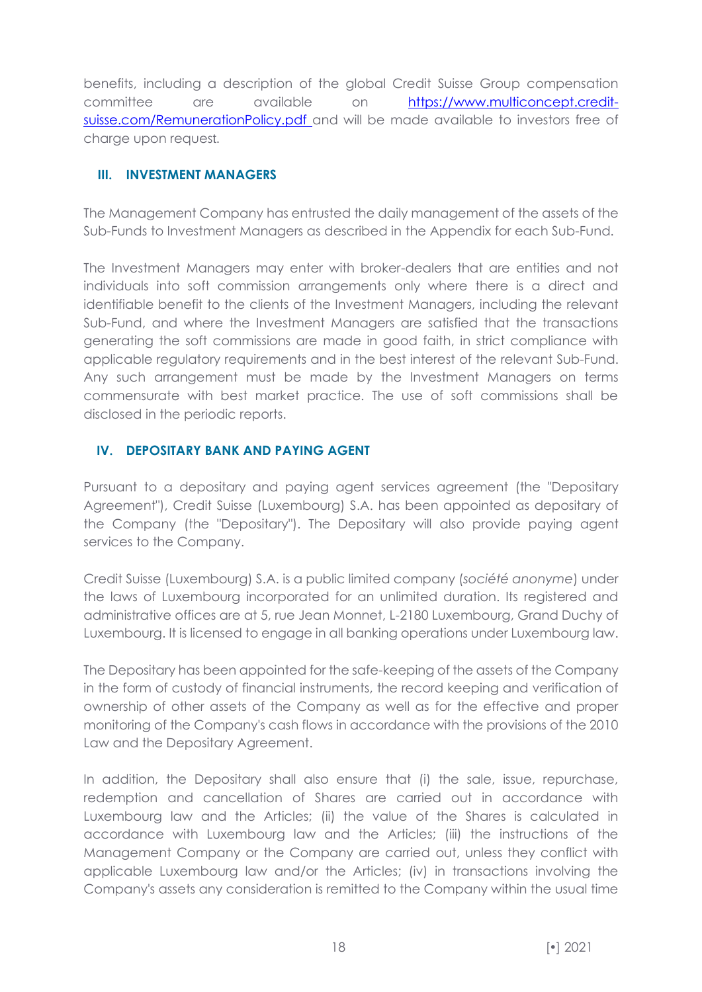benefits, including a description of the global Credit Suisse Group compensation committee are available on [https://www.multiconcept.credit](https://www.multiconcept.credit-suisse.com/RemunerationPolicy.pdf)[suisse.com/RemunerationPolicy.pdf](https://www.multiconcept.credit-suisse.com/RemunerationPolicy.pdf) and will be made available to investors free of charge upon request.

# <span id="page-17-0"></span>**III. INVESTMENT MANAGERS**

The Management Company has entrusted the daily management of the assets of the Sub-Funds to Investment Managers as described in the Appendix for each Sub-Fund.

The Investment Managers may enter with broker-dealers that are entities and not individuals into soft commission arrangements only where there is a direct and identifiable benefit to the clients of the Investment Managers, including the relevant Sub-Fund, and where the Investment Managers are satisfied that the transactions generating the soft commissions are made in good faith, in strict compliance with applicable regulatory requirements and in the best interest of the relevant Sub-Fund. Any such arrangement must be made by the Investment Managers on terms commensurate with best market practice. The use of soft commissions shall be disclosed in the periodic reports.

# <span id="page-17-1"></span>**IV. DEPOSITARY BANK AND PAYING AGENT**

Pursuant to a depositary and paying agent services agreement (the "Depositary Agreement"), Credit Suisse (Luxembourg) S.A. has been appointed as depositary of the Company (the "Depositary"). The Depositary will also provide paying agent services to the Company.

Credit Suisse (Luxembourg) S.A. is a public limited company (*société anonyme*) under the laws of Luxembourg incorporated for an unlimited duration. Its registered and administrative offices are at 5, rue Jean Monnet, L-2180 Luxembourg, Grand Duchy of Luxembourg. It is licensed to engage in all banking operations under Luxembourg law.

The Depositary has been appointed for the safe-keeping of the assets of the Company in the form of custody of financial instruments, the record keeping and verification of ownership of other assets of the Company as well as for the effective and proper monitoring of the Company's cash flows in accordance with the provisions of the 2010 Law and the Depositary Agreement.

In addition, the Depositary shall also ensure that (i) the sale, issue, repurchase, redemption and cancellation of Shares are carried out in accordance with Luxembourg law and the Articles; (ii) the value of the Shares is calculated in accordance with Luxembourg law and the Articles; (iii) the instructions of the Management Company or the Company are carried out, unless they conflict with applicable Luxembourg law and/or the Articles; (iv) in transactions involving the Company's assets any consideration is remitted to the Company within the usual time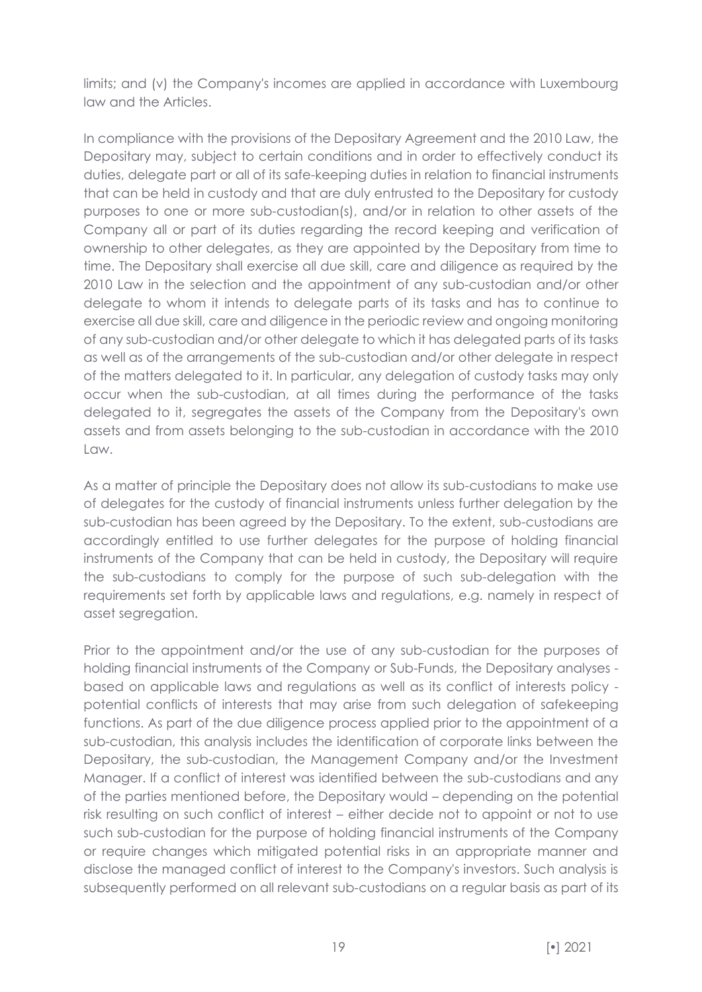limits; and (v) the Company's incomes are applied in accordance with Luxembourg law and the Articles.

In compliance with the provisions of the Depositary Agreement and the 2010 Law, the Depositary may, subject to certain conditions and in order to effectively conduct its duties, delegate part or all of its safe-keeping duties in relation to financial instruments that can be held in custody and that are duly entrusted to the Depositary for custody purposes to one or more sub-custodian(s), and/or in relation to other assets of the Company all or part of its duties regarding the record keeping and verification of ownership to other delegates, as they are appointed by the Depositary from time to time. The Depositary shall exercise all due skill, care and diligence as required by the 2010 Law in the selection and the appointment of any sub-custodian and/or other delegate to whom it intends to delegate parts of its tasks and has to continue to exercise all due skill, care and diligence in the periodic review and ongoing monitoring of any sub-custodian and/or other delegate to which it has delegated parts of its tasks as well as of the arrangements of the sub-custodian and/or other delegate in respect of the matters delegated to it. In particular, any delegation of custody tasks may only occur when the sub-custodian, at all times during the performance of the tasks delegated to it, segregates the assets of the Company from the Depositary's own assets and from assets belonging to the sub-custodian in accordance with the 2010 Law.

As a matter of principle the Depositary does not allow its sub-custodians to make use of delegates for the custody of financial instruments unless further delegation by the sub-custodian has been agreed by the Depositary. To the extent, sub-custodians are accordingly entitled to use further delegates for the purpose of holding financial instruments of the Company that can be held in custody, the Depositary will require the sub-custodians to comply for the purpose of such sub-delegation with the requirements set forth by applicable laws and regulations, e.g. namely in respect of asset segregation.

Prior to the appointment and/or the use of any sub-custodian for the purposes of holding financial instruments of the Company or Sub-Funds, the Depositary analyses based on applicable laws and regulations as well as its conflict of interests policy potential conflicts of interests that may arise from such delegation of safekeeping functions. As part of the due diligence process applied prior to the appointment of a sub-custodian, this analysis includes the identification of corporate links between the Depositary, the sub-custodian, the Management Company and/or the Investment Manager. If a conflict of interest was identified between the sub-custodians and any of the parties mentioned before, the Depositary would – depending on the potential risk resulting on such conflict of interest – either decide not to appoint or not to use such sub-custodian for the purpose of holding financial instruments of the Company or require changes which mitigated potential risks in an appropriate manner and disclose the managed conflict of interest to the Company's investors. Such analysis is subsequently performed on all relevant sub-custodians on a regular basis as part of its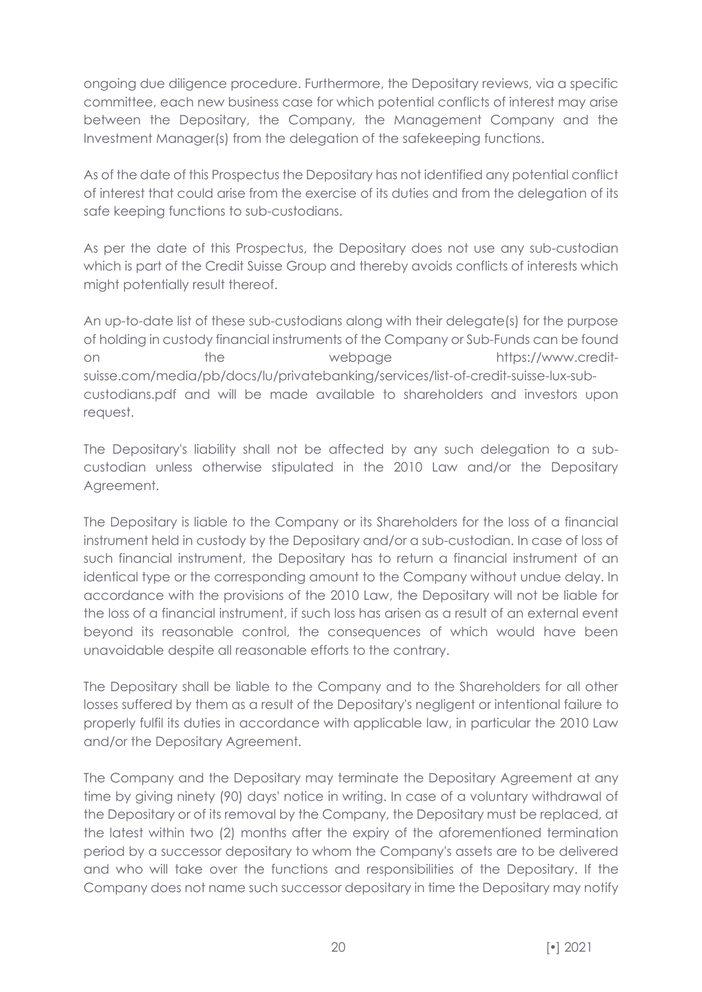ongoing due diligence procedure. Furthermore, the Depositary reviews, via a specific committee, each new business case for which potential conflicts of interest may arise between the Depositary, the Company, the Management Company and the Investment Manager(s) from the delegation of the safekeeping functions.

As of the date of this Prospectus the Depositary has not identified any potential conflict of interest that could arise from the exercise of its duties and from the delegation of its safe keeping functions to sub-custodians.

As per the date of this Prospectus, the Depositary does not use any sub-custodian which is part of the Credit Suisse Group and thereby avoids conflicts of interests which might potentially result thereof.

An up-to-date list of these sub-custodians along with their delegate(s) for the purpose of holding in custody financial instruments of the Company or Sub-Funds can be found on the webpage https://www.creditsuisse.com/media/pb/docs/lu/privatebanking/services/list-of-credit-suisse-lux-subcustodians.pdf and will be made available to shareholders and investors upon request.

The Depositary's liability shall not be affected by any such delegation to a subcustodian unless otherwise stipulated in the 2010 Law and/or the Depositary Agreement.

The Depositary is liable to the Company or its Shareholders for the loss of a financial instrument held in custody by the Depositary and/or a sub-custodian. In case of loss of such financial instrument, the Depositary has to return a financial instrument of an identical type or the corresponding amount to the Company without undue delay. In accordance with the provisions of the 2010 Law, the Depositary will not be liable for the loss of a financial instrument, if such loss has arisen as a result of an external event beyond its reasonable control, the consequences of which would have been unavoidable despite all reasonable efforts to the contrary.

The Depositary shall be liable to the Company and to the Shareholders for all other losses suffered by them as a result of the Depositary's negligent or intentional failure to properly fulfil its duties in accordance with applicable law, in particular the 2010 Law and/or the Depositary Agreement.

The Company and the Depositary may terminate the Depositary Agreement at any time by giving ninety (90) days' notice in writing. In case of a voluntary withdrawal of the Depositary or of its removal by the Company, the Depositary must be replaced, at the latest within two (2) months after the expiry of the aforementioned termination period by a successor depositary to whom the Company's assets are to be delivered and who will take over the functions and responsibilities of the Depositary. If the Company does not name such successor depositary in time the Depositary may notify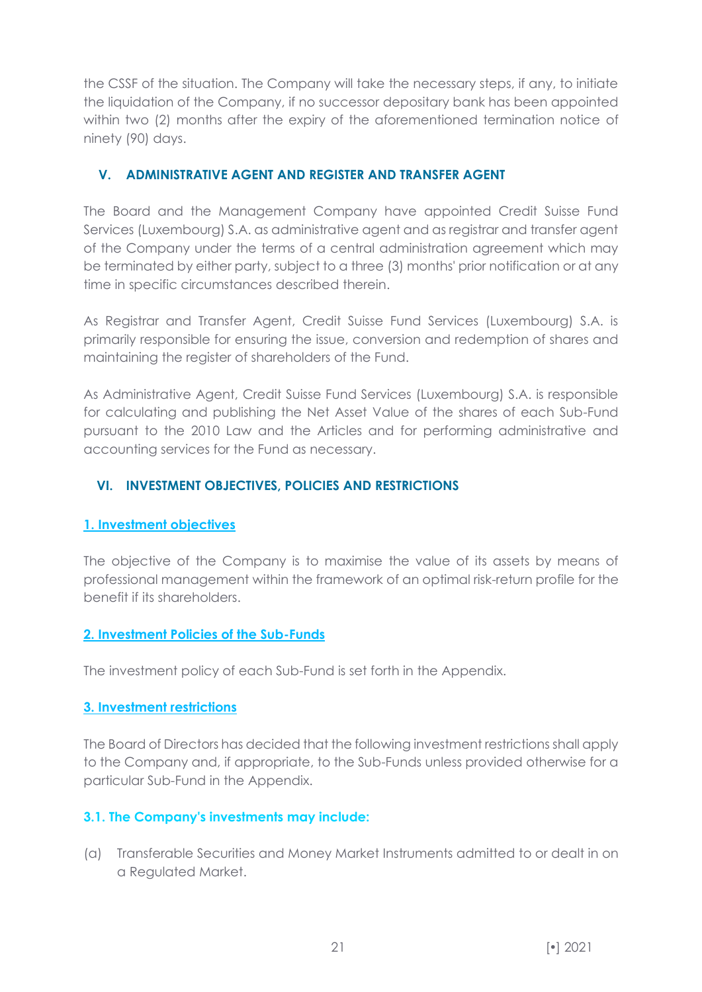the CSSF of the situation. The Company will take the necessary steps, if any, to initiate the liquidation of the Company, if no successor depositary bank has been appointed within two (2) months after the expiry of the aforementioned termination notice of ninety (90) days.

# <span id="page-20-0"></span>**V. ADMINISTRATIVE AGENT AND REGISTER AND TRANSFER AGENT**

The Board and the Management Company have appointed Credit Suisse Fund Services (Luxembourg) S.A. as administrative agent and as registrar and transfer agent of the Company under the terms of a central administration agreement which may be terminated by either party, subject to a three (3) months' prior notification or at any time in specific circumstances described therein.

As Registrar and Transfer Agent, Credit Suisse Fund Services (Luxembourg) S.A. is primarily responsible for ensuring the issue, conversion and redemption of shares and maintaining the register of shareholders of the Fund.

As Administrative Agent, Credit Suisse Fund Services (Luxembourg) S.A. is responsible for calculating and publishing the Net Asset Value of the shares of each Sub-Fund pursuant to the 2010 Law and the Articles and for performing administrative and accounting services for the Fund as necessary.

# <span id="page-20-1"></span>**VI. INVESTMENT OBJECTIVES, POLICIES AND RESTRICTIONS**

#### <span id="page-20-2"></span>**1. Investment objectives**

The objective of the Company is to maximise the value of its assets by means of professional management within the framework of an optimal risk-return profile for the benefit if its shareholders.

#### <span id="page-20-3"></span>**2. Investment Policies of the Sub-Funds**

The investment policy of each Sub-Fund is set forth in the Appendix.

#### <span id="page-20-4"></span>**3. Investment restrictions**

The Board of Directors has decided that the following investment restrictions shall apply to the Company and, if appropriate, to the Sub-Funds unless provided otherwise for a particular Sub-Fund in the Appendix.

#### **3.1. The Company's investments may include:**

(a) Transferable Securities and Money Market Instruments admitted to or dealt in on a Regulated Market.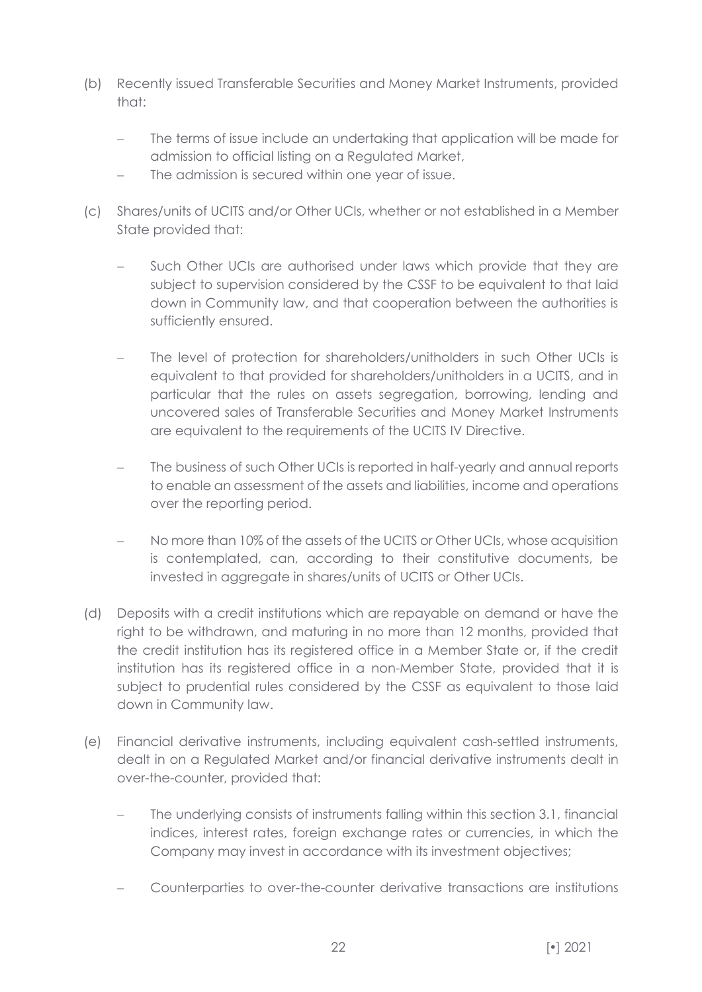- (b) Recently issued Transferable Securities and Money Market Instruments, provided that:
	- The terms of issue include an undertaking that application will be made for admission to official listing on a Regulated Market,
	- The admission is secured within one year of issue.
- (c) Shares/units of UCITS and/or Other UCIs, whether or not established in a Member State provided that:
	- Such Other UCIs are authorised under laws which provide that they are subject to supervision considered by the CSSF to be equivalent to that laid down in Community law, and that cooperation between the authorities is sufficiently ensured.
	- The level of protection for shareholders/unitholders in such Other UCIs is equivalent to that provided for shareholders/unitholders in a UCITS, and in particular that the rules on assets segregation, borrowing, lending and uncovered sales of Transferable Securities and Money Market Instruments are equivalent to the requirements of the UCITS IV Directive.
	- The business of such Other UCIs is reported in half-yearly and annual reports to enable an assessment of the assets and liabilities, income and operations over the reporting period.
	- No more than 10% of the assets of the UCITS or Other UCIs, whose acquisition is contemplated, can, according to their constitutive documents, be invested in aggregate in shares/units of UCITS or Other UCIs.
- (d) Deposits with a credit institutions which are repayable on demand or have the right to be withdrawn, and maturing in no more than 12 months, provided that the credit institution has its registered office in a Member State or, if the credit institution has its registered office in a non-Member State, provided that it is subject to prudential rules considered by the CSSF as equivalent to those laid down in Community law.
- (e) Financial derivative instruments, including equivalent cash-settled instruments, dealt in on a Regulated Market and/or financial derivative instruments dealt in over-the-counter, provided that:
	- The underlying consists of instruments falling within this section 3.1, financial indices, interest rates, foreign exchange rates or currencies, in which the Company may invest in accordance with its investment objectives;
	- − Counterparties to over-the-counter derivative transactions are institutions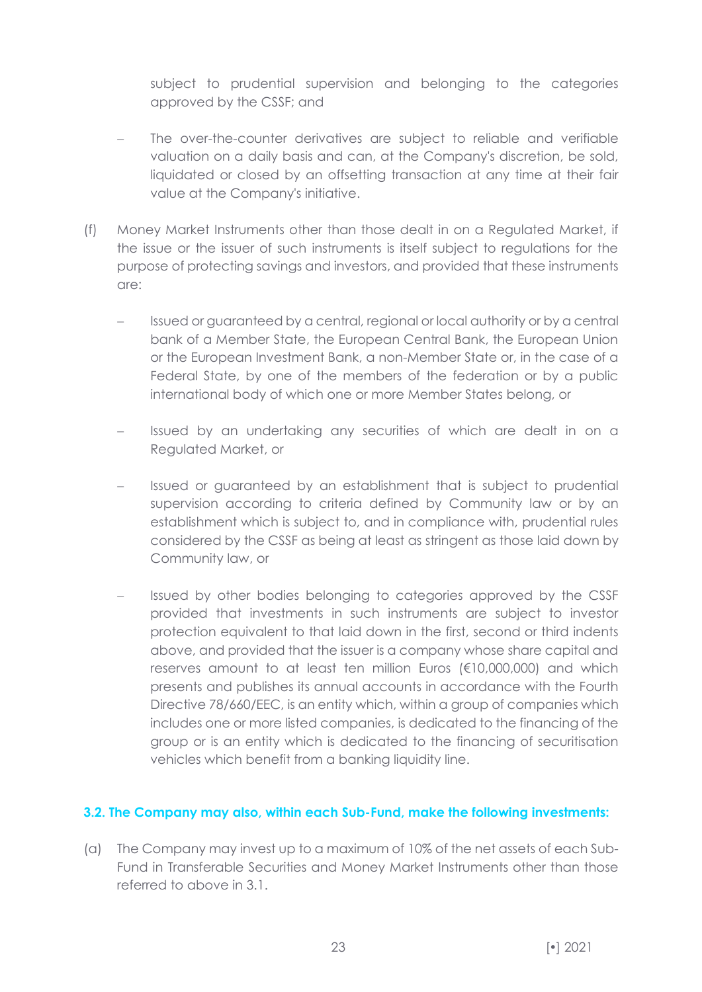subject to prudential supervision and belonging to the categories approved by the CSSF; and

- The over-the-counter derivatives are subject to reliable and verifiable valuation on a daily basis and can, at the Company's discretion, be sold, liquidated or closed by an offsetting transaction at any time at their fair value at the Company's initiative.
- (f) Money Market Instruments other than those dealt in on a Regulated Market, if the issue or the issuer of such instruments is itself subject to regulations for the purpose of protecting savings and investors, and provided that these instruments are:
	- − Issued or guaranteed by a central, regional or local authority or by a central bank of a Member State, the European Central Bank, the European Union or the European Investment Bank, a non-Member State or, in the case of a Federal State, by one of the members of the federation or by a public international body of which one or more Member States belong, or
	- Issued by an undertaking any securities of which are dealt in on a Regulated Market, or
	- − Issued or guaranteed by an establishment that is subject to prudential supervision according to criteria defined by Community law or by an establishment which is subject to, and in compliance with, prudential rules considered by the CSSF as being at least as stringent as those laid down by Community law, or
	- Issued by other bodies belonging to categories approved by the CSSF provided that investments in such instruments are subject to investor protection equivalent to that laid down in the first, second or third indents above, and provided that the issuer is a company whose share capital and reserves amount to at least ten million Euros (€10,000,000) and which presents and publishes its annual accounts in accordance with the Fourth Directive 78/660/EEC, is an entity which, within a group of companies which includes one or more listed companies, is dedicated to the financing of the group or is an entity which is dedicated to the financing of securitisation vehicles which benefit from a banking liquidity line.

#### **3.2. The Company may also, within each Sub-Fund, make the following investments:**

(a) The Company may invest up to a maximum of 10% of the net assets of each Sub-Fund in Transferable Securities and Money Market Instruments other than those referred to above in 3.1.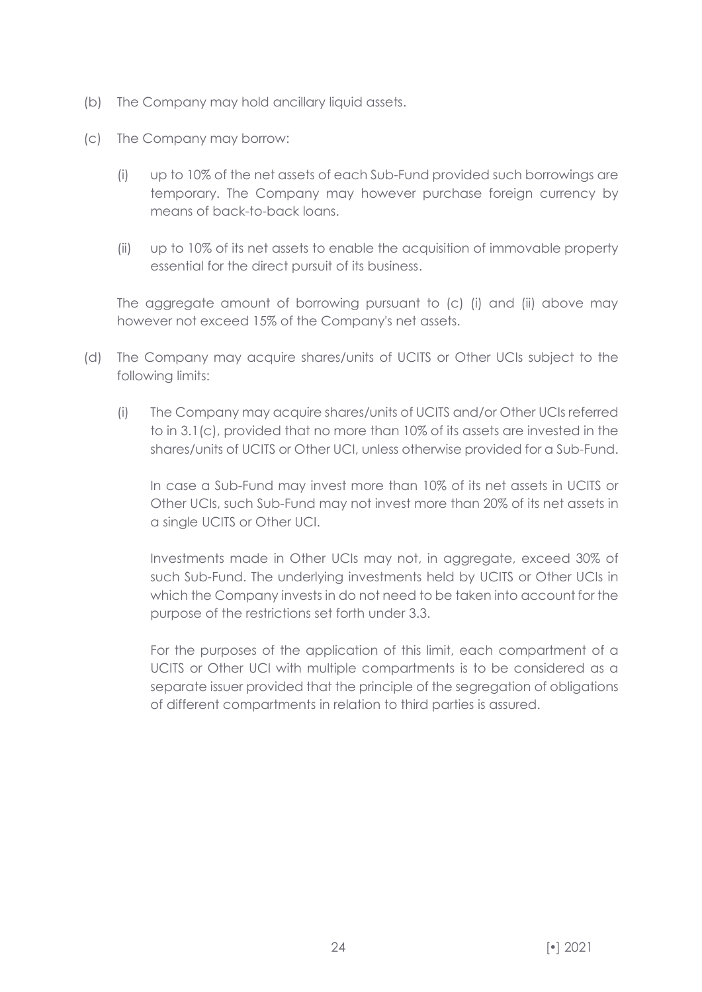- (b) The Company may hold ancillary liquid assets.
- (c) The Company may borrow:
	- (i) up to 10% of the net assets of each Sub-Fund provided such borrowings are temporary. The Company may however purchase foreign currency by means of back-to-back loans.
	- (ii) up to 10% of its net assets to enable the acquisition of immovable property essential for the direct pursuit of its business.

The aggregate amount of borrowing pursuant to (c) (i) and (ii) above may however not exceed 15% of the Company's net assets.

- (d) The Company may acquire shares/units of UCITS or Other UCIs subject to the following limits:
	- (i) The Company may acquire shares/units of UCITS and/or Other UCIs referred to in 3.1(c), provided that no more than 10% of its assets are invested in the shares/units of UCITS or Other UCI, unless otherwise provided for a Sub-Fund.

In case a Sub-Fund may invest more than 10% of its net assets in UCITS or Other UCIs, such Sub-Fund may not invest more than 20% of its net assets in a single UCITS or Other UCI.

Investments made in Other UCIs may not, in aggregate, exceed 30% of such Sub-Fund. The underlying investments held by UCITS or Other UCIs in which the Company invests in do not need to be taken into account for the purpose of the restrictions set forth under 3.3.

For the purposes of the application of this limit, each compartment of a UCITS or Other UCI with multiple compartments is to be considered as a separate issuer provided that the principle of the segregation of obligations of different compartments in relation to third parties is assured.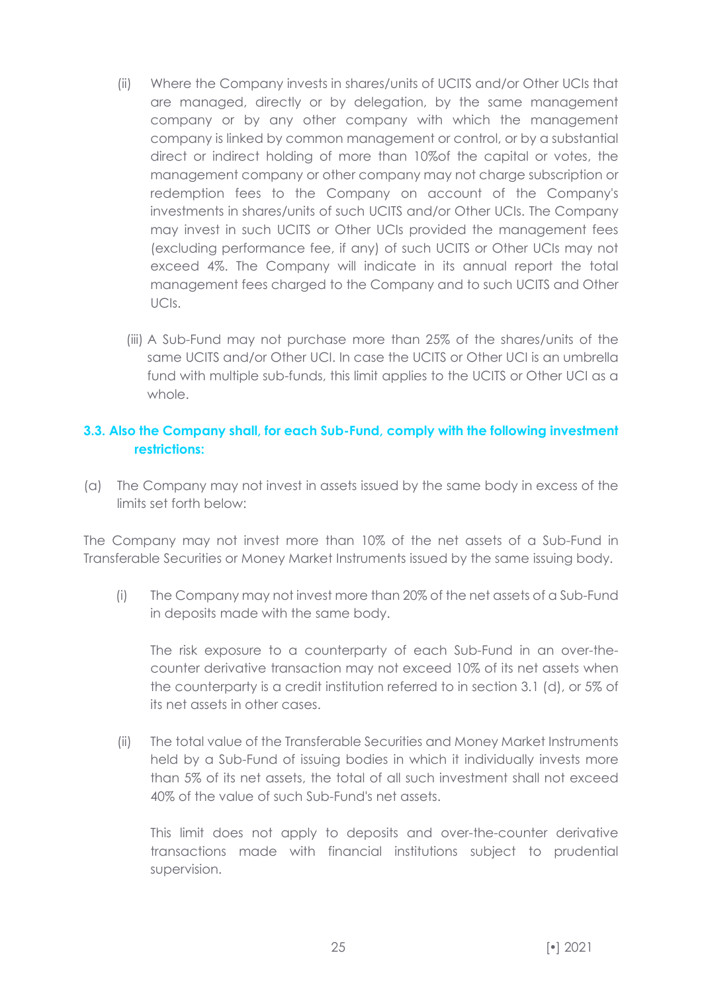- (ii) Where the Company invests in shares/units of UCITS and/or Other UCIs that are managed, directly or by delegation, by the same management company or by any other company with which the management company is linked by common management or control, or by a substantial direct or indirect holding of more than 10%of the capital or votes, the management company or other company may not charge subscription or redemption fees to the Company on account of the Company's investments in shares/units of such UCITS and/or Other UCIs. The Company may invest in such UCITS or Other UCIs provided the management fees (excluding performance fee, if any) of such UCITS or Other UCIs may not exceed 4%. The Company will indicate in its annual report the total management fees charged to the Company and to such UCITS and Other UCIs.
	- (iii) A Sub-Fund may not purchase more than 25% of the shares/units of the same UCITS and/or Other UCI. In case the UCITS or Other UCI is an umbrella fund with multiple sub-funds, this limit applies to the UCITS or Other UCI as a whole.

# **3.3. Also the Company shall, for each Sub-Fund, comply with the following investment restrictions:**

(a) The Company may not invest in assets issued by the same body in excess of the limits set forth below:

The Company may not invest more than 10% of the net assets of a Sub-Fund in Transferable Securities or Money Market Instruments issued by the same issuing body.

(i) The Company may not invest more than 20% of the net assets of a Sub-Fund in deposits made with the same body.

The risk exposure to a counterparty of each Sub-Fund in an over-thecounter derivative transaction may not exceed 10% of its net assets when the counterparty is a credit institution referred to in section 3.1 (d), or 5% of its net assets in other cases.

(ii) The total value of the Transferable Securities and Money Market Instruments held by a Sub-Fund of issuing bodies in which it individually invests more than 5% of its net assets, the total of all such investment shall not exceed 40% of the value of such Sub-Fund's net assets.

This limit does not apply to deposits and over-the-counter derivative transactions made with financial institutions subject to prudential supervision.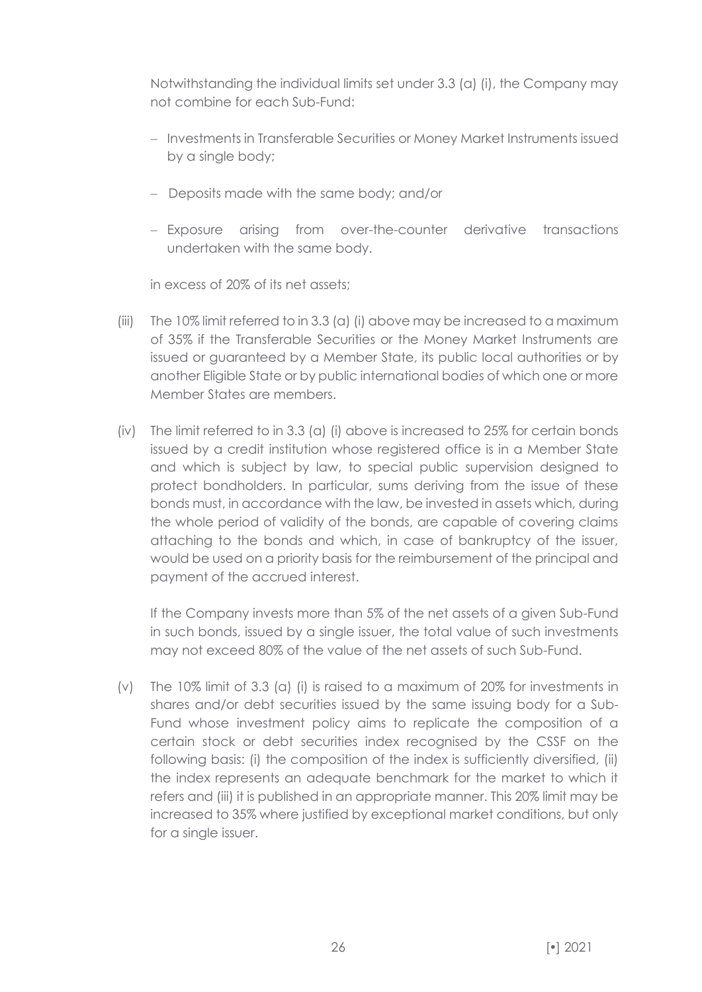Notwithstanding the individual limits set under 3.3 (a) (i), the Company may not combine for each Sub-Fund:

- − Investments in Transferable Securities or Money Market Instruments issued by a single body;
- − Deposits made with the same body; and/or
- − Exposure arising from over-the-counter derivative transactions undertaken with the same body.

in excess of 20% of its net assets;

- (iii) The 10% limit referred to in 3.3 (a) (i) above may be increased to a maximum of 35% if the Transferable Securities or the Money Market Instruments are issued or guaranteed by a Member State, its public local authorities or by another Eligible State or by public international bodies of which one or more Member States are members.
- (iv) The limit referred to in 3.3 (a) (i) above is increased to 25% for certain bonds issued by a credit institution whose registered office is in a Member State and which is subject by law, to special public supervision designed to protect bondholders. In particular, sums deriving from the issue of these bonds must, in accordance with the law, be invested in assets which, during the whole period of validity of the bonds, are capable of covering claims attaching to the bonds and which, in case of bankruptcy of the issuer, would be used on a priority basis for the reimbursement of the principal and payment of the accrued interest.

If the Company invests more than 5% of the net assets of a given Sub-Fund in such bonds, issued by a single issuer, the total value of such investments may not exceed 80% of the value of the net assets of such Sub-Fund.

(v) The 10% limit of 3.3 (a) (i) is raised to a maximum of 20% for investments in shares and/or debt securities issued by the same issuing body for a Sub-Fund whose investment policy aims to replicate the composition of a certain stock or debt securities index recognised by the CSSF on the following basis: (i) the composition of the index is sufficiently diversified, (ii) the index represents an adequate benchmark for the market to which it refers and (iii) it is published in an appropriate manner. This 20% limit may be increased to 35% where justified by exceptional market conditions, but only for a single issuer.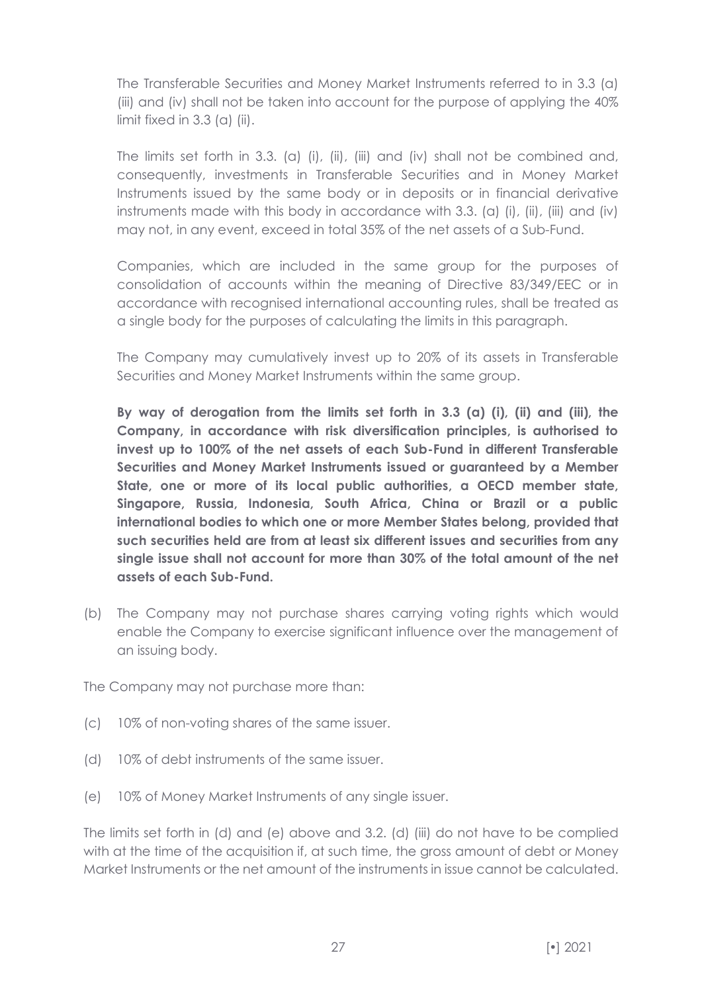The Transferable Securities and Money Market Instruments referred to in 3.3 (a) (iii) and (iv) shall not be taken into account for the purpose of applying the 40% limit fixed in 3.3 (a) (ii).

The limits set forth in 3.3. (a) (i), (ii), (iii) and (iv) shall not be combined and, consequently, investments in Transferable Securities and in Money Market Instruments issued by the same body or in deposits or in financial derivative instruments made with this body in accordance with 3.3. (a) (i), (ii), (iii) and (iv) may not, in any event, exceed in total 35% of the net assets of a Sub-Fund.

Companies, which are included in the same group for the purposes of consolidation of accounts within the meaning of Directive 83/349/EEC or in accordance with recognised international accounting rules, shall be treated as a single body for the purposes of calculating the limits in this paragraph.

The Company may cumulatively invest up to 20% of its assets in Transferable Securities and Money Market Instruments within the same group.

**By way of derogation from the limits set forth in 3.3 (a) (i), (ii) and (iii), the Company, in accordance with risk diversification principles, is authorised to invest up to 100% of the net assets of each Sub-Fund in different Transferable Securities and Money Market Instruments issued or guaranteed by a Member State, one or more of its local public authorities, a OECD member state, Singapore, Russia, Indonesia, South Africa, China or Brazil or a public international bodies to which one or more Member States belong, provided that such securities held are from at least six different issues and securities from any single issue shall not account for more than 30% of the total amount of the net assets of each Sub-Fund.**

(b) The Company may not purchase shares carrying voting rights which would enable the Company to exercise significant influence over the management of an issuing body.

The Company may not purchase more than:

- (c) 10% of non-voting shares of the same issuer.
- (d) 10% of debt instruments of the same issuer.
- (e) 10% of Money Market Instruments of any single issuer.

The limits set forth in (d) and (e) above and 3.2. (d) (iii) do not have to be complied with at the time of the acquisition if, at such time, the gross amount of debt or Money Market Instruments or the net amount of the instruments in issue cannot be calculated.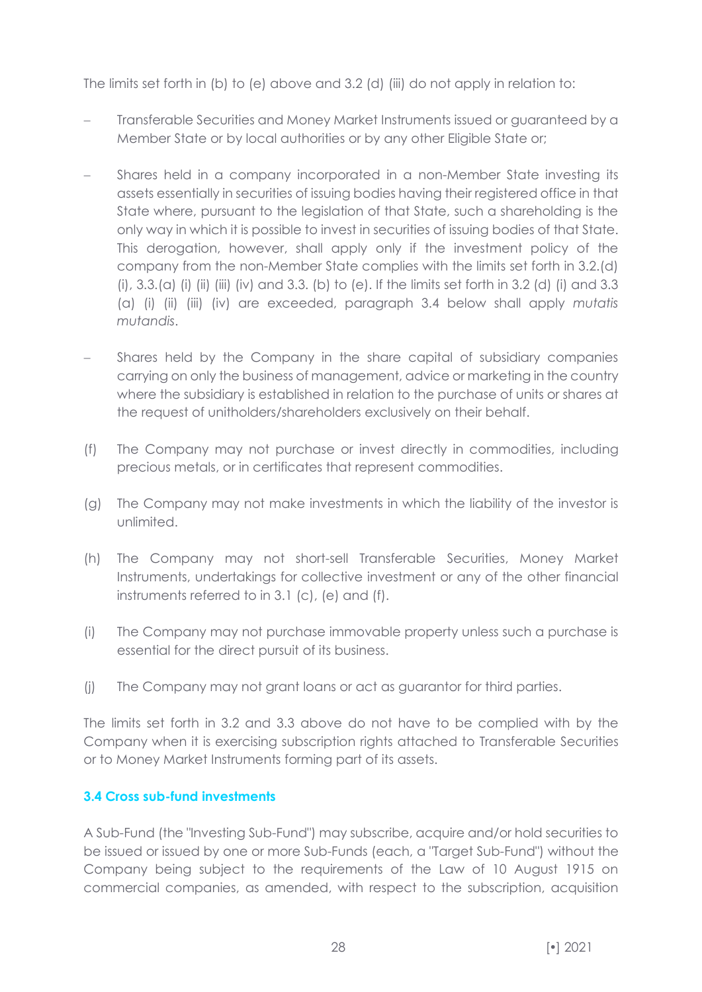The limits set forth in (b) to (e) above and 3.2 (d) (iii) do not apply in relation to:

- Transferable Securities and Money Market Instruments issued or guaranteed by a Member State or by local authorities or by any other Eligible State or;
- Shares held in a company incorporated in a non-Member State investing its assets essentially in securities of issuing bodies having their registered office in that State where, pursuant to the legislation of that State, such a shareholding is the only way in which it is possible to invest in securities of issuing bodies of that State. This derogation, however, shall apply only if the investment policy of the company from the non-Member State complies with the limits set forth in 3.2.(d) (i), 3.3.(a) (i) (ii) (iii) (iv) and 3.3. (b) to (e). If the limits set forth in 3.2 (d) (i) and 3.3 (a) (i) (ii) (iii) (iv) are exceeded, paragraph 3.4 below shall apply *mutatis mutandis*.
- Shares held by the Company in the share capital of subsidiary companies carrying on only the business of management, advice or marketing in the country where the subsidiary is established in relation to the purchase of units or shares at the request of unitholders/shareholders exclusively on their behalf.
- (f) The Company may not purchase or invest directly in commodities, including precious metals, or in certificates that represent commodities.
- (g) The Company may not make investments in which the liability of the investor is unlimited.
- (h) The Company may not short-sell Transferable Securities, Money Market Instruments, undertakings for collective investment or any of the other financial instruments referred to in 3.1 (c), (e) and (f).
- (i) The Company may not purchase immovable property unless such a purchase is essential for the direct pursuit of its business.
- (j) The Company may not grant loans or act as guarantor for third parties.

The limits set forth in 3.2 and 3.3 above do not have to be complied with by the Company when it is exercising subscription rights attached to Transferable Securities or to Money Market Instruments forming part of its assets.

# **3.4 Cross sub-fund investments**

A Sub-Fund (the "Investing Sub-Fund") may subscribe, acquire and/or hold securities to be issued or issued by one or more Sub-Funds (each, a "Target Sub-Fund") without the Company being subject to the requirements of the Law of 10 August 1915 on commercial companies, as amended, with respect to the subscription, acquisition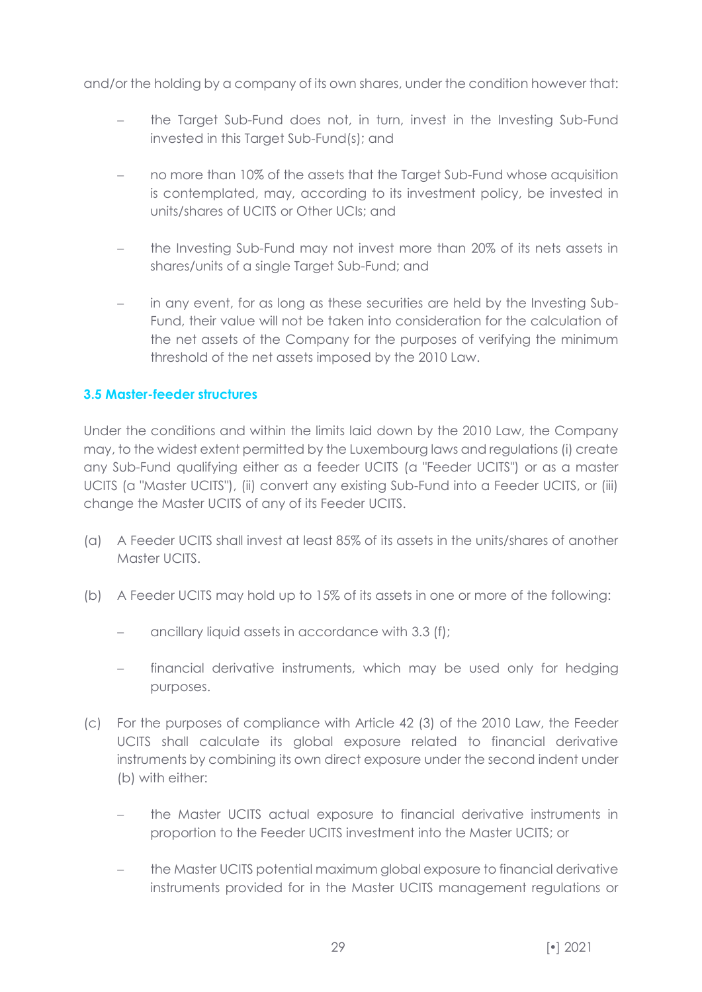and/or the holding by a company of its own shares, under the condition however that:

- the Target Sub-Fund does not, in turn, invest in the Investing Sub-Fund invested in this Target Sub-Fund(s); and
- no more than 10% of the assets that the Target Sub-Fund whose acquisition is contemplated, may, according to its investment policy, be invested in units/shares of UCITS or Other UCIs; and
- the Investing Sub-Fund may not invest more than 20% of its nets assets in shares/units of a single Target Sub-Fund; and
- − in any event, for as long as these securities are held by the Investing Sub-Fund, their value will not be taken into consideration for the calculation of the net assets of the Company for the purposes of verifying the minimum threshold of the net assets imposed by the 2010 Law.

#### **3.5 Master-feeder structures**

Under the conditions and within the limits laid down by the 2010 Law, the Company may, to the widest extent permitted by the Luxembourg laws and regulations (i) create any Sub-Fund qualifying either as a feeder UCITS (a "Feeder UCITS") or as a master UCITS (a "Master UCITS"), (ii) convert any existing Sub-Fund into a Feeder UCITS, or (iii) change the Master UCITS of any of its Feeder UCITS.

- (a) A Feeder UCITS shall invest at least 85% of its assets in the units/shares of another Master UCITS.
- (b) A Feeder UCITS may hold up to 15% of its assets in one or more of the following:
	- − ancillary liquid assets in accordance with 3.3 (f);
	- financial derivative instruments, which may be used only for hedging purposes.
- (c) For the purposes of compliance with Article 42 (3) of the 2010 Law, the Feeder UCITS shall calculate its global exposure related to financial derivative instruments by combining its own direct exposure under the second indent under (b) with either:
	- − the Master UCITS actual exposure to financial derivative instruments in proportion to the Feeder UCITS investment into the Master UCITS; or
	- the Master UCITS potential maximum global exposure to financial derivative instruments provided for in the Master UCITS management regulations or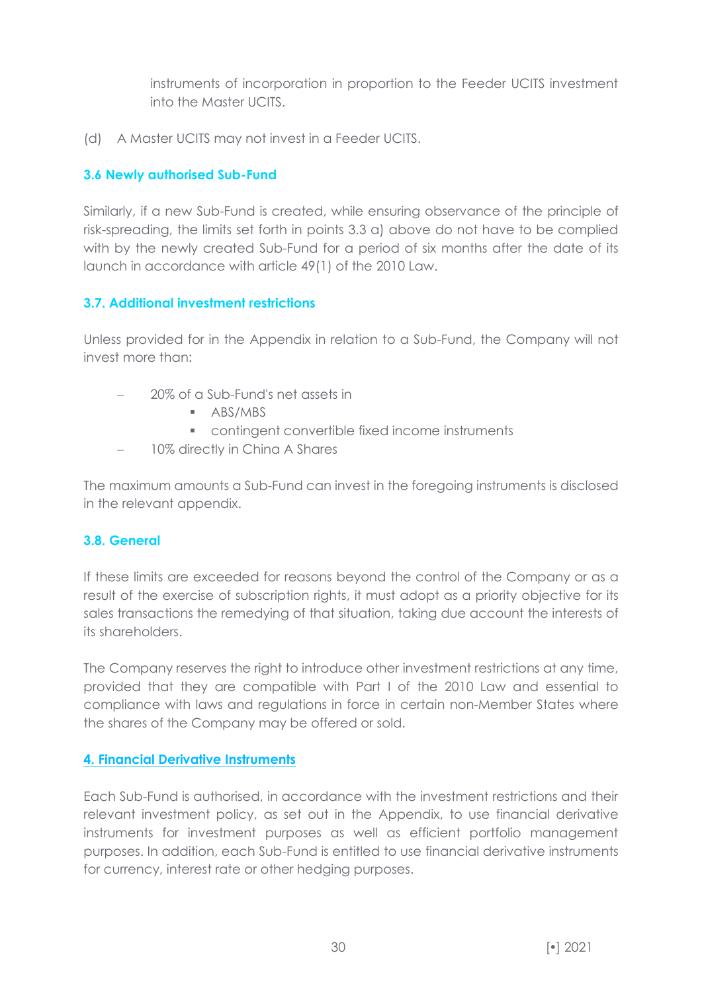instruments of incorporation in proportion to the Feeder UCITS investment into the Master UCITS.

(d) A Master UCITS may not invest in a Feeder UCITS.

# **3.6 Newly authorised Sub-Fund**

Similarly, if a new Sub-Fund is created, while ensuring observance of the principle of risk-spreading, the limits set forth in points 3.3 a) above do not have to be complied with by the newly created Sub-Fund for a period of six months after the date of its launch in accordance with article 49(1) of the 2010 Law.

# **3.7. Additional investment restrictions**

Unless provided for in the Appendix in relation to a Sub-Fund, the Company will not invest more than:

- − 20% of a Sub-Fund's net assets in
	- ABS/MBS
	- contingent convertible fixed income instruments
- − 10% directly in China A Shares

The maximum amounts a Sub-Fund can invest in the foregoing instruments is disclosed in the relevant appendix.

#### **3.8. General**

If these limits are exceeded for reasons beyond the control of the Company or as a result of the exercise of subscription rights, it must adopt as a priority objective for its sales transactions the remedying of that situation, taking due account the interests of its shareholders.

The Company reserves the right to introduce other investment restrictions at any time, provided that they are compatible with Part I of the 2010 Law and essential to compliance with laws and regulations in force in certain non-Member States where the shares of the Company may be offered or sold.

#### <span id="page-29-0"></span>**4. Financial Derivative Instruments**

Each Sub-Fund is authorised, in accordance with the investment restrictions and their relevant investment policy, as set out in the Appendix, to use financial derivative instruments for investment purposes as well as efficient portfolio management purposes. In addition, each Sub-Fund is entitled to use financial derivative instruments for currency, interest rate or other hedging purposes.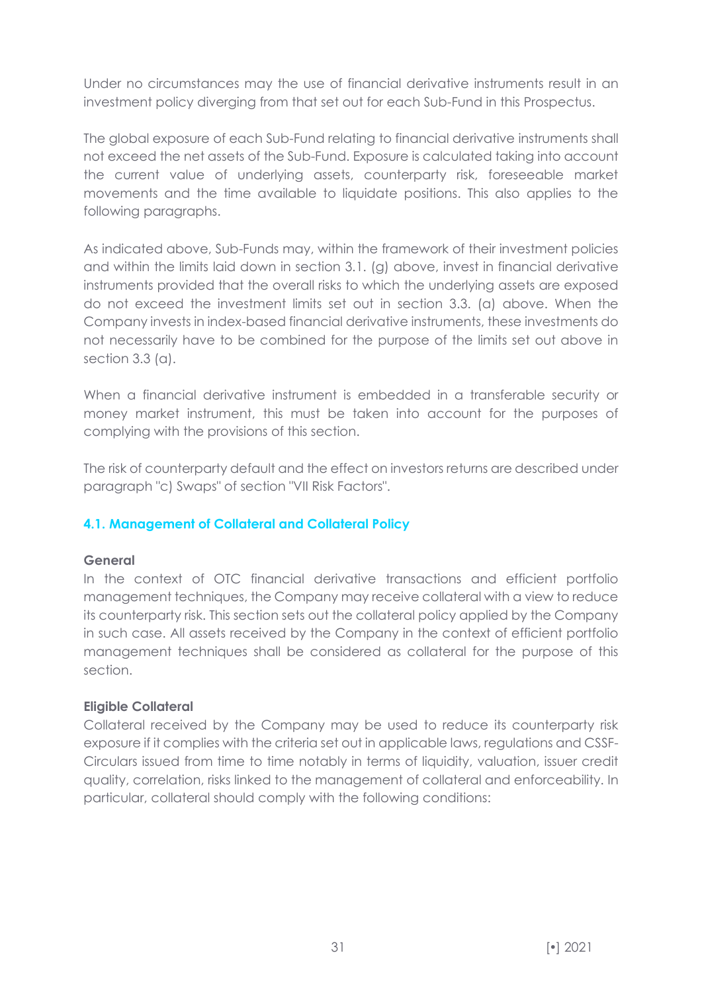Under no circumstances may the use of financial derivative instruments result in an investment policy diverging from that set out for each Sub-Fund in this Prospectus.

The global exposure of each Sub-Fund relating to financial derivative instruments shall not exceed the net assets of the Sub-Fund. Exposure is calculated taking into account the current value of underlying assets, counterparty risk, foreseeable market movements and the time available to liquidate positions. This also applies to the following paragraphs.

As indicated above, Sub-Funds may, within the framework of their investment policies and within the limits laid down in section 3.1. (g) above, invest in financial derivative instruments provided that the overall risks to which the underlying assets are exposed do not exceed the investment limits set out in section 3.3. (a) above. When the Company invests in index-based financial derivative instruments, these investments do not necessarily have to be combined for the purpose of the limits set out above in section 3.3 (a).

When a financial derivative instrument is embedded in a transferable security or money market instrument, this must be taken into account for the purposes of complying with the provisions of this section.

The risk of counterparty default and the effect on investors returns are described under paragraph "c) Swaps" of section "VII Risk Factors".

# **4.1. Management of Collateral and Collateral Policy**

#### **General**

In the context of OTC financial derivative transactions and efficient portfolio management techniques, the Company may receive collateral with a view to reduce its counterparty risk. This section sets out the collateral policy applied by the Company in such case. All assets received by the Company in the context of efficient portfolio management techniques shall be considered as collateral for the purpose of this section.

#### **Eligible Collateral**

Collateral received by the Company may be used to reduce its counterparty risk exposure if it complies with the criteria set out in applicable laws, regulations and CSSF-Circulars issued from time to time notably in terms of liquidity, valuation, issuer credit quality, correlation, risks linked to the management of collateral and enforceability. In particular, collateral should comply with the following conditions: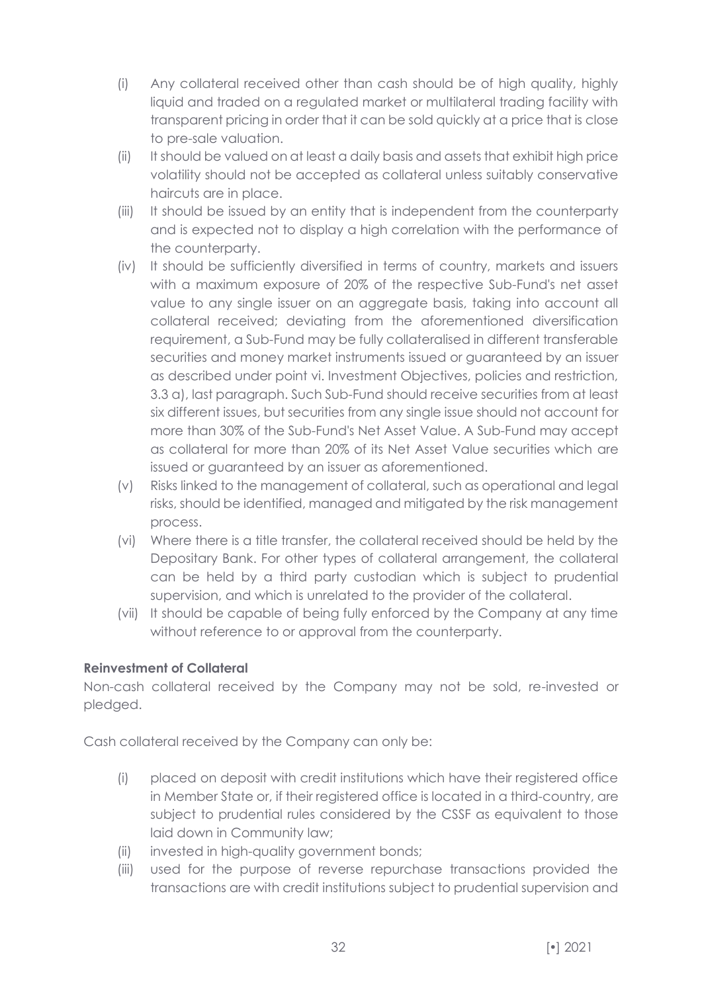- (i) Any collateral received other than cash should be of high quality, highly liquid and traded on a regulated market or multilateral trading facility with transparent pricing in order that it can be sold quickly at a price that is close to pre-sale valuation.
- (ii) It should be valued on at least a daily basis and assets that exhibit high price volatility should not be accepted as collateral unless suitably conservative haircuts are in place.
- (iii) It should be issued by an entity that is independent from the counterparty and is expected not to display a high correlation with the performance of the counterparty.
- (iv) It should be sufficiently diversified in terms of country, markets and issuers with a maximum exposure of 20% of the respective Sub-Fund's net asset value to any single issuer on an aggregate basis, taking into account all collateral received; deviating from the aforementioned diversification requirement, a Sub-Fund may be fully collateralised in different transferable securities and money market instruments issued or guaranteed by an issuer as described under point vi. Investment Objectives, policies and restriction, 3.3 a), last paragraph. Such Sub-Fund should receive securities from at least six different issues, but securities from any single issue should not account for more than 30% of the Sub-Fund's Net Asset Value. A Sub-Fund may accept as collateral for more than 20% of its Net Asset Value securities which are issued or guaranteed by an issuer as aforementioned.
- (v) Risks linked to the management of collateral, such as operational and legal risks, should be identified, managed and mitigated by the risk management process.
- (vi) Where there is a title transfer, the collateral received should be held by the Depositary Bank. For other types of collateral arrangement, the collateral can be held by a third party custodian which is subject to prudential supervision, and which is unrelated to the provider of the collateral.
- (vii) It should be capable of being fully enforced by the Company at any time without reference to or approval from the counterparty.

# **Reinvestment of Collateral**

Non-cash collateral received by the Company may not be sold, re-invested or pledged.

Cash collateral received by the Company can only be:

- (i) placed on deposit with credit institutions which have their registered office in Member State or, if their registered office is located in a third-country, are subject to prudential rules considered by the CSSF as equivalent to those laid down in Community law;
- (ii) invested in high-quality government bonds;
- (iii) used for the purpose of reverse repurchase transactions provided the transactions are with credit institutions subject to prudential supervision and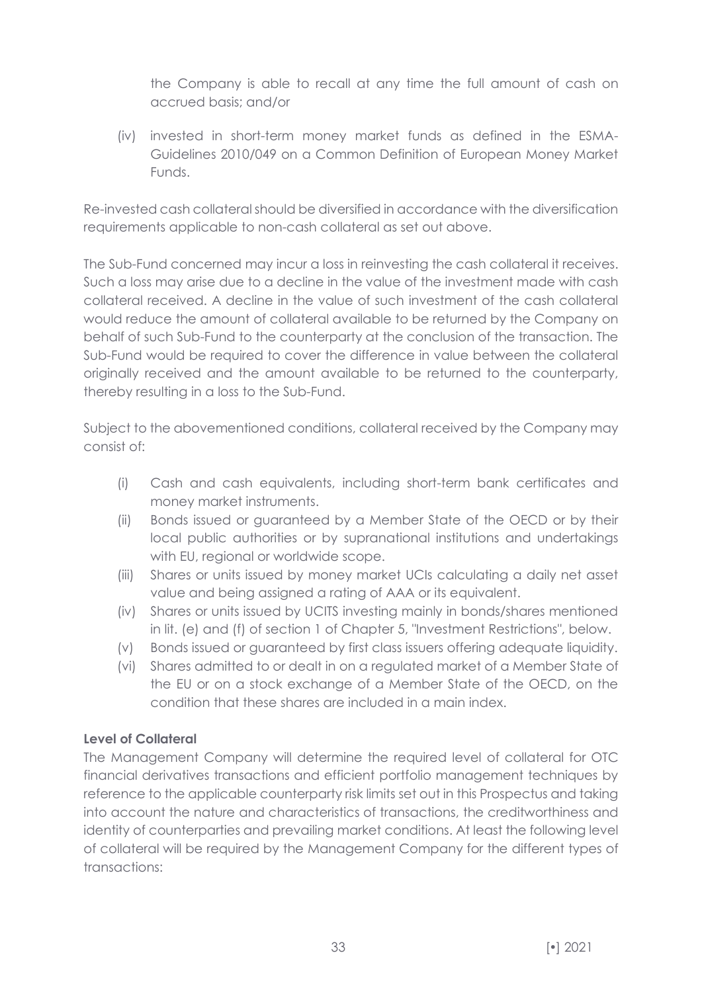the Company is able to recall at any time the full amount of cash on accrued basis; and/or

(iv) invested in short-term money market funds as defined in the ESMA-Guidelines 2010/049 on a Common Definition of European Money Market Funds.

Re-invested cash collateral should be diversified in accordance with the diversification requirements applicable to non-cash collateral as set out above.

The Sub-Fund concerned may incur a loss in reinvesting the cash collateral it receives. Such a loss may arise due to a decline in the value of the investment made with cash collateral received. A decline in the value of such investment of the cash collateral would reduce the amount of collateral available to be returned by the Company on behalf of such Sub-Fund to the counterparty at the conclusion of the transaction. The Sub-Fund would be required to cover the difference in value between the collateral originally received and the amount available to be returned to the counterparty, thereby resulting in a loss to the Sub-Fund.

Subject to the abovementioned conditions, collateral received by the Company may consist of:

- (i) Cash and cash equivalents, including short-term bank certificates and money market instruments.
- (ii) Bonds issued or guaranteed by a Member State of the OECD or by their local public authorities or by supranational institutions and undertakings with EU, regional or worldwide scope.
- (iii) Shares or units issued by money market UCIs calculating a daily net asset value and being assigned a rating of AAA or its equivalent.
- (iv) Shares or units issued by UCITS investing mainly in bonds/shares mentioned in lit. (e) and (f) of section 1 of Chapter 5, "Investment Restrictions", below.
- (v) Bonds issued or guaranteed by first class issuers offering adequate liquidity.
- (vi) Shares admitted to or dealt in on a regulated market of a Member State of the EU or on a stock exchange of a Member State of the OECD, on the condition that these shares are included in a main index.

# **Level of Collateral**

The Management Company will determine the required level of collateral for OTC financial derivatives transactions and efficient portfolio management techniques by reference to the applicable counterparty risk limits set out in this Prospectus and taking into account the nature and characteristics of transactions, the creditworthiness and identity of counterparties and prevailing market conditions. At least the following level of collateral will be required by the Management Company for the different types of transactions: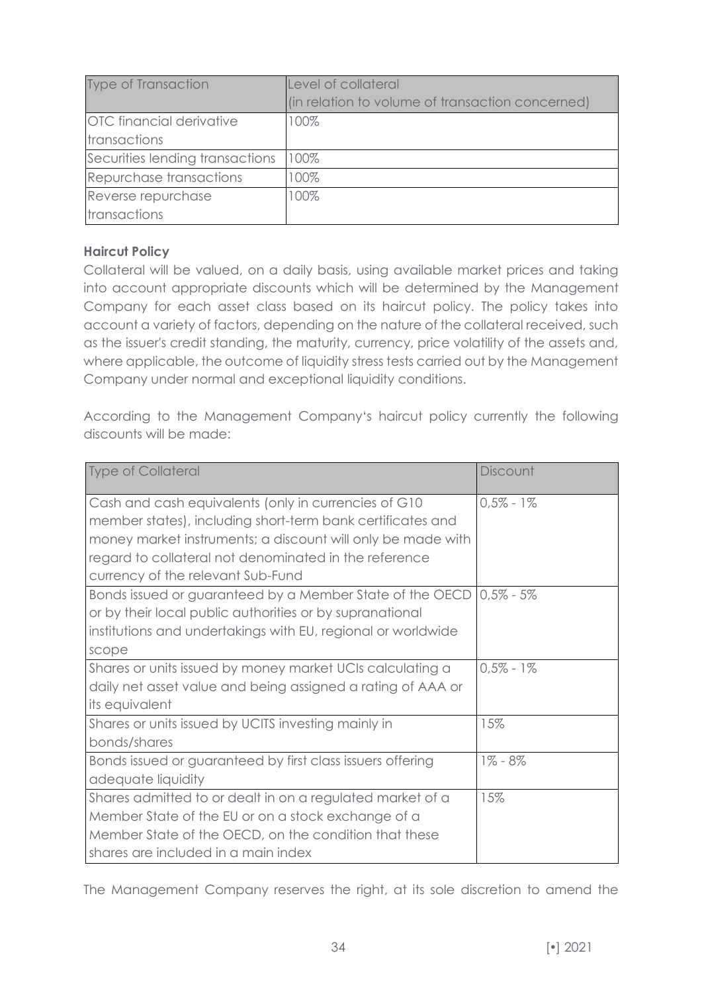| <b>Type of Transaction</b>      | Level of collateral                              |  |
|---------------------------------|--------------------------------------------------|--|
|                                 | (in relation to volume of transaction concerned) |  |
| <b>OTC</b> financial derivative | 100%                                             |  |
| transactions                    |                                                  |  |
| Securities lending transactions | 100%                                             |  |
| Repurchase transactions         | 100%                                             |  |
| Reverse repurchase              | 100%                                             |  |
| transactions                    |                                                  |  |

# **Haircut Policy**

Collateral will be valued, on a daily basis, using available market prices and taking into account appropriate discounts which will be determined by the Management Company for each asset class based on its haircut policy. The policy takes into account a variety of factors, depending on the nature of the collateral received, such as the issuer's credit standing, the maturity, currency, price volatility of the assets and, where applicable, the outcome of liquidity stress tests carried out by the Management Company under normal and exceptional liquidity conditions.

According to the Management Company's haircut policy currently the following discounts will be made:

| <b>Type of Collateral</b>                                    | Discount      |
|--------------------------------------------------------------|---------------|
| Cash and cash equivalents (only in currencies of G10         | $0.5\% - 1\%$ |
| member states), including short-term bank certificates and   |               |
| money market instruments; a discount will only be made with  |               |
| regard to collateral not denominated in the reference        |               |
| currency of the relevant Sub-Fund                            |               |
| Bonds issued or guaranteed by a Member State of the OECD     | $0.5\% - 5\%$ |
| or by their local public authorities or by supranational     |               |
| institutions and undertakings with EU, regional or worldwide |               |
| scope                                                        |               |
| Shares or units issued by money market UCIs calculating a    | $0.5\% - 1\%$ |
| daily net asset value and being assigned a rating of AAA or  |               |
| its equivalent                                               |               |
| Shares or units issued by UCITS investing mainly in          | 15%           |
| bonds/shares                                                 |               |
| Bonds issued or guaranteed by first class issuers offering   | $1\% - 8\%$   |
| adequate liquidity                                           |               |
| Shares admitted to or dealt in on a regulated market of a    | 15%           |
| Member State of the EU or on a stock exchange of a           |               |
| Member State of the OECD, on the condition that these        |               |
| shares are included in a main index                          |               |

The Management Company reserves the right, at its sole discretion to amend the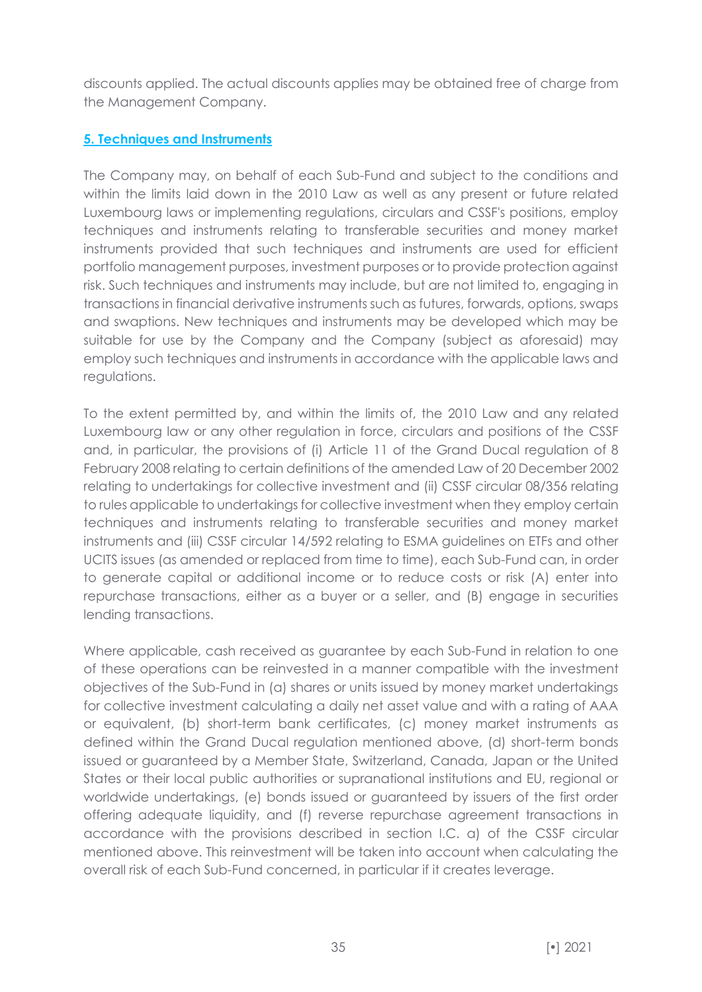discounts applied. The actual discounts applies may be obtained free of charge from the Management Company.

# <span id="page-34-0"></span>**5. Techniques and Instruments**

The Company may, on behalf of each Sub-Fund and subject to the conditions and within the limits laid down in the 2010 Law as well as any present or future related Luxembourg laws or implementing regulations, circulars and CSSF's positions, employ techniques and instruments relating to transferable securities and money market instruments provided that such techniques and instruments are used for efficient portfolio management purposes, investment purposes or to provide protection against risk. Such techniques and instruments may include, but are not limited to, engaging in transactions in financial derivative instruments such as futures, forwards, options, swaps and swaptions. New techniques and instruments may be developed which may be suitable for use by the Company and the Company (subject as aforesaid) may employ such techniques and instruments in accordance with the applicable laws and regulations.

To the extent permitted by, and within the limits of, the 2010 Law and any related Luxembourg law or any other regulation in force, circulars and positions of the CSSF and, in particular, the provisions of (i) Article 11 of the Grand Ducal regulation of 8 February 2008 relating to certain definitions of the amended Law of 20 December 2002 relating to undertakings for collective investment and (ii) CSSF circular 08/356 relating to rules applicable to undertakings for collective investment when they employ certain techniques and instruments relating to transferable securities and money market instruments and (iii) CSSF circular 14/592 relating to ESMA guidelines on ETFs and other UCITS issues (as amended or replaced from time to time), each Sub-Fund can, in order to generate capital or additional income or to reduce costs or risk (A) enter into repurchase transactions, either as a buyer or a seller, and (B) engage in securities lending transactions.

Where applicable, cash received as guarantee by each Sub-Fund in relation to one of these operations can be reinvested in a manner compatible with the investment objectives of the Sub-Fund in (a) shares or units issued by money market undertakings for collective investment calculating a daily net asset value and with a rating of AAA or equivalent, (b) short-term bank certificates, (c) money market instruments as defined within the Grand Ducal regulation mentioned above, (d) short-term bonds issued or guaranteed by a Member State, Switzerland, Canada, Japan or the United States or their local public authorities or supranational institutions and EU, regional or worldwide undertakings, (e) bonds issued or guaranteed by issuers of the first order offering adequate liquidity, and (f) reverse repurchase agreement transactions in accordance with the provisions described in section I.C. a) of the CSSF circular mentioned above. This reinvestment will be taken into account when calculating the overall risk of each Sub-Fund concerned, in particular if it creates leverage.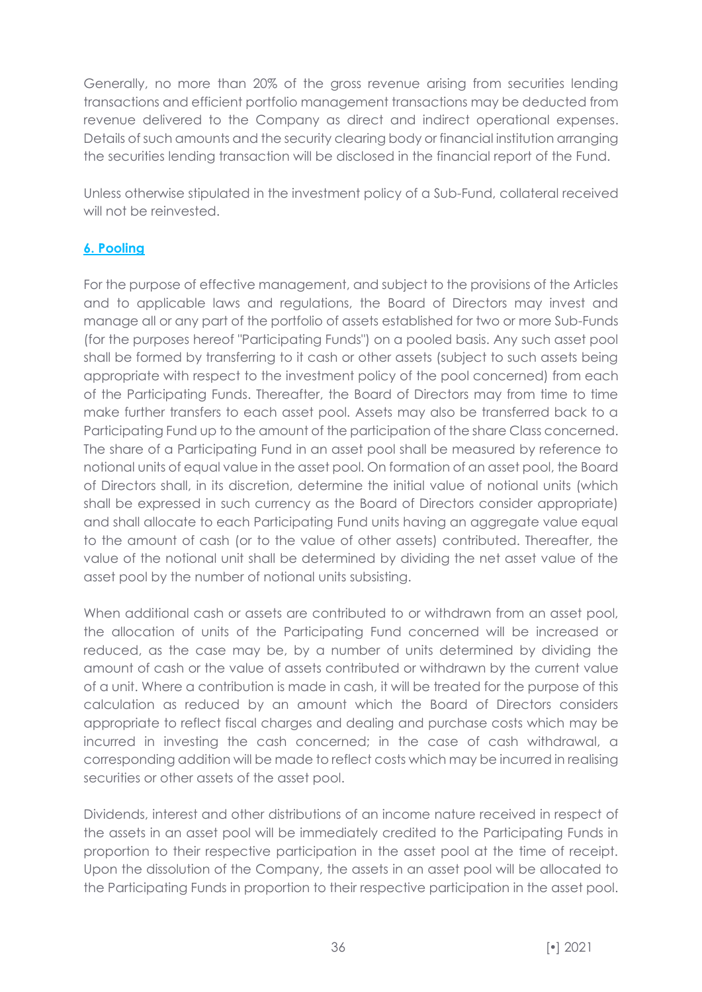Generally, no more than 20% of the gross revenue arising from securities lending transactions and efficient portfolio management transactions may be deducted from revenue delivered to the Company as direct and indirect operational expenses. Details of such amounts and the security clearing body or financial institution arranging the securities lending transaction will be disclosed in the financial report of the Fund.

Unless otherwise stipulated in the investment policy of a Sub-Fund, collateral received will not be reinvested.

# <span id="page-35-0"></span>**6. Pooling**

For the purpose of effective management, and subject to the provisions of the Articles and to applicable laws and regulations, the Board of Directors may invest and manage all or any part of the portfolio of assets established for two or more Sub-Funds (for the purposes hereof "Participating Funds") on a pooled basis. Any such asset pool shall be formed by transferring to it cash or other assets (subject to such assets being appropriate with respect to the investment policy of the pool concerned) from each of the Participating Funds. Thereafter, the Board of Directors may from time to time make further transfers to each asset pool. Assets may also be transferred back to a Participating Fund up to the amount of the participation of the share Class concerned. The share of a Participating Fund in an asset pool shall be measured by reference to notional units of equal value in the asset pool. On formation of an asset pool, the Board of Directors shall, in its discretion, determine the initial value of notional units (which shall be expressed in such currency as the Board of Directors consider appropriate) and shall allocate to each Participating Fund units having an aggregate value equal to the amount of cash (or to the value of other assets) contributed. Thereafter, the value of the notional unit shall be determined by dividing the net asset value of the asset pool by the number of notional units subsisting.

When additional cash or assets are contributed to or withdrawn from an asset pool, the allocation of units of the Participating Fund concerned will be increased or reduced, as the case may be, by a number of units determined by dividing the amount of cash or the value of assets contributed or withdrawn by the current value of a unit. Where a contribution is made in cash, it will be treated for the purpose of this calculation as reduced by an amount which the Board of Directors considers appropriate to reflect fiscal charges and dealing and purchase costs which may be incurred in investing the cash concerned; in the case of cash withdrawal, a corresponding addition will be made to reflect costs which may be incurred in realising securities or other assets of the asset pool.

Dividends, interest and other distributions of an income nature received in respect of the assets in an asset pool will be immediately credited to the Participating Funds in proportion to their respective participation in the asset pool at the time of receipt. Upon the dissolution of the Company, the assets in an asset pool will be allocated to the Participating Funds in proportion to their respective participation in the asset pool.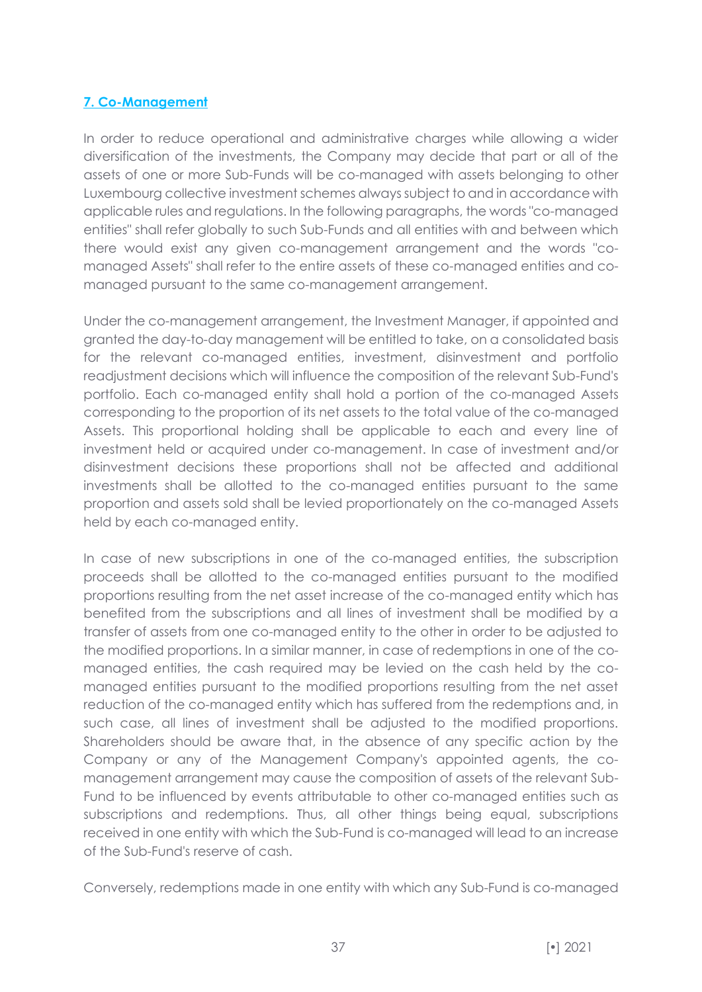# **7. Co-Management**

In order to reduce operational and administrative charges while allowing a wider diversification of the investments, the Company may decide that part or all of the assets of one or more Sub-Funds will be co-managed with assets belonging to other Luxembourg collective investment schemes always subject to and in accordance with applicable rules and regulations. In the following paragraphs, the words "co-managed entities" shall refer globally to such Sub-Funds and all entities with and between which there would exist any given co-management arrangement and the words "comanaged Assets" shall refer to the entire assets of these co-managed entities and comanaged pursuant to the same co-management arrangement.

Under the co-management arrangement, the Investment Manager, if appointed and granted the day-to-day management will be entitled to take, on a consolidated basis for the relevant co-managed entities, investment, disinvestment and portfolio readjustment decisions which will influence the composition of the relevant Sub-Fund's portfolio. Each co-managed entity shall hold a portion of the co-managed Assets corresponding to the proportion of its net assets to the total value of the co-managed Assets. This proportional holding shall be applicable to each and every line of investment held or acquired under co-management. In case of investment and/or disinvestment decisions these proportions shall not be affected and additional investments shall be allotted to the co-managed entities pursuant to the same proportion and assets sold shall be levied proportionately on the co-managed Assets held by each co-managed entity.

In case of new subscriptions in one of the co-managed entities, the subscription proceeds shall be allotted to the co-managed entities pursuant to the modified proportions resulting from the net asset increase of the co-managed entity which has benefited from the subscriptions and all lines of investment shall be modified by a transfer of assets from one co-managed entity to the other in order to be adjusted to the modified proportions. In a similar manner, in case of redemptions in one of the comanaged entities, the cash required may be levied on the cash held by the comanaged entities pursuant to the modified proportions resulting from the net asset reduction of the co-managed entity which has suffered from the redemptions and, in such case, all lines of investment shall be adjusted to the modified proportions. Shareholders should be aware that, in the absence of any specific action by the Company or any of the Management Company's appointed agents, the comanagement arrangement may cause the composition of assets of the relevant Sub-Fund to be influenced by events attributable to other co-managed entities such as subscriptions and redemptions. Thus, all other things being equal, subscriptions received in one entity with which the Sub-Fund is co-managed will lead to an increase of the Sub-Fund's reserve of cash.

Conversely, redemptions made in one entity with which any Sub-Fund is co-managed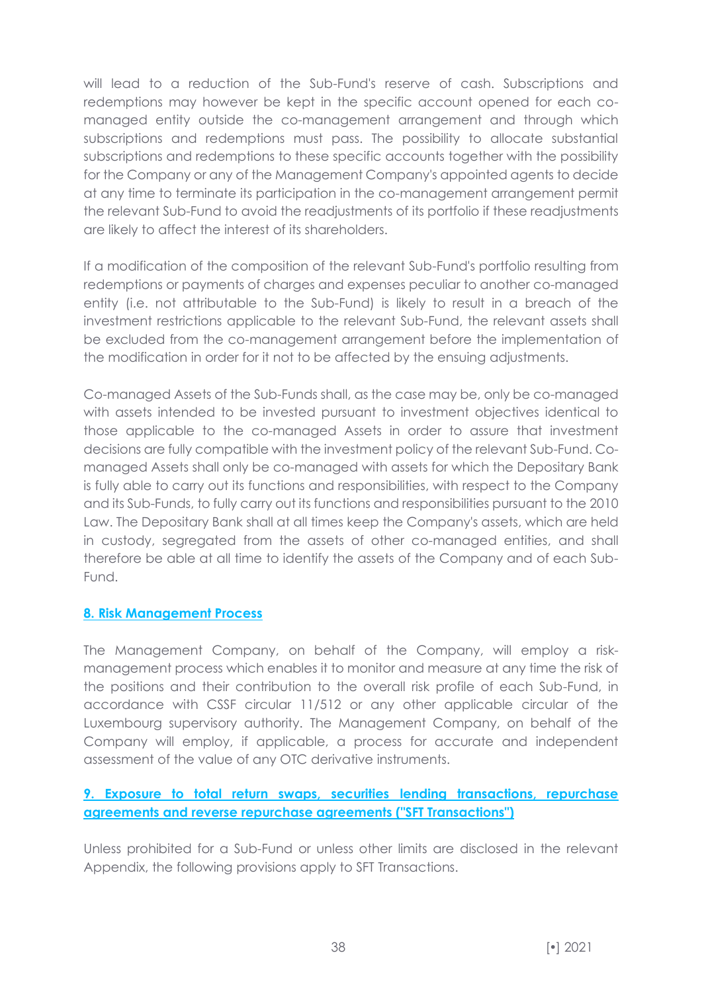will lead to a reduction of the Sub-Fund's reserve of cash. Subscriptions and redemptions may however be kept in the specific account opened for each comanaged entity outside the co-management arrangement and through which subscriptions and redemptions must pass. The possibility to allocate substantial subscriptions and redemptions to these specific accounts together with the possibility for the Company or any of the Management Company's appointed agents to decide at any time to terminate its participation in the co-management arrangement permit the relevant Sub-Fund to avoid the readjustments of its portfolio if these readjustments are likely to affect the interest of its shareholders.

If a modification of the composition of the relevant Sub-Fund's portfolio resulting from redemptions or payments of charges and expenses peculiar to another co-managed entity (i.e. not attributable to the Sub-Fund) is likely to result in a breach of the investment restrictions applicable to the relevant Sub-Fund, the relevant assets shall be excluded from the co-management arrangement before the implementation of the modification in order for it not to be affected by the ensuing adjustments.

Co-managed Assets of the Sub-Funds shall, as the case may be, only be co-managed with assets intended to be invested pursuant to investment objectives identical to those applicable to the co-managed Assets in order to assure that investment decisions are fully compatible with the investment policy of the relevant Sub-Fund. Comanaged Assets shall only be co-managed with assets for which the Depositary Bank is fully able to carry out its functions and responsibilities, with respect to the Company and its Sub-Funds, to fully carry out its functions and responsibilities pursuant to the 2010 Law. The Depositary Bank shall at all times keep the Company's assets, which are held in custody, segregated from the assets of other co-managed entities, and shall therefore be able at all time to identify the assets of the Company and of each Sub-Fund.

# **8. Risk Management Process**

The Management Company, on behalf of the Company, will employ a riskmanagement process which enables it to monitor and measure at any time the risk of the positions and their contribution to the overall risk profile of each Sub-Fund, in accordance with CSSF circular 11/512 or any other applicable circular of the Luxembourg supervisory authority. The Management Company, on behalf of the Company will employ, if applicable, a process for accurate and independent assessment of the value of any OTC derivative instruments.

# **9. Exposure to total return swaps, securities lending transactions, repurchase agreements and reverse repurchase agreements ("SFT Transactions")**

Unless prohibited for a Sub-Fund or unless other limits are disclosed in the relevant Appendix, the following provisions apply to SFT Transactions.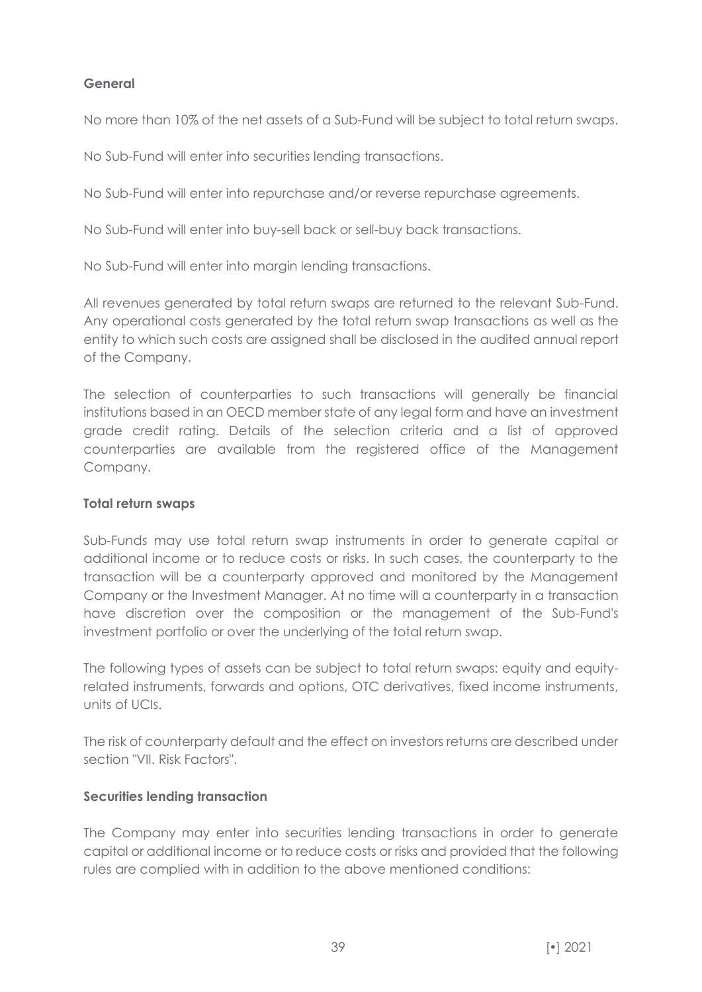# **General**

No more than 10% of the net assets of a Sub-Fund will be subject to total return swaps.

No Sub-Fund will enter into securities lending transactions.

No Sub-Fund will enter into repurchase and/or reverse repurchase agreements.

No Sub-Fund will enter into buy-sell back or sell-buy back transactions.

No Sub-Fund will enter into margin lending transactions.

All revenues generated by total return swaps are returned to the relevant Sub-Fund. Any operational costs generated by the total return swap transactions as well as the entity to which such costs are assigned shall be disclosed in the audited annual report of the Company.

The selection of counterparties to such transactions will generally be financial institutions based in an OECD member state of any legal form and have an investment grade credit rating. Details of the selection criteria and a list of approved counterparties are available from the registered office of the Management Company.

#### **Total return swaps**

Sub-Funds may use total return swap instruments in order to generate capital or additional income or to reduce costs or risks. In such cases, the counterparty to the transaction will be a counterparty approved and monitored by the Management Company or the Investment Manager. At no time will a counterparty in a transaction have discretion over the composition or the management of the Sub-Fund's investment portfolio or over the underlying of the total return swap.

The following types of assets can be subject to total return swaps: equity and equityrelated instruments, forwards and options, OTC derivatives, fixed income instruments, units of UCIs.

The risk of counterparty default and the effect on investors returns are described under section "VII. Risk Factors".

#### **Securities lending transaction**

The Company may enter into securities lending transactions in order to generate capital or additional income or to reduce costs or risks and provided that the following rules are complied with in addition to the above mentioned conditions: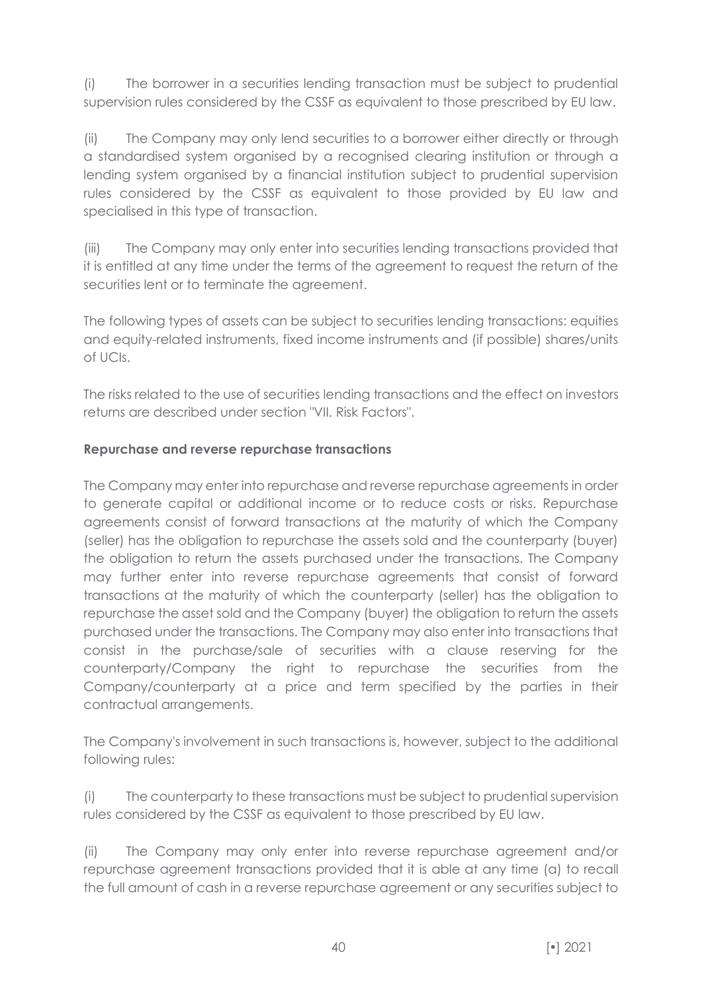(i) The borrower in a securities lending transaction must be subject to prudential supervision rules considered by the CSSF as equivalent to those prescribed by EU law.

(ii) The Company may only lend securities to a borrower either directly or through a standardised system organised by a recognised clearing institution or through a lending system organised by a financial institution subject to prudential supervision rules considered by the CSSF as equivalent to those provided by EU law and specialised in this type of transaction.

(iii) The Company may only enter into securities lending transactions provided that it is entitled at any time under the terms of the agreement to request the return of the securities lent or to terminate the agreement.

The following types of assets can be subject to securities lending transactions: equities and equity-related instruments, fixed income instruments and (if possible) shares/units of UCIs.

The risks related to the use of securities lending transactions and the effect on investors returns are described under section "VII. Risk Factors".

# **Repurchase and reverse repurchase transactions**

The Company may enter into repurchase and reverse repurchase agreements in order to generate capital or additional income or to reduce costs or risks. Repurchase agreements consist of forward transactions at the maturity of which the Company (seller) has the obligation to repurchase the assets sold and the counterparty (buyer) the obligation to return the assets purchased under the transactions. The Company may further enter into reverse repurchase agreements that consist of forward transactions at the maturity of which the counterparty (seller) has the obligation to repurchase the asset sold and the Company (buyer) the obligation to return the assets purchased under the transactions. The Company may also enter into transactions that consist in the purchase/sale of securities with a clause reserving for the counterparty/Company the right to repurchase the securities from the Company/counterparty at a price and term specified by the parties in their contractual arrangements.

The Company's involvement in such transactions is, however, subject to the additional following rules:

(i) The counterparty to these transactions must be subject to prudential supervision rules considered by the CSSF as equivalent to those prescribed by EU law.

(ii) The Company may only enter into reverse repurchase agreement and/or repurchase agreement transactions provided that it is able at any time (a) to recall the full amount of cash in a reverse repurchase agreement or any securities subject to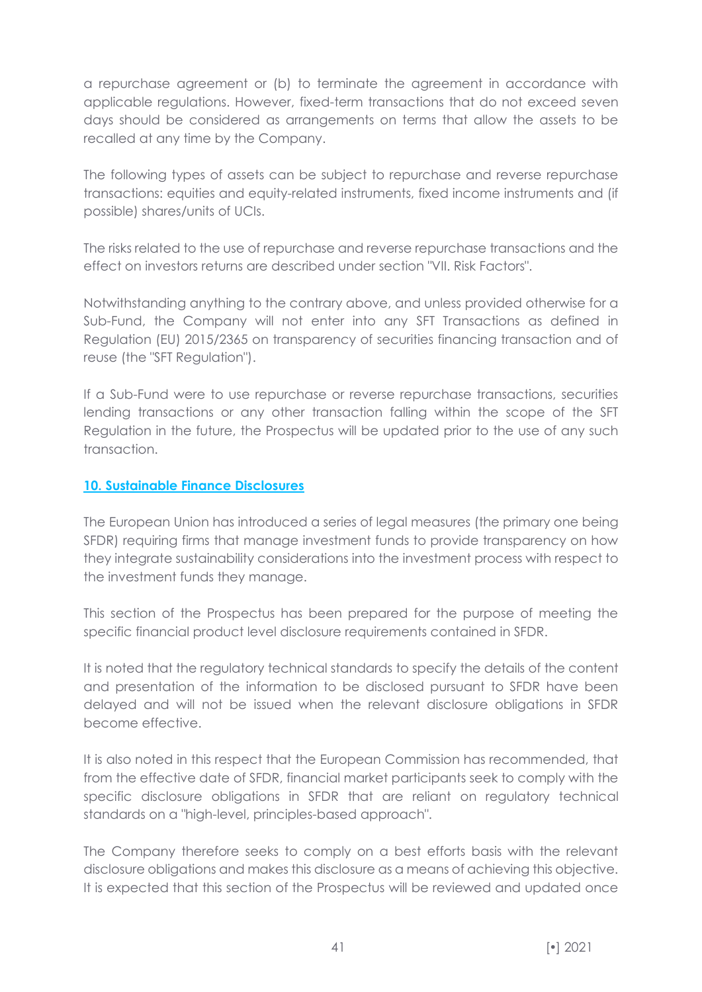a repurchase agreement or (b) to terminate the agreement in accordance with applicable regulations. However, fixed-term transactions that do not exceed seven days should be considered as arrangements on terms that allow the assets to be recalled at any time by the Company.

The following types of assets can be subject to repurchase and reverse repurchase transactions: equities and equity-related instruments, fixed income instruments and (if possible) shares/units of UCIs.

The risks related to the use of repurchase and reverse repurchase transactions and the effect on investors returns are described under section "VII. Risk Factors".

Notwithstanding anything to the contrary above, and unless provided otherwise for a Sub-Fund, the Company will not enter into any SFT Transactions as defined in Regulation (EU) 2015/2365 on transparency of securities financing transaction and of reuse (the "SFT Regulation").

If a Sub-Fund were to use repurchase or reverse repurchase transactions, securities lending transactions or any other transaction falling within the scope of the SFT Regulation in the future, the Prospectus will be updated prior to the use of any such transaction.

# **10. Sustainable Finance Disclosures**

The European Union has introduced a series of legal measures (the primary one being SFDR) requiring firms that manage investment funds to provide transparency on how they integrate sustainability considerations into the investment process with respect to the investment funds they manage.

This section of the Prospectus has been prepared for the purpose of meeting the specific financial product level disclosure requirements contained in SFDR.

It is noted that the regulatory technical standards to specify the details of the content and presentation of the information to be disclosed pursuant to SFDR have been delayed and will not be issued when the relevant disclosure obligations in SFDR become effective.

It is also noted in this respect that the European Commission has recommended, that from the effective date of SFDR, financial market participants seek to comply with the specific disclosure obligations in SFDR that are reliant on regulatory technical standards on a "high-level, principles-based approach".

The Company therefore seeks to comply on a best efforts basis with the relevant disclosure obligations and makes this disclosure as a means of achieving this objective. It is expected that this section of the Prospectus will be reviewed and updated once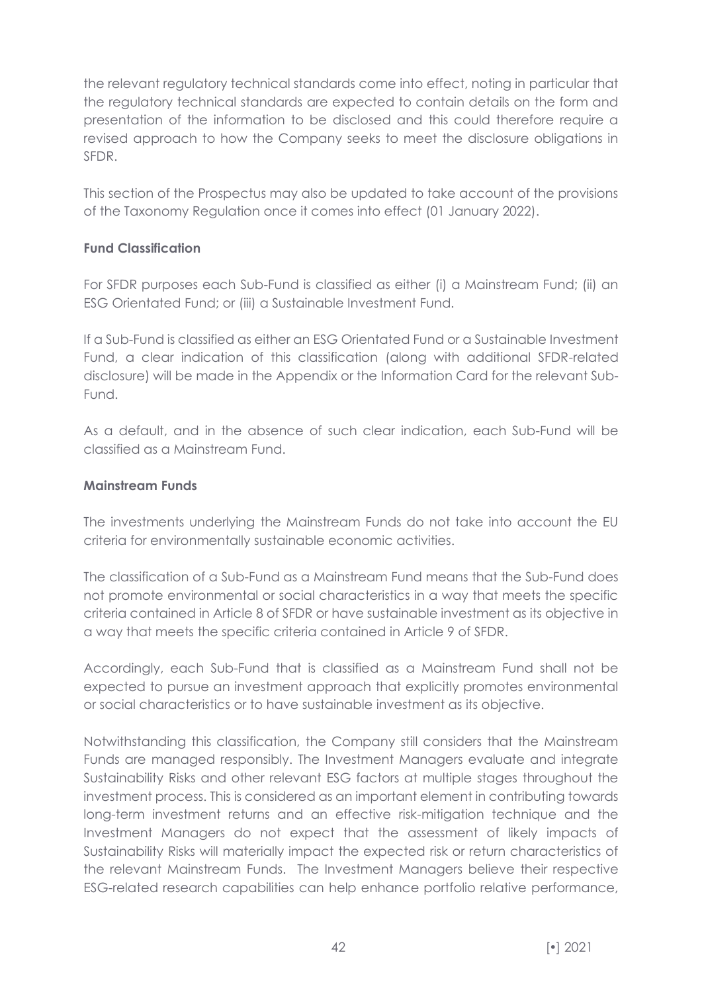the relevant regulatory technical standards come into effect, noting in particular that the regulatory technical standards are expected to contain details on the form and presentation of the information to be disclosed and this could therefore require a revised approach to how the Company seeks to meet the disclosure obligations in SFDR.

This section of the Prospectus may also be updated to take account of the provisions of the Taxonomy Regulation once it comes into effect (01 January 2022).

# **Fund Classification**

For SFDR purposes each Sub-Fund is classified as either (i) a Mainstream Fund; (ii) an ESG Orientated Fund; or (iii) a Sustainable Investment Fund.

If a Sub-Fund is classified as either an ESG Orientated Fund or a Sustainable Investment Fund, a clear indication of this classification (along with additional SFDR-related disclosure) will be made in the Appendix or the Information Card for the relevant Sub-Fund.

As a default, and in the absence of such clear indication, each Sub-Fund will be classified as a Mainstream Fund.

# **Mainstream Funds**

The investments underlying the Mainstream Funds do not take into account the EU criteria for environmentally sustainable economic activities.

The classification of a Sub-Fund as a Mainstream Fund means that the Sub-Fund does not promote environmental or social characteristics in a way that meets the specific criteria contained in Article 8 of SFDR or have sustainable investment as its objective in a way that meets the specific criteria contained in Article 9 of SFDR.

Accordingly, each Sub-Fund that is classified as a Mainstream Fund shall not be expected to pursue an investment approach that explicitly promotes environmental or social characteristics or to have sustainable investment as its objective.

Notwithstanding this classification, the Company still considers that the Mainstream Funds are managed responsibly. The Investment Managers evaluate and integrate Sustainability Risks and other relevant ESG factors at multiple stages throughout the investment process. This is considered as an important element in contributing towards long-term investment returns and an effective risk-mitigation technique and the Investment Managers do not expect that the assessment of likely impacts of Sustainability Risks will materially impact the expected risk or return characteristics of the relevant Mainstream Funds. The Investment Managers believe their respective ESG-related research capabilities can help enhance portfolio relative performance,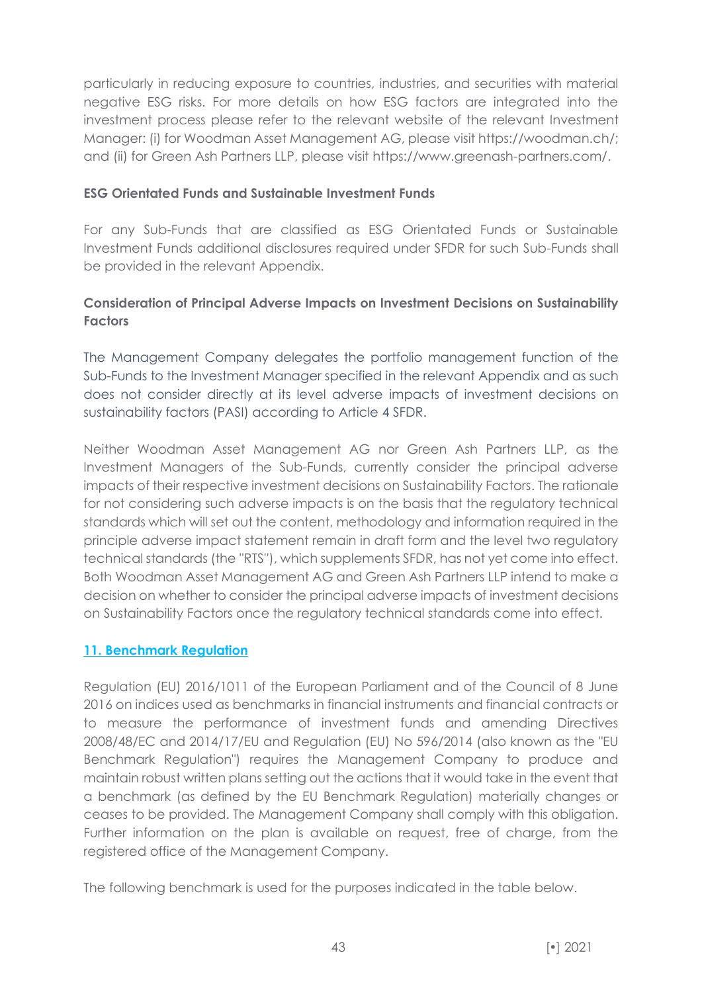particularly in reducing exposure to countries, industries, and securities with material negative ESG risks. For more details on how ESG factors are integrated into the investment process please refer to the relevant website of the relevant Investment Manager: (i) for Woodman Asset Management AG, please visit https://woodman.ch/; and (ii) for Green Ash Partners LLP, please visit https://www.greenash-partners.com/.

### **ESG Orientated Funds and Sustainable Investment Funds**

For any Sub-Funds that are classified as ESG Orientated Funds or Sustainable Investment Funds additional disclosures required under SFDR for such Sub-Funds shall be provided in the relevant Appendix.

# **Consideration of Principal Adverse Impacts on Investment Decisions on Sustainability Factors**

The Management Company delegates the portfolio management function of the Sub-Funds to the Investment Manager specified in the relevant Appendix and as such does not consider directly at its level adverse impacts of investment decisions on sustainability factors (PASI) according to Article 4 SFDR.

Neither Woodman Asset Management AG nor Green Ash Partners LLP, as the Investment Managers of the Sub-Funds, currently consider the principal adverse impacts of their respective investment decisions on Sustainability Factors. The rationale for not considering such adverse impacts is on the basis that the regulatory technical standards which will set out the content, methodology and information required in the principle adverse impact statement remain in draft form and the level two regulatory technical standards (the ''RTS''), which supplements SFDR, has not yet come into effect. Both Woodman Asset Management AG and Green Ash Partners LLP intend to make a decision on whether to consider the principal adverse impacts of investment decisions on Sustainability Factors once the regulatory technical standards come into effect.

# **11. Benchmark Regulation**

Regulation (EU) 2016/1011 of the European Parliament and of the Council of 8 June 2016 on indices used as benchmarks in financial instruments and financial contracts or to measure the performance of investment funds and amending Directives 2008/48/EC and 2014/17/EU and Regulation (EU) No 596/2014 (also known as the "EU Benchmark Regulation") requires the Management Company to produce and maintain robust written plans setting out the actions that it would take in the event that a benchmark (as defined by the EU Benchmark Regulation) materially changes or ceases to be provided. The Management Company shall comply with this obligation. Further information on the plan is available on request, free of charge, from the registered office of the Management Company.

The following benchmark is used for the purposes indicated in the table below.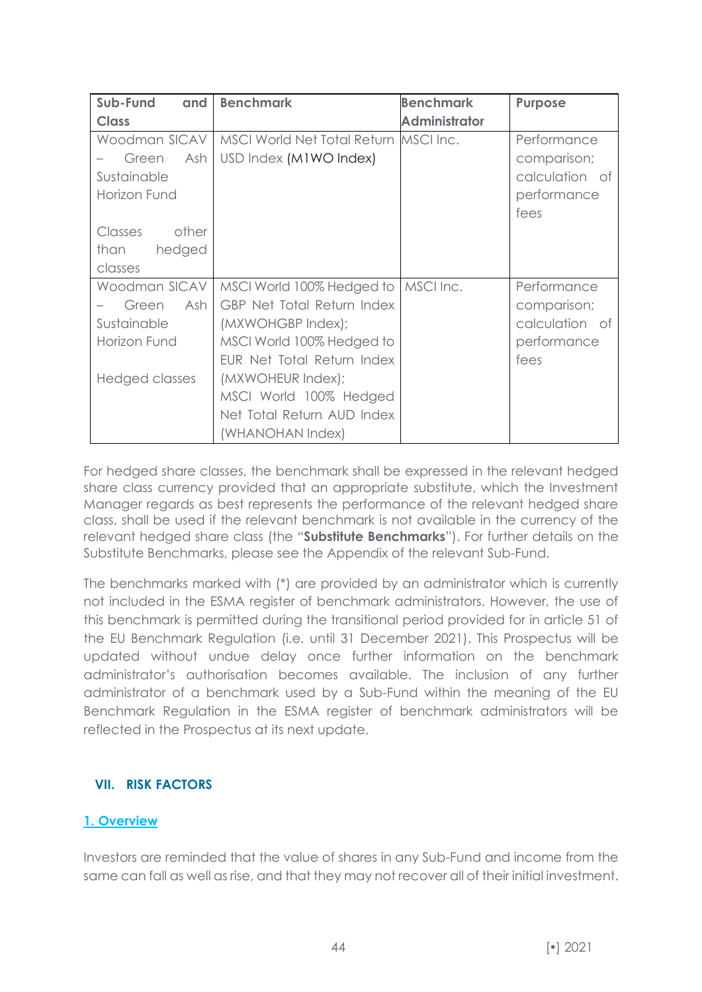| Sub-Fund<br>and  | <b>Benchmark</b>                      | <b>Benchmark</b>     | <b>Purpose</b> |
|------------------|---------------------------------------|----------------------|----------------|
| <b>Class</b>     |                                       | <b>Administrator</b> |                |
| Woodman SICAV    | MSCI World Net Total Return MSCI Inc. |                      | Performance    |
| Ash<br>Green     | USD Index (M1WO Index)                |                      | comparison;    |
| Sustainable      |                                       |                      | calculation of |
| Horizon Fund     |                                       |                      | performance    |
|                  |                                       |                      | fees           |
| other<br>Classes |                                       |                      |                |
| hedged<br>than   |                                       |                      |                |
| classes          |                                       |                      |                |
| Woodman SICAV    | MSCI World 100% Hedged to             | MSCI Inc.            | Performance    |
| Ash<br>Green     | <b>GBP Net Total Return Index</b>     |                      | comparison;    |
| Sustainable      | (MXWOHGBP Index);                     |                      | calculation of |
| Horizon Fund     | MSCI World 100% Hedged to             |                      | performance    |
|                  | EUR Net Total Return Index            |                      | fees           |
| Hedged classes   | (MXWOHEUR Index);                     |                      |                |
|                  | MSCI World 100% Hedged                |                      |                |
|                  | Net Total Return AUD Index            |                      |                |
|                  | (WHANOHAN Index)                      |                      |                |

For hedged share classes, the benchmark shall be expressed in the relevant hedged share class currency provided that an appropriate substitute, which the Investment Manager regards as best represents the performance of the relevant hedged share class, shall be used if the relevant benchmark is not available in the currency of the relevant hedged share class (the "**Substitute Benchmarks**"). For further details on the Substitute Benchmarks, please see the Appendix of the relevant Sub-Fund.

The benchmarks marked with (\*) are provided by an administrator which is currently not included in the ESMA register of benchmark administrators. However, the use of this benchmark is permitted during the transitional period provided for in article 51 of the EU Benchmark Regulation (i.e. until 31 December 2021). This Prospectus will be updated without undue delay once further information on the benchmark administrator's authorisation becomes available. The inclusion of any further administrator of a benchmark used by a Sub-Fund within the meaning of the EU Benchmark Regulation in the ESMA register of benchmark administrators will be reflected in the Prospectus at its next update.

# **VII. RISK FACTORS**

# **1. Overview**

Investors are reminded that the value of shares in any Sub-Fund and income from the same can fall as well as rise, and that they may not recover all of their initial investment.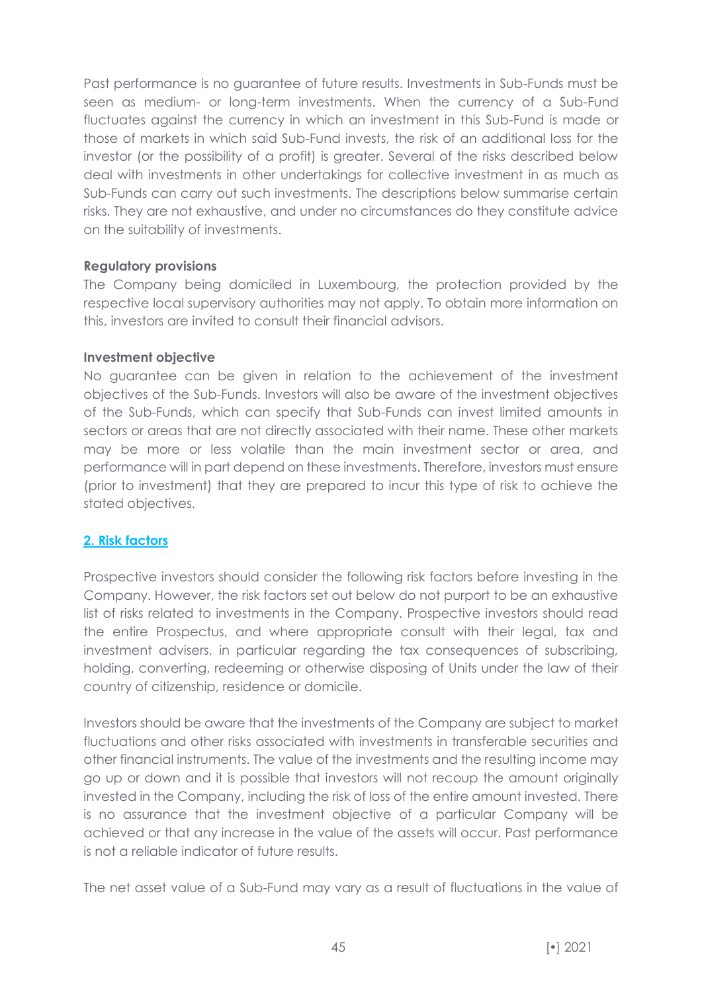Past performance is no guarantee of future results. Investments in Sub-Funds must be seen as medium- or long-term investments. When the currency of a Sub-Fund fluctuates against the currency in which an investment in this Sub-Fund is made or those of markets in which said Sub-Fund invests, the risk of an additional loss for the investor (or the possibility of a profit) is greater. Several of the risks described below deal with investments in other undertakings for collective investment in as much as Sub-Funds can carry out such investments. The descriptions below summarise certain risks. They are not exhaustive, and under no circumstances do they constitute advice on the suitability of investments.

#### **Regulatory provisions**

The Company being domiciled in Luxembourg, the protection provided by the respective local supervisory authorities may not apply. To obtain more information on this, investors are invited to consult their financial advisors.

#### **Investment objective**

No guarantee can be given in relation to the achievement of the investment objectives of the Sub-Funds. Investors will also be aware of the investment objectives of the Sub-Funds, which can specify that Sub-Funds can invest limited amounts in sectors or areas that are not directly associated with their name. These other markets may be more or less volatile than the main investment sector or area, and performance will in part depend on these investments. Therefore, investors must ensure (prior to investment) that they are prepared to incur this type of risk to achieve the stated objectives.

# **2. Risk factors**

Prospective investors should consider the following risk factors before investing in the Company. However, the risk factors set out below do not purport to be an exhaustive list of risks related to investments in the Company. Prospective investors should read the entire Prospectus, and where appropriate consult with their legal, tax and investment advisers, in particular regarding the tax consequences of subscribing, holding, converting, redeeming or otherwise disposing of Units under the law of their country of citizenship, residence or domicile.

Investors should be aware that the investments of the Company are subject to market fluctuations and other risks associated with investments in transferable securities and other financial instruments. The value of the investments and the resulting income may go up or down and it is possible that investors will not recoup the amount originally invested in the Company, including the risk of loss of the entire amount invested. There is no assurance that the investment objective of a particular Company will be achieved or that any increase in the value of the assets will occur. Past performance is not a reliable indicator of future results.

The net asset value of a Sub-Fund may vary as a result of fluctuations in the value of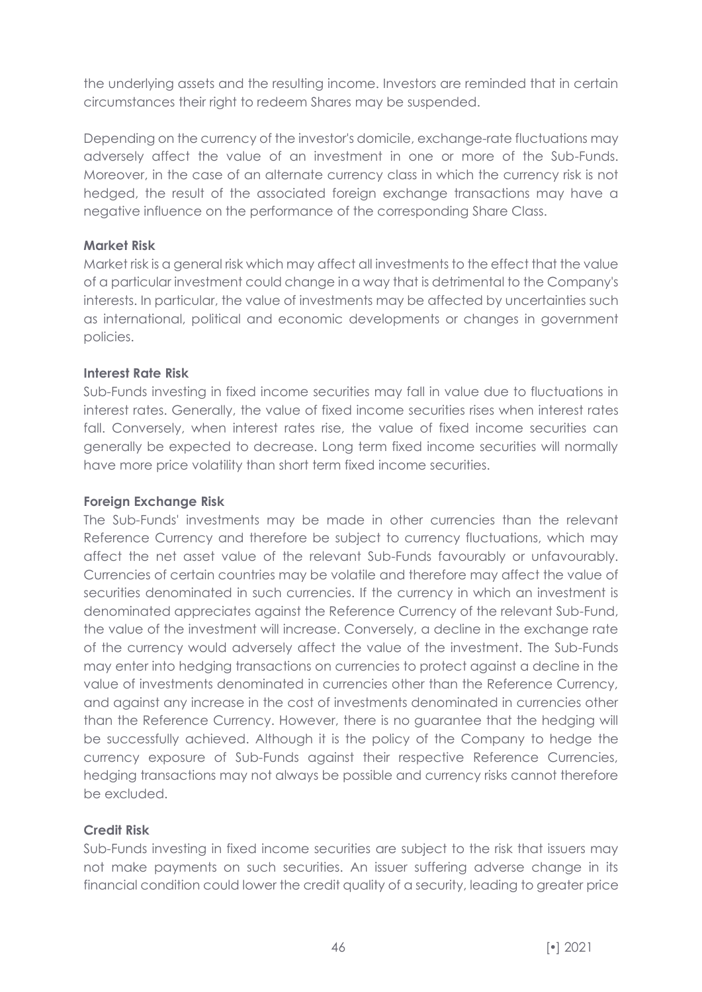the underlying assets and the resulting income. Investors are reminded that in certain circumstances their right to redeem Shares may be suspended.

Depending on the currency of the investor's domicile, exchange-rate fluctuations may adversely affect the value of an investment in one or more of the Sub-Funds. Moreover, in the case of an alternate currency class in which the currency risk is not hedged, the result of the associated foreign exchange transactions may have a negative influence on the performance of the corresponding Share Class.

### **Market Risk**

Market risk is a general risk which may affect all investments to the effect that the value of a particular investment could change in a way that is detrimental to the Company's interests. In particular, the value of investments may be affected by uncertainties such as international, political and economic developments or changes in government policies.

#### **Interest Rate Risk**

Sub-Funds investing in fixed income securities may fall in value due to fluctuations in interest rates. Generally, the value of fixed income securities rises when interest rates fall. Conversely, when interest rates rise, the value of fixed income securities can generally be expected to decrease. Long term fixed income securities will normally have more price volatility than short term fixed income securities.

### **Foreign Exchange Risk**

The Sub-Funds' investments may be made in other currencies than the relevant Reference Currency and therefore be subject to currency fluctuations, which may affect the net asset value of the relevant Sub-Funds favourably or unfavourably. Currencies of certain countries may be volatile and therefore may affect the value of securities denominated in such currencies. If the currency in which an investment is denominated appreciates against the Reference Currency of the relevant Sub-Fund, the value of the investment will increase. Conversely, a decline in the exchange rate of the currency would adversely affect the value of the investment. The Sub-Funds may enter into hedging transactions on currencies to protect against a decline in the value of investments denominated in currencies other than the Reference Currency, and against any increase in the cost of investments denominated in currencies other than the Reference Currency. However, there is no guarantee that the hedging will be successfully achieved. Although it is the policy of the Company to hedge the currency exposure of Sub-Funds against their respective Reference Currencies, hedging transactions may not always be possible and currency risks cannot therefore be excluded.

# **Credit Risk**

Sub-Funds investing in fixed income securities are subject to the risk that issuers may not make payments on such securities. An issuer suffering adverse change in its financial condition could lower the credit quality of a security, leading to greater price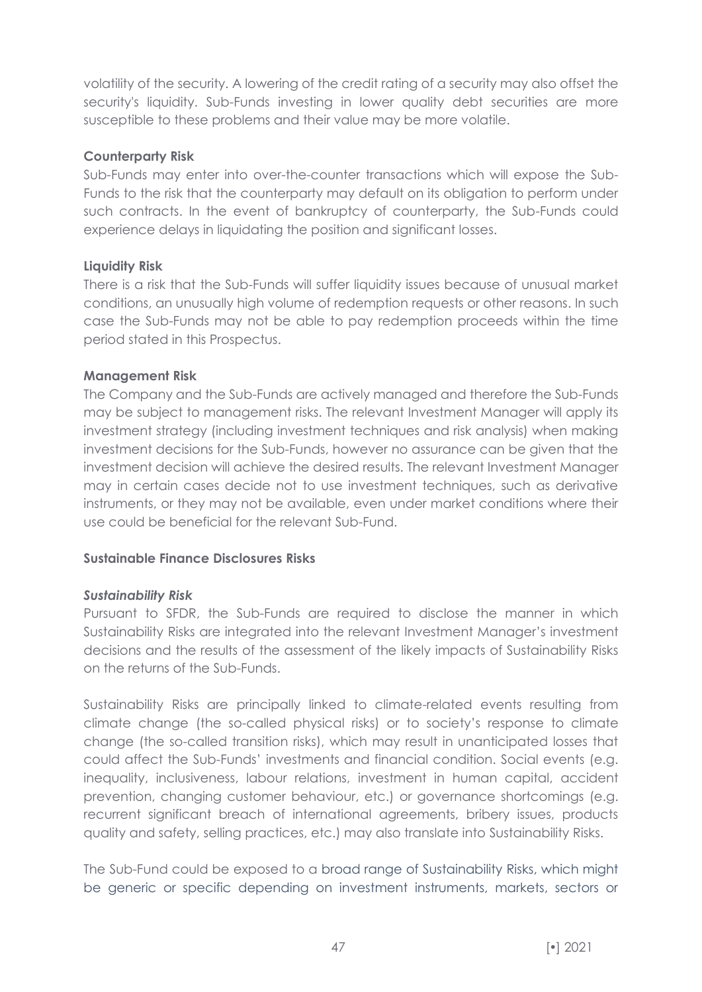volatility of the security. A lowering of the credit rating of a security may also offset the security's liquidity. Sub-Funds investing in lower quality debt securities are more susceptible to these problems and their value may be more volatile.

### **Counterparty Risk**

Sub-Funds may enter into over-the-counter transactions which will expose the Sub-Funds to the risk that the counterparty may default on its obligation to perform under such contracts. In the event of bankruptcy of counterparty, the Sub-Funds could experience delays in liquidating the position and significant losses.

# **Liquidity Risk**

There is a risk that the Sub-Funds will suffer liquidity issues because of unusual market conditions, an unusually high volume of redemption requests or other reasons. In such case the Sub-Funds may not be able to pay redemption proceeds within the time period stated in this Prospectus.

# **Management Risk**

The Company and the Sub-Funds are actively managed and therefore the Sub-Funds may be subject to management risks. The relevant Investment Manager will apply its investment strategy (including investment techniques and risk analysis) when making investment decisions for the Sub-Funds, however no assurance can be given that the investment decision will achieve the desired results. The relevant Investment Manager may in certain cases decide not to use investment techniques, such as derivative instruments, or they may not be available, even under market conditions where their use could be beneficial for the relevant Sub-Fund.

#### **Sustainable Finance Disclosures Risks**

#### *Sustainability Risk*

Pursuant to SFDR, the Sub-Funds are required to disclose the manner in which Sustainability Risks are integrated into the relevant Investment Manager's investment decisions and the results of the assessment of the likely impacts of Sustainability Risks on the returns of the Sub-Funds.

Sustainability Risks are principally linked to climate-related events resulting from climate change (the so-called physical risks) or to society's response to climate change (the so-called transition risks), which may result in unanticipated losses that could affect the Sub-Funds' investments and financial condition. Social events (e.g. inequality, inclusiveness, labour relations, investment in human capital, accident prevention, changing customer behaviour, etc.) or governance shortcomings (e.g. recurrent significant breach of international agreements, bribery issues, products quality and safety, selling practices, etc.) may also translate into Sustainability Risks.

The Sub-Fund could be exposed to a broad range of Sustainability Risks, which might be generic or specific depending on investment instruments, markets, sectors or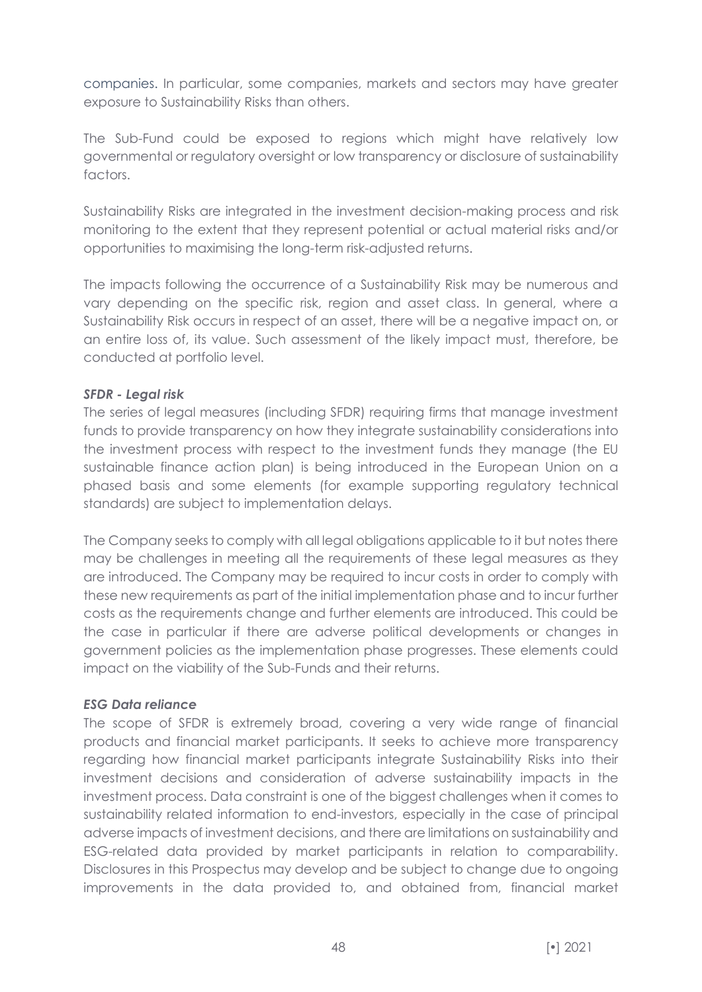companies. In particular, some companies, markets and sectors may have greater exposure to Sustainability Risks than others.

The Sub-Fund could be exposed to regions which might have relatively low governmental or regulatory oversight or low transparency or disclosure of sustainability factors.

Sustainability Risks are integrated in the investment decision-making process and risk monitoring to the extent that they represent potential or actual material risks and/or opportunities to maximising the long-term risk-adjusted returns.

The impacts following the occurrence of a Sustainability Risk may be numerous and vary depending on the specific risk, region and asset class. In general, where a Sustainability Risk occurs in respect of an asset, there will be a negative impact on, or an entire loss of, its value. Such assessment of the likely impact must, therefore, be conducted at portfolio level.

#### *SFDR - Legal risk*

The series of legal measures (including SFDR) requiring firms that manage investment funds to provide transparency on how they integrate sustainability considerations into the investment process with respect to the investment funds they manage (the EU sustainable finance action plan) is being introduced in the European Union on a phased basis and some elements (for example supporting regulatory technical standards) are subject to implementation delays.

The Company seeks to comply with all legal obligations applicable to it but notes there may be challenges in meeting all the requirements of these legal measures as they are introduced. The Company may be required to incur costs in order to comply with these new requirements as part of the initial implementation phase and to incur further costs as the requirements change and further elements are introduced. This could be the case in particular if there are adverse political developments or changes in government policies as the implementation phase progresses. These elements could impact on the viability of the Sub-Funds and their returns.

#### *ESG Data reliance*

The scope of SFDR is extremely broad, covering a very wide range of financial products and financial market participants. It seeks to achieve more transparency regarding how financial market participants integrate Sustainability Risks into their investment decisions and consideration of adverse sustainability impacts in the investment process. Data constraint is one of the biggest challenges when it comes to sustainability related information to end-investors, especially in the case of principal adverse impacts of investment decisions, and there are limitations on sustainability and ESG-related data provided by market participants in relation to comparability. Disclosures in this Prospectus may develop and be subject to change due to ongoing improvements in the data provided to, and obtained from, financial market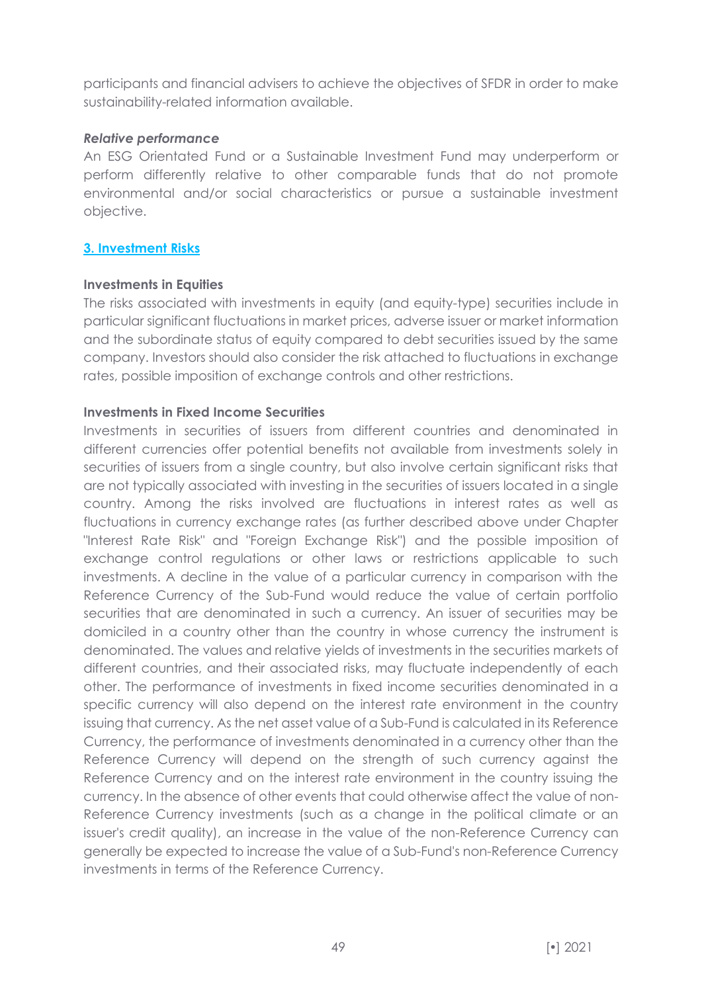participants and financial advisers to achieve the objectives of SFDR in order to make sustainability-related information available.

#### *Relative performance*

An ESG Orientated Fund or a Sustainable Investment Fund may underperform or perform differently relative to other comparable funds that do not promote environmental and/or social characteristics or pursue a sustainable investment objective.

#### **3. Investment Risks**

#### **Investments in Equities**

The risks associated with investments in equity (and equity-type) securities include in particular significant fluctuations in market prices, adverse issuer or market information and the subordinate status of equity compared to debt securities issued by the same company. Investors should also consider the risk attached to fluctuations in exchange rates, possible imposition of exchange controls and other restrictions.

#### **Investments in Fixed Income Securities**

Investments in securities of issuers from different countries and denominated in different currencies offer potential benefits not available from investments solely in securities of issuers from a single country, but also involve certain significant risks that are not typically associated with investing in the securities of issuers located in a single country. Among the risks involved are fluctuations in interest rates as well as fluctuations in currency exchange rates (as further described above under Chapter "Interest Rate Risk" and "Foreign Exchange Risk") and the possible imposition of exchange control regulations or other laws or restrictions applicable to such investments. A decline in the value of a particular currency in comparison with the Reference Currency of the Sub-Fund would reduce the value of certain portfolio securities that are denominated in such a currency. An issuer of securities may be domiciled in a country other than the country in whose currency the instrument is denominated. The values and relative yields of investments in the securities markets of different countries, and their associated risks, may fluctuate independently of each other. The performance of investments in fixed income securities denominated in a specific currency will also depend on the interest rate environment in the country issuing that currency. As the net asset value of a Sub-Fund is calculated in its Reference Currency, the performance of investments denominated in a currency other than the Reference Currency will depend on the strength of such currency against the Reference Currency and on the interest rate environment in the country issuing the currency. In the absence of other events that could otherwise affect the value of non-Reference Currency investments (such as a change in the political climate or an issuer's credit quality), an increase in the value of the non-Reference Currency can generally be expected to increase the value of a Sub-Fund's non-Reference Currency investments in terms of the Reference Currency.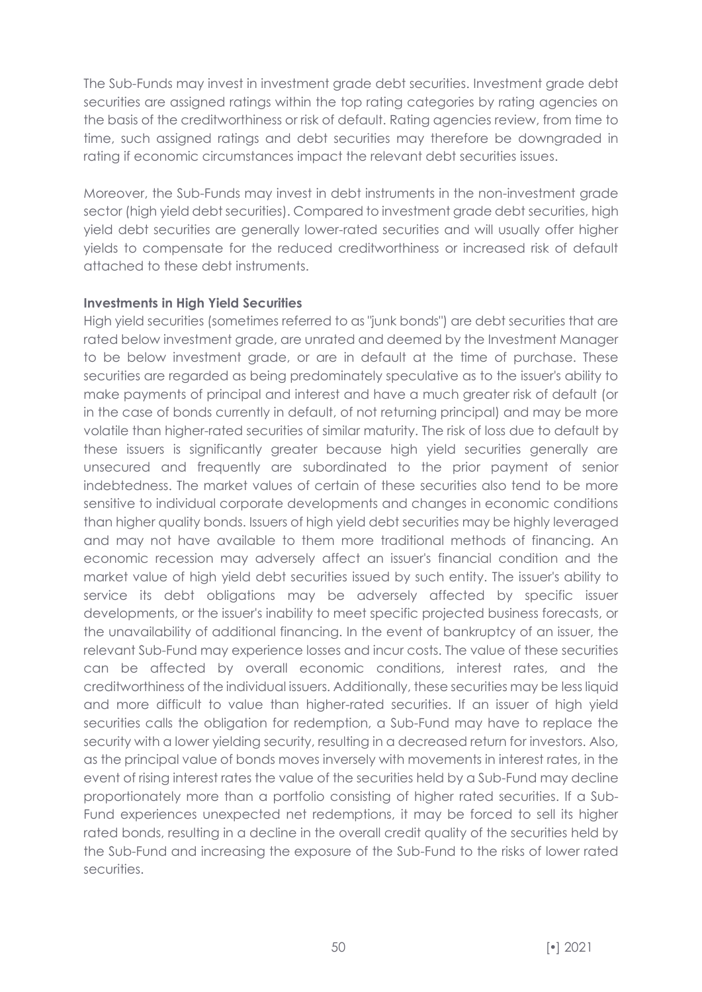The Sub-Funds may invest in investment grade debt securities. Investment grade debt securities are assigned ratings within the top rating categories by rating agencies on the basis of the creditworthiness or risk of default. Rating agencies review, from time to time, such assigned ratings and debt securities may therefore be downgraded in rating if economic circumstances impact the relevant debt securities issues.

Moreover, the Sub-Funds may invest in debt instruments in the non-investment grade sector (high yield debt securities). Compared to investment grade debt securities, high yield debt securities are generally lower-rated securities and will usually offer higher yields to compensate for the reduced creditworthiness or increased risk of default attached to these debt instruments.

# **Investments in High Yield Securities**

High yield securities (sometimes referred to as "junk bonds") are debt securities that are rated below investment grade, are unrated and deemed by the Investment Manager to be below investment grade, or are in default at the time of purchase. These securities are regarded as being predominately speculative as to the issuer's ability to make payments of principal and interest and have a much greater risk of default (or in the case of bonds currently in default, of not returning principal) and may be more volatile than higher-rated securities of similar maturity. The risk of loss due to default by these issuers is significantly greater because high yield securities generally are unsecured and frequently are subordinated to the prior payment of senior indebtedness. The market values of certain of these securities also tend to be more sensitive to individual corporate developments and changes in economic conditions than higher quality bonds. Issuers of high yield debt securities may be highly leveraged and may not have available to them more traditional methods of financing. An economic recession may adversely affect an issuer's financial condition and the market value of high yield debt securities issued by such entity. The issuer's ability to service its debt obligations may be adversely affected by specific issuer developments, or the issuer's inability to meet specific projected business forecasts, or the unavailability of additional financing. In the event of bankruptcy of an issuer, the relevant Sub-Fund may experience losses and incur costs. The value of these securities can be affected by overall economic conditions, interest rates, and the creditworthiness of the individual issuers. Additionally, these securities may be less liquid and more difficult to value than higher-rated securities. If an issuer of high yield securities calls the obligation for redemption, a Sub-Fund may have to replace the security with a lower yielding security, resulting in a decreased return for investors. Also, as the principal value of bonds moves inversely with movements in interest rates, in the event of rising interest rates the value of the securities held by a Sub-Fund may decline proportionately more than a portfolio consisting of higher rated securities. If a Sub-Fund experiences unexpected net redemptions, it may be forced to sell its higher rated bonds, resulting in a decline in the overall credit quality of the securities held by the Sub-Fund and increasing the exposure of the Sub-Fund to the risks of lower rated securities.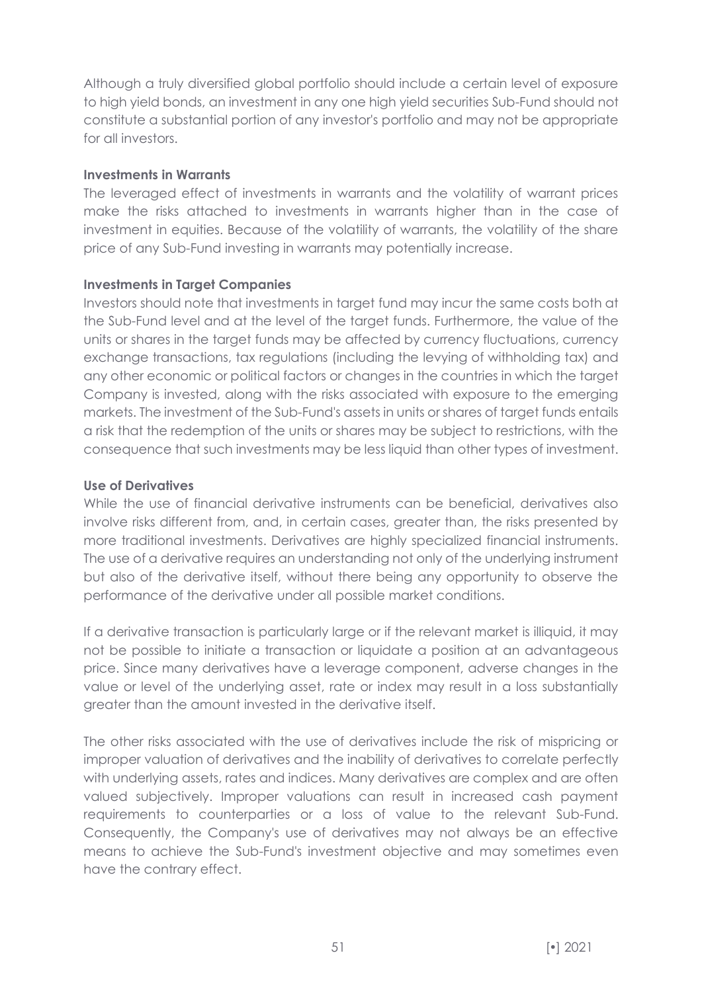Although a truly diversified global portfolio should include a certain level of exposure to high yield bonds, an investment in any one high yield securities Sub-Fund should not constitute a substantial portion of any investor's portfolio and may not be appropriate for all investors.

#### **Investments in Warrants**

The leveraged effect of investments in warrants and the volatility of warrant prices make the risks attached to investments in warrants higher than in the case of investment in equities. Because of the volatility of warrants, the volatility of the share price of any Sub-Fund investing in warrants may potentially increase.

# **Investments in Target Companies**

Investors should note that investments in target fund may incur the same costs both at the Sub-Fund level and at the level of the target funds. Furthermore, the value of the units or shares in the target funds may be affected by currency fluctuations, currency exchange transactions, tax regulations (including the levying of withholding tax) and any other economic or political factors or changes in the countries in which the target Company is invested, along with the risks associated with exposure to the emerging markets. The investment of the Sub-Fund's assets in units or shares of target funds entails a risk that the redemption of the units or shares may be subject to restrictions, with the consequence that such investments may be less liquid than other types of investment.

# **Use of Derivatives**

While the use of financial derivative instruments can be beneficial, derivatives also involve risks different from, and, in certain cases, greater than, the risks presented by more traditional investments. Derivatives are highly specialized financial instruments. The use of a derivative requires an understanding not only of the underlying instrument but also of the derivative itself, without there being any opportunity to observe the performance of the derivative under all possible market conditions.

If a derivative transaction is particularly large or if the relevant market is illiquid, it may not be possible to initiate a transaction or liquidate a position at an advantageous price. Since many derivatives have a leverage component, adverse changes in the value or level of the underlying asset, rate or index may result in a loss substantially greater than the amount invested in the derivative itself.

The other risks associated with the use of derivatives include the risk of mispricing or improper valuation of derivatives and the inability of derivatives to correlate perfectly with underlying assets, rates and indices. Many derivatives are complex and are often valued subjectively. Improper valuations can result in increased cash payment requirements to counterparties or a loss of value to the relevant Sub-Fund. Consequently, the Company's use of derivatives may not always be an effective means to achieve the Sub-Fund's investment objective and may sometimes even have the contrary effect.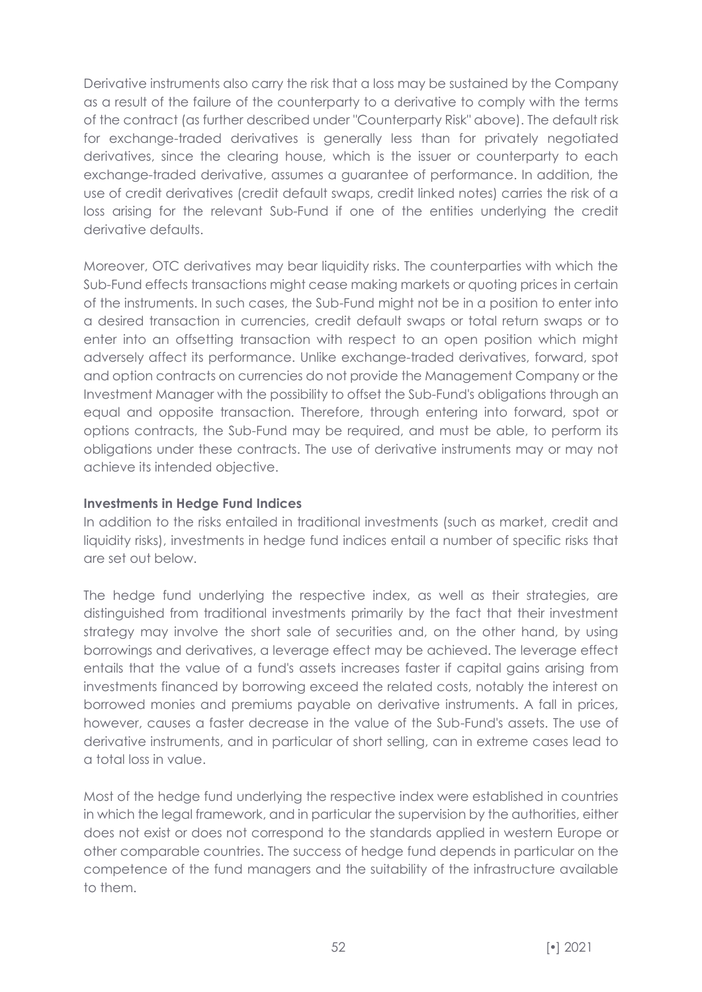Derivative instruments also carry the risk that a loss may be sustained by the Company as a result of the failure of the counterparty to a derivative to comply with the terms of the contract (as further described under "Counterparty Risk" above). The default risk for exchange-traded derivatives is generally less than for privately negotiated derivatives, since the clearing house, which is the issuer or counterparty to each exchange-traded derivative, assumes a guarantee of performance. In addition, the use of credit derivatives (credit default swaps, credit linked notes) carries the risk of a loss arising for the relevant Sub-Fund if one of the entities underlying the credit derivative defaults.

Moreover, OTC derivatives may bear liquidity risks. The counterparties with which the Sub-Fund effects transactions might cease making markets or quoting prices in certain of the instruments. In such cases, the Sub-Fund might not be in a position to enter into a desired transaction in currencies, credit default swaps or total return swaps or to enter into an offsetting transaction with respect to an open position which might adversely affect its performance. Unlike exchange-traded derivatives, forward, spot and option contracts on currencies do not provide the Management Company or the Investment Manager with the possibility to offset the Sub-Fund's obligations through an equal and opposite transaction. Therefore, through entering into forward, spot or options contracts, the Sub-Fund may be required, and must be able, to perform its obligations under these contracts. The use of derivative instruments may or may not achieve its intended objective.

### **Investments in Hedge Fund Indices**

In addition to the risks entailed in traditional investments (such as market, credit and liquidity risks), investments in hedge fund indices entail a number of specific risks that are set out below.

The hedge fund underlying the respective index, as well as their strategies, are distinguished from traditional investments primarily by the fact that their investment strategy may involve the short sale of securities and, on the other hand, by using borrowings and derivatives, a leverage effect may be achieved. The leverage effect entails that the value of a fund's assets increases faster if capital gains arising from investments financed by borrowing exceed the related costs, notably the interest on borrowed monies and premiums payable on derivative instruments. A fall in prices, however, causes a faster decrease in the value of the Sub-Fund's assets. The use of derivative instruments, and in particular of short selling, can in extreme cases lead to a total loss in value.

Most of the hedge fund underlying the respective index were established in countries in which the legal framework, and in particular the supervision by the authorities, either does not exist or does not correspond to the standards applied in western Europe or other comparable countries. The success of hedge fund depends in particular on the competence of the fund managers and the suitability of the infrastructure available to them.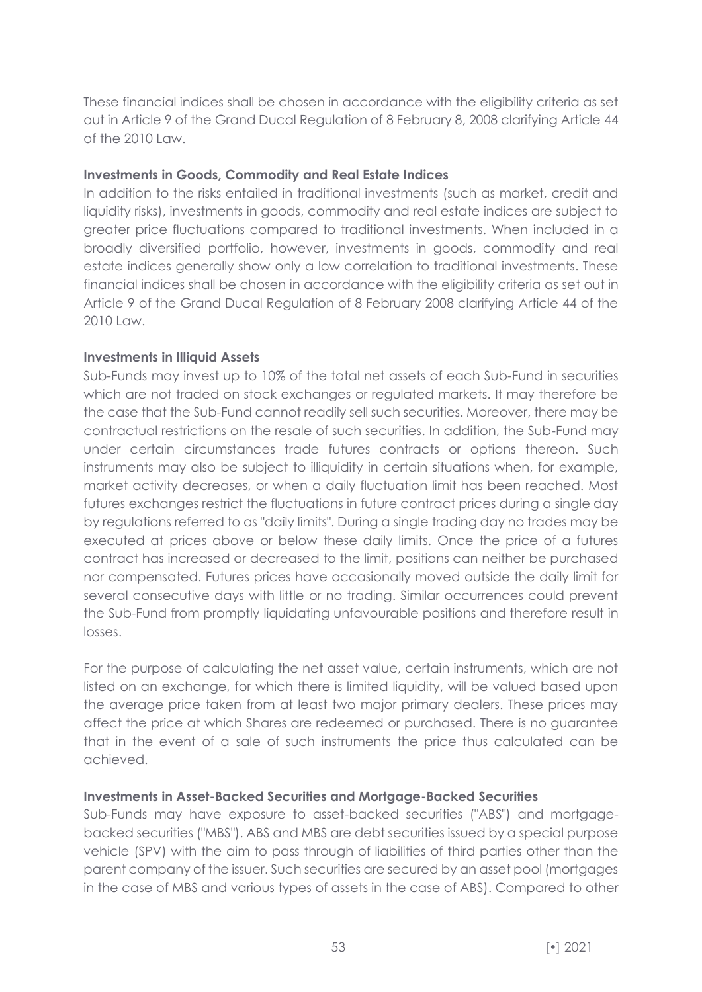These financial indices shall be chosen in accordance with the eligibility criteria as set out in Article 9 of the Grand Ducal Regulation of 8 February 8, 2008 clarifying Article 44 of the 2010 Law.

#### **Investments in Goods, Commodity and Real Estate Indices**

In addition to the risks entailed in traditional investments (such as market, credit and liquidity risks), investments in goods, commodity and real estate indices are subject to greater price fluctuations compared to traditional investments. When included in a broadly diversified portfolio, however, investments in goods, commodity and real estate indices generally show only a low correlation to traditional investments. These financial indices shall be chosen in accordance with the eligibility criteria as set out in Article 9 of the Grand Ducal Regulation of 8 February 2008 clarifying Article 44 of the 2010 Law.

#### **Investments in Illiquid Assets**

Sub-Funds may invest up to 10% of the total net assets of each Sub-Fund in securities which are not traded on stock exchanges or regulated markets. It may therefore be the case that the Sub-Fund cannot readily sell such securities. Moreover, there may be contractual restrictions on the resale of such securities. In addition, the Sub-Fund may under certain circumstances trade futures contracts or options thereon. Such instruments may also be subject to illiquidity in certain situations when, for example, market activity decreases, or when a daily fluctuation limit has been reached. Most futures exchanges restrict the fluctuations in future contract prices during a single day by regulations referred to as "daily limits". During a single trading day no trades may be executed at prices above or below these daily limits. Once the price of a futures contract has increased or decreased to the limit, positions can neither be purchased nor compensated. Futures prices have occasionally moved outside the daily limit for several consecutive days with little or no trading. Similar occurrences could prevent the Sub-Fund from promptly liquidating unfavourable positions and therefore result in losses.

For the purpose of calculating the net asset value, certain instruments, which are not listed on an exchange, for which there is limited liquidity, will be valued based upon the average price taken from at least two major primary dealers. These prices may affect the price at which Shares are redeemed or purchased. There is no guarantee that in the event of a sale of such instruments the price thus calculated can be achieved.

#### **Investments in Asset-Backed Securities and Mortgage-Backed Securities**

Sub-Funds may have exposure to asset-backed securities ("ABS") and mortgagebacked securities ("MBS"). ABS and MBS are debt securities issued by a special purpose vehicle (SPV) with the aim to pass through of liabilities of third parties other than the parent company of the issuer. Such securities are secured by an asset pool (mortgages in the case of MBS and various types of assets in the case of ABS). Compared to other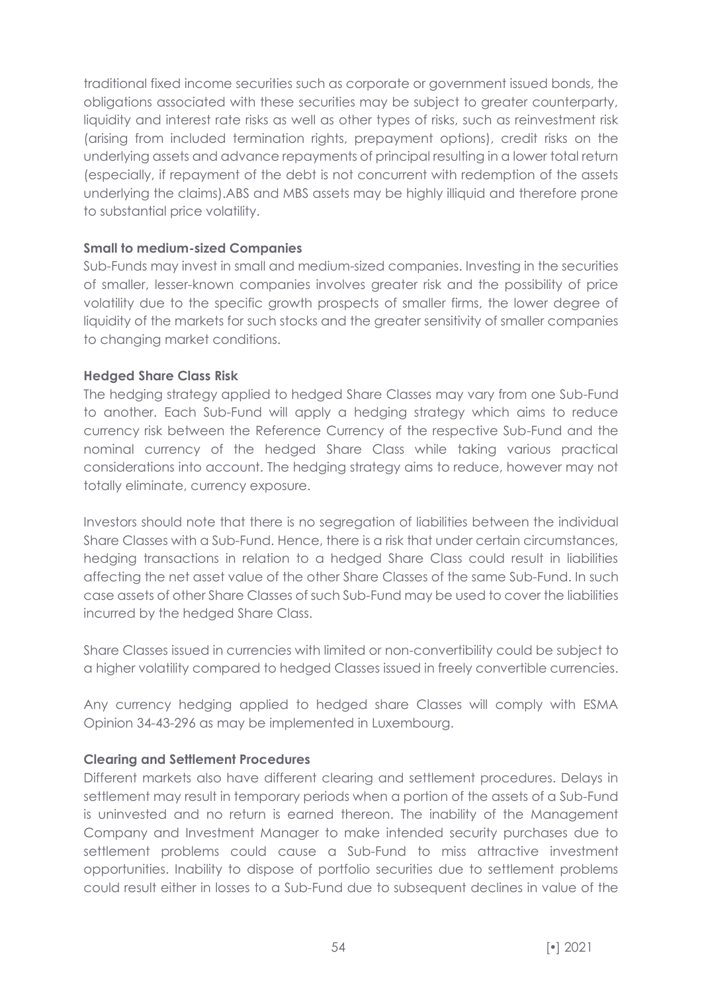traditional fixed income securities such as corporate or government issued bonds, the obligations associated with these securities may be subject to greater counterparty, liquidity and interest rate risks as well as other types of risks, such as reinvestment risk (arising from included termination rights, prepayment options), credit risks on the underlying assets and advance repayments of principal resulting in a lower total return (especially, if repayment of the debt is not concurrent with redemption of the assets underlying the claims).ABS and MBS assets may be highly illiquid and therefore prone to substantial price volatility.

# **Small to medium-sized Companies**

Sub-Funds may invest in small and medium-sized companies. Investing in the securities of smaller, lesser-known companies involves greater risk and the possibility of price volatility due to the specific growth prospects of smaller firms, the lower degree of liquidity of the markets for such stocks and the greater sensitivity of smaller companies to changing market conditions.

# **Hedged Share Class Risk**

The hedging strategy applied to hedged Share Classes may vary from one Sub-Fund to another. Each Sub-Fund will apply a hedging strategy which aims to reduce currency risk between the Reference Currency of the respective Sub-Fund and the nominal currency of the hedged Share Class while taking various practical considerations into account. The hedging strategy aims to reduce, however may not totally eliminate, currency exposure.

Investors should note that there is no segregation of liabilities between the individual Share Classes with a Sub-Fund. Hence, there is a risk that under certain circumstances, hedging transactions in relation to a hedged Share Class could result in liabilities affecting the net asset value of the other Share Classes of the same Sub-Fund. In such case assets of other Share Classes of such Sub-Fund may be used to cover the liabilities incurred by the hedged Share Class.

Share Classes issued in currencies with limited or non-convertibility could be subject to a higher volatility compared to hedged Classes issued in freely convertible currencies.

Any currency hedging applied to hedged share Classes will comply with ESMA Opinion 34-43-296 as may be implemented in Luxembourg.

#### **Clearing and Settlement Procedures**

Different markets also have different clearing and settlement procedures. Delays in settlement may result in temporary periods when a portion of the assets of a Sub-Fund is uninvested and no return is earned thereon. The inability of the Management Company and Investment Manager to make intended security purchases due to settlement problems could cause a Sub-Fund to miss attractive investment opportunities. Inability to dispose of portfolio securities due to settlement problems could result either in losses to a Sub-Fund due to subsequent declines in value of the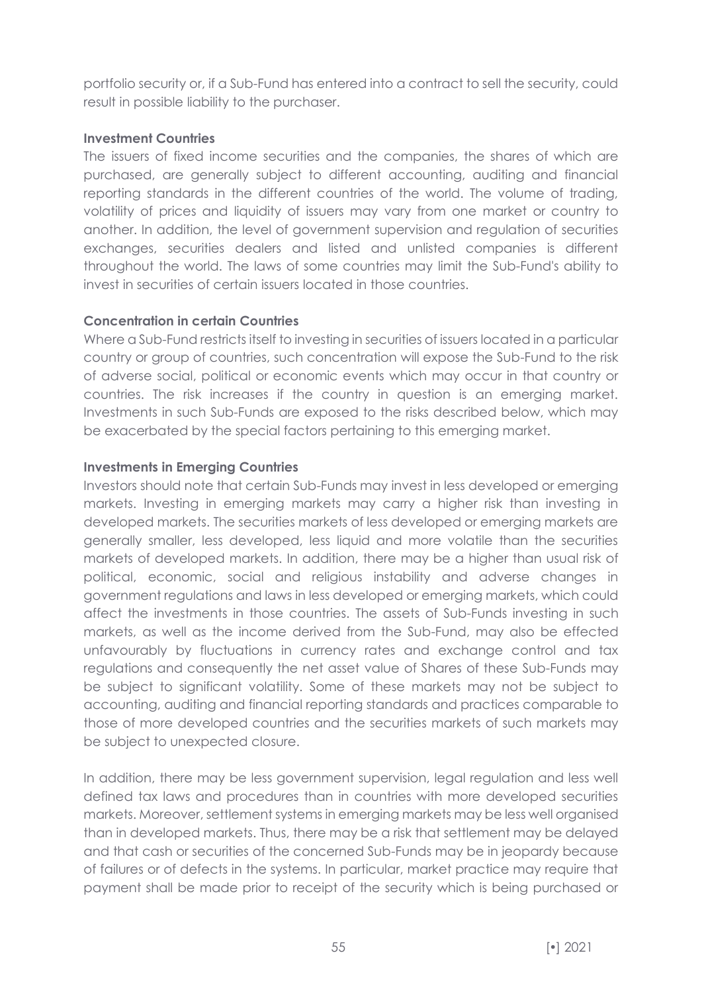portfolio security or, if a Sub-Fund has entered into a contract to sell the security, could result in possible liability to the purchaser.

### **Investment Countries**

The issuers of fixed income securities and the companies, the shares of which are purchased, are generally subject to different accounting, auditing and financial reporting standards in the different countries of the world. The volume of trading, volatility of prices and liquidity of issuers may vary from one market or country to another. In addition, the level of government supervision and regulation of securities exchanges, securities dealers and listed and unlisted companies is different throughout the world. The laws of some countries may limit the Sub-Fund's ability to invest in securities of certain issuers located in those countries.

# **Concentration in certain Countries**

Where a Sub-Fund restricts itself to investing in securities of issuers located in a particular country or group of countries, such concentration will expose the Sub-Fund to the risk of adverse social, political or economic events which may occur in that country or countries. The risk increases if the country in question is an emerging market. Investments in such Sub-Funds are exposed to the risks described below, which may be exacerbated by the special factors pertaining to this emerging market.

# **Investments in Emerging Countries**

Investors should note that certain Sub-Funds may invest in less developed or emerging markets. Investing in emerging markets may carry a higher risk than investing in developed markets. The securities markets of less developed or emerging markets are generally smaller, less developed, less liquid and more volatile than the securities markets of developed markets. In addition, there may be a higher than usual risk of political, economic, social and religious instability and adverse changes in government regulations and laws in less developed or emerging markets, which could affect the investments in those countries. The assets of Sub-Funds investing in such markets, as well as the income derived from the Sub-Fund, may also be effected unfavourably by fluctuations in currency rates and exchange control and tax regulations and consequently the net asset value of Shares of these Sub-Funds may be subject to significant volatility. Some of these markets may not be subject to accounting, auditing and financial reporting standards and practices comparable to those of more developed countries and the securities markets of such markets may be subject to unexpected closure.

In addition, there may be less government supervision, legal regulation and less well defined tax laws and procedures than in countries with more developed securities markets. Moreover, settlement systems in emerging markets may be less well organised than in developed markets. Thus, there may be a risk that settlement may be delayed and that cash or securities of the concerned Sub-Funds may be in jeopardy because of failures or of defects in the systems. In particular, market practice may require that payment shall be made prior to receipt of the security which is being purchased or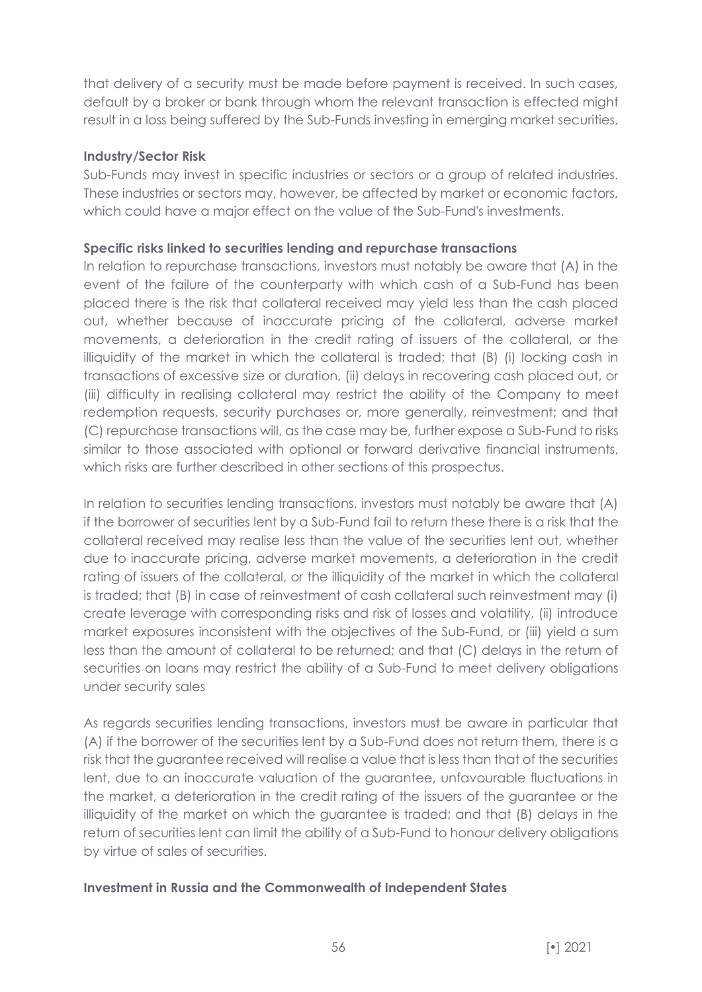that delivery of a security must be made before payment is received. In such cases, default by a broker or bank through whom the relevant transaction is effected might result in a loss being suffered by the Sub-Funds investing in emerging market securities.

### **Industry/Sector Risk**

Sub-Funds may invest in specific industries or sectors or a group of related industries. These industries or sectors may, however, be affected by market or economic factors, which could have a major effect on the value of the Sub-Fund's investments.

# **Specific risks linked to securities lending and repurchase transactions**

In relation to repurchase transactions, investors must notably be aware that (A) in the event of the failure of the counterparty with which cash of a Sub-Fund has been placed there is the risk that collateral received may yield less than the cash placed out, whether because of inaccurate pricing of the collateral, adverse market movements, a deterioration in the credit rating of issuers of the collateral, or the illiquidity of the market in which the collateral is traded; that (B) (i) locking cash in transactions of excessive size or duration, (ii) delays in recovering cash placed out, or (iii) difficulty in realising collateral may restrict the ability of the Company to meet redemption requests, security purchases or, more generally, reinvestment; and that (C) repurchase transactions will, as the case may be, further expose a Sub-Fund to risks similar to those associated with optional or forward derivative financial instruments, which risks are further described in other sections of this prospectus.

In relation to securities lending transactions, investors must notably be aware that (A) if the borrower of securities lent by a Sub-Fund fail to return these there is a risk that the collateral received may realise less than the value of the securities lent out, whether due to inaccurate pricing, adverse market movements, a deterioration in the credit rating of issuers of the collateral, or the illiquidity of the market in which the collateral is traded; that (B) in case of reinvestment of cash collateral such reinvestment may (i) create leverage with corresponding risks and risk of losses and volatility, (ii) introduce market exposures inconsistent with the objectives of the Sub-Fund, or (iii) yield a sum less than the amount of collateral to be returned; and that (C) delays in the return of securities on loans may restrict the ability of a Sub-Fund to meet delivery obligations under security sales

As regards securities lending transactions, investors must be aware in particular that (A) if the borrower of the securities lent by a Sub-Fund does not return them, there is a risk that the guarantee received will realise a value that is less than that of the securities lent, due to an inaccurate valuation of the guarantee, unfavourable fluctuations in the market, a deterioration in the credit rating of the issuers of the guarantee or the illiquidity of the market on which the guarantee is traded; and that (B) delays in the return of securities lent can limit the ability of a Sub-Fund to honour delivery obligations by virtue of sales of securities.

# **Investment in Russia and the Commonwealth of Independent States**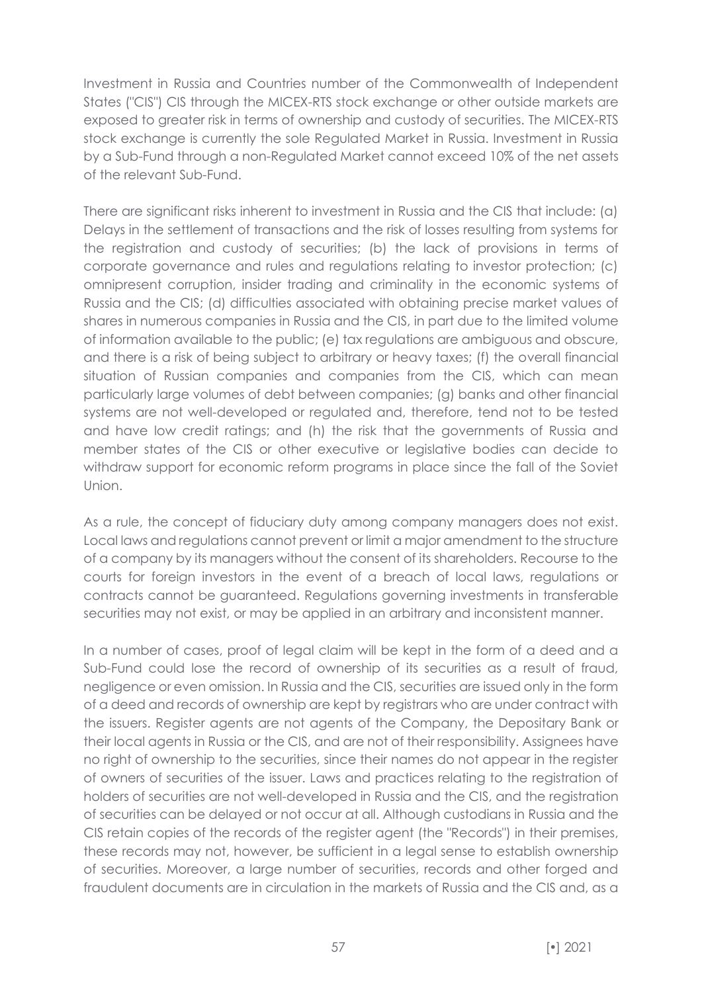Investment in Russia and Countries number of the Commonwealth of Independent States ("CIS") CIS through the MICEX-RTS stock exchange or other outside markets are exposed to greater risk in terms of ownership and custody of securities. The MICEX-RTS stock exchange is currently the sole Regulated Market in Russia. Investment in Russia by a Sub-Fund through a non-Regulated Market cannot exceed 10% of the net assets of the relevant Sub-Fund.

There are significant risks inherent to investment in Russia and the CIS that include: (a) Delays in the settlement of transactions and the risk of losses resulting from systems for the registration and custody of securities; (b) the lack of provisions in terms of corporate governance and rules and regulations relating to investor protection; (c) omnipresent corruption, insider trading and criminality in the economic systems of Russia and the CIS; (d) difficulties associated with obtaining precise market values of shares in numerous companies in Russia and the CIS, in part due to the limited volume of information available to the public; (e) tax regulations are ambiguous and obscure, and there is a risk of being subject to arbitrary or heavy taxes; (f) the overall financial situation of Russian companies and companies from the CIS, which can mean particularly large volumes of debt between companies; (g) banks and other financial systems are not well-developed or regulated and, therefore, tend not to be tested and have low credit ratings; and (h) the risk that the governments of Russia and member states of the CIS or other executive or legislative bodies can decide to withdraw support for economic reform programs in place since the fall of the Soviet Union.

As a rule, the concept of fiduciary duty among company managers does not exist. Local laws and regulations cannot prevent or limit a major amendment to the structure of a company by its managers without the consent of its shareholders. Recourse to the courts for foreign investors in the event of a breach of local laws, regulations or contracts cannot be guaranteed. Regulations governing investments in transferable securities may not exist, or may be applied in an arbitrary and inconsistent manner.

In a number of cases, proof of legal claim will be kept in the form of a deed and a Sub-Fund could lose the record of ownership of its securities as a result of fraud, negligence or even omission. In Russia and the CIS, securities are issued only in the form of a deed and records of ownership are kept by registrars who are under contract with the issuers. Register agents are not agents of the Company, the Depositary Bank or their local agents in Russia or the CIS, and are not of their responsibility. Assignees have no right of ownership to the securities, since their names do not appear in the register of owners of securities of the issuer. Laws and practices relating to the registration of holders of securities are not well-developed in Russia and the CIS, and the registration of securities can be delayed or not occur at all. Although custodians in Russia and the CIS retain copies of the records of the register agent (the "Records") in their premises, these records may not, however, be sufficient in a legal sense to establish ownership of securities. Moreover, a large number of securities, records and other forged and fraudulent documents are in circulation in the markets of Russia and the CIS and, as a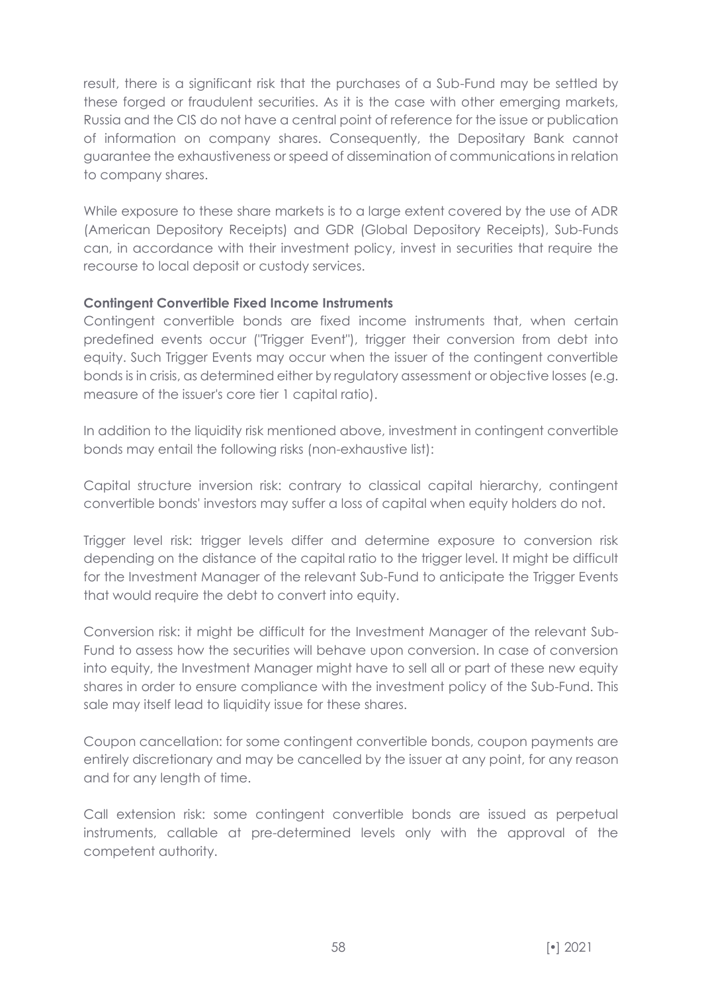result, there is a significant risk that the purchases of a Sub-Fund may be settled by these forged or fraudulent securities. As it is the case with other emerging markets, Russia and the CIS do not have a central point of reference for the issue or publication of information on company shares. Consequently, the Depositary Bank cannot guarantee the exhaustiveness or speed of dissemination of communications in relation to company shares.

While exposure to these share markets is to a large extent covered by the use of ADR (American Depository Receipts) and GDR (Global Depository Receipts), Sub-Funds can, in accordance with their investment policy, invest in securities that require the recourse to local deposit or custody services.

# **Contingent Convertible Fixed Income Instruments**

Contingent convertible bonds are fixed income instruments that, when certain predefined events occur ("Trigger Event"), trigger their conversion from debt into equity. Such Trigger Events may occur when the issuer of the contingent convertible bonds is in crisis, as determined either by regulatory assessment or objective losses (e.g. measure of the issuer's core tier 1 capital ratio).

In addition to the liquidity risk mentioned above, investment in contingent convertible bonds may entail the following risks (non-exhaustive list):

Capital structure inversion risk: contrary to classical capital hierarchy, contingent convertible bonds' investors may suffer a loss of capital when equity holders do not.

Trigger level risk: trigger levels differ and determine exposure to conversion risk depending on the distance of the capital ratio to the trigger level. It might be difficult for the Investment Manager of the relevant Sub-Fund to anticipate the Trigger Events that would require the debt to convert into equity.

Conversion risk: it might be difficult for the Investment Manager of the relevant Sub-Fund to assess how the securities will behave upon conversion. In case of conversion into equity, the Investment Manager might have to sell all or part of these new equity shares in order to ensure compliance with the investment policy of the Sub-Fund. This sale may itself lead to liquidity issue for these shares.

Coupon cancellation: for some contingent convertible bonds, coupon payments are entirely discretionary and may be cancelled by the issuer at any point, for any reason and for any length of time.

Call extension risk: some contingent convertible bonds are issued as perpetual instruments, callable at pre-determined levels only with the approval of the competent authority.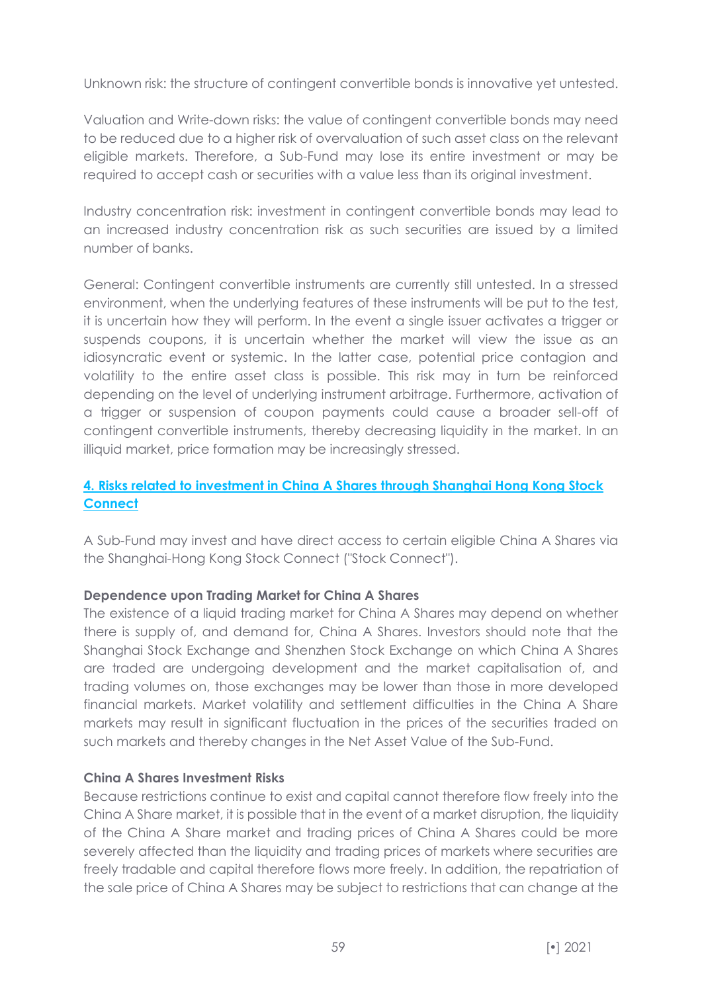Unknown risk: the structure of contingent convertible bonds is innovative yet untested.

Valuation and Write-down risks: the value of contingent convertible bonds may need to be reduced due to a higher risk of overvaluation of such asset class on the relevant eligible markets. Therefore, a Sub-Fund may lose its entire investment or may be required to accept cash or securities with a value less than its original investment.

Industry concentration risk: investment in contingent convertible bonds may lead to an increased industry concentration risk as such securities are issued by a limited number of banks.

General: Contingent convertible instruments are currently still untested. In a stressed environment, when the underlying features of these instruments will be put to the test, it is uncertain how they will perform. In the event a single issuer activates a trigger or suspends coupons, it is uncertain whether the market will view the issue as an idiosyncratic event or systemic. In the latter case, potential price contagion and volatility to the entire asset class is possible. This risk may in turn be reinforced depending on the level of underlying instrument arbitrage. Furthermore, activation of a trigger or suspension of coupon payments could cause a broader sell-off of contingent convertible instruments, thereby decreasing liquidity in the market. In an illiquid market, price formation may be increasingly stressed.

# **4. Risks related to investment in China A Shares through Shanghai Hong Kong Stock Connect**

A Sub-Fund may invest and have direct access to certain eligible China A Shares via the Shanghai-Hong Kong Stock Connect ("Stock Connect").

# **Dependence upon Trading Market for China A Shares**

The existence of a liquid trading market for China A Shares may depend on whether there is supply of, and demand for, China A Shares. Investors should note that the Shanghai Stock Exchange and Shenzhen Stock Exchange on which China A Shares are traded are undergoing development and the market capitalisation of, and trading volumes on, those exchanges may be lower than those in more developed financial markets. Market volatility and settlement difficulties in the China A Share markets may result in significant fluctuation in the prices of the securities traded on such markets and thereby changes in the Net Asset Value of the Sub-Fund.

#### **China A Shares Investment Risks**

Because restrictions continue to exist and capital cannot therefore flow freely into the China A Share market, it is possible that in the event of a market disruption, the liquidity of the China A Share market and trading prices of China A Shares could be more severely affected than the liquidity and trading prices of markets where securities are freely tradable and capital therefore flows more freely. In addition, the repatriation of the sale price of China A Shares may be subject to restrictions that can change at the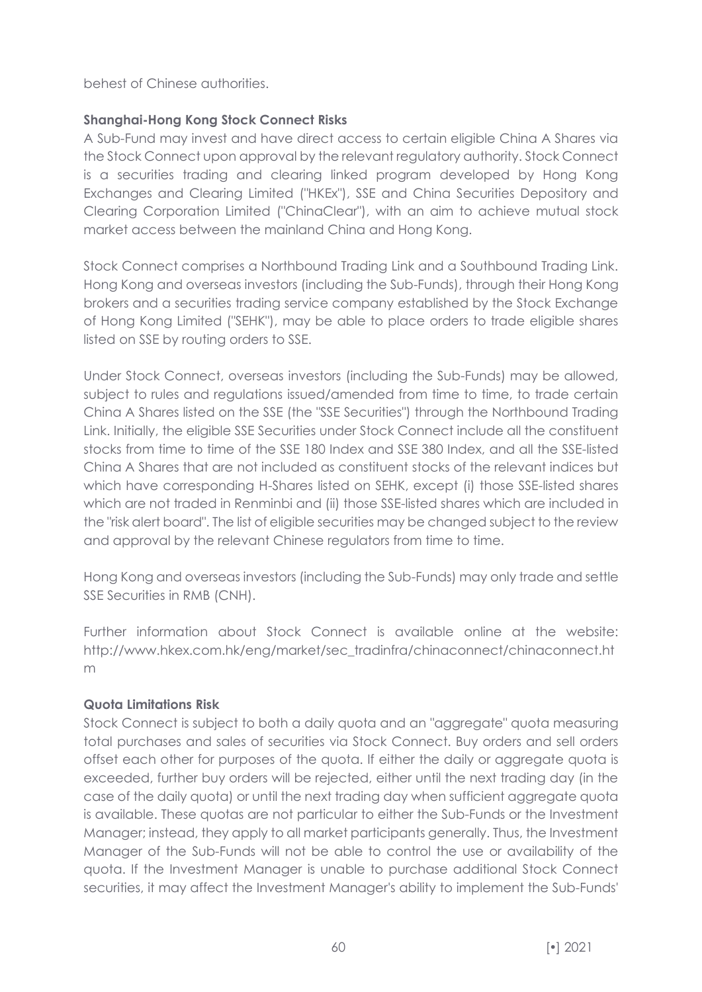behest of Chinese authorities.

# **Shanghai-Hong Kong Stock Connect Risks**

A Sub-Fund may invest and have direct access to certain eligible China A Shares via the Stock Connect upon approval by the relevant regulatory authority. Stock Connect is a securities trading and clearing linked program developed by Hong Kong Exchanges and Clearing Limited ("HKEx"), SSE and China Securities Depository and Clearing Corporation Limited ("ChinaClear"), with an aim to achieve mutual stock market access between the mainland China and Hong Kong.

Stock Connect comprises a Northbound Trading Link and a Southbound Trading Link. Hong Kong and overseas investors (including the Sub-Funds), through their Hong Kong brokers and a securities trading service company established by the Stock Exchange of Hong Kong Limited ("SEHK"), may be able to place orders to trade eligible shares listed on SSE by routing orders to SSE.

Under Stock Connect, overseas investors (including the Sub-Funds) may be allowed, subject to rules and regulations issued/amended from time to time, to trade certain China A Shares listed on the SSE (the "SSE Securities") through the Northbound Trading Link. Initially, the eligible SSE Securities under Stock Connect include all the constituent stocks from time to time of the SSE 180 Index and SSE 380 Index, and all the SSE-listed China A Shares that are not included as constituent stocks of the relevant indices but which have corresponding H-Shares listed on SEHK, except (i) those SSE-listed shares which are not traded in Renminbi and (ii) those SSE-listed shares which are included in the "risk alert board". The list of eligible securities may be changed subject to the review and approval by the relevant Chinese regulators from time to time.

Hong Kong and overseas investors (including the Sub-Funds) may only trade and settle SSE Securities in RMB (CNH).

Further information about Stock Connect is available online at the website: http://www.hkex.com.hk/eng/market/sec\_tradinfra/chinaconnect/chinaconnect.ht m

# **Quota Limitations Risk**

Stock Connect is subject to both a daily quota and an "aggregate" quota measuring total purchases and sales of securities via Stock Connect. Buy orders and sell orders offset each other for purposes of the quota. If either the daily or aggregate quota is exceeded, further buy orders will be rejected, either until the next trading day (in the case of the daily quota) or until the next trading day when sufficient aggregate quota is available. These quotas are not particular to either the Sub-Funds or the Investment Manager; instead, they apply to all market participants generally. Thus, the Investment Manager of the Sub-Funds will not be able to control the use or availability of the quota. If the Investment Manager is unable to purchase additional Stock Connect securities, it may affect the Investment Manager's ability to implement the Sub-Funds'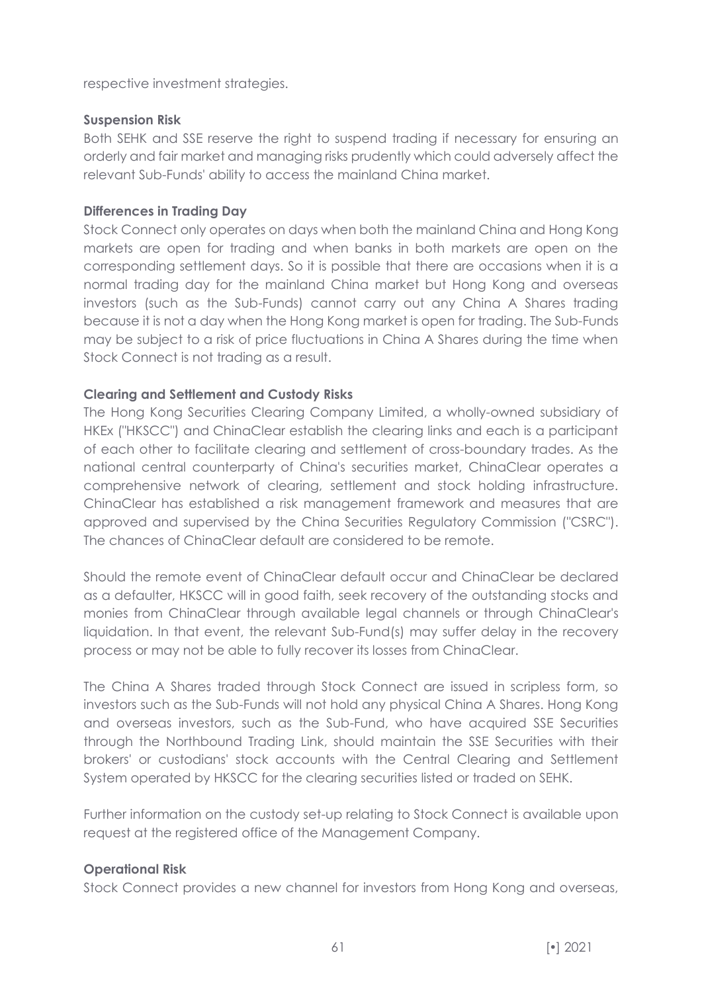respective investment strategies.

# **Suspension Risk**

Both SEHK and SSE reserve the right to suspend trading if necessary for ensuring an orderly and fair market and managing risks prudently which could adversely affect the relevant Sub-Funds' ability to access the mainland China market.

# **Differences in Trading Day**

Stock Connect only operates on days when both the mainland China and Hong Kong markets are open for trading and when banks in both markets are open on the corresponding settlement days. So it is possible that there are occasions when it is a normal trading day for the mainland China market but Hong Kong and overseas investors (such as the Sub-Funds) cannot carry out any China A Shares trading because it is not a day when the Hong Kong market is open for trading. The Sub-Funds may be subject to a risk of price fluctuations in China A Shares during the time when Stock Connect is not trading as a result.

# **Clearing and Settlement and Custody Risks**

The Hong Kong Securities Clearing Company Limited, a wholly-owned subsidiary of HKEx ("HKSCC") and ChinaClear establish the clearing links and each is a participant of each other to facilitate clearing and settlement of cross-boundary trades. As the national central counterparty of China's securities market, ChinaClear operates a comprehensive network of clearing, settlement and stock holding infrastructure. ChinaClear has established a risk management framework and measures that are approved and supervised by the China Securities Regulatory Commission ("CSRC"). The chances of ChinaClear default are considered to be remote.

Should the remote event of ChinaClear default occur and ChinaClear be declared as a defaulter, HKSCC will in good faith, seek recovery of the outstanding stocks and monies from ChinaClear through available legal channels or through ChinaClear's liquidation. In that event, the relevant Sub-Fund(s) may suffer delay in the recovery process or may not be able to fully recover its losses from ChinaClear.

The China A Shares traded through Stock Connect are issued in scripless form, so investors such as the Sub-Funds will not hold any physical China A Shares. Hong Kong and overseas investors, such as the Sub-Fund, who have acquired SSE Securities through the Northbound Trading Link, should maintain the SSE Securities with their brokers' or custodians' stock accounts with the Central Clearing and Settlement System operated by HKSCC for the clearing securities listed or traded on SEHK.

Further information on the custody set-up relating to Stock Connect is available upon request at the registered office of the Management Company.

# **Operational Risk**

Stock Connect provides a new channel for investors from Hong Kong and overseas,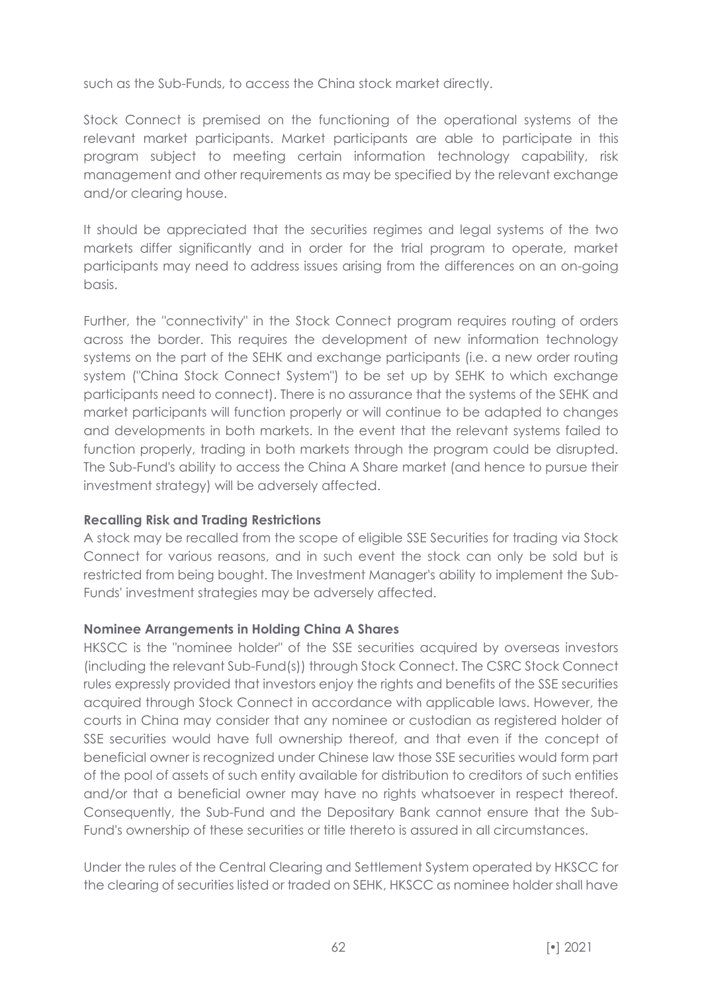such as the Sub-Funds, to access the China stock market directly.

Stock Connect is premised on the functioning of the operational systems of the relevant market participants. Market participants are able to participate in this program subject to meeting certain information technology capability, risk management and other requirements as may be specified by the relevant exchange and/or clearing house.

It should be appreciated that the securities regimes and legal systems of the two markets differ significantly and in order for the trial program to operate, market participants may need to address issues arising from the differences on an on-going basis.

Further, the "connectivity" in the Stock Connect program requires routing of orders across the border. This requires the development of new information technology systems on the part of the SEHK and exchange participants (i.e. a new order routing system ("China Stock Connect System") to be set up by SEHK to which exchange participants need to connect). There is no assurance that the systems of the SEHK and market participants will function properly or will continue to be adapted to changes and developments in both markets. In the event that the relevant systems failed to function properly, trading in both markets through the program could be disrupted. The Sub-Fund's ability to access the China A Share market (and hence to pursue their investment strategy) will be adversely affected.

#### **Recalling Risk and Trading Restrictions**

A stock may be recalled from the scope of eligible SSE Securities for trading via Stock Connect for various reasons, and in such event the stock can only be sold but is restricted from being bought. The Investment Manager's ability to implement the Sub-Funds' investment strategies may be adversely affected.

# **Nominee Arrangements in Holding China A Shares**

HKSCC is the "nominee holder" of the SSE securities acquired by overseas investors (including the relevant Sub-Fund(s)) through Stock Connect. The CSRC Stock Connect rules expressly provided that investors enjoy the rights and benefits of the SSE securities acquired through Stock Connect in accordance with applicable laws. However, the courts in China may consider that any nominee or custodian as registered holder of SSE securities would have full ownership thereof, and that even if the concept of beneficial owner is recognized under Chinese law those SSE securities would form part of the pool of assets of such entity available for distribution to creditors of such entities and/or that a beneficial owner may have no rights whatsoever in respect thereof. Consequently, the Sub-Fund and the Depositary Bank cannot ensure that the Sub-Fund's ownership of these securities or title thereto is assured in all circumstances.

Under the rules of the Central Clearing and Settlement System operated by HKSCC for the clearing of securities listed or traded on SEHK, HKSCC as nominee holder shall have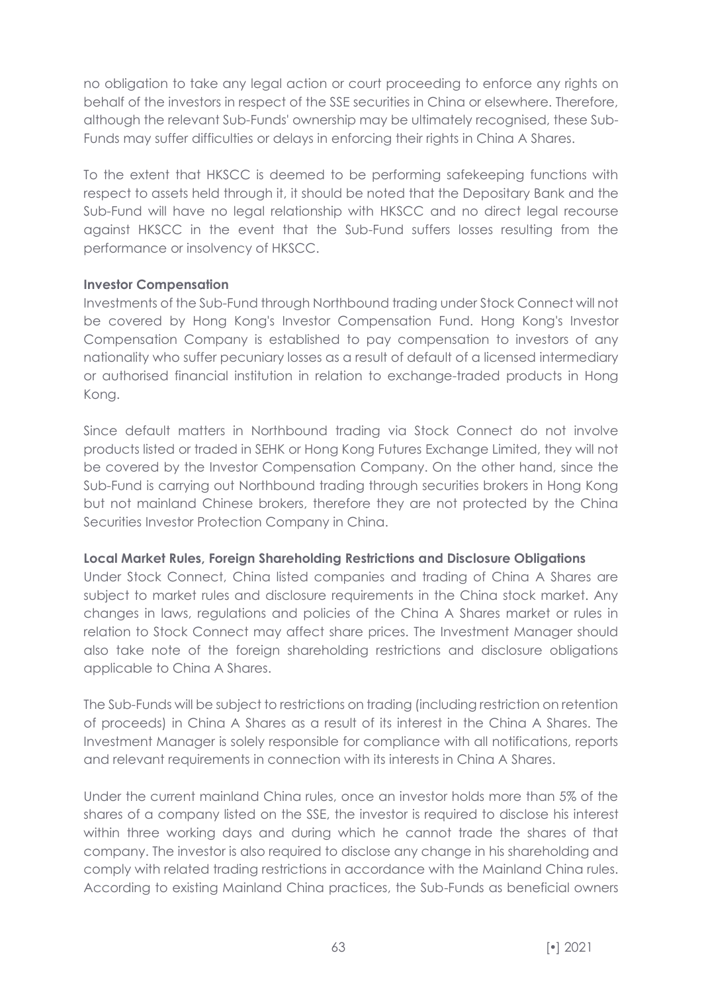no obligation to take any legal action or court proceeding to enforce any rights on behalf of the investors in respect of the SSE securities in China or elsewhere. Therefore, although the relevant Sub-Funds' ownership may be ultimately recognised, these Sub-Funds may suffer difficulties or delays in enforcing their rights in China A Shares.

To the extent that HKSCC is deemed to be performing safekeeping functions with respect to assets held through it, it should be noted that the Depositary Bank and the Sub-Fund will have no legal relationship with HKSCC and no direct legal recourse against HKSCC in the event that the Sub-Fund suffers losses resulting from the performance or insolvency of HKSCC.

#### **Investor Compensation**

Investments of the Sub-Fund through Northbound trading under Stock Connect will not be covered by Hong Kong's Investor Compensation Fund. Hong Kong's Investor Compensation Company is established to pay compensation to investors of any nationality who suffer pecuniary losses as a result of default of a licensed intermediary or authorised financial institution in relation to exchange-traded products in Hong Kong.

Since default matters in Northbound trading via Stock Connect do not involve products listed or traded in SEHK or Hong Kong Futures Exchange Limited, they will not be covered by the Investor Compensation Company. On the other hand, since the Sub-Fund is carrying out Northbound trading through securities brokers in Hong Kong but not mainland Chinese brokers, therefore they are not protected by the China Securities Investor Protection Company in China.

#### **Local Market Rules, Foreign Shareholding Restrictions and Disclosure Obligations**

Under Stock Connect, China listed companies and trading of China A Shares are subject to market rules and disclosure requirements in the China stock market. Any changes in laws, regulations and policies of the China A Shares market or rules in relation to Stock Connect may affect share prices. The Investment Manager should also take note of the foreign shareholding restrictions and disclosure obligations applicable to China A Shares.

The Sub-Funds will be subject to restrictions on trading (including restriction on retention of proceeds) in China A Shares as a result of its interest in the China A Shares. The Investment Manager is solely responsible for compliance with all notifications, reports and relevant requirements in connection with its interests in China A Shares.

Under the current mainland China rules, once an investor holds more than 5% of the shares of a company listed on the SSE, the investor is required to disclose his interest within three working days and during which he cannot trade the shares of that company. The investor is also required to disclose any change in his shareholding and comply with related trading restrictions in accordance with the Mainland China rules. According to existing Mainland China practices, the Sub-Funds as beneficial owners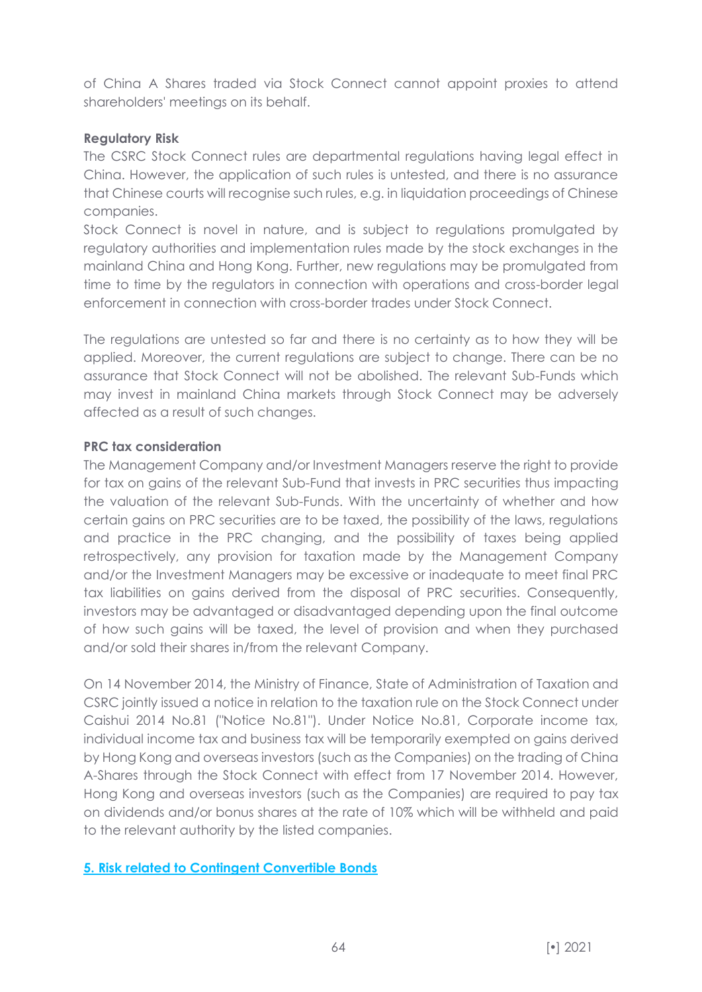of China A Shares traded via Stock Connect cannot appoint proxies to attend shareholders' meetings on its behalf.

# **Regulatory Risk**

The CSRC Stock Connect rules are departmental regulations having legal effect in China. However, the application of such rules is untested, and there is no assurance that Chinese courts will recognise such rules, e.g. in liquidation proceedings of Chinese companies.

Stock Connect is novel in nature, and is subject to regulations promulgated by regulatory authorities and implementation rules made by the stock exchanges in the mainland China and Hong Kong. Further, new regulations may be promulgated from time to time by the regulators in connection with operations and cross-border legal enforcement in connection with cross-border trades under Stock Connect.

The regulations are untested so far and there is no certainty as to how they will be applied. Moreover, the current regulations are subject to change. There can be no assurance that Stock Connect will not be abolished. The relevant Sub-Funds which may invest in mainland China markets through Stock Connect may be adversely affected as a result of such changes.

# **PRC tax consideration**

The Management Company and/or Investment Managers reserve the right to provide for tax on gains of the relevant Sub-Fund that invests in PRC securities thus impacting the valuation of the relevant Sub-Funds. With the uncertainty of whether and how certain gains on PRC securities are to be taxed, the possibility of the laws, regulations and practice in the PRC changing, and the possibility of taxes being applied retrospectively, any provision for taxation made by the Management Company and/or the Investment Managers may be excessive or inadequate to meet final PRC tax liabilities on gains derived from the disposal of PRC securities. Consequently, investors may be advantaged or disadvantaged depending upon the final outcome of how such gains will be taxed, the level of provision and when they purchased and/or sold their shares in/from the relevant Company.

On 14 November 2014, the Ministry of Finance, State of Administration of Taxation and CSRC jointly issued a notice in relation to the taxation rule on the Stock Connect under Caishui 2014 No.81 ("Notice No.81"). Under Notice No.81, Corporate income tax, individual income tax and business tax will be temporarily exempted on gains derived by Hong Kong and overseas investors (such as the Companies) on the trading of China A-Shares through the Stock Connect with effect from 17 November 2014. However, Hong Kong and overseas investors (such as the Companies) are required to pay tax on dividends and/or bonus shares at the rate of 10% which will be withheld and paid to the relevant authority by the listed companies.

# **5. Risk related to Contingent Convertible Bonds**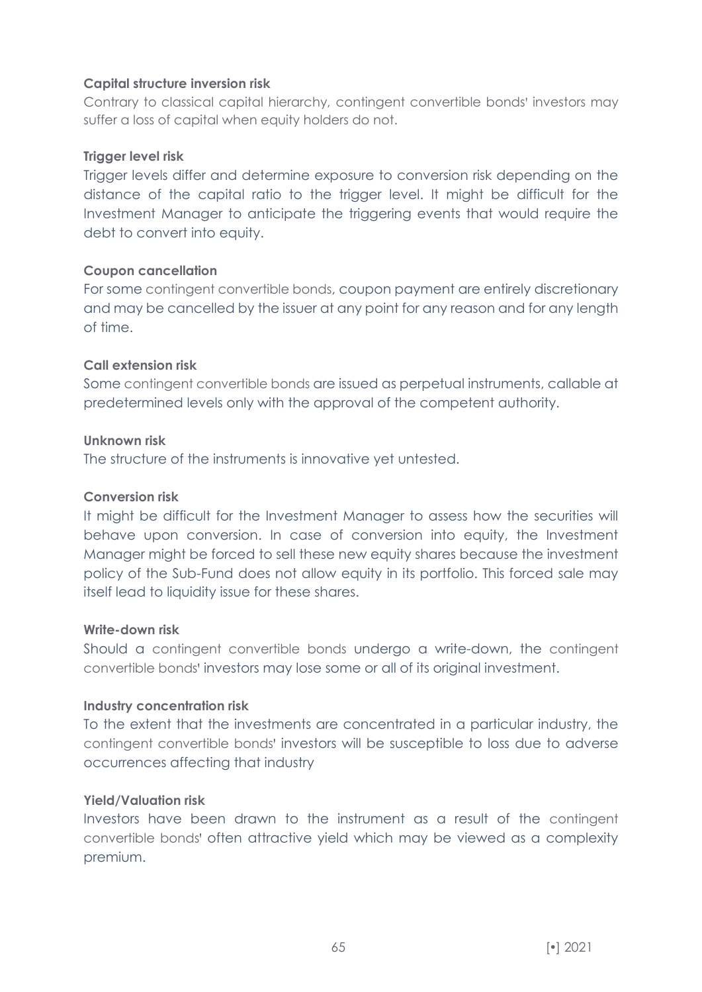### **Capital structure inversion risk**

Contrary to classical capital hierarchy, contingent convertible bonds' investors may suffer a loss of capital when equity holders do not.

### **Trigger level risk**

Trigger levels differ and determine exposure to conversion risk depending on the distance of the capital ratio to the trigger level. It might be difficult for the Investment Manager to anticipate the triggering events that would require the debt to convert into equity.

#### **Coupon cancellation**

For some contingent convertible bonds, coupon payment are entirely discretionary and may be cancelled by the issuer at any point for any reason and for any length of time.

# **Call extension risk**

Some contingent convertible bonds are issued as perpetual instruments, callable at predetermined levels only with the approval of the competent authority.

# **Unknown risk**

The structure of the instruments is innovative yet untested.

#### **Conversion risk**

It might be difficult for the Investment Manager to assess how the securities will behave upon conversion. In case of conversion into equity, the Investment Manager might be forced to sell these new equity shares because the investment policy of the Sub-Fund does not allow equity in its portfolio. This forced sale may itself lead to liquidity issue for these shares.

#### **Write-down risk**

Should a contingent convertible bonds undergo a write-down, the contingent convertible bonds' investors may lose some or all of its original investment.

#### **Industry concentration risk**

To the extent that the investments are concentrated in a particular industry, the contingent convertible bonds' investors will be susceptible to loss due to adverse occurrences affecting that industry

#### **Yield/Valuation risk**

Investors have been drawn to the instrument as a result of the contingent convertible bonds' often attractive yield which may be viewed as a complexity premium.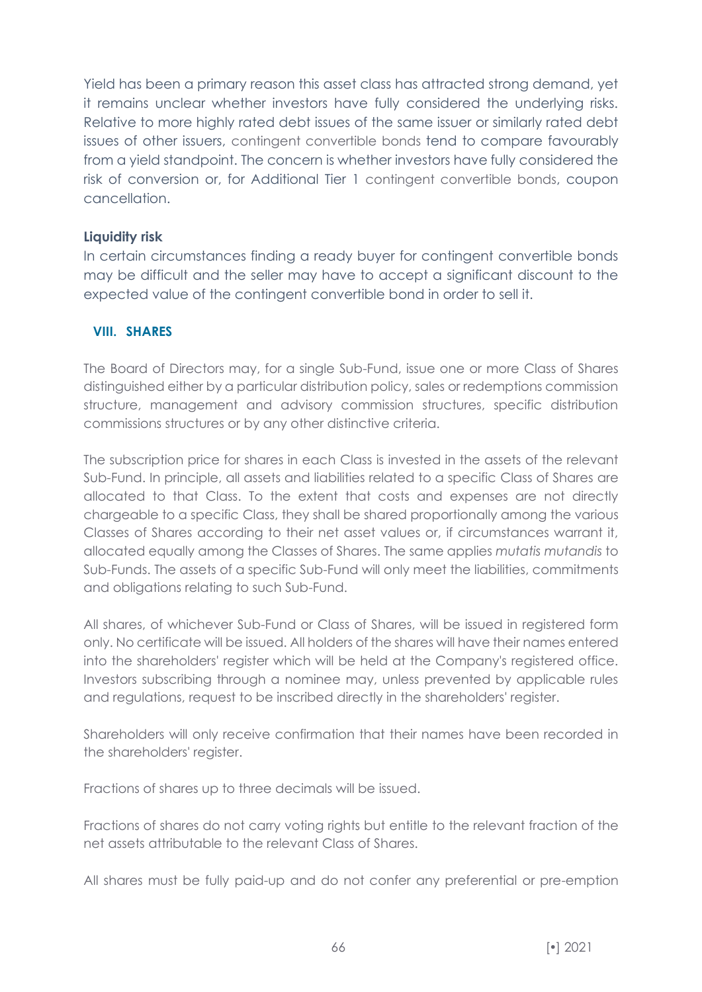Yield has been a primary reason this asset class has attracted strong demand, yet it remains unclear whether investors have fully considered the underlying risks. Relative to more highly rated debt issues of the same issuer or similarly rated debt issues of other issuers, contingent convertible bonds tend to compare favourably from a yield standpoint. The concern is whether investors have fully considered the risk of conversion or, for Additional Tier 1 contingent convertible bonds, coupon cancellation.

# **Liquidity risk**

In certain circumstances finding a ready buyer for contingent convertible bonds may be difficult and the seller may have to accept a significant discount to the expected value of the contingent convertible bond in order to sell it.

# **VIII. SHARES**

The Board of Directors may, for a single Sub-Fund, issue one or more Class of Shares distinguished either by a particular distribution policy, sales or redemptions commission structure, management and advisory commission structures, specific distribution commissions structures or by any other distinctive criteria.

The subscription price for shares in each Class is invested in the assets of the relevant Sub-Fund. In principle, all assets and liabilities related to a specific Class of Shares are allocated to that Class. To the extent that costs and expenses are not directly chargeable to a specific Class, they shall be shared proportionally among the various Classes of Shares according to their net asset values or, if circumstances warrant it, allocated equally among the Classes of Shares. The same applies *mutatis mutandis* to Sub-Funds. The assets of a specific Sub-Fund will only meet the liabilities, commitments and obligations relating to such Sub-Fund.

All shares, of whichever Sub-Fund or Class of Shares, will be issued in registered form only. No certificate will be issued. All holders of the shares will have their names entered into the shareholders' register which will be held at the Company's registered office. Investors subscribing through a nominee may, unless prevented by applicable rules and regulations, request to be inscribed directly in the shareholders' register.

Shareholders will only receive confirmation that their names have been recorded in the shareholders' register.

Fractions of shares up to three decimals will be issued.

Fractions of shares do not carry voting rights but entitle to the relevant fraction of the net assets attributable to the relevant Class of Shares.

All shares must be fully paid-up and do not confer any preferential or pre-emption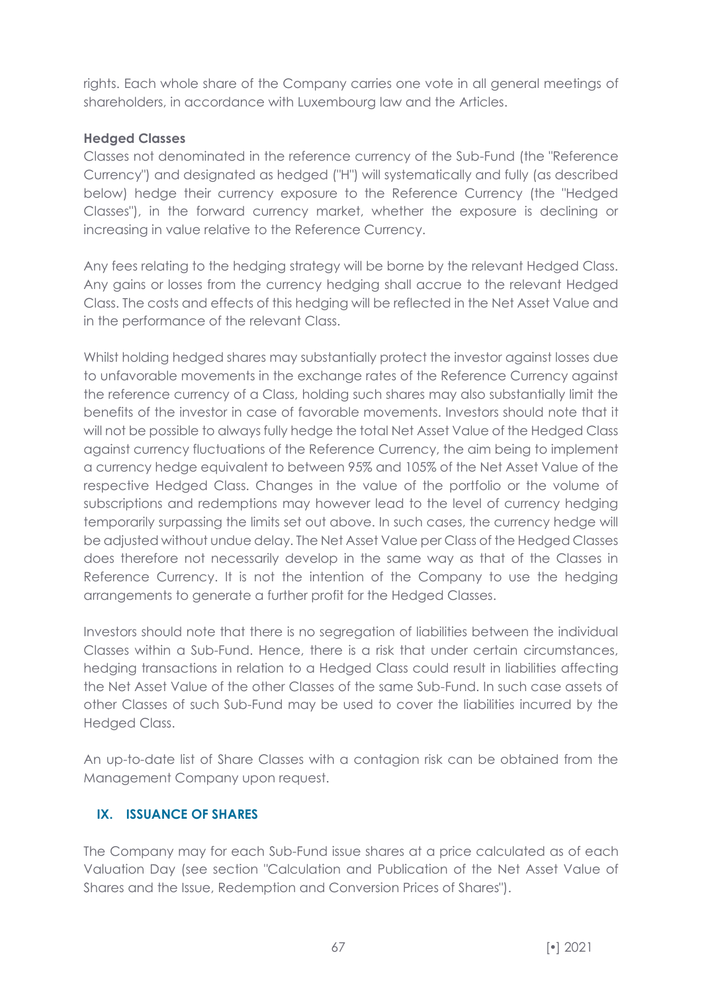rights. Each whole share of the Company carries one vote in all general meetings of shareholders, in accordance with Luxembourg law and the Articles.

# **Hedged Classes**

Classes not denominated in the reference currency of the Sub-Fund (the "Reference Currency") and designated as hedged ("H") will systematically and fully (as described below) hedge their currency exposure to the Reference Currency (the "Hedged Classes"), in the forward currency market, whether the exposure is declining or increasing in value relative to the Reference Currency.

Any fees relating to the hedging strategy will be borne by the relevant Hedged Class. Any gains or losses from the currency hedging shall accrue to the relevant Hedged Class. The costs and effects of this hedging will be reflected in the Net Asset Value and in the performance of the relevant Class.

Whilst holding hedged shares may substantially protect the investor against losses due to unfavorable movements in the exchange rates of the Reference Currency against the reference currency of a Class, holding such shares may also substantially limit the benefits of the investor in case of favorable movements. Investors should note that it will not be possible to always fully hedge the total Net Asset Value of the Hedged Class against currency fluctuations of the Reference Currency, the aim being to implement a currency hedge equivalent to between 95% and 105% of the Net Asset Value of the respective Hedged Class. Changes in the value of the portfolio or the volume of subscriptions and redemptions may however lead to the level of currency hedging temporarily surpassing the limits set out above. In such cases, the currency hedge will be adjusted without undue delay. The Net Asset Value per Class of the Hedged Classes does therefore not necessarily develop in the same way as that of the Classes in Reference Currency. It is not the intention of the Company to use the hedging arrangements to generate a further profit for the Hedged Classes.

Investors should note that there is no segregation of liabilities between the individual Classes within a Sub-Fund. Hence, there is a risk that under certain circumstances, hedging transactions in relation to a Hedged Class could result in liabilities affecting the Net Asset Value of the other Classes of the same Sub-Fund. In such case assets of other Classes of such Sub-Fund may be used to cover the liabilities incurred by the Hedged Class.

An up-to-date list of Share Classes with a contagion risk can be obtained from the Management Company upon request.

# **IX. ISSUANCE OF SHARES**

The Company may for each Sub-Fund issue shares at a price calculated as of each Valuation Day (see section "Calculation and Publication of the Net Asset Value of Shares and the Issue, Redemption and Conversion Prices of Shares").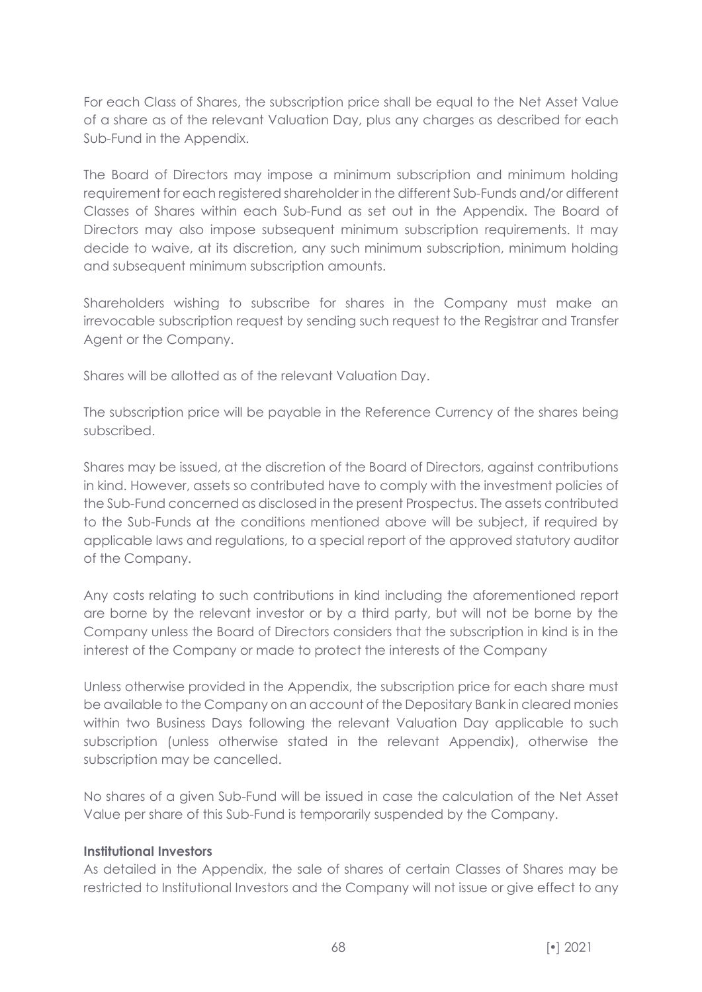For each Class of Shares, the subscription price shall be equal to the Net Asset Value of a share as of the relevant Valuation Day, plus any charges as described for each Sub-Fund in the Appendix.

The Board of Directors may impose a minimum subscription and minimum holding requirement for each registered shareholder in the different Sub-Funds and/or different Classes of Shares within each Sub-Fund as set out in the Appendix. The Board of Directors may also impose subsequent minimum subscription requirements. It may decide to waive, at its discretion, any such minimum subscription, minimum holding and subsequent minimum subscription amounts.

Shareholders wishing to subscribe for shares in the Company must make an irrevocable subscription request by sending such request to the Registrar and Transfer Agent or the Company.

Shares will be allotted as of the relevant Valuation Day.

The subscription price will be payable in the Reference Currency of the shares being subscribed.

Shares may be issued, at the discretion of the Board of Directors, against contributions in kind. However, assets so contributed have to comply with the investment policies of the Sub-Fund concerned as disclosed in the present Prospectus. The assets contributed to the Sub-Funds at the conditions mentioned above will be subject, if required by applicable laws and regulations, to a special report of the approved statutory auditor of the Company.

Any costs relating to such contributions in kind including the aforementioned report are borne by the relevant investor or by a third party, but will not be borne by the Company unless the Board of Directors considers that the subscription in kind is in the interest of the Company or made to protect the interests of the Company

Unless otherwise provided in the Appendix, the subscription price for each share must be available to the Company on an account of the Depositary Bank in cleared monies within two Business Days following the relevant Valuation Day applicable to such subscription (unless otherwise stated in the relevant Appendix), otherwise the subscription may be cancelled.

No shares of a given Sub-Fund will be issued in case the calculation of the Net Asset Value per share of this Sub-Fund is temporarily suspended by the Company.

#### **Institutional Investors**

As detailed in the Appendix, the sale of shares of certain Classes of Shares may be restricted to Institutional Investors and the Company will not issue or give effect to any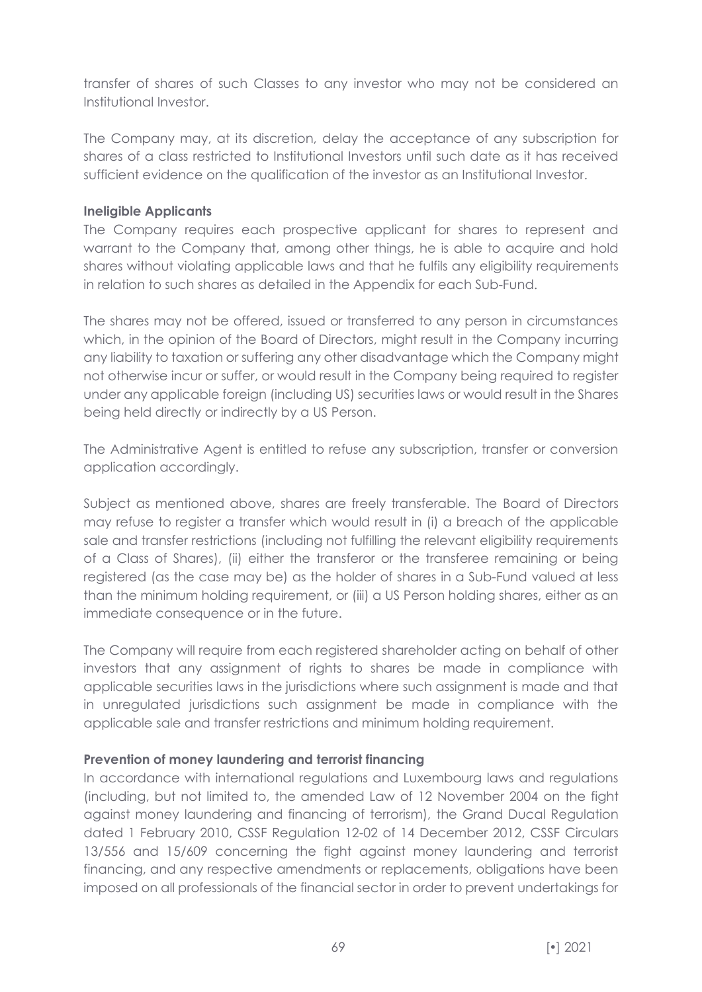transfer of shares of such Classes to any investor who may not be considered an Institutional Investor.

The Company may, at its discretion, delay the acceptance of any subscription for shares of a class restricted to Institutional Investors until such date as it has received sufficient evidence on the qualification of the investor as an Institutional Investor.

#### **Ineligible Applicants**

The Company requires each prospective applicant for shares to represent and warrant to the Company that, among other things, he is able to acquire and hold shares without violating applicable laws and that he fulfils any eligibility requirements in relation to such shares as detailed in the Appendix for each Sub-Fund.

The shares may not be offered, issued or transferred to any person in circumstances which, in the opinion of the Board of Directors, might result in the Company incurring any liability to taxation or suffering any other disadvantage which the Company might not otherwise incur or suffer, or would result in the Company being required to register under any applicable foreign (including US) securities laws or would result in the Shares being held directly or indirectly by a US Person.

The Administrative Agent is entitled to refuse any subscription, transfer or conversion application accordingly.

Subject as mentioned above, shares are freely transferable. The Board of Directors may refuse to register a transfer which would result in (i) a breach of the applicable sale and transfer restrictions (including not fulfilling the relevant eligibility requirements of a Class of Shares), (ii) either the transferor or the transferee remaining or being registered (as the case may be) as the holder of shares in a Sub-Fund valued at less than the minimum holding requirement, or (iii) a US Person holding shares, either as an immediate consequence or in the future.

The Company will require from each registered shareholder acting on behalf of other investors that any assignment of rights to shares be made in compliance with applicable securities laws in the jurisdictions where such assignment is made and that in unregulated jurisdictions such assignment be made in compliance with the applicable sale and transfer restrictions and minimum holding requirement.

#### **Prevention of money laundering and terrorist financing**

In accordance with international regulations and Luxembourg laws and regulations (including, but not limited to, the amended Law of 12 November 2004 on the fight against money laundering and financing of terrorism), the Grand Ducal Regulation dated 1 February 2010, CSSF Regulation 12-02 of 14 December 2012, CSSF Circulars 13/556 and 15/609 concerning the fight against money laundering and terrorist financing, and any respective amendments or replacements, obligations have been imposed on all professionals of the financial sector in order to prevent undertakings for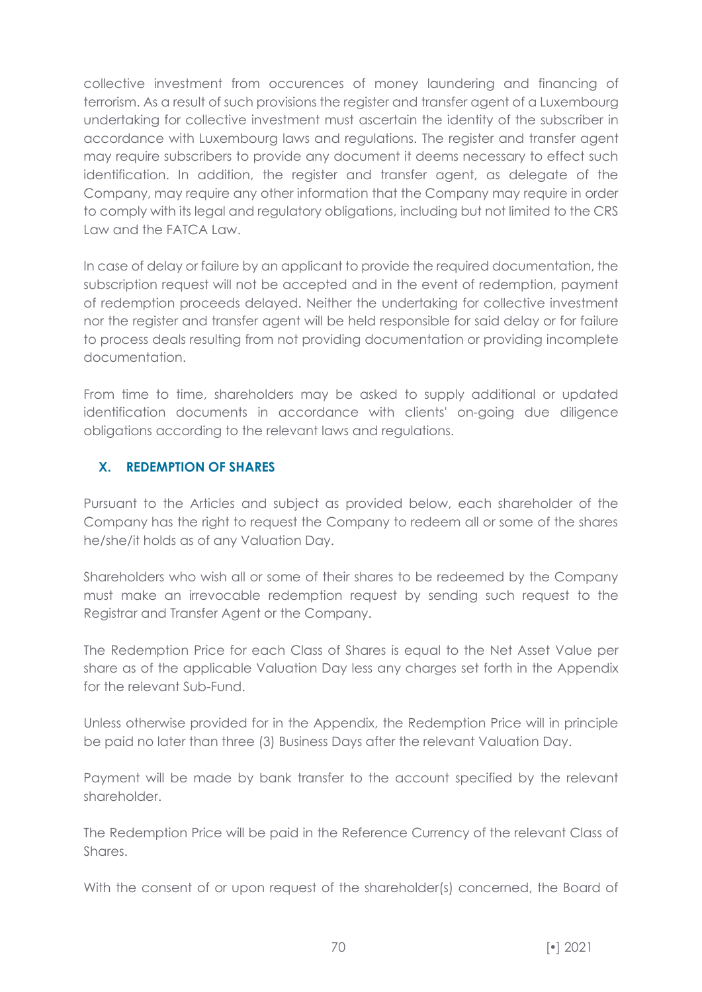collective investment from occurences of money laundering and financing of terrorism. As a result of such provisions the register and transfer agent of a Luxembourg undertaking for collective investment must ascertain the identity of the subscriber in accordance with Luxembourg laws and regulations. The register and transfer agent may require subscribers to provide any document it deems necessary to effect such identification. In addition, the register and transfer agent, as delegate of the Company, may require any other information that the Company may require in order to comply with its legal and regulatory obligations, including but not limited to the CRS Law and the FATCA Law.

In case of delay or failure by an applicant to provide the required documentation, the subscription request will not be accepted and in the event of redemption, payment of redemption proceeds delayed. Neither the undertaking for collective investment nor the register and transfer agent will be held responsible for said delay or for failure to process deals resulting from not providing documentation or providing incomplete documentation.

From time to time, shareholders may be asked to supply additional or updated identification documents in accordance with clients' on-going due diligence obligations according to the relevant laws and regulations.

# **X. REDEMPTION OF SHARES**

Pursuant to the Articles and subject as provided below, each shareholder of the Company has the right to request the Company to redeem all or some of the shares he/she/it holds as of any Valuation Day.

Shareholders who wish all or some of their shares to be redeemed by the Company must make an irrevocable redemption request by sending such request to the Registrar and Transfer Agent or the Company.

The Redemption Price for each Class of Shares is equal to the Net Asset Value per share as of the applicable Valuation Day less any charges set forth in the Appendix for the relevant Sub-Fund.

Unless otherwise provided for in the Appendix, the Redemption Price will in principle be paid no later than three (3) Business Days after the relevant Valuation Day.

Payment will be made by bank transfer to the account specified by the relevant shareholder.

The Redemption Price will be paid in the Reference Currency of the relevant Class of Shares.

With the consent of or upon request of the shareholder(s) concerned, the Board of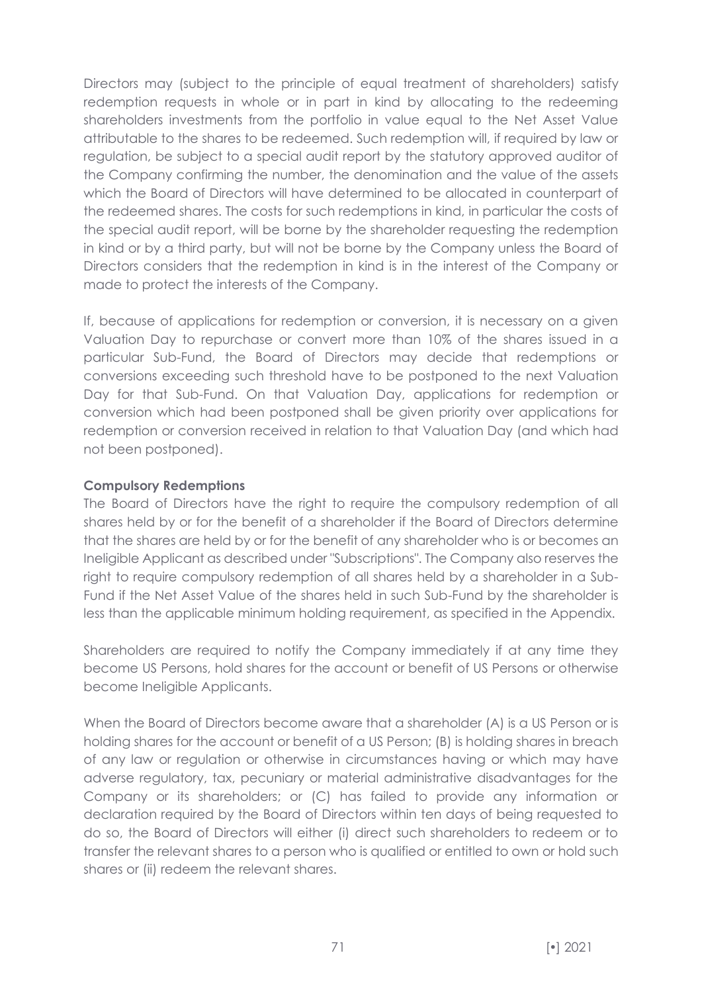Directors may (subject to the principle of equal treatment of shareholders) satisfy redemption requests in whole or in part in kind by allocating to the redeeming shareholders investments from the portfolio in value equal to the Net Asset Value attributable to the shares to be redeemed. Such redemption will, if required by law or regulation, be subject to a special audit report by the statutory approved auditor of the Company confirming the number, the denomination and the value of the assets which the Board of Directors will have determined to be allocated in counterpart of the redeemed shares. The costs for such redemptions in kind, in particular the costs of the special audit report, will be borne by the shareholder requesting the redemption in kind or by a third party, but will not be borne by the Company unless the Board of Directors considers that the redemption in kind is in the interest of the Company or made to protect the interests of the Company.

If, because of applications for redemption or conversion, it is necessary on a given Valuation Day to repurchase or convert more than 10% of the shares issued in a particular Sub-Fund, the Board of Directors may decide that redemptions or conversions exceeding such threshold have to be postponed to the next Valuation Day for that Sub-Fund. On that Valuation Day, applications for redemption or conversion which had been postponed shall be given priority over applications for redemption or conversion received in relation to that Valuation Day (and which had not been postponed).

# **Compulsory Redemptions**

The Board of Directors have the right to require the compulsory redemption of all shares held by or for the benefit of a shareholder if the Board of Directors determine that the shares are held by or for the benefit of any shareholder who is or becomes an Ineligible Applicant as described under "Subscriptions". The Company also reserves the right to require compulsory redemption of all shares held by a shareholder in a Sub-Fund if the Net Asset Value of the shares held in such Sub-Fund by the shareholder is less than the applicable minimum holding requirement, as specified in the Appendix.

Shareholders are required to notify the Company immediately if at any time they become US Persons, hold shares for the account or benefit of US Persons or otherwise become Ineligible Applicants.

When the Board of Directors become aware that a shareholder (A) is a US Person or is holding shares for the account or benefit of a US Person; (B) is holding shares in breach of any law or regulation or otherwise in circumstances having or which may have adverse regulatory, tax, pecuniary or material administrative disadvantages for the Company or its shareholders; or (C) has failed to provide any information or declaration required by the Board of Directors within ten days of being requested to do so, the Board of Directors will either (i) direct such shareholders to redeem or to transfer the relevant shares to a person who is qualified or entitled to own or hold such shares or (ii) redeem the relevant shares.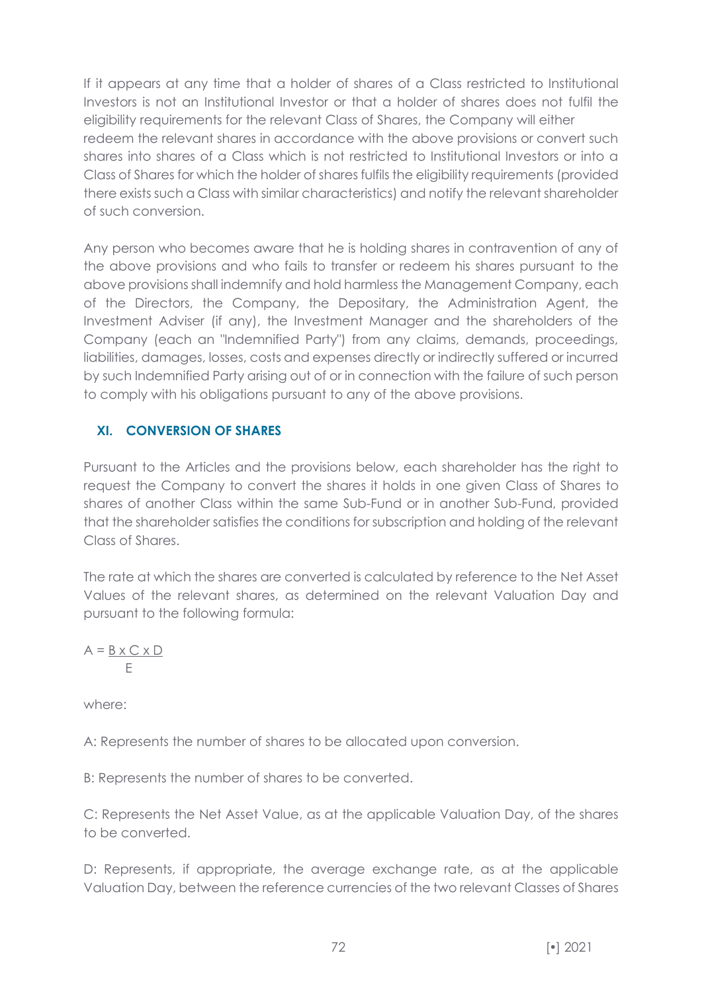If it appears at any time that a holder of shares of a Class restricted to Institutional Investors is not an Institutional Investor or that a holder of shares does not fulfil the eligibility requirements for the relevant Class of Shares, the Company will either redeem the relevant shares in accordance with the above provisions or convert such shares into shares of a Class which is not restricted to Institutional Investors or into a Class of Shares for which the holder of shares fulfils the eligibility requirements (provided there exists such a Class with similar characteristics) and notify the relevant shareholder of such conversion.

Any person who becomes aware that he is holding shares in contravention of any of the above provisions and who fails to transfer or redeem his shares pursuant to the above provisions shall indemnify and hold harmless the Management Company, each of the Directors, the Company, the Depositary, the Administration Agent, the Investment Adviser (if any), the Investment Manager and the shareholders of the Company (each an "Indemnified Party") from any claims, demands, proceedings, liabilities, damages, losses, costs and expenses directly or indirectly suffered or incurred by such Indemnified Party arising out of or in connection with the failure of such person to comply with his obligations pursuant to any of the above provisions.

# **XI. CONVERSION OF SHARES**

Pursuant to the Articles and the provisions below, each shareholder has the right to request the Company to convert the shares it holds in one given Class of Shares to shares of another Class within the same Sub-Fund or in another Sub-Fund, provided that the shareholder satisfies the conditions for subscription and holding of the relevant Class of Shares.

The rate at which the shares are converted is calculated by reference to the Net Asset Values of the relevant shares, as determined on the relevant Valuation Day and pursuant to the following formula:

$$
A = \underline{B \times C \times D}
$$
  

$$
E
$$

where:

A: Represents the number of shares to be allocated upon conversion.

B: Represents the number of shares to be converted.

C: Represents the Net Asset Value, as at the applicable Valuation Day, of the shares to be converted.

D: Represents, if appropriate, the average exchange rate, as at the applicable Valuation Day, between the reference currencies of the two relevant Classes of Shares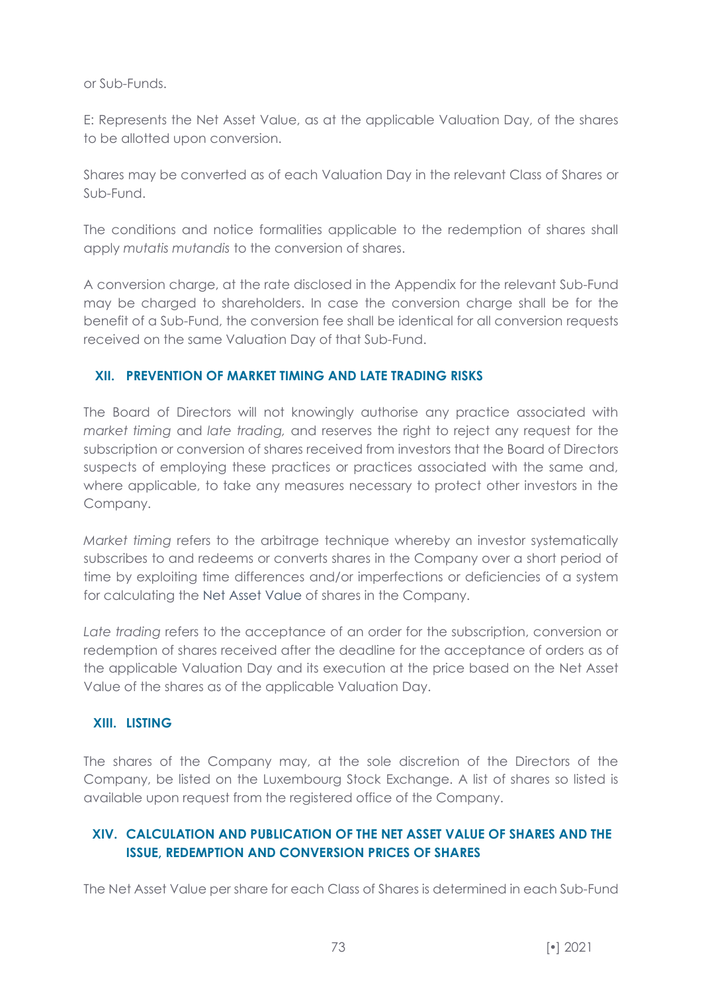or Sub-Funds.

E: Represents the Net Asset Value, as at the applicable Valuation Day, of the shares to be allotted upon conversion.

Shares may be converted as of each Valuation Day in the relevant Class of Shares or Sub-Fund.

The conditions and notice formalities applicable to the redemption of shares shall apply *mutatis mutandis* to the conversion of shares.

A conversion charge, at the rate disclosed in the Appendix for the relevant Sub-Fund may be charged to shareholders. In case the conversion charge shall be for the benefit of a Sub-Fund, the conversion fee shall be identical for all conversion requests received on the same Valuation Day of that Sub-Fund.

## **XII. PREVENTION OF MARKET TIMING AND LATE TRADING RISKS**

The Board of Directors will not knowingly authorise any practice associated with *market timing* and *late trading,* and reserves the right to reject any request for the subscription or conversion of shares received from investors that the Board of Directors suspects of employing these practices or practices associated with the same and, where applicable, to take any measures necessary to protect other investors in the Company.

*Market timing* refers to the arbitrage technique whereby an investor systematically subscribes to and redeems or converts shares in the Company over a short period of time by exploiting time differences and/or imperfections or deficiencies of a system for calculating the Net Asset Value of shares in the Company.

*Late trading* refers to the acceptance of an order for the subscription, conversion or redemption of shares received after the deadline for the acceptance of orders as of the applicable Valuation Day and its execution at the price based on the Net Asset Value of the shares as of the applicable Valuation Day.

### **XIII. LISTING**

The shares of the Company may, at the sole discretion of the Directors of the Company, be listed on the Luxembourg Stock Exchange. A list of shares so listed is available upon request from the registered office of the Company.

# **XIV. CALCULATION AND PUBLICATION OF THE NET ASSET VALUE OF SHARES AND THE ISSUE, REDEMPTION AND CONVERSION PRICES OF SHARES**

The Net Asset Value per share for each Class of Shares is determined in each Sub-Fund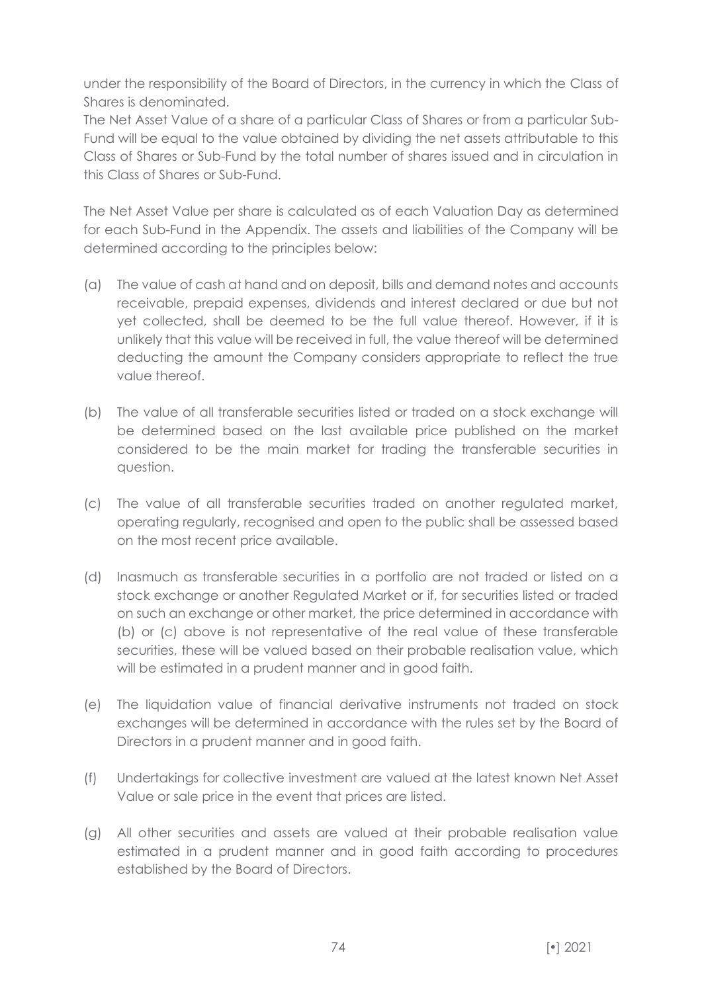under the responsibility of the Board of Directors, in the currency in which the Class of Shares is denominated.

The Net Asset Value of a share of a particular Class of Shares or from a particular Sub-Fund will be equal to the value obtained by dividing the net assets attributable to this Class of Shares or Sub-Fund by the total number of shares issued and in circulation in this Class of Shares or Sub-Fund.

The Net Asset Value per share is calculated as of each Valuation Day as determined for each Sub-Fund in the Appendix. The assets and liabilities of the Company will be determined according to the principles below:

- (a) The value of cash at hand and on deposit, bills and demand notes and accounts receivable, prepaid expenses, dividends and interest declared or due but not yet collected, shall be deemed to be the full value thereof. However, if it is unlikely that this value will be received in full, the value thereof will be determined deducting the amount the Company considers appropriate to reflect the true value thereof.
- (b) The value of all transferable securities listed or traded on a stock exchange will be determined based on the last available price published on the market considered to be the main market for trading the transferable securities in question.
- (c) The value of all transferable securities traded on another regulated market, operating regularly, recognised and open to the public shall be assessed based on the most recent price available.
- (d) Inasmuch as transferable securities in a portfolio are not traded or listed on a stock exchange or another Regulated Market or if, for securities listed or traded on such an exchange or other market, the price determined in accordance with (b) or (c) above is not representative of the real value of these transferable securities, these will be valued based on their probable realisation value, which will be estimated in a prudent manner and in good faith.
- (e) The liquidation value of financial derivative instruments not traded on stock exchanges will be determined in accordance with the rules set by the Board of Directors in a prudent manner and in good faith.
- (f) Undertakings for collective investment are valued at the latest known Net Asset Value or sale price in the event that prices are listed.
- (g) All other securities and assets are valued at their probable realisation value estimated in a prudent manner and in good faith according to procedures established by the Board of Directors.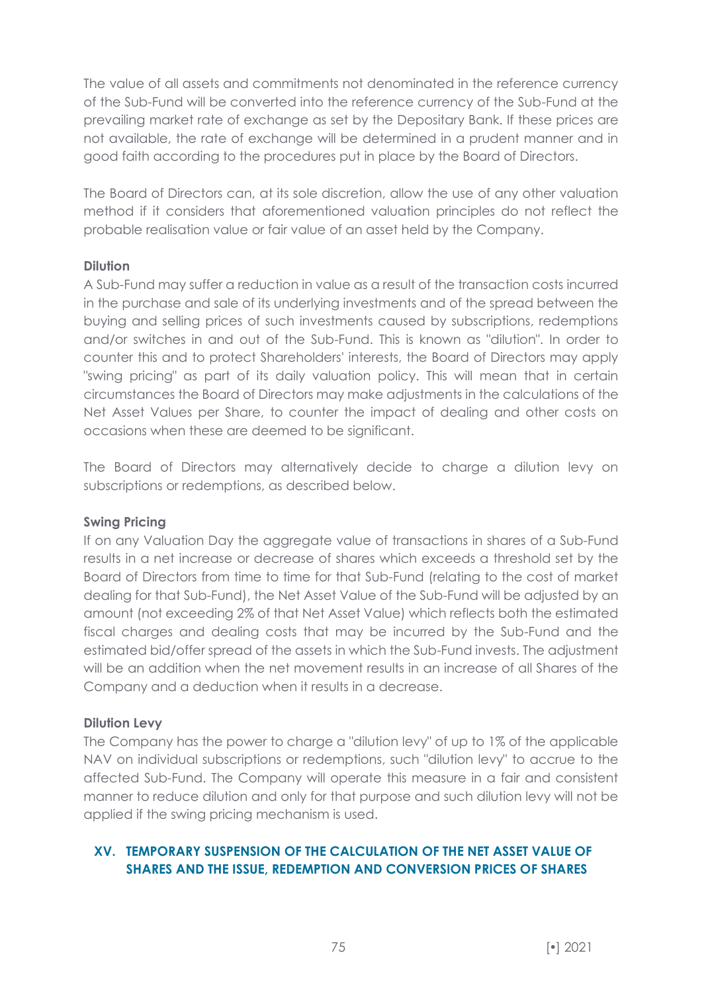The value of all assets and commitments not denominated in the reference currency of the Sub-Fund will be converted into the reference currency of the Sub-Fund at the prevailing market rate of exchange as set by the Depositary Bank. If these prices are not available, the rate of exchange will be determined in a prudent manner and in good faith according to the procedures put in place by the Board of Directors.

The Board of Directors can, at its sole discretion, allow the use of any other valuation method if it considers that aforementioned valuation principles do not reflect the probable realisation value or fair value of an asset held by the Company.

## **Dilution**

A Sub-Fund may suffer a reduction in value as a result of the transaction costs incurred in the purchase and sale of its underlying investments and of the spread between the buying and selling prices of such investments caused by subscriptions, redemptions and/or switches in and out of the Sub-Fund. This is known as "dilution". In order to counter this and to protect Shareholders' interests, the Board of Directors may apply "swing pricing" as part of its daily valuation policy. This will mean that in certain circumstances the Board of Directors may make adjustments in the calculations of the Net Asset Values per Share, to counter the impact of dealing and other costs on occasions when these are deemed to be significant.

The Board of Directors may alternatively decide to charge a dilution levy on subscriptions or redemptions, as described below.

### **Swing Pricing**

If on any Valuation Day the aggregate value of transactions in shares of a Sub-Fund results in a net increase or decrease of shares which exceeds a threshold set by the Board of Directors from time to time for that Sub-Fund (relating to the cost of market dealing for that Sub-Fund), the Net Asset Value of the Sub-Fund will be adjusted by an amount (not exceeding 2% of that Net Asset Value) which reflects both the estimated fiscal charges and dealing costs that may be incurred by the Sub-Fund and the estimated bid/offer spread of the assets in which the Sub-Fund invests. The adjustment will be an addition when the net movement results in an increase of all Shares of the Company and a deduction when it results in a decrease.

# **Dilution Levy**

The Company has the power to charge a "dilution levy" of up to 1% of the applicable NAV on individual subscriptions or redemptions, such "dilution levy" to accrue to the affected Sub-Fund. The Company will operate this measure in a fair and consistent manner to reduce dilution and only for that purpose and such dilution levy will not be applied if the swing pricing mechanism is used.

# **XV. TEMPORARY SUSPENSION OF THE CALCULATION OF THE NET ASSET VALUE OF SHARES AND THE ISSUE, REDEMPTION AND CONVERSION PRICES OF SHARES**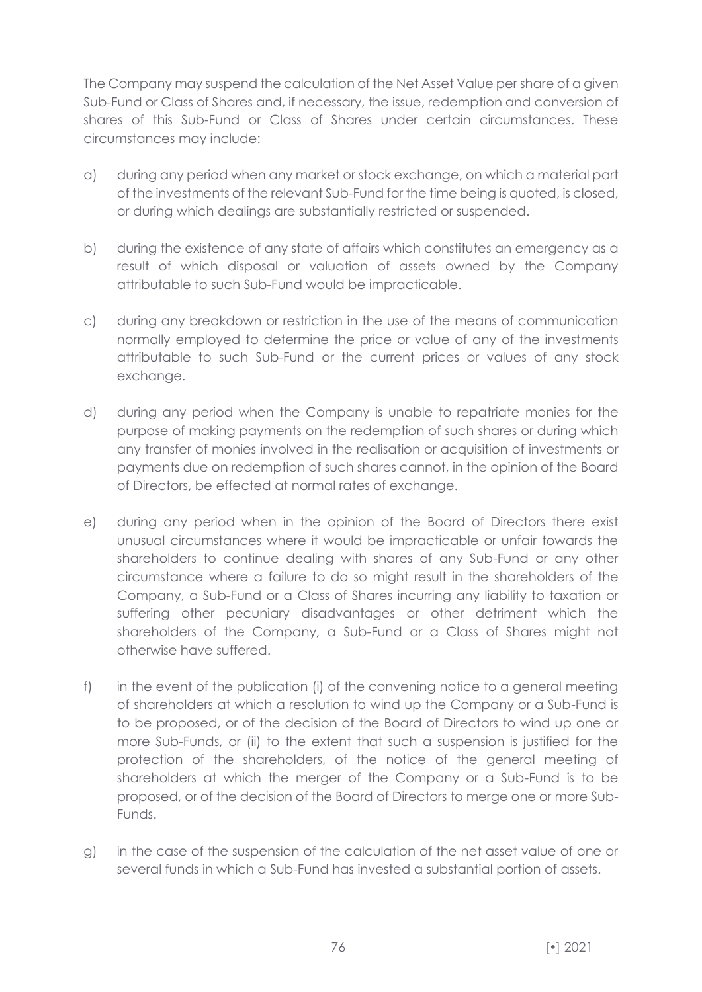The Company may suspend the calculation of the Net Asset Value per share of a given Sub-Fund or Class of Shares and, if necessary, the issue, redemption and conversion of shares of this Sub-Fund or Class of Shares under certain circumstances. These circumstances may include:

- a) during any period when any market or stock exchange, on which a material part of the investments of the relevant Sub-Fund for the time being is quoted, is closed, or during which dealings are substantially restricted or suspended.
- b) during the existence of any state of affairs which constitutes an emergency as a result of which disposal or valuation of assets owned by the Company attributable to such Sub-Fund would be impracticable.
- c) during any breakdown or restriction in the use of the means of communication normally employed to determine the price or value of any of the investments attributable to such Sub-Fund or the current prices or values of any stock exchange.
- d) during any period when the Company is unable to repatriate monies for the purpose of making payments on the redemption of such shares or during which any transfer of monies involved in the realisation or acquisition of investments or payments due on redemption of such shares cannot, in the opinion of the Board of Directors, be effected at normal rates of exchange.
- e) during any period when in the opinion of the Board of Directors there exist unusual circumstances where it would be impracticable or unfair towards the shareholders to continue dealing with shares of any Sub-Fund or any other circumstance where a failure to do so might result in the shareholders of the Company, a Sub-Fund or a Class of Shares incurring any liability to taxation or suffering other pecuniary disadvantages or other detriment which the shareholders of the Company, a Sub-Fund or a Class of Shares might not otherwise have suffered.
- f) in the event of the publication (i) of the convening notice to a general meeting of shareholders at which a resolution to wind up the Company or a Sub-Fund is to be proposed, or of the decision of the Board of Directors to wind up one or more Sub-Funds, or (ii) to the extent that such a suspension is justified for the protection of the shareholders, of the notice of the general meeting of shareholders at which the merger of the Company or a Sub-Fund is to be proposed, or of the decision of the Board of Directors to merge one or more Sub-Funds.
- g) in the case of the suspension of the calculation of the net asset value of one or several funds in which a Sub-Fund has invested a substantial portion of assets.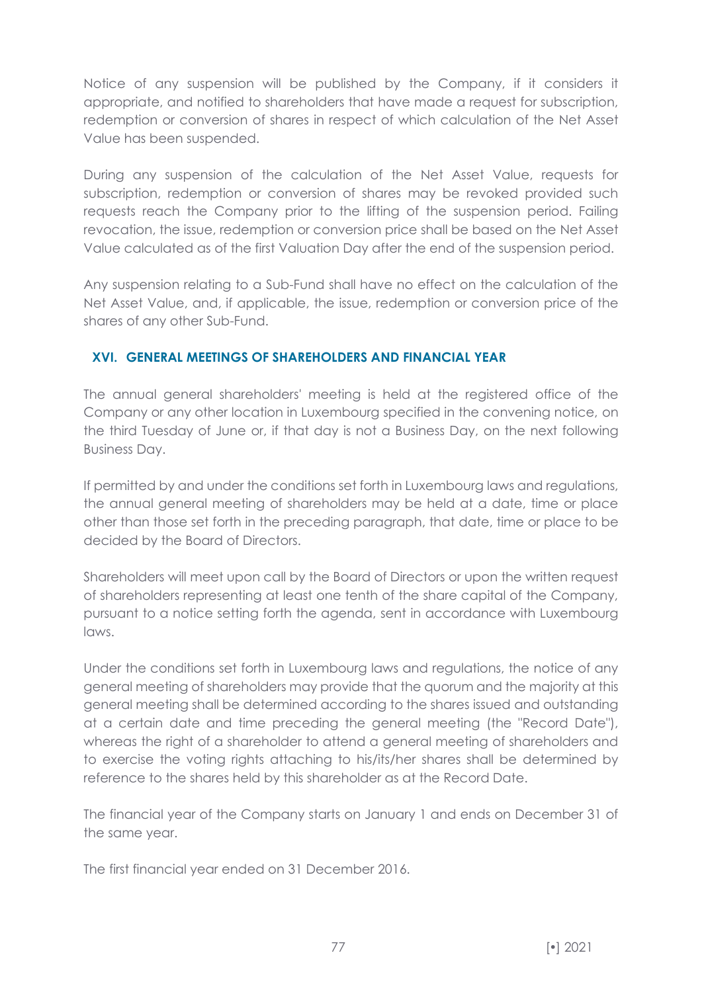Notice of any suspension will be published by the Company, if it considers it appropriate, and notified to shareholders that have made a request for subscription, redemption or conversion of shares in respect of which calculation of the Net Asset Value has been suspended.

During any suspension of the calculation of the Net Asset Value, requests for subscription, redemption or conversion of shares may be revoked provided such requests reach the Company prior to the lifting of the suspension period. Failing revocation, the issue, redemption or conversion price shall be based on the Net Asset Value calculated as of the first Valuation Day after the end of the suspension period.

Any suspension relating to a Sub-Fund shall have no effect on the calculation of the Net Asset Value, and, if applicable, the issue, redemption or conversion price of the shares of any other Sub-Fund.

## **XVI. GENERAL MEETINGS OF SHAREHOLDERS AND FINANCIAL YEAR**

The annual general shareholders' meeting is held at the registered office of the Company or any other location in Luxembourg specified in the convening notice, on the third Tuesday of June or, if that day is not a Business Day, on the next following Business Day.

If permitted by and under the conditions set forth in Luxembourg laws and regulations, the annual general meeting of shareholders may be held at a date, time or place other than those set forth in the preceding paragraph, that date, time or place to be decided by the Board of Directors.

Shareholders will meet upon call by the Board of Directors or upon the written request of shareholders representing at least one tenth of the share capital of the Company, pursuant to a notice setting forth the agenda, sent in accordance with Luxembourg laws.

Under the conditions set forth in Luxembourg laws and regulations, the notice of any general meeting of shareholders may provide that the quorum and the majority at this general meeting shall be determined according to the shares issued and outstanding at a certain date and time preceding the general meeting (the "Record Date"), whereas the right of a shareholder to attend a general meeting of shareholders and to exercise the voting rights attaching to his/its/her shares shall be determined by reference to the shares held by this shareholder as at the Record Date.

The financial year of the Company starts on January 1 and ends on December 31 of the same year.

The first financial year ended on 31 December 2016.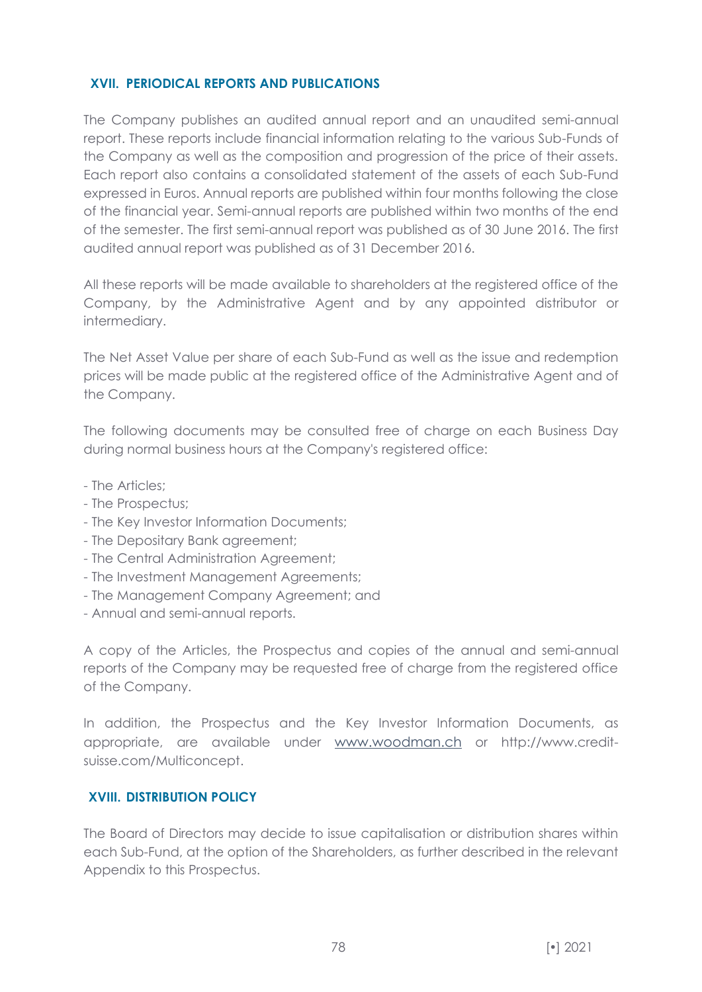## **XVII. PERIODICAL REPORTS AND PUBLICATIONS**

The Company publishes an audited annual report and an unaudited semi-annual report. These reports include financial information relating to the various Sub-Funds of the Company as well as the composition and progression of the price of their assets. Each report also contains a consolidated statement of the assets of each Sub-Fund expressed in Euros. Annual reports are published within four months following the close of the financial year. Semi-annual reports are published within two months of the end of the semester. The first semi-annual report was published as of 30 June 2016. The first audited annual report was published as of 31 December 2016.

All these reports will be made available to shareholders at the registered office of the Company, by the Administrative Agent and by any appointed distributor or intermediary.

The Net Asset Value per share of each Sub-Fund as well as the issue and redemption prices will be made public at the registered office of the Administrative Agent and of the Company.

The following documents may be consulted free of charge on each Business Day during normal business hours at the Company's registered office:

- The Articles;
- The Prospectus;
- The Key Investor Information Documents;
- The Depositary Bank agreement;
- The Central Administration Agreement;
- The Investment Management Agreements;
- The Management Company Agreement; and
- Annual and semi-annual reports.

A copy of the Articles, the Prospectus and copies of the annual and semi-annual reports of the Company may be requested free of charge from the registered office of the Company.

In addition, the Prospectus and the Key Investor Information Documents, as appropriate, are available under [www.woodman.ch](http://www.mirabaud.lu/) or http://www.creditsuisse.com/Multiconcept.

### **XVIII. DISTRIBUTION POLICY**

The Board of Directors may decide to issue capitalisation or distribution shares within each Sub-Fund, at the option of the Shareholders, as further described in the relevant Appendix to this Prospectus.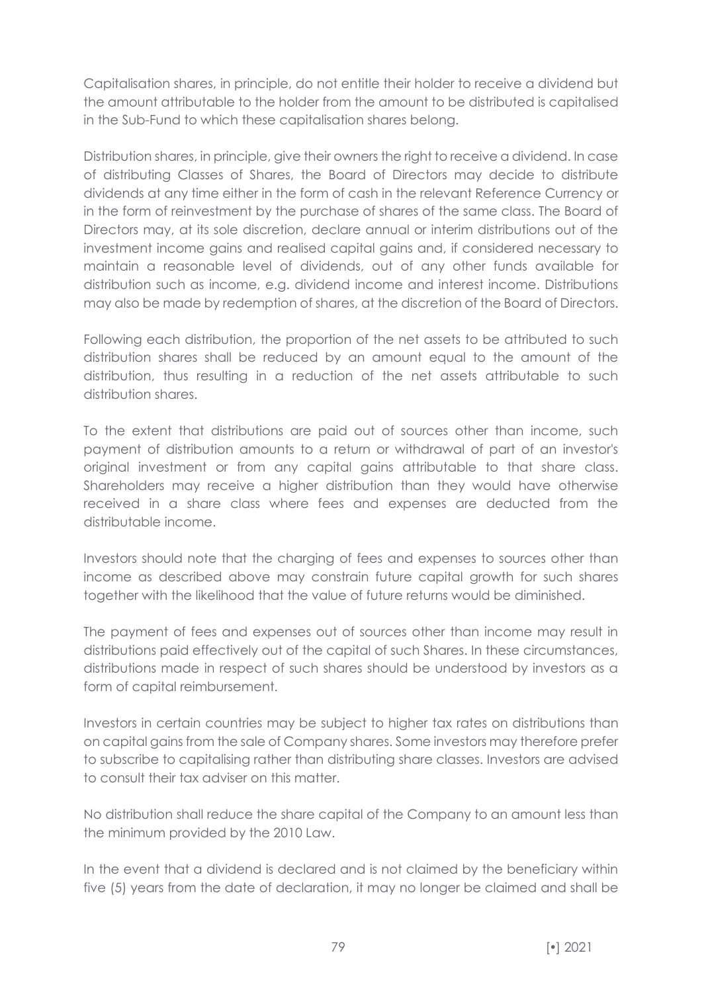Capitalisation shares, in principle, do not entitle their holder to receive a dividend but the amount attributable to the holder from the amount to be distributed is capitalised in the Sub-Fund to which these capitalisation shares belong.

Distribution shares, in principle, give their owners the right to receive a dividend. In case of distributing Classes of Shares, the Board of Directors may decide to distribute dividends at any time either in the form of cash in the relevant Reference Currency or in the form of reinvestment by the purchase of shares of the same class. The Board of Directors may, at its sole discretion, declare annual or interim distributions out of the investment income gains and realised capital gains and, if considered necessary to maintain a reasonable level of dividends, out of any other funds available for distribution such as income, e.g. dividend income and interest income. Distributions may also be made by redemption of shares, at the discretion of the Board of Directors.

Following each distribution, the proportion of the net assets to be attributed to such distribution shares shall be reduced by an amount equal to the amount of the distribution, thus resulting in a reduction of the net assets attributable to such distribution shares.

To the extent that distributions are paid out of sources other than income, such payment of distribution amounts to a return or withdrawal of part of an investor's original investment or from any capital gains attributable to that share class. Shareholders may receive a higher distribution than they would have otherwise received in a share class where fees and expenses are deducted from the distributable income.

Investors should note that the charging of fees and expenses to sources other than income as described above may constrain future capital growth for such shares together with the likelihood that the value of future returns would be diminished.

The payment of fees and expenses out of sources other than income may result in distributions paid effectively out of the capital of such Shares. In these circumstances, distributions made in respect of such shares should be understood by investors as a form of capital reimbursement.

Investors in certain countries may be subject to higher tax rates on distributions than on capital gains from the sale of Company shares. Some investors may therefore prefer to subscribe to capitalising rather than distributing share classes. Investors are advised to consult their tax adviser on this matter.

No distribution shall reduce the share capital of the Company to an amount less than the minimum provided by the 2010 Law.

In the event that a dividend is declared and is not claimed by the beneficiary within five (5) years from the date of declaration, it may no longer be claimed and shall be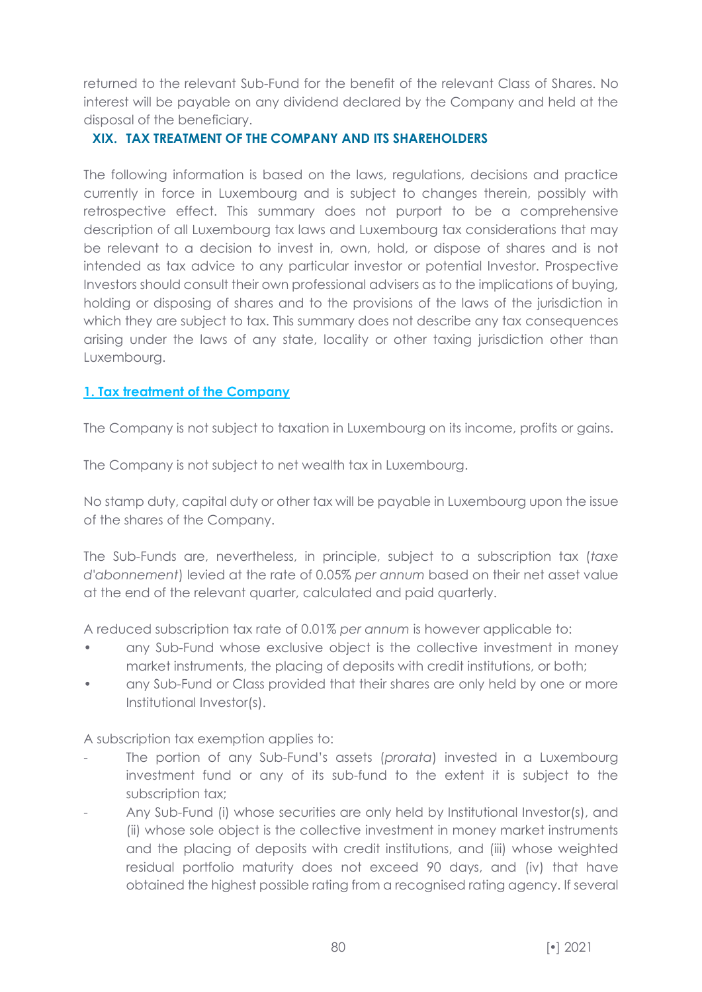returned to the relevant Sub-Fund for the benefit of the relevant Class of Shares. No interest will be payable on any dividend declared by the Company and held at the disposal of the beneficiary.

### **XIX. TAX TREATMENT OF THE COMPANY AND ITS SHAREHOLDERS**

The following information is based on the laws, regulations, decisions and practice currently in force in Luxembourg and is subject to changes therein, possibly with retrospective effect. This summary does not purport to be a comprehensive description of all Luxembourg tax laws and Luxembourg tax considerations that may be relevant to a decision to invest in, own, hold, or dispose of shares and is not intended as tax advice to any particular investor or potential Investor. Prospective Investors should consult their own professional advisers as to the implications of buying, holding or disposing of shares and to the provisions of the laws of the jurisdiction in which they are subject to tax. This summary does not describe any tax consequences arising under the laws of any state, locality or other taxing jurisdiction other than Luxembourg.

## **1. Tax treatment of the Company**

The Company is not subject to taxation in Luxembourg on its income, profits or gains.

The Company is not subject to net wealth tax in Luxembourg.

No stamp duty, capital duty or other tax will be payable in Luxembourg upon the issue of the shares of the Company.

The Sub-Funds are, nevertheless, in principle, subject to a subscription tax (*taxe d'abonnement*) levied at the rate of 0.05% *per annum* based on their net asset value at the end of the relevant quarter, calculated and paid quarterly.

A reduced subscription tax rate of 0.01% *per annum* is however applicable to:

- any Sub-Fund whose exclusive object is the collective investment in money market instruments, the placing of deposits with credit institutions, or both;
- any Sub-Fund or Class provided that their shares are only held by one or more Institutional Investor(s).

A subscription tax exemption applies to:

- The portion of any Sub-Fund's assets (*prorata*) invested in a Luxembourg investment fund or any of its sub-fund to the extent it is subject to the subscription tax;
- Any Sub-Fund (i) whose securities are only held by Institutional Investor(s), and (ii) whose sole object is the collective investment in money market instruments and the placing of deposits with credit institutions, and (iii) whose weighted residual portfolio maturity does not exceed 90 days, and (iv) that have obtained the highest possible rating from a recognised rating agency. If several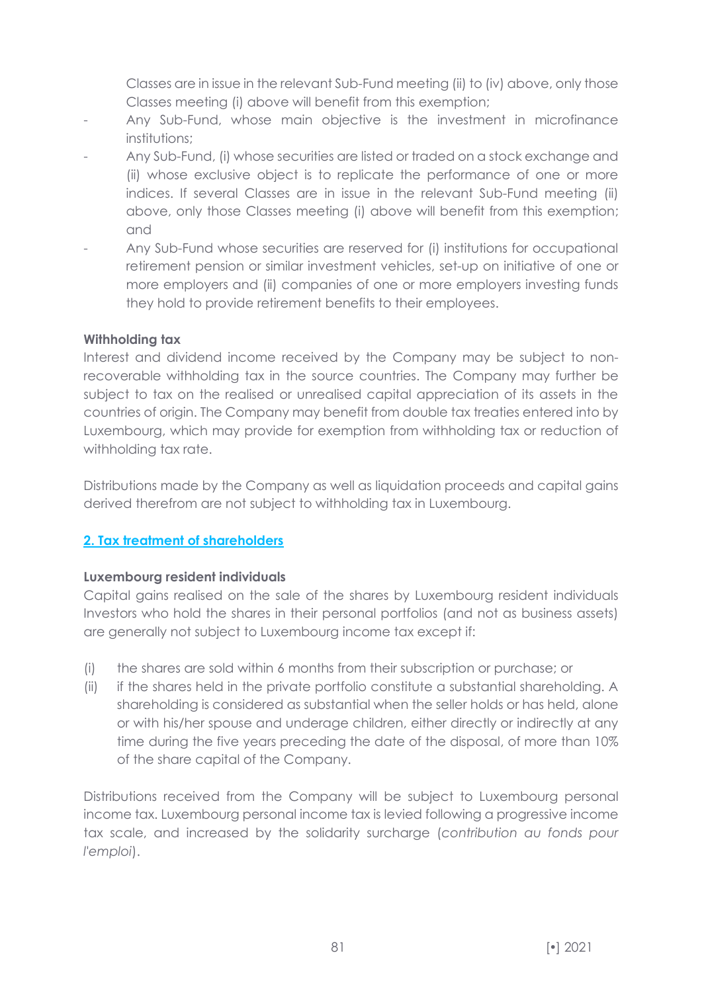Classes are in issue in the relevant Sub-Fund meeting (ii) to (iv) above, only those Classes meeting (i) above will benefit from this exemption;

- Any Sub-Fund, whose main objective is the investment in microfinance institutions:
- Any Sub-Fund, (i) whose securities are listed or traded on a stock exchange and (ii) whose exclusive object is to replicate the performance of one or more indices. If several Classes are in issue in the relevant Sub-Fund meeting (ii) above, only those Classes meeting (i) above will benefit from this exemption; and
- Any Sub-Fund whose securities are reserved for (i) institutions for occupational retirement pension or similar investment vehicles, set-up on initiative of one or more employers and (ii) companies of one or more employers investing funds they hold to provide retirement benefits to their employees.

### **Withholding tax**

Interest and dividend income received by the Company may be subject to nonrecoverable withholding tax in the source countries. The Company may further be subject to tax on the realised or unrealised capital appreciation of its assets in the countries of origin. The Company may benefit from double tax treaties entered into by Luxembourg, which may provide for exemption from withholding tax or reduction of withholding tax rate.

Distributions made by the Company as well as liquidation proceeds and capital gains derived therefrom are not subject to withholding tax in Luxembourg.

# **2. Tax treatment of shareholders**

### **Luxembourg resident individuals**

Capital gains realised on the sale of the shares by Luxembourg resident individuals Investors who hold the shares in their personal portfolios (and not as business assets) are generally not subject to Luxembourg income tax except if:

- (i) the shares are sold within 6 months from their subscription or purchase; or
- (ii) if the shares held in the private portfolio constitute a substantial shareholding. A shareholding is considered as substantial when the seller holds or has held, alone or with his/her spouse and underage children, either directly or indirectly at any time during the five years preceding the date of the disposal, of more than 10% of the share capital of the Company.

Distributions received from the Company will be subject to Luxembourg personal income tax. Luxembourg personal income tax is levied following a progressive income tax scale, and increased by the solidarity surcharge (*contribution au fonds pour l'emploi*).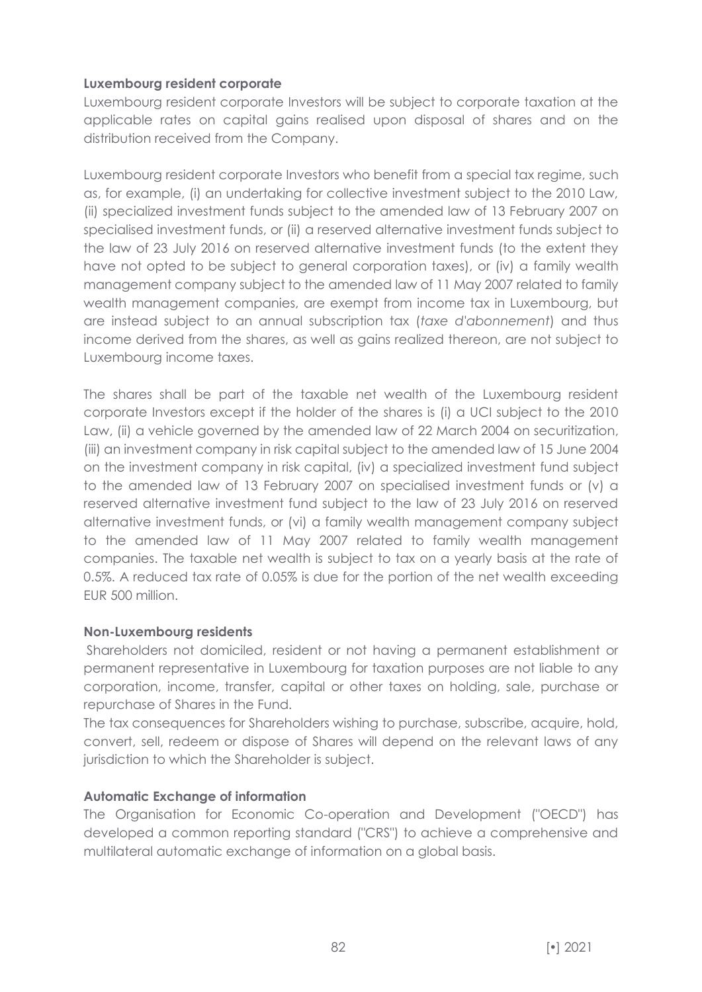### **Luxembourg resident corporate**

Luxembourg resident corporate Investors will be subject to corporate taxation at the applicable rates on capital gains realised upon disposal of shares and on the distribution received from the Company.

Luxembourg resident corporate Investors who benefit from a special tax regime, such as, for example, (i) an undertaking for collective investment subject to the 2010 Law, (ii) specialized investment funds subject to the amended law of 13 February 2007 on specialised investment funds, or (ii) a reserved alternative investment funds subject to the law of 23 July 2016 on reserved alternative investment funds (to the extent they have not opted to be subject to general corporation taxes), or (iv) a family wealth management company subject to the amended law of 11 May 2007 related to family wealth management companies, are exempt from income tax in Luxembourg, but are instead subject to an annual subscription tax (*taxe d'abonnement*) and thus income derived from the shares, as well as gains realized thereon, are not subject to Luxembourg income taxes.

The shares shall be part of the taxable net wealth of the Luxembourg resident corporate Investors except if the holder of the shares is (i) a UCI subject to the 2010 Law, (ii) a vehicle governed by the amended law of 22 March 2004 on securitization, (iii) an investment company in risk capital subject to the amended law of 15 June 2004 on the investment company in risk capital, (iv) a specialized investment fund subject to the amended law of 13 February 2007 on specialised investment funds or (v) a reserved alternative investment fund subject to the law of 23 July 2016 on reserved alternative investment funds, or (vi) a family wealth management company subject to the amended law of 11 May 2007 related to family wealth management companies. The taxable net wealth is subject to tax on a yearly basis at the rate of 0.5%. A reduced tax rate of 0.05% is due for the portion of the net wealth exceeding EUR 500 million.

### **Non-Luxembourg residents**

Shareholders not domiciled, resident or not having a permanent establishment or permanent representative in Luxembourg for taxation purposes are not liable to any corporation, income, transfer, capital or other taxes on holding, sale, purchase or repurchase of Shares in the Fund.

The tax consequences for Shareholders wishing to purchase, subscribe, acquire, hold, convert, sell, redeem or dispose of Shares will depend on the relevant laws of any jurisdiction to which the Shareholder is subject.

# **Automatic Exchange of information**

The Organisation for Economic Co-operation and Development ("OECD") has developed a common reporting standard ("CRS") to achieve a comprehensive and multilateral automatic exchange of information on a global basis.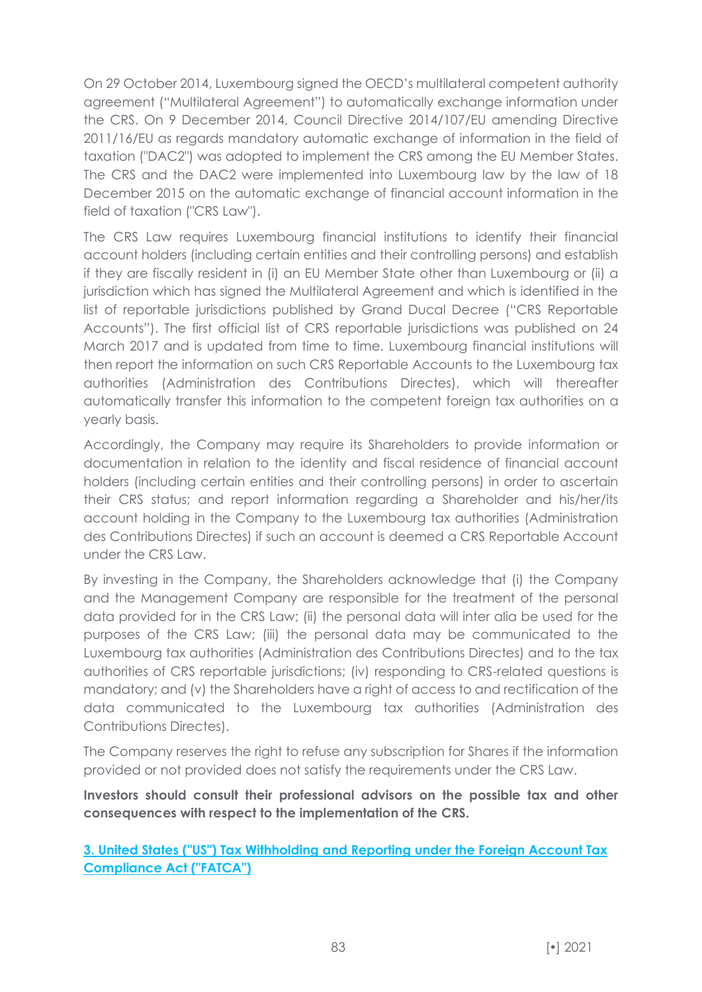On 29 October 2014, Luxembourg signed the OECD's multilateral competent authority agreement ("Multilateral Agreement") to automatically exchange information under the CRS. On 9 December 2014, Council Directive 2014/107/EU amending Directive 2011/16/EU as regards mandatory automatic exchange of information in the field of taxation ("DAC2") was adopted to implement the CRS among the EU Member States. The CRS and the DAC2 were implemented into Luxembourg law by the law of 18 December 2015 on the automatic exchange of financial account information in the field of taxation ("CRS Law").

The CRS Law requires Luxembourg financial institutions to identify their financial account holders (including certain entities and their controlling persons) and establish if they are fiscally resident in (i) an EU Member State other than Luxembourg or (ii) a jurisdiction which has signed the Multilateral Agreement and which is identified in the list of reportable jurisdictions published by Grand Ducal Decree ("CRS Reportable Accounts"). The first official list of CRS reportable jurisdictions was published on 24 March 2017 and is updated from time to time. Luxembourg financial institutions will then report the information on such CRS Reportable Accounts to the Luxembourg tax authorities (Administration des Contributions Directes), which will thereafter automatically transfer this information to the competent foreign tax authorities on a yearly basis.

Accordingly, the Company may require its Shareholders to provide information or documentation in relation to the identity and fiscal residence of financial account holders (including certain entities and their controlling persons) in order to ascertain their CRS status; and report information regarding a Shareholder and his/her/its account holding in the Company to the Luxembourg tax authorities (Administration des Contributions Directes) if such an account is deemed a CRS Reportable Account under the CRS Law.

By investing in the Company, the Shareholders acknowledge that (i) the Company and the Management Company are responsible for the treatment of the personal data provided for in the CRS Law; (ii) the personal data will inter alia be used for the purposes of the CRS Law; (iii) the personal data may be communicated to the Luxembourg tax authorities (Administration des Contributions Directes) and to the tax authorities of CRS reportable jurisdictions; (iv) responding to CRS-related questions is mandatory; and (v) the Shareholders have a right of access to and rectification of the data communicated to the Luxembourg tax authorities (Administration des Contributions Directes).

The Company reserves the right to refuse any subscription for Shares if the information provided or not provided does not satisfy the requirements under the CRS Law.

**Investors should consult their professional advisors on the possible tax and other consequences with respect to the implementation of the CRS.**

**3. United States ("US") Tax Withholding and Reporting under the Foreign Account Tax Compliance Act ("FATCA")**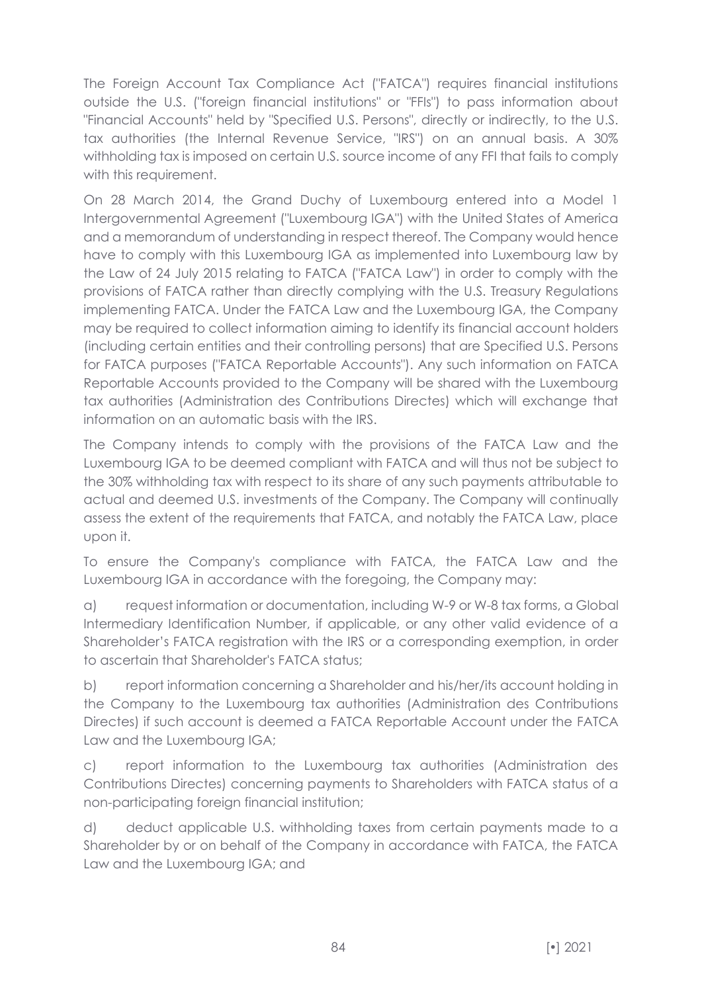The Foreign Account Tax Compliance Act ("FATCA") requires financial institutions outside the U.S. ("foreign financial institutions" or "FFIs") to pass information about "Financial Accounts" held by "Specified U.S. Persons", directly or indirectly, to the U.S. tax authorities (the Internal Revenue Service, "IRS") on an annual basis. A 30% withholding tax is imposed on certain U.S. source income of any FFI that fails to comply with this requirement.

On 28 March 2014, the Grand Duchy of Luxembourg entered into a Model 1 Intergovernmental Agreement ("Luxembourg IGA") with the United States of America and a memorandum of understanding in respect thereof. The Company would hence have to comply with this Luxembourg IGA as implemented into Luxembourg law by the Law of 24 July 2015 relating to FATCA ("FATCA Law") in order to comply with the provisions of FATCA rather than directly complying with the U.S. Treasury Regulations implementing FATCA. Under the FATCA Law and the Luxembourg IGA, the Company may be required to collect information aiming to identify its financial account holders (including certain entities and their controlling persons) that are Specified U.S. Persons for FATCA purposes ("FATCA Reportable Accounts"). Any such information on FATCA Reportable Accounts provided to the Company will be shared with the Luxembourg tax authorities (Administration des Contributions Directes) which will exchange that information on an automatic basis with the IRS.

The Company intends to comply with the provisions of the FATCA Law and the Luxembourg IGA to be deemed compliant with FATCA and will thus not be subject to the 30% withholding tax with respect to its share of any such payments attributable to actual and deemed U.S. investments of the Company. The Company will continually assess the extent of the requirements that FATCA, and notably the FATCA Law, place upon it.

To ensure the Company's compliance with FATCA, the FATCA Law and the Luxembourg IGA in accordance with the foregoing, the Company may:

a) request information or documentation, including W-9 or W-8 tax forms, a Global Intermediary Identification Number, if applicable, or any other valid evidence of a Shareholder's FATCA registration with the IRS or a corresponding exemption, in order to ascertain that Shareholder's FATCA status;

b) report information concerning a Shareholder and his/her/its account holding in the Company to the Luxembourg tax authorities (Administration des Contributions Directes) if such account is deemed a FATCA Reportable Account under the FATCA Law and the Luxembourg IGA;

c) report information to the Luxembourg tax authorities (Administration des Contributions Directes) concerning payments to Shareholders with FATCA status of a non-participating foreign financial institution;

d) deduct applicable U.S. withholding taxes from certain payments made to a Shareholder by or on behalf of the Company in accordance with FATCA, the FATCA Law and the Luxembourg IGA; and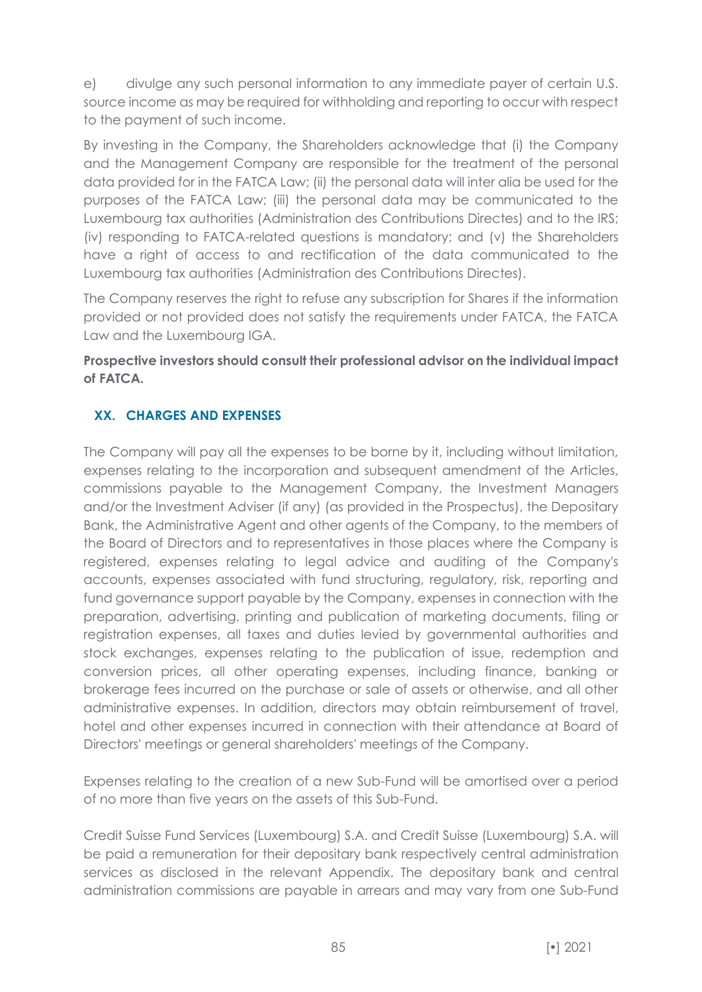e) divulge any such personal information to any immediate payer of certain U.S. source income as may be required for withholding and reporting to occur with respect to the payment of such income.

By investing in the Company, the Shareholders acknowledge that (i) the Company and the Management Company are responsible for the treatment of the personal data provided for in the FATCA Law; (ii) the personal data will inter alia be used for the purposes of the FATCA Law; (iii) the personal data may be communicated to the Luxembourg tax authorities (Administration des Contributions Directes) and to the IRS; (iv) responding to FATCA-related questions is mandatory; and (v) the Shareholders have a right of access to and rectification of the data communicated to the Luxembourg tax authorities (Administration des Contributions Directes).

The Company reserves the right to refuse any subscription for Shares if the information provided or not provided does not satisfy the requirements under FATCA, the FATCA Law and the Luxembourg IGA.

**Prospective investors should consult their professional advisor on the individual impact of FATCA.**

# **XX. CHARGES AND EXPENSES**

The Company will pay all the expenses to be borne by it, including without limitation, expenses relating to the incorporation and subsequent amendment of the Articles, commissions payable to the Management Company, the Investment Managers and/or the Investment Adviser (if any) (as provided in the Prospectus), the Depositary Bank, the Administrative Agent and other agents of the Company, to the members of the Board of Directors and to representatives in those places where the Company is registered, expenses relating to legal advice and auditing of the Company's accounts, expenses associated with fund structuring, regulatory, risk, reporting and fund governance support payable by the Company, expenses in connection with the preparation, advertising, printing and publication of marketing documents, filing or registration expenses, all taxes and duties levied by governmental authorities and stock exchanges, expenses relating to the publication of issue, redemption and conversion prices, all other operating expenses, including finance, banking or brokerage fees incurred on the purchase or sale of assets or otherwise, and all other administrative expenses. In addition, directors may obtain reimbursement of travel, hotel and other expenses incurred in connection with their attendance at Board of Directors' meetings or general shareholders' meetings of the Company.

Expenses relating to the creation of a new Sub-Fund will be amortised over a period of no more than five years on the assets of this Sub-Fund.

Credit Suisse Fund Services (Luxembourg) S.A. and Credit Suisse (Luxembourg) S.A. will be paid a remuneration for their depositary bank respectively central administration services as disclosed in the relevant Appendix. The depositary bank and central administration commissions are payable in arrears and may vary from one Sub-Fund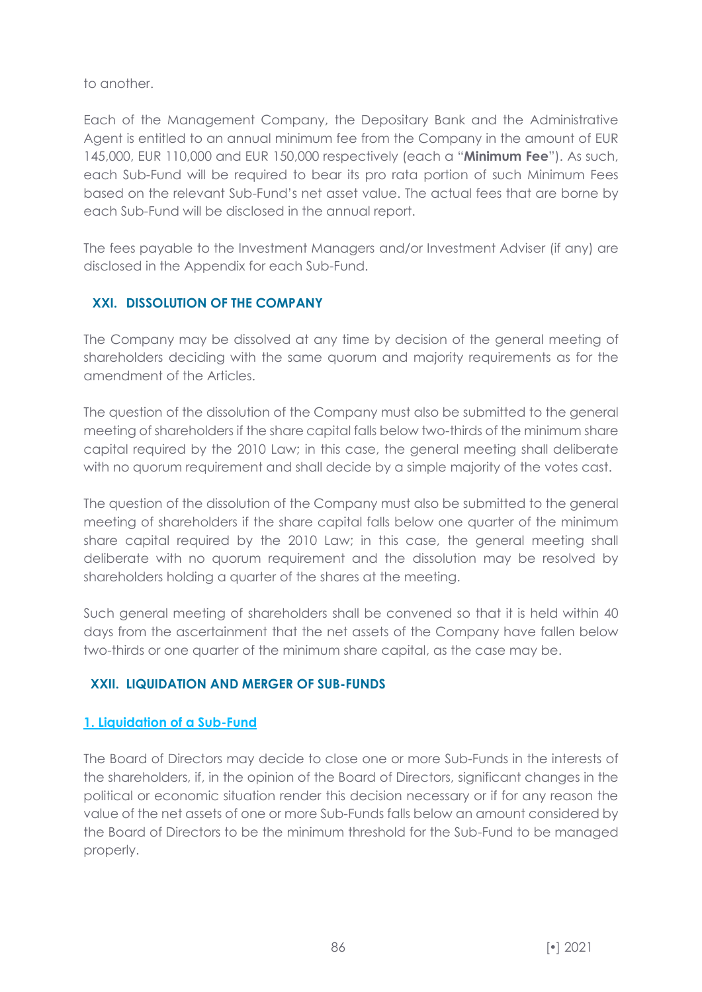to another.

Each of the Management Company, the Depositary Bank and the Administrative Agent is entitled to an annual minimum fee from the Company in the amount of EUR 145,000, EUR 110,000 and EUR 150,000 respectively (each a "**Minimum Fee**"). As such, each Sub-Fund will be required to bear its pro rata portion of such Minimum Fees based on the relevant Sub-Fund's net asset value. The actual fees that are borne by each Sub-Fund will be disclosed in the annual report.

The fees payable to the Investment Managers and/or Investment Adviser (if any) are disclosed in the Appendix for each Sub-Fund.

# **XXI. DISSOLUTION OF THE COMPANY**

The Company may be dissolved at any time by decision of the general meeting of shareholders deciding with the same quorum and majority requirements as for the amendment of the Articles.

The question of the dissolution of the Company must also be submitted to the general meeting of shareholders if the share capital falls below two-thirds of the minimum share capital required by the 2010 Law; in this case, the general meeting shall deliberate with no quorum requirement and shall decide by a simple majority of the votes cast.

The question of the dissolution of the Company must also be submitted to the general meeting of shareholders if the share capital falls below one quarter of the minimum share capital required by the 2010 Law; in this case, the general meeting shall deliberate with no quorum requirement and the dissolution may be resolved by shareholders holding a quarter of the shares at the meeting.

Such general meeting of shareholders shall be convened so that it is held within 40 days from the ascertainment that the net assets of the Company have fallen below two-thirds or one quarter of the minimum share capital, as the case may be.

# **XXII. LIQUIDATION AND MERGER OF SUB-FUNDS**

# **1. Liquidation of a Sub-Fund**

The Board of Directors may decide to close one or more Sub-Funds in the interests of the shareholders, if, in the opinion of the Board of Directors, significant changes in the political or economic situation render this decision necessary or if for any reason the value of the net assets of one or more Sub-Funds falls below an amount considered by the Board of Directors to be the minimum threshold for the Sub-Fund to be managed properly.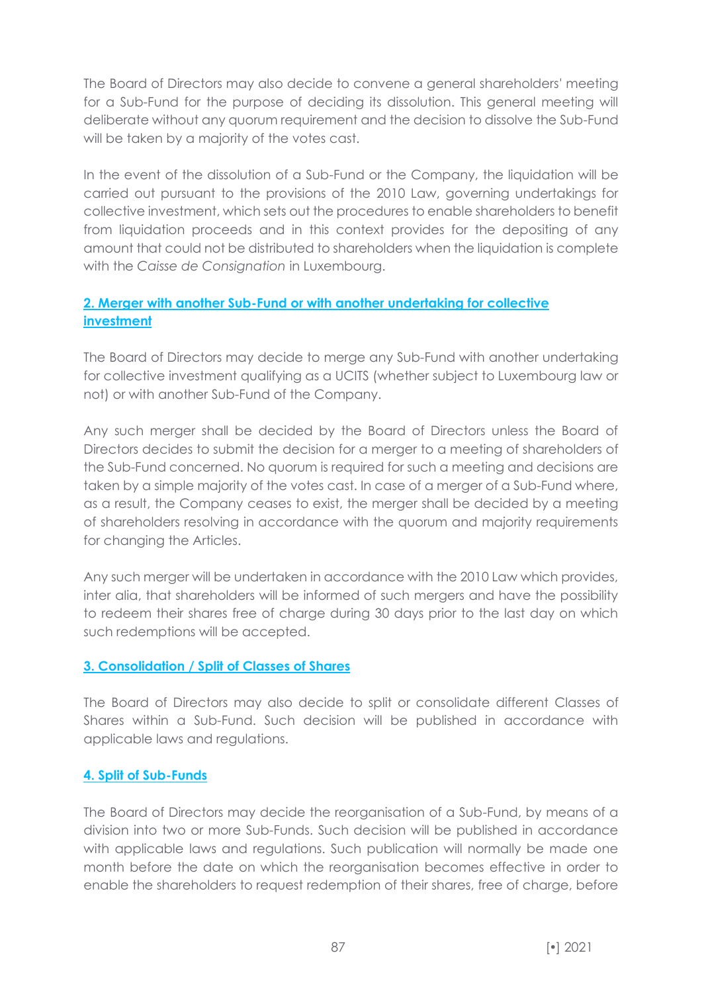The Board of Directors may also decide to convene a general shareholders' meeting for a Sub-Fund for the purpose of deciding its dissolution. This general meeting will deliberate without any quorum requirement and the decision to dissolve the Sub-Fund will be taken by a majority of the votes cast.

In the event of the dissolution of a Sub-Fund or the Company, the liquidation will be carried out pursuant to the provisions of the 2010 Law, governing undertakings for collective investment, which sets out the procedures to enable shareholders to benefit from liquidation proceeds and in this context provides for the depositing of any amount that could not be distributed to shareholders when the liquidation is complete with the *Caisse de Consignation* in Luxembourg.

# **2. Merger with another Sub-Fund or with another undertaking for collective investment**

The Board of Directors may decide to merge any Sub-Fund with another undertaking for collective investment qualifying as a UCITS (whether subject to Luxembourg law or not) or with another Sub-Fund of the Company.

Any such merger shall be decided by the Board of Directors unless the Board of Directors decides to submit the decision for a merger to a meeting of shareholders of the Sub-Fund concerned. No quorum is required for such a meeting and decisions are taken by a simple majority of the votes cast. In case of a merger of a Sub-Fund where, as a result, the Company ceases to exist, the merger shall be decided by a meeting of shareholders resolving in accordance with the quorum and majority requirements for changing the Articles.

Any such merger will be undertaken in accordance with the 2010 Law which provides, inter alia, that shareholders will be informed of such mergers and have the possibility to redeem their shares free of charge during 30 days prior to the last day on which such redemptions will be accepted.

# **3. Consolidation / Split of Classes of Shares**

The Board of Directors may also decide to split or consolidate different Classes of Shares within a Sub-Fund. Such decision will be published in accordance with applicable laws and regulations.

# **4. Split of Sub-Funds**

The Board of Directors may decide the reorganisation of a Sub-Fund, by means of a division into two or more Sub-Funds. Such decision will be published in accordance with applicable laws and regulations. Such publication will normally be made one month before the date on which the reorganisation becomes effective in order to enable the shareholders to request redemption of their shares, free of charge, before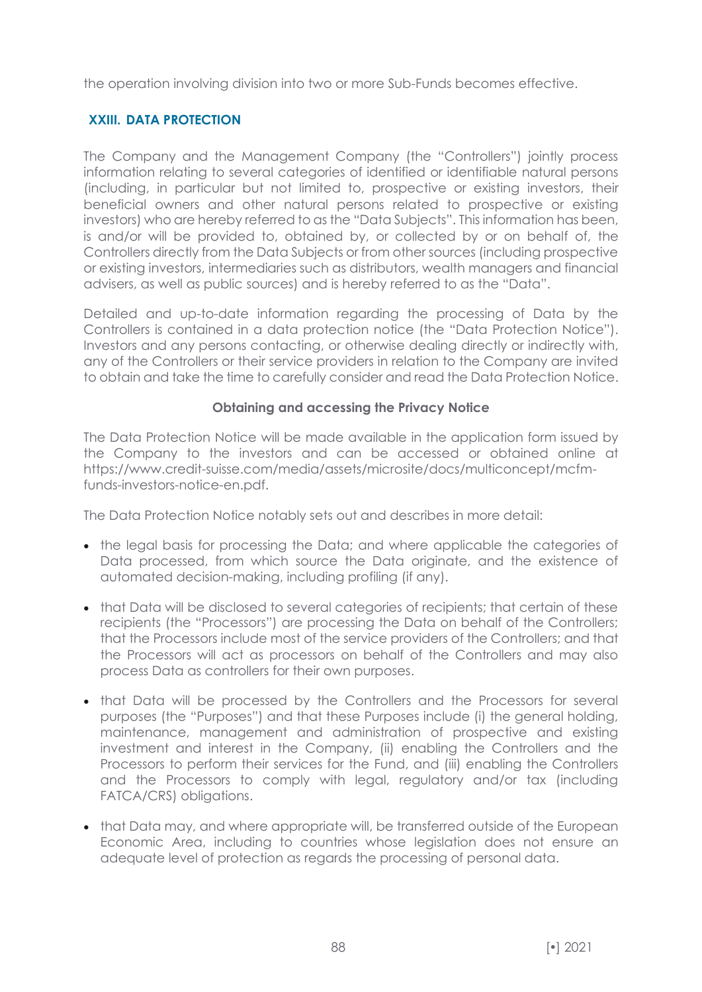the operation involving division into two or more Sub-Funds becomes effective.

## **XXIII. DATA PROTECTION**

The Company and the Management Company (the "Controllers") jointly process information relating to several categories of identified or identifiable natural persons (including, in particular but not limited to, prospective or existing investors, their beneficial owners and other natural persons related to prospective or existing investors) who are hereby referred to as the "Data Subjects". This information has been, is and/or will be provided to, obtained by, or collected by or on behalf of, the Controllers directly from the Data Subjects or from other sources (including prospective or existing investors, intermediaries such as distributors, wealth managers and financial advisers, as well as public sources) and is hereby referred to as the "Data".

Detailed and up-to-date information regarding the processing of Data by the Controllers is contained in a data protection notice (the "Data Protection Notice"). Investors and any persons contacting, or otherwise dealing directly or indirectly with, any of the Controllers or their service providers in relation to the Company are invited to obtain and take the time to carefully consider and read the Data Protection Notice.

#### **Obtaining and accessing the Privacy Notice**

The Data Protection Notice will be made available in the application form issued by the Company to the investors and can be accessed or obtained online at https://www.credit-suisse.com/media/assets/microsite/docs/multiconcept/mcfmfunds-investors-notice-en.pdf.

The Data Protection Notice notably sets out and describes in more detail:

- the legal basis for processing the Data; and where applicable the categories of Data processed, from which source the Data originate, and the existence of automated decision-making, including profiling (if any).
- that Data will be disclosed to several categories of recipients; that certain of these recipients (the "Processors") are processing the Data on behalf of the Controllers; that the Processors include most of the service providers of the Controllers; and that the Processors will act as processors on behalf of the Controllers and may also process Data as controllers for their own purposes.
- that Data will be processed by the Controllers and the Processors for several purposes (the "Purposes") and that these Purposes include (i) the general holding, maintenance, management and administration of prospective and existing investment and interest in the Company, (ii) enabling the Controllers and the Processors to perform their services for the Fund, and (iii) enabling the Controllers and the Processors to comply with legal, regulatory and/or tax (including FATCA/CRS) obligations.
- that Data may, and where appropriate will, be transferred outside of the European Economic Area, including to countries whose legislation does not ensure an adequate level of protection as regards the processing of personal data.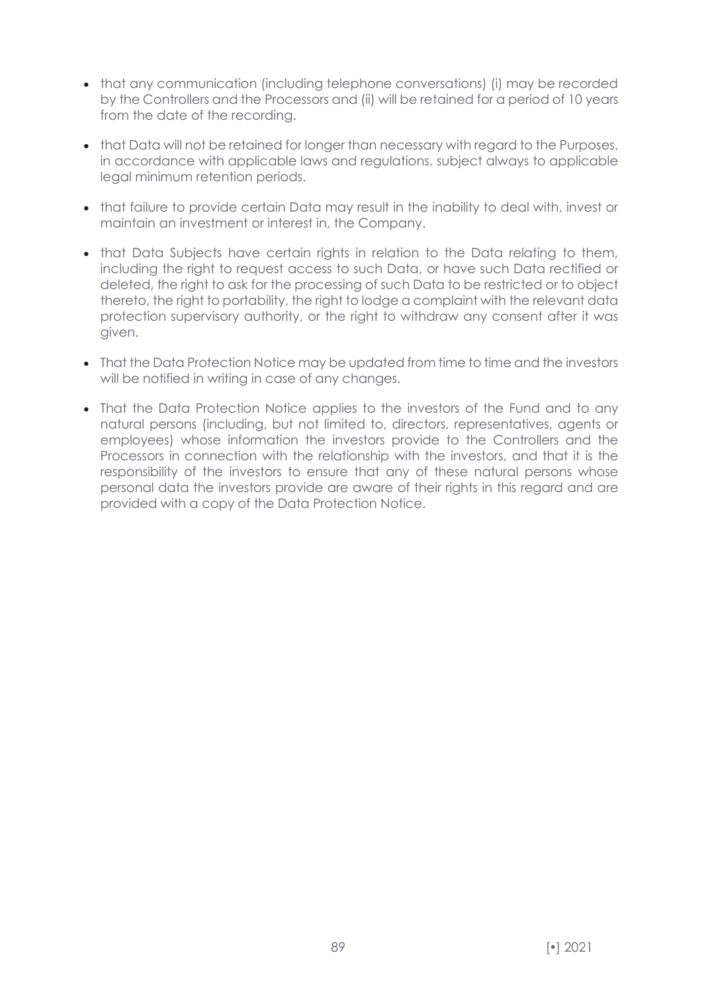- that any communication (including telephone conversations) (i) may be recorded by the Controllers and the Processors and (ii) will be retained for a period of 10 years from the date of the recording.
- that Data will not be retained for longer than necessary with regard to the Purposes, in accordance with applicable laws and regulations, subject always to applicable legal minimum retention periods.
- that failure to provide certain Data may result in the inability to deal with, invest or maintain an investment or interest in, the Company.
- that Data Subjects have certain rights in relation to the Data relating to them, including the right to request access to such Data, or have such Data rectified or deleted, the right to ask for the processing of such Data to be restricted or to object thereto, the right to portability, the right to lodge a complaint with the relevant data protection supervisory authority, or the right to withdraw any consent after it was given.
- That the Data Protection Notice may be updated from time to time and the investors will be notified in writing in case of any changes.
- That the Data Protection Notice applies to the investors of the Fund and to any natural persons (including, but not limited to, directors, representatives, agents or employees) whose information the investors provide to the Controllers and the Processors in connection with the relationship with the investors, and that it is the responsibility of the investors to ensure that any of these natural persons whose personal data the investors provide are aware of their rights in this regard and are provided with a copy of the Data Protection Notice.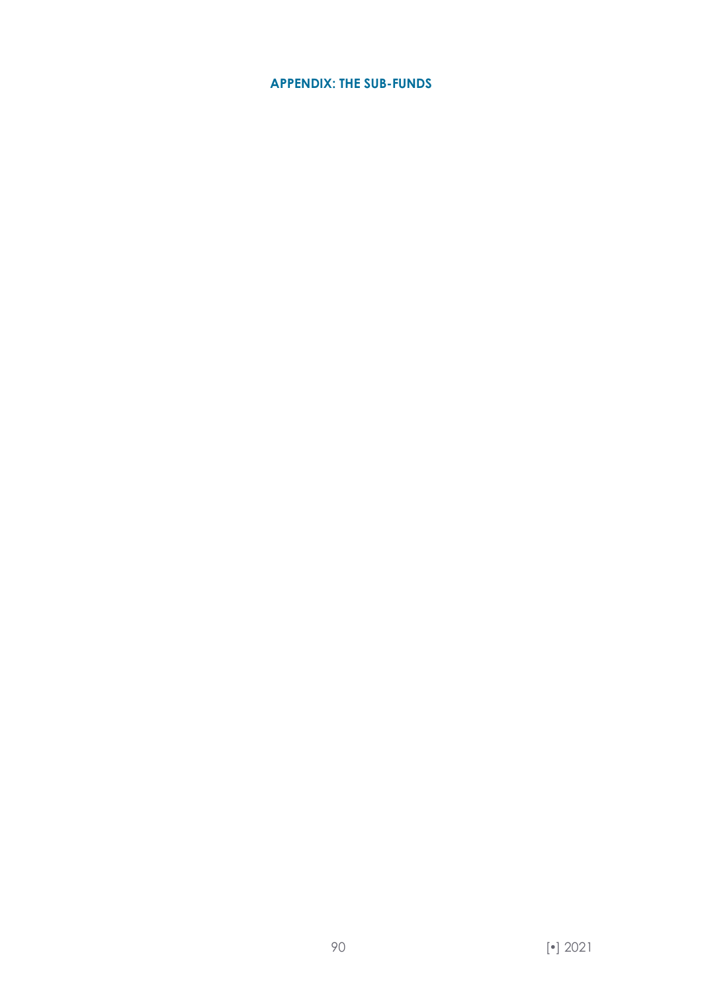## **APPENDIX: THE SUB-FUNDS**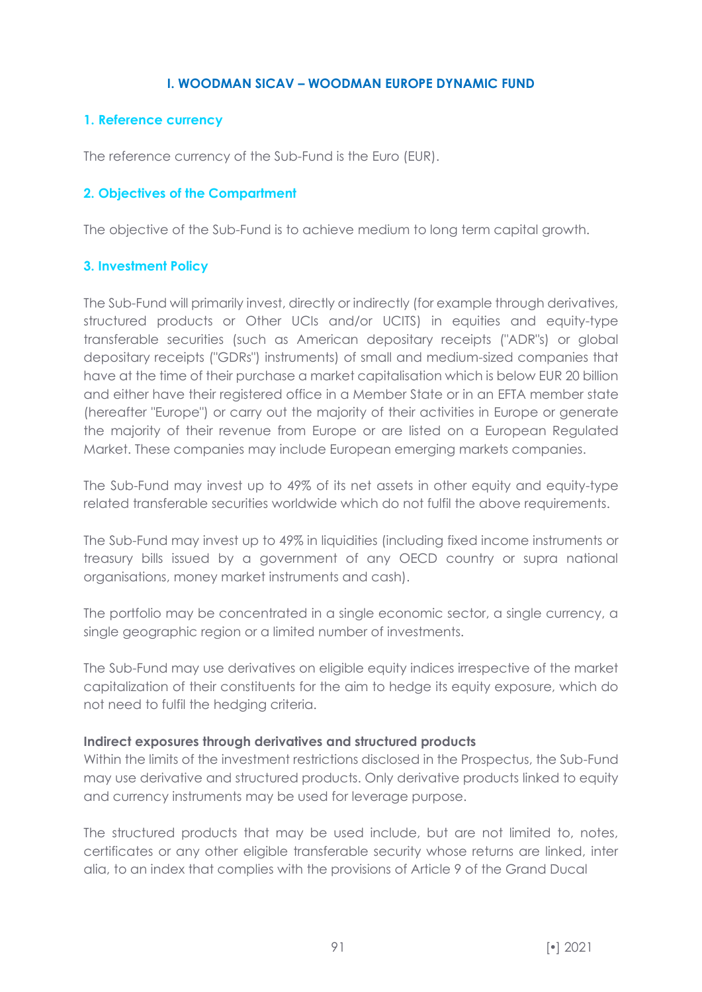### **I. WOODMAN SICAV – WOODMAN EUROPE DYNAMIC FUND**

## **1. Reference currency**

The reference currency of the Sub-Fund is the Euro (EUR).

### **2. Objectives of the Compartment**

The objective of the Sub-Fund is to achieve medium to long term capital growth.

## **3. Investment Policy**

The Sub-Fund will primarily invest, directly or indirectly (for example through derivatives, structured products or Other UCIs and/or UCITS) in equities and equity-type transferable securities (such as American depositary receipts ("ADR"s) or global depositary receipts ("GDRs") instruments) of small and medium-sized companies that have at the time of their purchase a market capitalisation which is below EUR 20 billion and either have their registered office in a Member State or in an EFTA member state (hereafter "Europe") or carry out the majority of their activities in Europe or generate the majority of their revenue from Europe or are listed on a European Regulated Market. These companies may include European emerging markets companies.

The Sub-Fund may invest up to 49% of its net assets in other equity and equity-type related transferable securities worldwide which do not fulfil the above requirements.

The Sub-Fund may invest up to 49% in liquidities (including fixed income instruments or treasury bills issued by a government of any OECD country or supra national organisations, money market instruments and cash).

The portfolio may be concentrated in a single economic sector, a single currency, a single geographic region or a limited number of investments.

The Sub-Fund may use derivatives on eligible equity indices irrespective of the market capitalization of their constituents for the aim to hedge its equity exposure, which do not need to fulfil the hedging criteria.

### **Indirect exposures through derivatives and structured products**

Within the limits of the investment restrictions disclosed in the Prospectus, the Sub-Fund may use derivative and structured products. Only derivative products linked to equity and currency instruments may be used for leverage purpose.

The structured products that may be used include, but are not limited to, notes, certificates or any other eligible transferable security whose returns are linked, inter alia, to an index that complies with the provisions of Article 9 of the Grand Ducal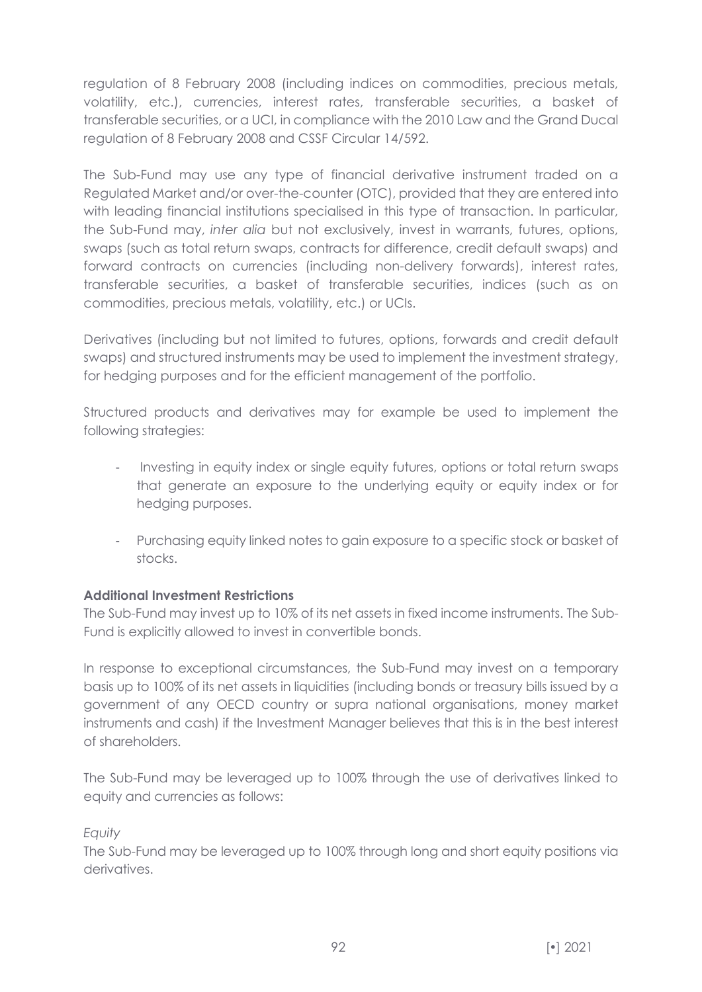regulation of 8 February 2008 (including indices on commodities, precious metals, volatility, etc.), currencies, interest rates, transferable securities, a basket of transferable securities, or a UCI, in compliance with the 2010 Law and the Grand Ducal regulation of 8 February 2008 and CSSF Circular 14/592.

The Sub-Fund may use any type of financial derivative instrument traded on a Regulated Market and/or over-the-counter (OTC), provided that they are entered into with leading financial institutions specialised in this type of transaction. In particular, the Sub-Fund may, *inter alia* but not exclusively, invest in warrants, futures, options, swaps (such as total return swaps, contracts for difference, credit default swaps) and forward contracts on currencies (including non-delivery forwards), interest rates, transferable securities, a basket of transferable securities, indices (such as on commodities, precious metals, volatility, etc.) or UCIs.

Derivatives (including but not limited to futures, options, forwards and credit default swaps) and structured instruments may be used to implement the investment strategy, for hedging purposes and for the efficient management of the portfolio.

Structured products and derivatives may for example be used to implement the following strategies:

- Investing in equity index or single equity futures, options or total return swaps that generate an exposure to the underlying equity or equity index or for hedging purposes.
- Purchasing equity linked notes to gain exposure to a specific stock or basket of stocks.

# **Additional Investment Restrictions**

The Sub-Fund may invest up to 10% of its net assets in fixed income instruments. The Sub-Fund is explicitly allowed to invest in convertible bonds.

In response to exceptional circumstances, the Sub-Fund may invest on a temporary basis up to 100% of its net assets in liquidities (including bonds or treasury bills issued by a government of any OECD country or supra national organisations, money market instruments and cash) if the Investment Manager believes that this is in the best interest of shareholders.

The Sub-Fund may be leveraged up to 100% through the use of derivatives linked to equity and currencies as follows:

### *Equity*

The Sub-Fund may be leveraged up to 100% through long and short equity positions via derivatives.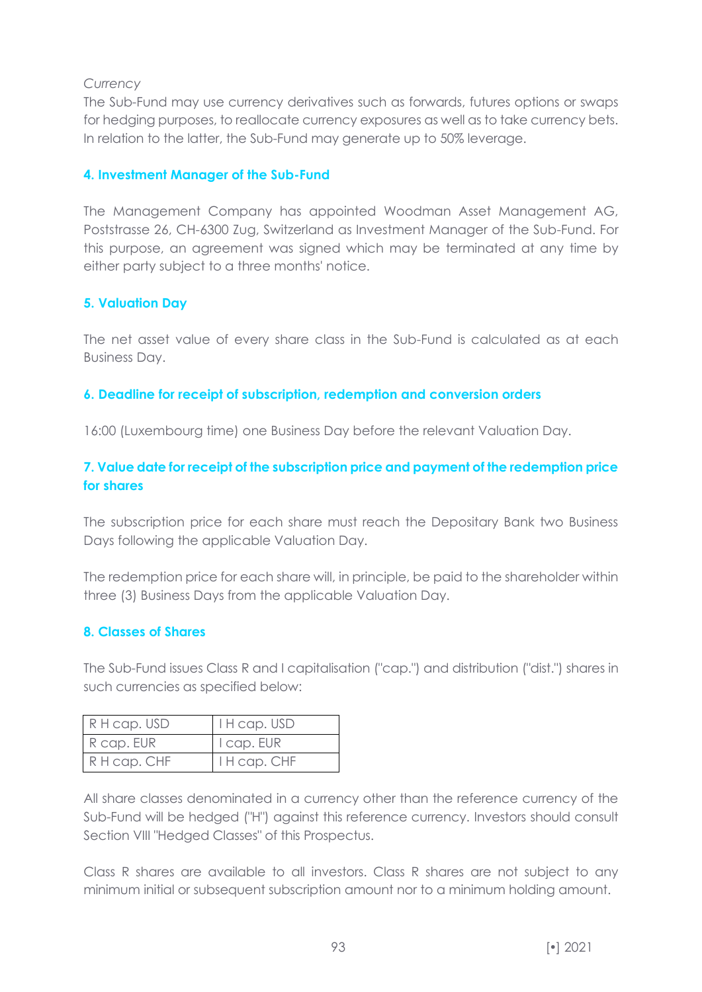### *Currency*

The Sub-Fund may use currency derivatives such as forwards, futures options or swaps for hedging purposes, to reallocate currency exposures as well as to take currency bets. In relation to the latter, the Sub-Fund may generate up to 50% leverage.

# **4. Investment Manager of the Sub-Fund**

The Management Company has appointed Woodman Asset Management AG, Poststrasse 26, CH-6300 Zug, Switzerland as Investment Manager of the Sub-Fund. For this purpose, an agreement was signed which may be terminated at any time by either party subject to a three months' notice.

# **5. Valuation Day**

The net asset value of every share class in the Sub-Fund is calculated as at each Business Day.

# **6. Deadline for receipt of subscription, redemption and conversion orders**

16:00 (Luxembourg time) one Business Day before the relevant Valuation Day.

# **7. Value date for receipt of the subscription price and payment of the redemption price for shares**

The subscription price for each share must reach the Depositary Bank two Business Days following the applicable Valuation Day.

The redemption price for each share will, in principle, be paid to the shareholder within three (3) Business Days from the applicable Valuation Day.

# **8. Classes of Shares**

The Sub-Fund issues Class R and I capitalisation ("cap.") and distribution ("dist.") shares in such currencies as specified below:

| R H cap. USD | I H cap. USD   |
|--------------|----------------|
| R cap. EUR   | $ $ I cap. EUR |
| R H cap. CHF | I H cap. CHF   |

All share classes denominated in a currency other than the reference currency of the Sub-Fund will be hedged ("H") against this reference currency. Investors should consult Section VIII "Hedged Classes" of this Prospectus.

Class R shares are available to all investors. Class R shares are not subject to any minimum initial or subsequent subscription amount nor to a minimum holding amount.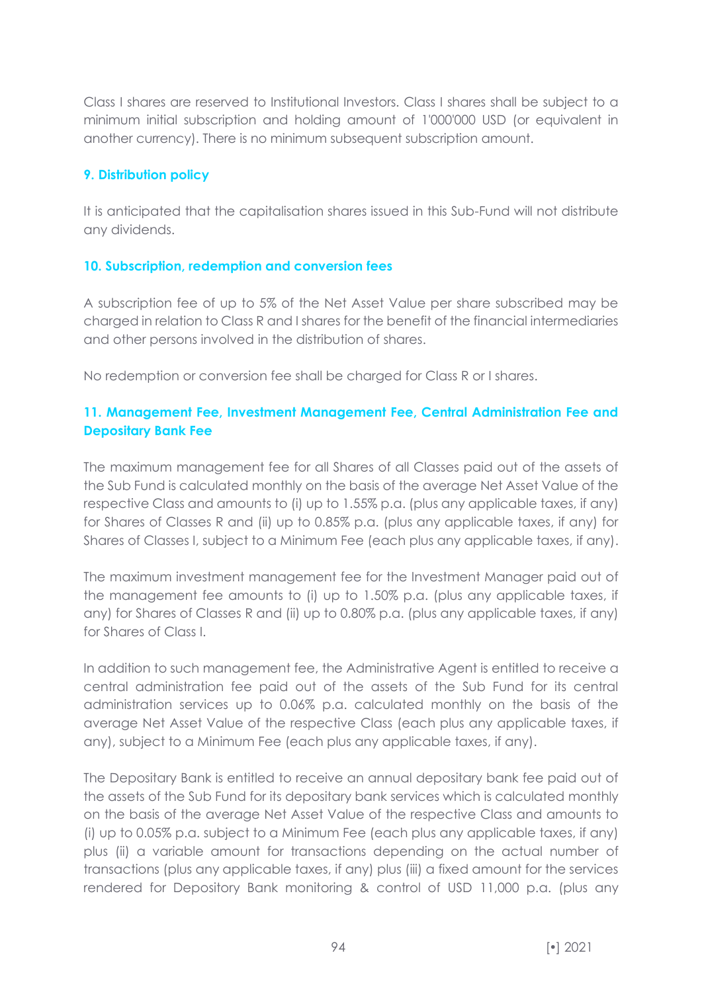Class I shares are reserved to Institutional Investors. Class I shares shall be subject to a minimum initial subscription and holding amount of 1'000'000 USD (or equivalent in another currency). There is no minimum subsequent subscription amount.

#### **9. Distribution policy**

It is anticipated that the capitalisation shares issued in this Sub-Fund will not distribute any dividends.

### **10. Subscription, redemption and conversion fees**

A subscription fee of up to 5% of the Net Asset Value per share subscribed may be charged in relation to Class R and I shares for the benefit of the financial intermediaries and other persons involved in the distribution of shares.

No redemption or conversion fee shall be charged for Class R or I shares.

# **11. Management Fee, Investment Management Fee, Central Administration Fee and Depositary Bank Fee**

The maximum management fee for all Shares of all Classes paid out of the assets of the Sub Fund is calculated monthly on the basis of the average Net Asset Value of the respective Class and amounts to (i) up to 1.55% p.a. (plus any applicable taxes, if any) for Shares of Classes R and (ii) up to 0.85% p.a. (plus any applicable taxes, if any) for Shares of Classes I, subject to a Minimum Fee (each plus any applicable taxes, if any).

The maximum investment management fee for the Investment Manager paid out of the management fee amounts to (i) up to 1.50% p.a. (plus any applicable taxes, if any) for Shares of Classes R and (ii) up to 0.80% p.a. (plus any applicable taxes, if any) for Shares of Class I.

In addition to such management fee, the Administrative Agent is entitled to receive a central administration fee paid out of the assets of the Sub Fund for its central administration services up to 0.06% p.a. calculated monthly on the basis of the average Net Asset Value of the respective Class (each plus any applicable taxes, if any), subject to a Minimum Fee (each plus any applicable taxes, if any).

The Depositary Bank is entitled to receive an annual depositary bank fee paid out of the assets of the Sub Fund for its depositary bank services which is calculated monthly on the basis of the average Net Asset Value of the respective Class and amounts to (i) up to 0.05% p.a. subject to a Minimum Fee (each plus any applicable taxes, if any) plus (ii) a variable amount for transactions depending on the actual number of transactions (plus any applicable taxes, if any) plus (iii) a fixed amount for the services rendered for Depository Bank monitoring & control of USD 11,000 p.a. (plus any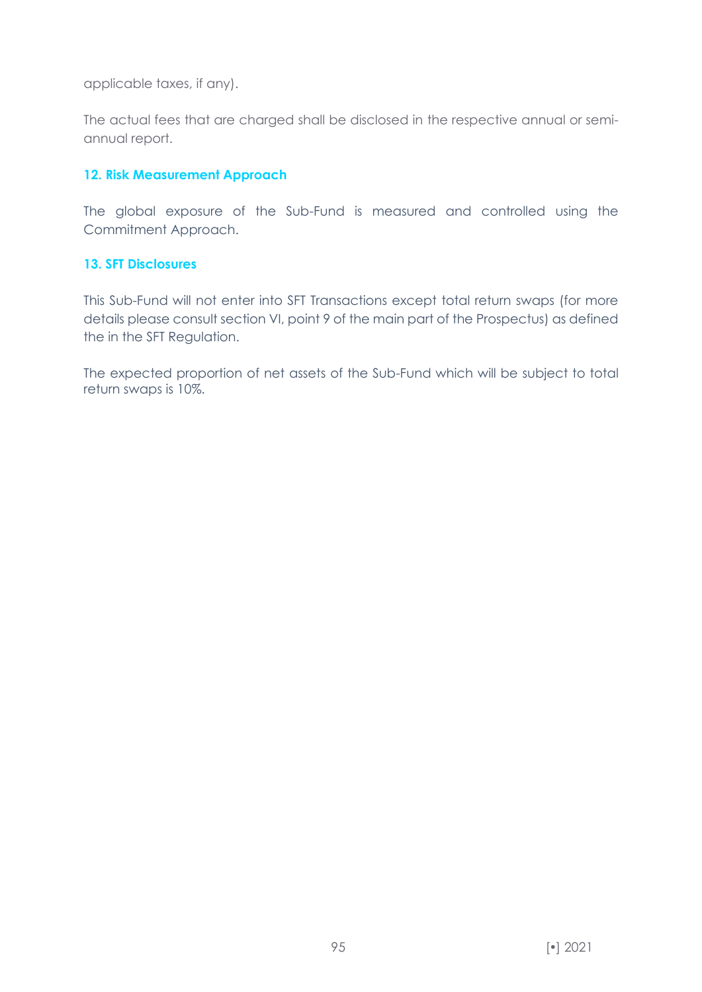applicable taxes, if any).

The actual fees that are charged shall be disclosed in the respective annual or semiannual report.

### **12. Risk Measurement Approach**

The global exposure of the Sub-Fund is measured and controlled using the Commitment Approach.

#### **13. SFT Disclosures**

This Sub-Fund will not enter into SFT Transactions except total return swaps (for more details please consult section VI, point 9 of the main part of the Prospectus) as defined the in the SFT Regulation.

The expected proportion of net assets of the Sub-Fund which will be subject to total return swaps is 10%.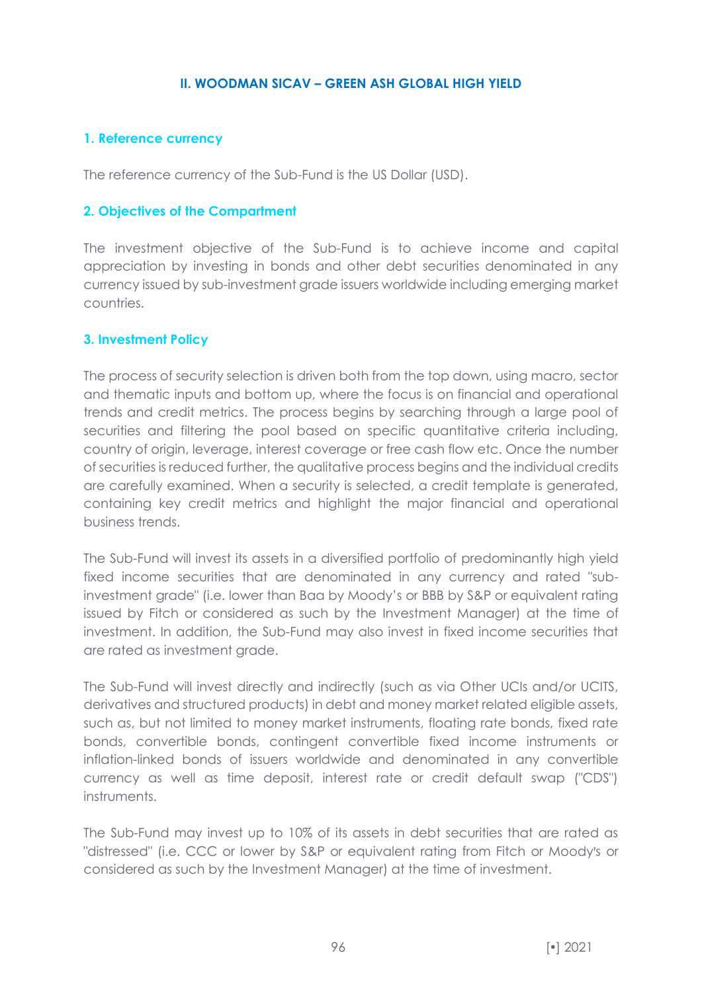#### **II. WOODMAN SICAV – GREEN ASH GLOBAL HIGH YIELD**

### **1. Reference currency**

The reference currency of the Sub-Fund is the US Dollar (USD).

#### **2. Objectives of the Compartment**

The investment objective of the Sub-Fund is to achieve income and capital appreciation by investing in bonds and other debt securities denominated in any currency issued by sub-investment grade issuers worldwide including emerging market countries.

#### **3. Investment Policy**

The process of security selection is driven both from the top down, using macro, sector and thematic inputs and bottom up, where the focus is on financial and operational trends and credit metrics. The process begins by searching through a large pool of securities and filtering the pool based on specific quantitative criteria including, country of origin, leverage, interest coverage or free cash flow etc. Once the number of securities is reduced further, the qualitative process begins and the individual credits are carefully examined. When a security is selected, a credit template is generated, containing key credit metrics and highlight the major financial and operational business trends.

The Sub-Fund will invest its assets in a diversified portfolio of predominantly high yield fixed income securities that are denominated in any currency and rated "subinvestment grade" (i.e. lower than Baa by Moody's or BBB by S&P or equivalent rating issued by Fitch or considered as such by the Investment Manager) at the time of investment. In addition, the Sub-Fund may also invest in fixed income securities that are rated as investment grade.

The Sub-Fund will invest directly and indirectly (such as via Other UCIs and/or UCITS, derivatives and structured products) in debt and money market related eligible assets, such as, but not limited to money market instruments, floating rate bonds, fixed rate bonds, convertible bonds, contingent convertible fixed income instruments or inflation-linked bonds of issuers worldwide and denominated in any convertible currency as well as time deposit, interest rate or credit default swap ("CDS") instruments.

The Sub-Fund may invest up to 10% of its assets in debt securities that are rated as "distressed" (i.e. CCC or lower by S&P or equivalent rating from Fitch or Moody's or considered as such by the Investment Manager) at the time of investment.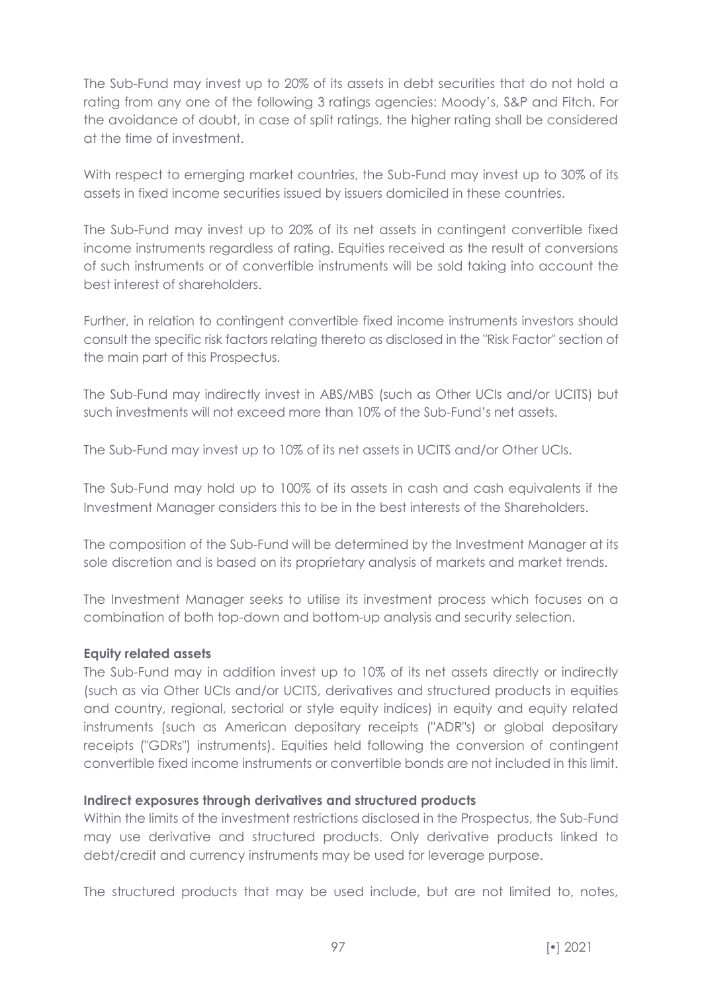The Sub-Fund may invest up to 20% of its assets in debt securities that do not hold a rating from any one of the following 3 ratings agencies: Moody's, S&P and Fitch. For the avoidance of doubt, in case of split ratings, the higher rating shall be considered at the time of investment.

With respect to emerging market countries, the Sub-Fund may invest up to 30% of its assets in fixed income securities issued by issuers domiciled in these countries.

The Sub-Fund may invest up to 20% of its net assets in contingent convertible fixed income instruments regardless of rating. Equities received as the result of conversions of such instruments or of convertible instruments will be sold taking into account the best interest of shareholders.

Further, in relation to contingent convertible fixed income instruments investors should consult the specific risk factors relating thereto as disclosed in the "Risk Factor" section of the main part of this Prospectus.

The Sub-Fund may indirectly invest in ABS/MBS (such as Other UCIs and/or UCITS) but such investments will not exceed more than 10% of the Sub-Fund's net assets.

The Sub-Fund may invest up to 10% of its net assets in UCITS and/or Other UCIs.

The Sub-Fund may hold up to 100% of its assets in cash and cash equivalents if the Investment Manager considers this to be in the best interests of the Shareholders.

The composition of the Sub-Fund will be determined by the Investment Manager at its sole discretion and is based on its proprietary analysis of markets and market trends.

The Investment Manager seeks to utilise its investment process which focuses on a combination of both top-down and bottom-up analysis and security selection.

### **Equity related assets**

The Sub-Fund may in addition invest up to 10% of its net assets directly or indirectly (such as via Other UCIs and/or UCITS, derivatives and structured products in equities and country, regional, sectorial or style equity indices) in equity and equity related instruments (such as American depositary receipts ("ADR"s) or global depositary receipts ("GDRs") instruments). Equities held following the conversion of contingent convertible fixed income instruments or convertible bonds are not included in this limit.

### **Indirect exposures through derivatives and structured products**

Within the limits of the investment restrictions disclosed in the Prospectus, the Sub-Fund may use derivative and structured products. Only derivative products linked to debt/credit and currency instruments may be used for leverage purpose.

The structured products that may be used include, but are not limited to, notes,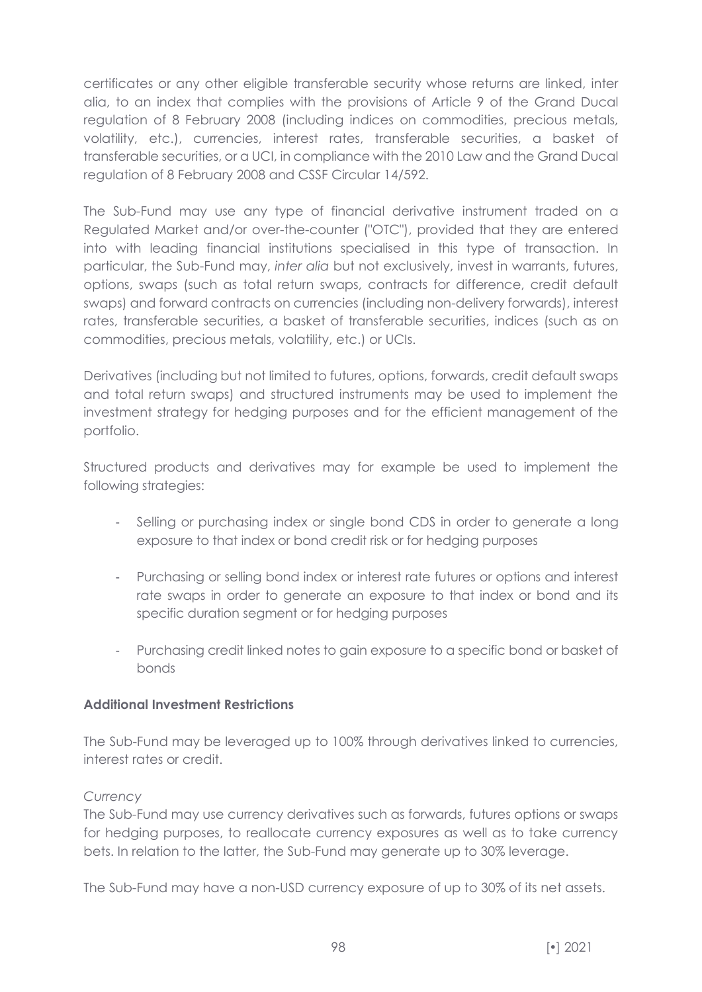certificates or any other eligible transferable security whose returns are linked, inter alia, to an index that complies with the provisions of Article 9 of the Grand Ducal regulation of 8 February 2008 (including indices on commodities, precious metals, volatility, etc.), currencies, interest rates, transferable securities, a basket of transferable securities, or a UCI, in compliance with the 2010 Law and the Grand Ducal regulation of 8 February 2008 and CSSF Circular 14/592.

The Sub-Fund may use any type of financial derivative instrument traded on a Regulated Market and/or over-the-counter ("OTC"), provided that they are entered into with leading financial institutions specialised in this type of transaction. In particular, the Sub-Fund may, *inter alia* but not exclusively, invest in warrants, futures, options, swaps (such as total return swaps, contracts for difference, credit default swaps) and forward contracts on currencies (including non-delivery forwards), interest rates, transferable securities, a basket of transferable securities, indices (such as on commodities, precious metals, volatility, etc.) or UCIs.

Derivatives (including but not limited to futures, options, forwards, credit default swaps and total return swaps) and structured instruments may be used to implement the investment strategy for hedging purposes and for the efficient management of the portfolio.

Structured products and derivatives may for example be used to implement the following strategies:

- Selling or purchasing index or single bond CDS in order to generate a long exposure to that index or bond credit risk or for hedging purposes
- Purchasing or selling bond index or interest rate futures or options and interest rate swaps in order to generate an exposure to that index or bond and its specific duration segment or for hedging purposes
- Purchasing credit linked notes to gain exposure to a specific bond or basket of bonds

### **Additional Investment Restrictions**

The Sub-Fund may be leveraged up to 100% through derivatives linked to currencies, interest rates or credit.

### *Currency*

The Sub-Fund may use currency derivatives such as forwards, futures options or swaps for hedging purposes, to reallocate currency exposures as well as to take currency bets. In relation to the latter, the Sub-Fund may generate up to 30% leverage.

The Sub-Fund may have a non-USD currency exposure of up to 30% of its net assets.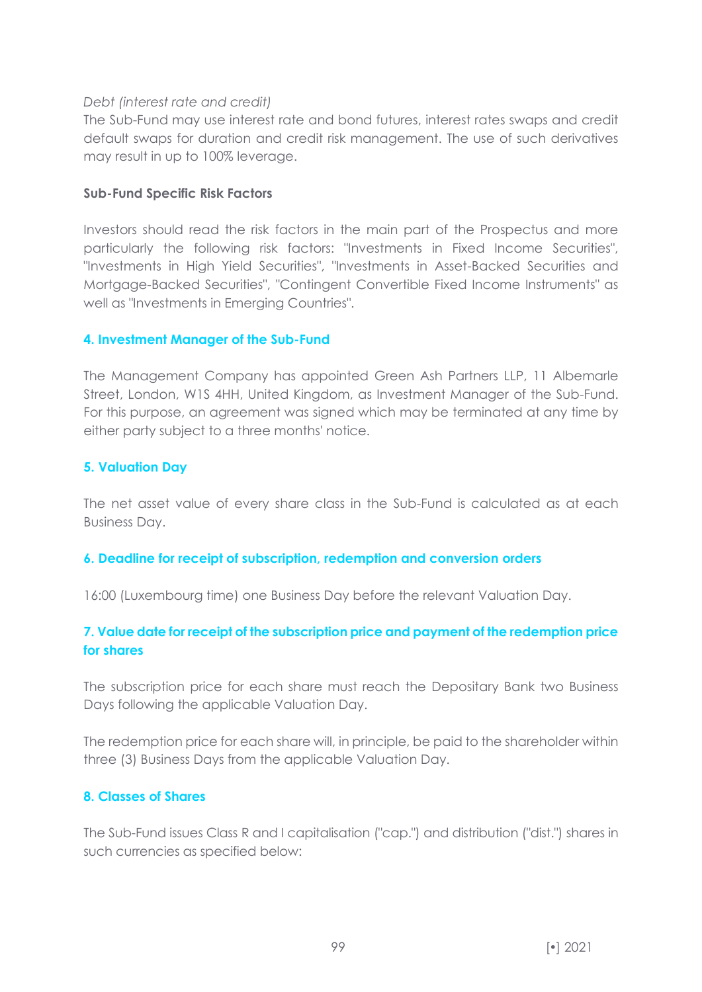### *Debt (interest rate and credit)*

The Sub-Fund may use interest rate and bond futures, interest rates swaps and credit default swaps for duration and credit risk management. The use of such derivatives may result in up to 100% leverage.

#### **Sub-Fund Specific Risk Factors**

Investors should read the risk factors in the main part of the Prospectus and more particularly the following risk factors: "Investments in Fixed Income Securities", "Investments in High Yield Securities", "Investments in Asset-Backed Securities and Mortgage-Backed Securities", "Contingent Convertible Fixed Income Instruments" as well as "Investments in Emerging Countries".

### **4. Investment Manager of the Sub-Fund**

The Management Company has appointed Green Ash Partners LLP, 11 Albemarle Street, London, W1S 4HH, United Kingdom, as Investment Manager of the Sub-Fund. For this purpose, an agreement was signed which may be terminated at any time by either party subject to a three months' notice.

#### **5. Valuation Day**

The net asset value of every share class in the Sub-Fund is calculated as at each Business Day.

#### **6. Deadline for receipt of subscription, redemption and conversion orders**

16:00 (Luxembourg time) one Business Day before the relevant Valuation Day.

## **7. Value date for receipt of the subscription price and payment of the redemption price for shares**

The subscription price for each share must reach the Depositary Bank two Business Days following the applicable Valuation Day.

The redemption price for each share will, in principle, be paid to the shareholder within three (3) Business Days from the applicable Valuation Day.

### **8. Classes of Shares**

The Sub-Fund issues Class R and I capitalisation ("cap.") and distribution ("dist.") shares in such currencies as specified below: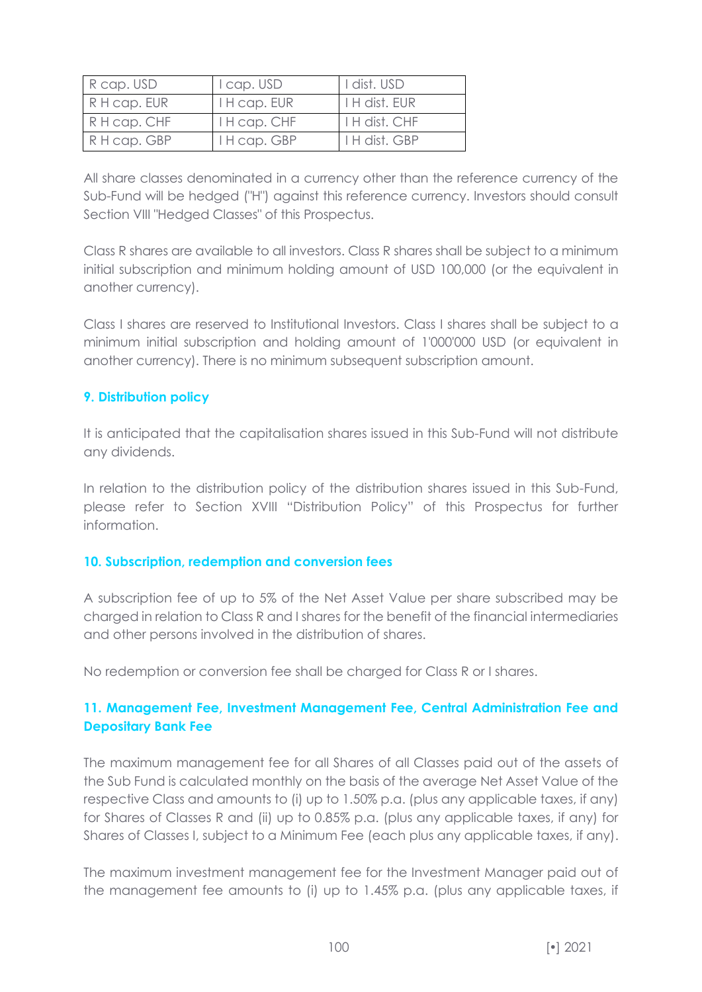| R cap. USD   | I cap. USD   | I dist. USD          |
|--------------|--------------|----------------------|
| R H cap. EUR | I H cap. EUR | <b>I H dist. EUR</b> |
| R H cap. CHF | I H cap. CHF | I H dist. CHF        |
| R H cap. GBP | I H cap. GBP | <b>I H dist. GBP</b> |

All share classes denominated in a currency other than the reference currency of the Sub-Fund will be hedged ("H") against this reference currency. Investors should consult Section VIII "Hedged Classes" of this Prospectus.

Class R shares are available to all investors. Class R shares shall be subject to a minimum initial subscription and minimum holding amount of USD 100,000 (or the equivalent in another currency).

Class I shares are reserved to Institutional Investors. Class I shares shall be subject to a minimum initial subscription and holding amount of 1'000'000 USD (or equivalent in another currency). There is no minimum subsequent subscription amount.

## **9. Distribution policy**

It is anticipated that the capitalisation shares issued in this Sub-Fund will not distribute any dividends.

In relation to the distribution policy of the distribution shares issued in this Sub-Fund, please refer to Section XVIII "Distribution Policy" of this Prospectus for further information.

### **10. Subscription, redemption and conversion fees**

A subscription fee of up to 5% of the Net Asset Value per share subscribed may be charged in relation to Class R and I shares for the benefit of the financial intermediaries and other persons involved in the distribution of shares.

No redemption or conversion fee shall be charged for Class R or I shares.

# **11. Management Fee, Investment Management Fee, Central Administration Fee and Depositary Bank Fee**

The maximum management fee for all Shares of all Classes paid out of the assets of the Sub Fund is calculated monthly on the basis of the average Net Asset Value of the respective Class and amounts to (i) up to 1.50% p.a. (plus any applicable taxes, if any) for Shares of Classes R and (ii) up to 0.85% p.a. (plus any applicable taxes, if any) for Shares of Classes I, subject to a Minimum Fee (each plus any applicable taxes, if any).

The maximum investment management fee for the Investment Manager paid out of the management fee amounts to (i) up to 1.45% p.a. (plus any applicable taxes, if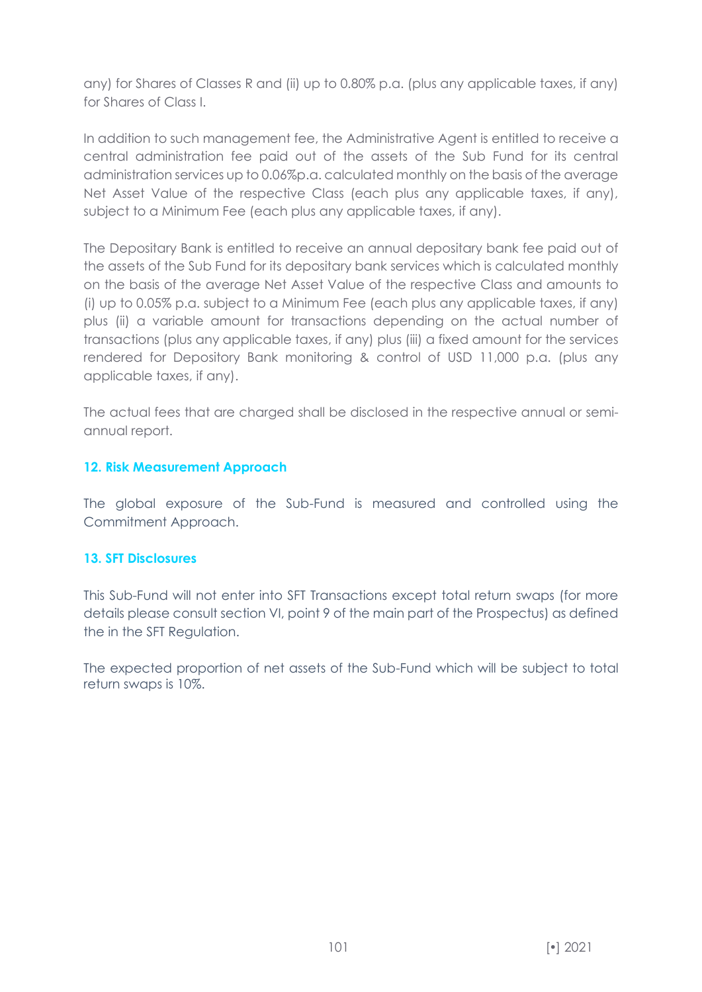any) for Shares of Classes R and (ii) up to 0.80% p.a. (plus any applicable taxes, if any) for Shares of Class I.

In addition to such management fee, the Administrative Agent is entitled to receive a central administration fee paid out of the assets of the Sub Fund for its central administration services up to 0.06%p.a. calculated monthly on the basis of the average Net Asset Value of the respective Class (each plus any applicable taxes, if any), subject to a Minimum Fee (each plus any applicable taxes, if any).

The Depositary Bank is entitled to receive an annual depositary bank fee paid out of the assets of the Sub Fund for its depositary bank services which is calculated monthly on the basis of the average Net Asset Value of the respective Class and amounts to (i) up to 0.05% p.a. subject to a Minimum Fee (each plus any applicable taxes, if any) plus (ii) a variable amount for transactions depending on the actual number of transactions (plus any applicable taxes, if any) plus (iii) a fixed amount for the services rendered for Depository Bank monitoring & control of USD 11,000 p.a. (plus any applicable taxes, if any).

The actual fees that are charged shall be disclosed in the respective annual or semiannual report.

### **12. Risk Measurement Approach**

The global exposure of the Sub-Fund is measured and controlled using the Commitment Approach.

### **13. SFT Disclosures**

This Sub-Fund will not enter into SFT Transactions except total return swaps (for more details please consult section VI, point 9 of the main part of the Prospectus) as defined the in the SFT Regulation.

The expected proportion of net assets of the Sub-Fund which will be subject to total return swaps is 10%.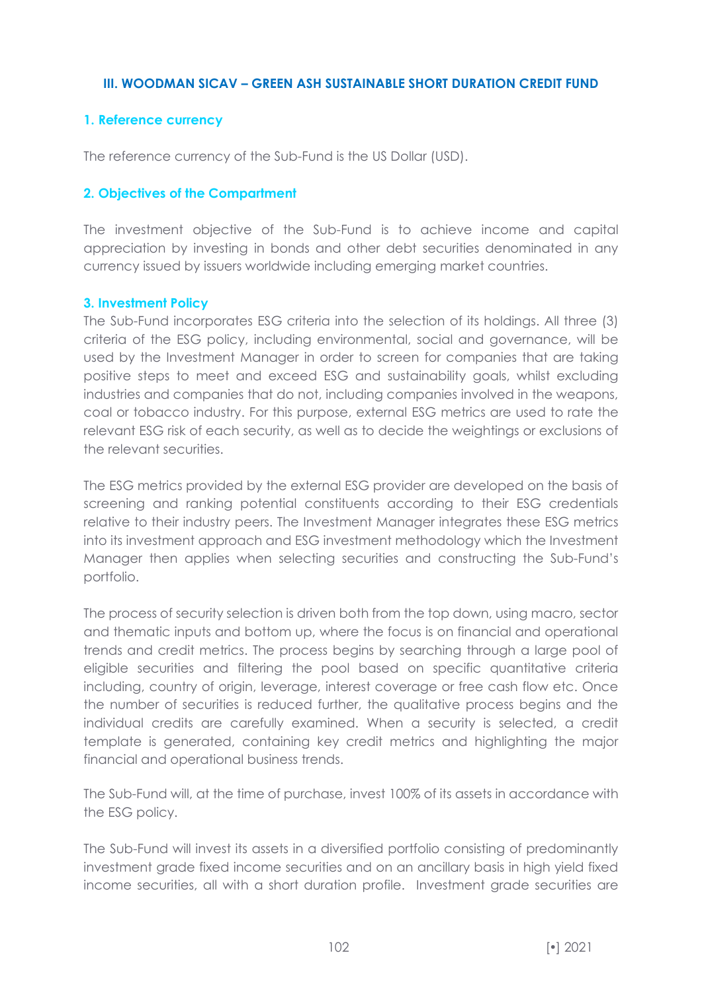#### **III. WOODMAN SICAV – GREEN ASH SUSTAINABLE SHORT DURATION CREDIT FUND**

#### **1. Reference currency**

The reference currency of the Sub-Fund is the US Dollar (USD).

#### **2. Objectives of the Compartment**

The investment objective of the Sub-Fund is to achieve income and capital appreciation by investing in bonds and other debt securities denominated in any currency issued by issuers worldwide including emerging market countries.

#### **3. Investment Policy**

The Sub-Fund incorporates ESG criteria into the selection of its holdings. All three (3) criteria of the ESG policy, including environmental, social and governance, will be used by the Investment Manager in order to screen for companies that are taking positive steps to meet and exceed ESG and sustainability goals, whilst excluding industries and companies that do not, including companies involved in the weapons, coal or tobacco industry. For this purpose, external ESG metrics are used to rate the relevant ESG risk of each security, as well as to decide the weightings or exclusions of the relevant securities.

The ESG metrics provided by the external ESG provider are developed on the basis of screening and ranking potential constituents according to their ESG credentials relative to their industry peers. The Investment Manager integrates these ESG metrics into its investment approach and ESG investment methodology which the Investment Manager then applies when selecting securities and constructing the Sub-Fund's portfolio.

The process of security selection is driven both from the top down, using macro, sector and thematic inputs and bottom up, where the focus is on financial and operational trends and credit metrics. The process begins by searching through a large pool of eligible securities and filtering the pool based on specific quantitative criteria including, country of origin, leverage, interest coverage or free cash flow etc. Once the number of securities is reduced further, the qualitative process begins and the individual credits are carefully examined. When a security is selected, a credit template is generated, containing key credit metrics and highlighting the major financial and operational business trends.

The Sub-Fund will, at the time of purchase, invest 100% of its assets in accordance with the ESG policy.

The Sub-Fund will invest its assets in a diversified portfolio consisting of predominantly investment grade fixed income securities and on an ancillary basis in high yield fixed income securities, all with a short duration profile. Investment grade securities are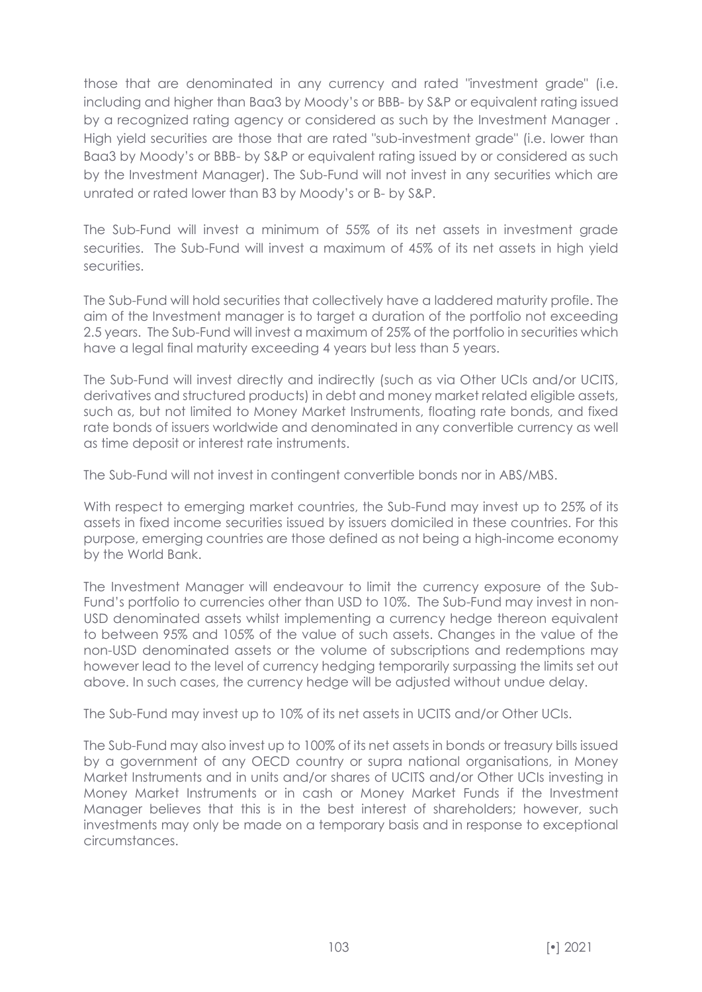those that are denominated in any currency and rated "investment grade" (i.e. including and higher than Baa3 by Moody's or BBB- by S&P or equivalent rating issued by a recognized rating agency or considered as such by the Investment Manager . High yield securities are those that are rated "sub-investment grade" (i.e. lower than Baa3 by Moody's or BBB- by S&P or equivalent rating issued by or considered as such by the Investment Manager). The Sub-Fund will not invest in any securities which are unrated or rated lower than B3 by Moody's or B- by S&P.

The Sub-Fund will invest a minimum of 55% of its net assets in investment grade securities. The Sub-Fund will invest a maximum of 45% of its net assets in high yield securities.

The Sub-Fund will hold securities that collectively have a laddered maturity profile. The aim of the Investment manager is to target a duration of the portfolio not exceeding 2.5 years. The Sub-Fund will invest a maximum of 25% of the portfolio in securities which have a legal final maturity exceeding 4 years but less than 5 years.

The Sub-Fund will invest directly and indirectly (such as via Other UCIs and/or UCITS, derivatives and structured products) in debt and money market related eligible assets, such as, but not limited to Money Market Instruments, floating rate bonds, and fixed rate bonds of issuers worldwide and denominated in any convertible currency as well as time deposit or interest rate instruments.

The Sub-Fund will not invest in contingent convertible bonds nor in ABS/MBS.

With respect to emerging market countries, the Sub-Fund may invest up to 25% of its assets in fixed income securities issued by issuers domiciled in these countries. For this purpose, emerging countries are those defined as not being a high-income economy by the World Bank.

The Investment Manager will endeavour to limit the currency exposure of the Sub-Fund's portfolio to currencies other than USD to 10%. The Sub-Fund may invest in non-USD denominated assets whilst implementing a currency hedge thereon equivalent to between 95% and 105% of the value of such assets. Changes in the value of the non-USD denominated assets or the volume of subscriptions and redemptions may however lead to the level of currency hedging temporarily surpassing the limits set out above. In such cases, the currency hedge will be adjusted without undue delay.

The Sub-Fund may invest up to 10% of its net assets in UCITS and/or Other UCIs.

The Sub-Fund may also invest up to 100% of its net assets in bonds or treasury bills issued by a government of any OECD country or supra national organisations, in Money Market Instruments and in units and/or shares of UCITS and/or Other UCIs investing in Money Market Instruments or in cash or Money Market Funds if the Investment Manager believes that this is in the best interest of shareholders; however, such investments may only be made on a temporary basis and in response to exceptional circumstances.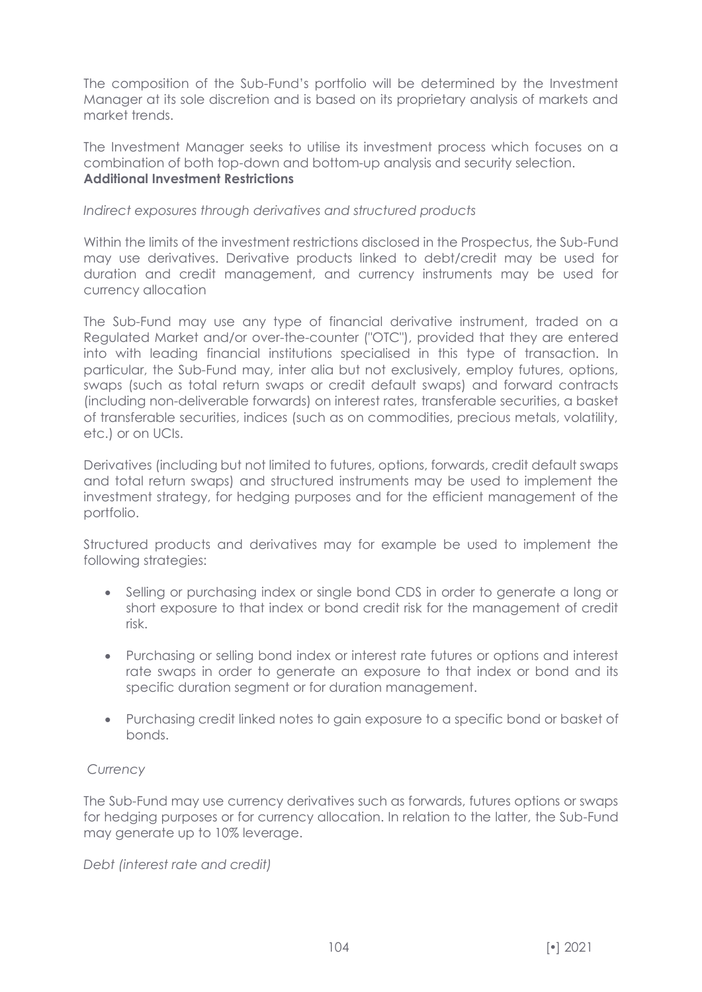The composition of the Sub-Fund's portfolio will be determined by the Investment Manager at its sole discretion and is based on its proprietary analysis of markets and market trends.

The Investment Manager seeks to utilise its investment process which focuses on a combination of both top-down and bottom-up analysis and security selection. **Additional Investment Restrictions** 

#### *Indirect exposures through derivatives and structured products*

Within the limits of the investment restrictions disclosed in the Prospectus, the Sub-Fund may use derivatives. Derivative products linked to debt/credit may be used for duration and credit management, and currency instruments may be used for currency allocation

The Sub-Fund may use any type of financial derivative instrument, traded on a Regulated Market and/or over-the-counter ("OTC"), provided that they are entered into with leading financial institutions specialised in this type of transaction. In particular, the Sub-Fund may, inter alia but not exclusively, employ futures, options, swaps (such as total return swaps or credit default swaps) and forward contracts (including non-deliverable forwards) on interest rates, transferable securities, a basket of transferable securities, indices (such as on commodities, precious metals, volatility, etc.) or on UCIs.

Derivatives (including but not limited to futures, options, forwards, credit default swaps and total return swaps) and structured instruments may be used to implement the investment strategy, for hedging purposes and for the efficient management of the portfolio.

Structured products and derivatives may for example be used to implement the following strategies:

- Selling or purchasing index or single bond CDS in order to generate a long or short exposure to that index or bond credit risk for the management of credit risk.
- Purchasing or selling bond index or interest rate futures or options and interest rate swaps in order to generate an exposure to that index or bond and its specific duration segment or for duration management.
- Purchasing credit linked notes to gain exposure to a specific bond or basket of bonds.

### *Currency*

The Sub-Fund may use currency derivatives such as forwards, futures options or swaps for hedging purposes or for currency allocation. In relation to the latter, the Sub-Fund may generate up to 10% leverage.

*Debt (interest rate and credit)*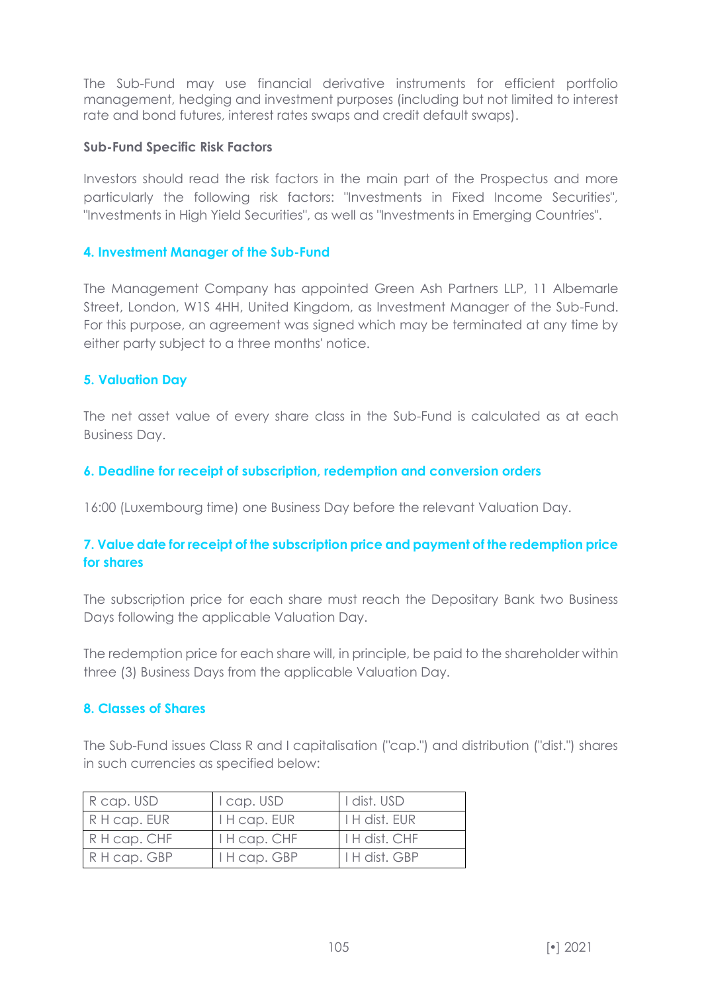The Sub-Fund may use financial derivative instruments for efficient portfolio management, hedging and investment purposes (including but not limited to interest rate and bond futures, interest rates swaps and credit default swaps).

#### **Sub-Fund Specific Risk Factors**

Investors should read the risk factors in the main part of the Prospectus and more particularly the following risk factors: "Investments in Fixed Income Securities", "Investments in High Yield Securities", as well as "Investments in Emerging Countries".

#### **4. Investment Manager of the Sub-Fund**

The Management Company has appointed Green Ash Partners LLP, 11 Albemarle Street, London, W1S 4HH, United Kingdom, as Investment Manager of the Sub-Fund. For this purpose, an agreement was signed which may be terminated at any time by either party subject to a three months' notice.

#### **5. Valuation Day**

The net asset value of every share class in the Sub-Fund is calculated as at each Business Day.

#### **6. Deadline for receipt of subscription, redemption and conversion orders**

16:00 (Luxembourg time) one Business Day before the relevant Valuation Day.

## **7. Value date for receipt of the subscription price and payment of the redemption price for shares**

The subscription price for each share must reach the Depositary Bank two Business Days following the applicable Valuation Day.

The redemption price for each share will, in principle, be paid to the shareholder within three (3) Business Days from the applicable Valuation Day.

#### **8. Classes of Shares**

The Sub-Fund issues Class R and I capitalisation ("cap.") and distribution ("dist.") shares in such currencies as specified below:

| R cap. USD   | I cap. USD        | I dist. USD          |
|--------------|-------------------|----------------------|
| R H cap. EUR | $H \cap E \cap E$ | $H$ H dist. EUR      |
| R H cap. CHF | I H cap. CHF      | $H$ H dist. CHF      |
| R H cap. GBP | I H cap. GBP      | <b>I H dist. GBP</b> |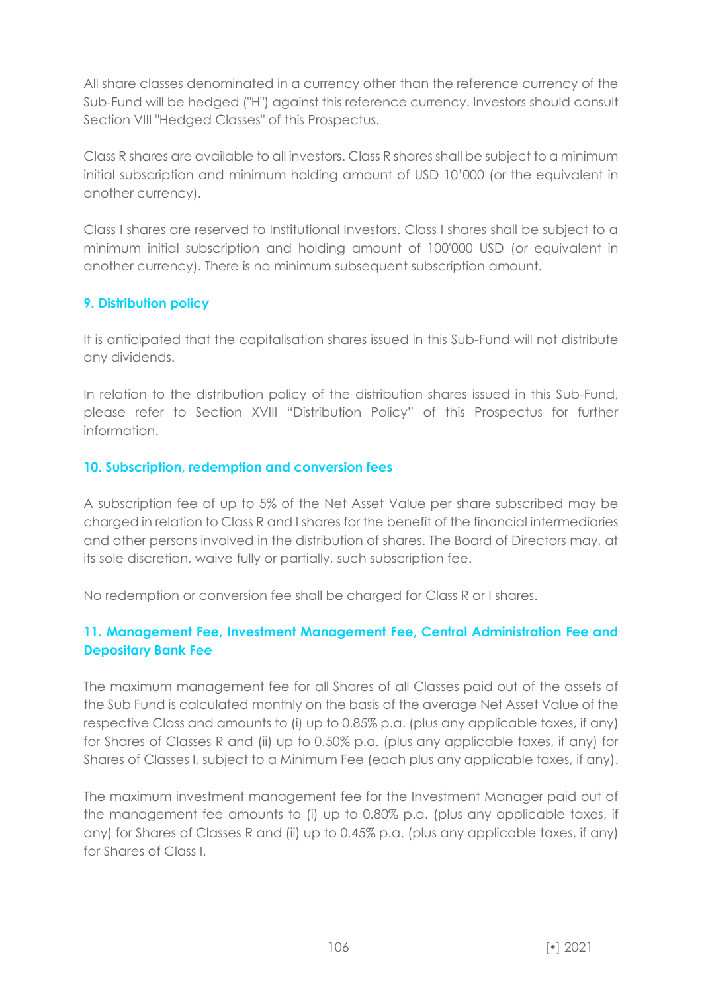All share classes denominated in a currency other than the reference currency of the Sub-Fund will be hedged ("H") against this reference currency. Investors should consult Section VIII "Hedged Classes" of this Prospectus.

Class R shares are available to all investors. Class R shares shall be subject to a minimum initial subscription and minimum holding amount of USD 10'000 (or the equivalent in another currency).

Class I shares are reserved to Institutional Investors. Class I shares shall be subject to a minimum initial subscription and holding amount of 100'000 USD (or equivalent in another currency). There is no minimum subsequent subscription amount.

# **9. Distribution policy**

It is anticipated that the capitalisation shares issued in this Sub-Fund will not distribute any dividends.

In relation to the distribution policy of the distribution shares issued in this Sub-Fund, please refer to Section XVIII "Distribution Policy" of this Prospectus for further information.

## **10. Subscription, redemption and conversion fees**

A subscription fee of up to 5% of the Net Asset Value per share subscribed may be charged in relation to Class R and I shares for the benefit of the financial intermediaries and other persons involved in the distribution of shares. The Board of Directors may, at its sole discretion, waive fully or partially, such subscription fee.

No redemption or conversion fee shall be charged for Class R or I shares.

# **11. Management Fee, Investment Management Fee, Central Administration Fee and Depositary Bank Fee**

The maximum management fee for all Shares of all Classes paid out of the assets of the Sub Fund is calculated monthly on the basis of the average Net Asset Value of the respective Class and amounts to (i) up to 0.85% p.a. (plus any applicable taxes, if any) for Shares of Classes R and (ii) up to 0.50% p.a. (plus any applicable taxes, if any) for Shares of Classes I, subject to a Minimum Fee (each plus any applicable taxes, if any).

The maximum investment management fee for the Investment Manager paid out of the management fee amounts to (i) up to 0.80% p.a. (plus any applicable taxes, if any) for Shares of Classes R and (ii) up to 0.45% p.a. (plus any applicable taxes, if any) for Shares of Class I.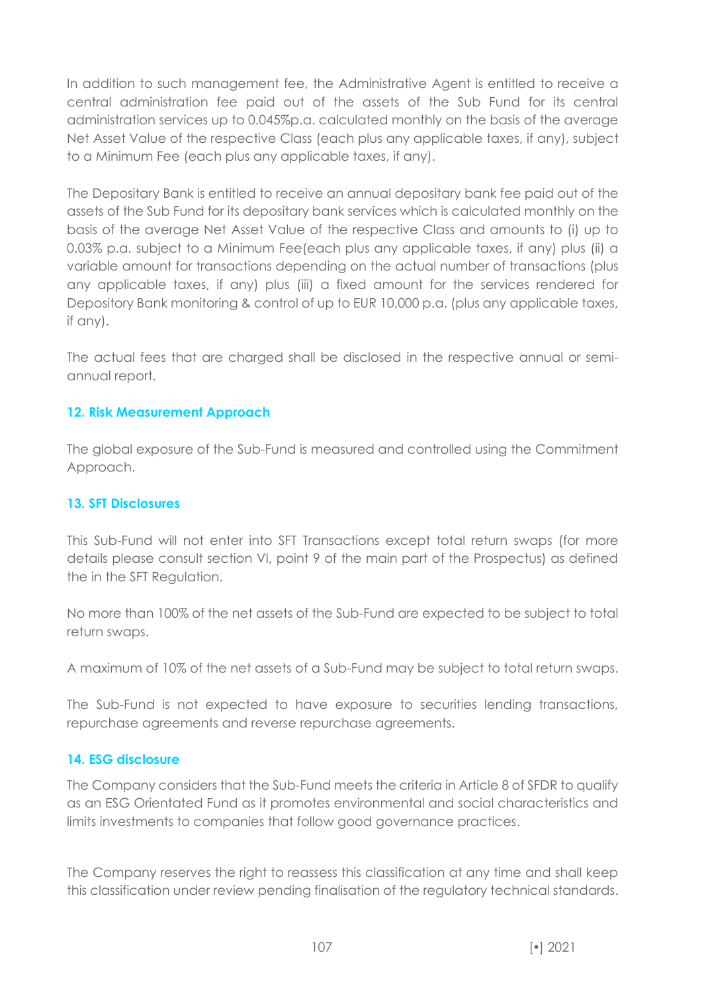In addition to such management fee, the Administrative Agent is entitled to receive a central administration fee paid out of the assets of the Sub Fund for its central administration services up to 0.045%p.a. calculated monthly on the basis of the average Net Asset Value of the respective Class (each plus any applicable taxes, if any), subject to a Minimum Fee (each plus any applicable taxes, if any).

The Depositary Bank is entitled to receive an annual depositary bank fee paid out of the assets of the Sub Fund for its depositary bank services which is calculated monthly on the basis of the average Net Asset Value of the respective Class and amounts to (i) up to 0.03% p.a. subject to a Minimum Fee(each plus any applicable taxes, if any) plus (ii) a variable amount for transactions depending on the actual number of transactions (plus any applicable taxes, if any) plus (iii) a fixed amount for the services rendered for Depository Bank monitoring & control of up to EUR 10,000 p.a. (plus any applicable taxes, if any).

The actual fees that are charged shall be disclosed in the respective annual or semiannual report.

# **12. Risk Measurement Approach**

The global exposure of the Sub-Fund is measured and controlled using the Commitment Approach.

### **13. SFT Disclosures**

This Sub-Fund will not enter into SFT Transactions except total return swaps (for more details please consult section VI, point 9 of the main part of the Prospectus) as defined the in the SFT Regulation.

No more than 100% of the net assets of the Sub-Fund are expected to be subject to total return swaps.

A maximum of 10% of the net assets of a Sub-Fund may be subject to total return swaps.

The Sub-Fund is not expected to have exposure to securities lending transactions, repurchase agreements and reverse repurchase agreements.

### **14. ESG disclosure**

The Company considers that the Sub-Fund meets the criteria in Article 8 of SFDR to qualify as an ESG Orientated Fund as it promotes environmental and social characteristics and limits investments to companies that follow good governance practices.

The Company reserves the right to reassess this classification at any time and shall keep this classification under review pending finalisation of the regulatory technical standards.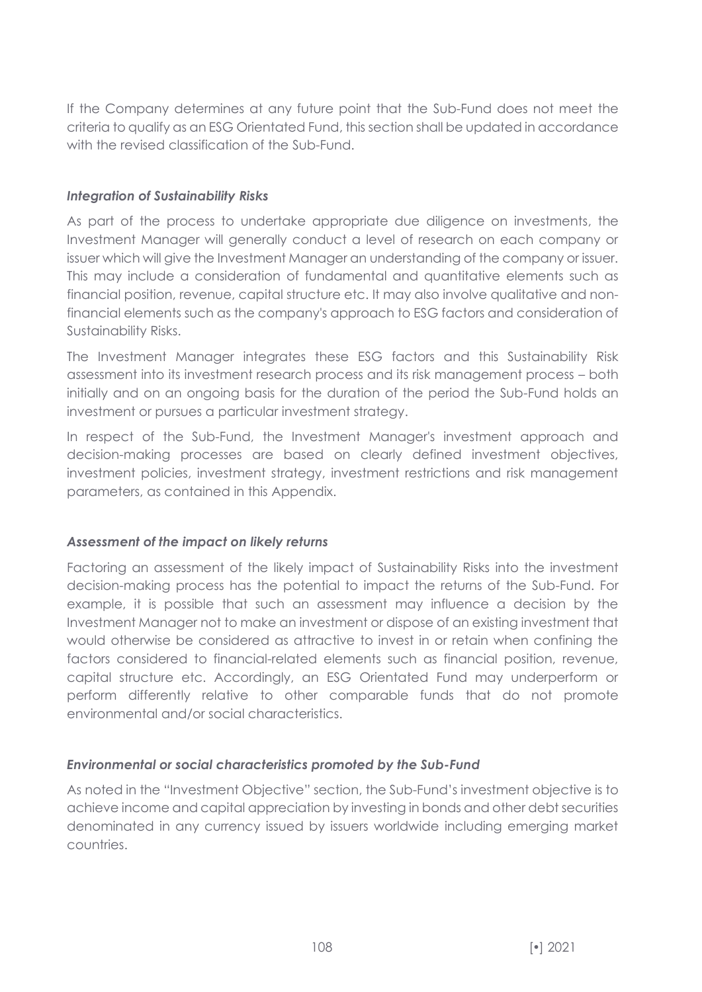If the Company determines at any future point that the Sub-Fund does not meet the criteria to qualify as an ESG Orientated Fund, this section shall be updated in accordance with the revised classification of the Sub-Fund.

## *Integration of Sustainability Risks*

As part of the process to undertake appropriate due diligence on investments, the Investment Manager will generally conduct a level of research on each company or issuer which will give the Investment Manager an understanding of the company or issuer. This may include a consideration of fundamental and quantitative elements such as financial position, revenue, capital structure etc. It may also involve qualitative and nonfinancial elements such as the company's approach to ESG factors and consideration of Sustainability Risks.

The Investment Manager integrates these ESG factors and this Sustainability Risk assessment into its investment research process and its risk management process – both initially and on an ongoing basis for the duration of the period the Sub-Fund holds an investment or pursues a particular investment strategy.

In respect of the Sub-Fund, the Investment Manager's investment approach and decision-making processes are based on clearly defined investment objectives, investment policies, investment strategy, investment restrictions and risk management parameters, as contained in this Appendix.

# *Assessment of the impact on likely returns*

Factoring an assessment of the likely impact of Sustainability Risks into the investment decision-making process has the potential to impact the returns of the Sub-Fund. For example, it is possible that such an assessment may influence a decision by the Investment Manager not to make an investment or dispose of an existing investment that would otherwise be considered as attractive to invest in or retain when confining the factors considered to financial-related elements such as financial position, revenue, capital structure etc. Accordingly, an ESG Orientated Fund may underperform or perform differently relative to other comparable funds that do not promote environmental and/or social characteristics.

# *Environmental or social characteristics promoted by the Sub-Fund*

As noted in the "Investment Objective" section, the Sub-Fund's investment objective is to achieve income and capital appreciation by investing in bonds and other debt securities denominated in any currency issued by issuers worldwide including emerging market countries.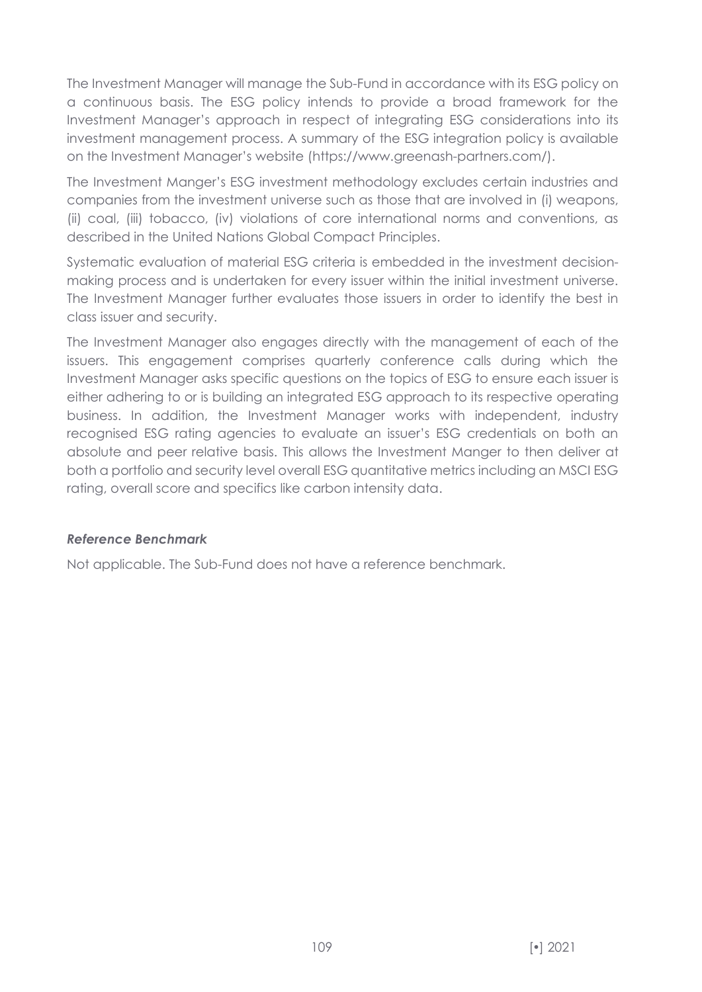The Investment Manager will manage the Sub-Fund in accordance with its ESG policy on a continuous basis. The ESG policy intends to provide a broad framework for the Investment Manager's approach in respect of integrating ESG considerations into its investment management process. A summary of the ESG integration policy is available on the Investment Manager's website (https://www.greenash-partners.com/).

The Investment Manger's ESG investment methodology excludes certain industries and companies from the investment universe such as those that are involved in (i) weapons, (ii) coal, (iii) tobacco, (iv) violations of core international norms and conventions, as described in the United Nations Global Compact Principles.

Systematic evaluation of material ESG criteria is embedded in the investment decisionmaking process and is undertaken for every issuer within the initial investment universe. The Investment Manager further evaluates those issuers in order to identify the best in class issuer and security.

The Investment Manager also engages directly with the management of each of the issuers. This engagement comprises quarterly conference calls during which the Investment Manager asks specific questions on the topics of ESG to ensure each issuer is either adhering to or is building an integrated ESG approach to its respective operating business. In addition, the Investment Manager works with independent, industry recognised ESG rating agencies to evaluate an issuer's ESG credentials on both an absolute and peer relative basis. This allows the Investment Manger to then deliver at both a portfolio and security level overall ESG quantitative metrics including an MSCI ESG rating, overall score and specifics like carbon intensity data.

### *Reference Benchmark*

Not applicable. The Sub-Fund does not have a reference benchmark.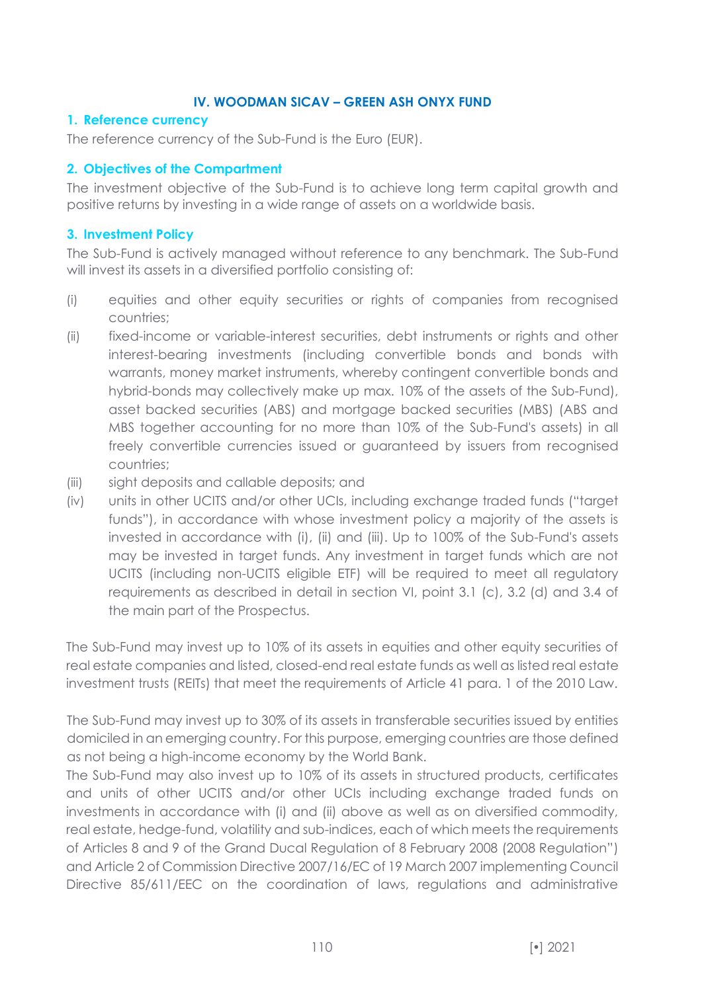# **IV. WOODMAN SICAV – GREEN ASH ONYX FUND**

#### **1. Reference currency**

The reference currency of the Sub-Fund is the Euro (EUR).

# **2. Objectives of the Compartment**

The investment objective of the Sub-Fund is to achieve long term capital growth and positive returns by investing in a wide range of assets on a worldwide basis.

## **3. Investment Policy**

The Sub-Fund is actively managed without reference to any benchmark. The Sub-Fund will invest its assets in a diversified portfolio consisting of:

- (i) equities and other equity securities or rights of companies from recognised countries;
- (ii) fixed-income or variable-interest securities, debt instruments or rights and other interest-bearing investments (including convertible bonds and bonds with warrants, money market instruments, whereby contingent convertible bonds and hybrid-bonds may collectively make up max. 10% of the assets of the Sub-Fund), asset backed securities (ABS) and mortgage backed securities (MBS) (ABS and MBS together accounting for no more than 10% of the Sub-Fund's assets) in all freely convertible currencies issued or guaranteed by issuers from recognised countries;
- (iii) sight deposits and callable deposits; and
- (iv) units in other UCITS and/or other UCIs, including exchange traded funds ("target funds"), in accordance with whose investment policy a majority of the assets is invested in accordance with (i), (ii) and (iii). Up to 100% of the Sub-Fund's assets may be invested in target funds. Any investment in target funds which are not UCITS (including non-UCITS eligible ETF) will be required to meet all regulatory requirements as described in detail in section VI, point 3.1 (c), 3.2 (d) and 3.4 of the main part of the Prospectus.

The Sub-Fund may invest up to 10% of its assets in equities and other equity securities of real estate companies and listed, closed-end real estate funds as well as listed real estate investment trusts (REITs) that meet the requirements of Article 41 para. 1 of the 2010 Law.

The Sub-Fund may invest up to 30% of its assets in transferable securities issued by entities domiciled in an emerging country. For this purpose, emerging countries are those defined as not being a high-income economy by the World Bank.

The Sub-Fund may also invest up to 10% of its assets in structured products, certificates and units of other UCITS and/or other UCIs including exchange traded funds on investments in accordance with (i) and (ii) above as well as on diversified commodity, real estate, hedge-fund, volatility and sub-indices, each of which meets the requirements of Articles 8 and 9 of the Grand Ducal Regulation of 8 February 2008 (2008 Regulation") and Article 2 of Commission Directive 2007/16/EC of 19 March 2007 implementing Council Directive 85/611/EEC on the coordination of laws, regulations and administrative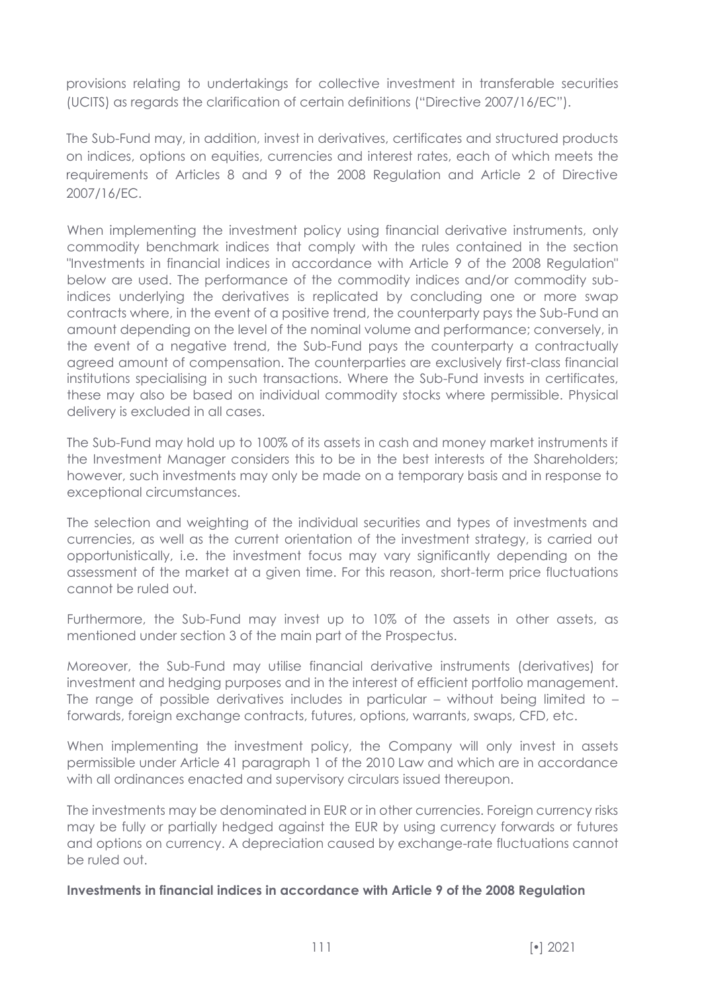provisions relating to undertakings for collective investment in transferable securities (UCITS) as regards the clarification of certain definitions ("Directive 2007/16/EC").

The Sub-Fund may, in addition, invest in derivatives, certificates and structured products on indices, options on equities, currencies and interest rates, each of which meets the requirements of Articles 8 and 9 of the 2008 Regulation and Article 2 of Directive 2007/16/EC.

When implementing the investment policy using financial derivative instruments, only commodity benchmark indices that comply with the rules contained in the section "Investments in financial indices in accordance with Article 9 of the 2008 Regulation" below are used. The performance of the commodity indices and/or commodity subindices underlying the derivatives is replicated by concluding one or more swap contracts where, in the event of a positive trend, the counterparty pays the Sub-Fund an amount depending on the level of the nominal volume and performance; conversely, in the event of a negative trend, the Sub-Fund pays the counterparty a contractually agreed amount of compensation. The counterparties are exclusively first-class financial institutions specialising in such transactions. Where the Sub-Fund invests in certificates, these may also be based on individual commodity stocks where permissible. Physical delivery is excluded in all cases.

The Sub-Fund may hold up to 100% of its assets in cash and money market instruments if the Investment Manager considers this to be in the best interests of the Shareholders; however, such investments may only be made on a temporary basis and in response to exceptional circumstances.

The selection and weighting of the individual securities and types of investments and currencies, as well as the current orientation of the investment strategy, is carried out opportunistically, i.e. the investment focus may vary significantly depending on the assessment of the market at a given time. For this reason, short-term price fluctuations cannot be ruled out.

Furthermore, the Sub-Fund may invest up to 10% of the assets in other assets, as mentioned under section 3 of the main part of the Prospectus.

Moreover, the Sub-Fund may utilise financial derivative instruments (derivatives) for investment and hedging purposes and in the interest of efficient portfolio management. The range of possible derivatives includes in particular – without being limited to – forwards, foreign exchange contracts, futures, options, warrants, swaps, CFD, etc.

When implementing the investment policy, the Company will only invest in assets permissible under Article 41 paragraph 1 of the 2010 Law and which are in accordance with all ordinances enacted and supervisory circulars issued thereupon.

The investments may be denominated in EUR or in other currencies. Foreign currency risks may be fully or partially hedged against the EUR by using currency forwards or futures and options on currency. A depreciation caused by exchange-rate fluctuations cannot be ruled out.

### **Investments in financial indices in accordance with Article 9 of the 2008 Regulation**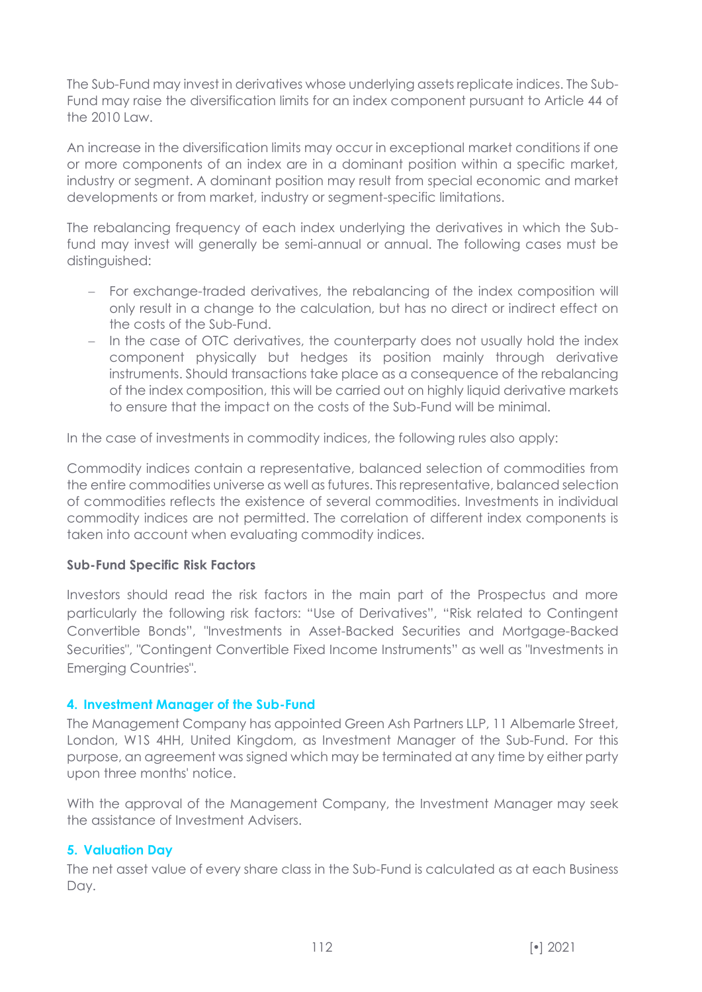The Sub-Fund may invest in derivatives whose underlying assets replicate indices. The Sub-Fund may raise the diversification limits for an index component pursuant to Article 44 of the 2010 Law.

An increase in the diversification limits may occur in exceptional market conditions if one or more components of an index are in a dominant position within a specific market, industry or segment. A dominant position may result from special economic and market developments or from market, industry or segment-specific limitations.

The rebalancing frequency of each index underlying the derivatives in which the Subfund may invest will generally be semi-annual or annual. The following cases must be distinguished:

- − For exchange-traded derivatives, the rebalancing of the index composition will only result in a change to the calculation, but has no direct or indirect effect on the costs of the Sub-Fund.
- − In the case of OTC derivatives, the counterparty does not usually hold the index component physically but hedges its position mainly through derivative instruments. Should transactions take place as a consequence of the rebalancing of the index composition, this will be carried out on highly liquid derivative markets to ensure that the impact on the costs of the Sub-Fund will be minimal.

In the case of investments in commodity indices, the following rules also apply:

Commodity indices contain a representative, balanced selection of commodities from the entire commodities universe as well as futures. This representative, balanced selection of commodities reflects the existence of several commodities. Investments in individual commodity indices are not permitted. The correlation of different index components is taken into account when evaluating commodity indices.

### **Sub-Fund Specific Risk Factors**

Investors should read the risk factors in the main part of the Prospectus and more particularly the following risk factors: "Use of Derivatives", "Risk related to Contingent Convertible Bonds", "Investments in Asset-Backed Securities and Mortgage-Backed Securities", "Contingent Convertible Fixed Income Instruments" as well as "Investments in Emerging Countries".

### **4. Investment Manager of the Sub-Fund**

The Management Company has appointed Green Ash Partners LLP, 11 Albemarle Street, London, W1S 4HH, United Kingdom, as Investment Manager of the Sub-Fund. For this purpose, an agreement was signed which may be terminated at any time by either party upon three months' notice.

With the approval of the Management Company, the Investment Manager may seek the assistance of Investment Advisers.

### **5. Valuation Day**

The net asset value of every share class in the Sub-Fund is calculated as at each Business Day.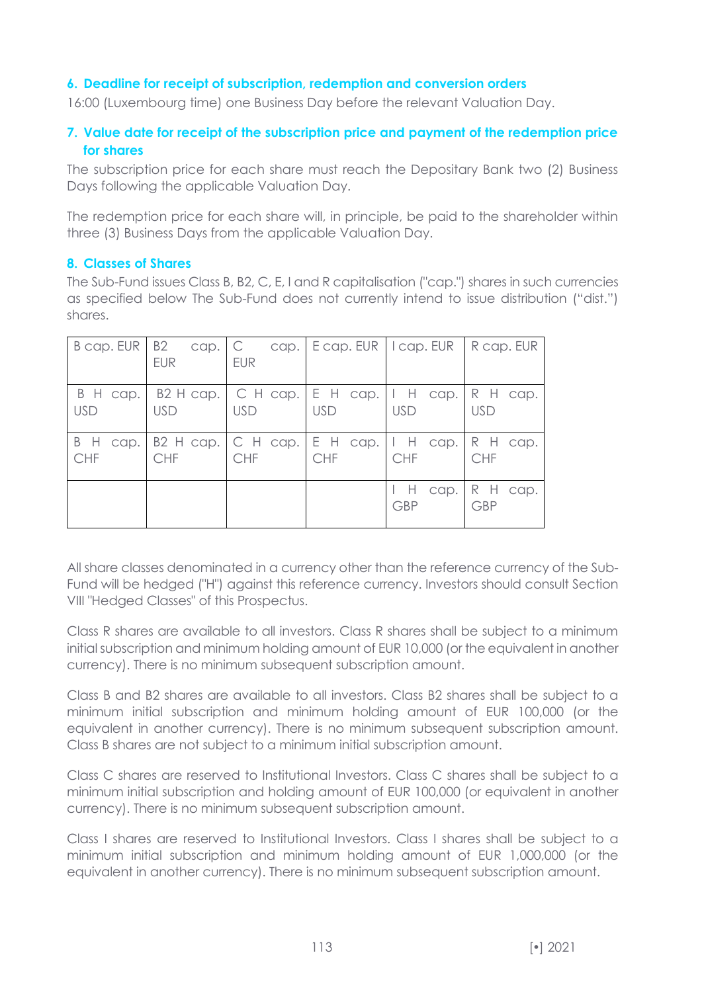### **6. Deadline for receipt of subscription, redemption and conversion orders**

16:00 (Luxembourg time) one Business Day before the relevant Valuation Day.

# **7. Value date for receipt of the subscription price and payment of the redemption price for shares**

The subscription price for each share must reach the Depositary Bank two (2) Business Days following the applicable Valuation Day.

The redemption price for each share will, in principle, be paid to the shareholder within three (3) Business Days from the applicable Valuation Day.

#### **8. Classes of Shares**

The Sub-Fund issues Class B, B2, C, E, I and R capitalisation ("cap.") shares in such currencies as specified below The Sub-Fund does not currently intend to issue distribution ("dist.") shares.

|            | $B$ cap. EUR $B2$ cap. $C$<br><b>EUR</b> | <b>EUR</b>                                                            | cap. $\left  \right $ E cap. EUR $\left  \right $ I cap. EUR $\left  \right $ R cap. EUR |                                    |                        |
|------------|------------------------------------------|-----------------------------------------------------------------------|------------------------------------------------------------------------------------------|------------------------------------|------------------------|
| <b>USD</b> | <b>USD</b>                               | B H cap.   B2 H cap.   C H cap.   E H cap.   I H cap.  <br><b>USD</b> | <b>USD</b>                                                                               | <b>USD</b>                         | R H cap.<br><b>USD</b> |
| CHF        | CHF                                      | B H cap.   B2 H cap.   C H cap.   E H cap.   I H cap.  <br>CHF        | <b>CHF</b>                                                                               | <b>CHF</b>                         | R H cap.<br><b>CHF</b> |
|            |                                          |                                                                       |                                                                                          | $\mathsf{H}$<br>cap.<br><b>GBP</b> | R H cap.<br><b>GBP</b> |

All share classes denominated in a currency other than the reference currency of the Sub-Fund will be hedged ("H") against this reference currency. Investors should consult Section VIII "Hedged Classes" of this Prospectus.

Class R shares are available to all investors. Class R shares shall be subject to a minimum initial subscription and minimum holding amount of EUR 10,000 (or the equivalent in another currency). There is no minimum subsequent subscription amount.

Class B and B2 shares are available to all investors. Class B2 shares shall be subject to a minimum initial subscription and minimum holding amount of EUR 100,000 (or the equivalent in another currency). There is no minimum subsequent subscription amount. Class B shares are not subject to a minimum initial subscription amount.

Class C shares are reserved to Institutional Investors. Class C shares shall be subject to a minimum initial subscription and holding amount of EUR 100,000 (or equivalent in another currency). There is no minimum subsequent subscription amount.

Class I shares are reserved to Institutional Investors. Class I shares shall be subject to a minimum initial subscription and minimum holding amount of EUR 1,000,000 (or the equivalent in another currency). There is no minimum subsequent subscription amount.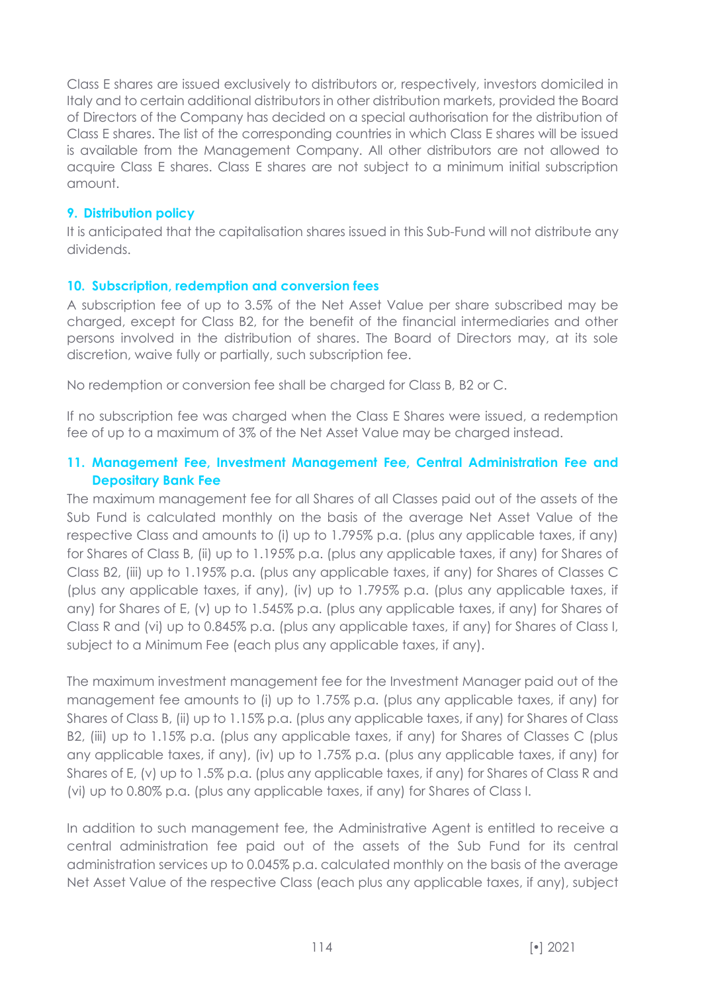Class E shares are issued exclusively to distributors or, respectively, investors domiciled in Italy and to certain additional distributors in other distribution markets, provided the Board of Directors of the Company has decided on a special authorisation for the distribution of Class E shares. The list of the corresponding countries in which Class E shares will be issued is available from the Management Company. All other distributors are not allowed to acquire Class E shares. Class E shares are not subject to a minimum initial subscription amount.

### **9. Distribution policy**

It is anticipated that the capitalisation shares issued in this Sub-Fund will not distribute any dividends.

#### **10. Subscription, redemption and conversion fees**

A subscription fee of up to 3.5% of the Net Asset Value per share subscribed may be charged, except for Class B2, for the benefit of the financial intermediaries and other persons involved in the distribution of shares. The Board of Directors may, at its sole discretion, waive fully or partially, such subscription fee.

No redemption or conversion fee shall be charged for Class B, B2 or C.

If no subscription fee was charged when the Class E Shares were issued, a redemption fee of up to a maximum of 3% of the Net Asset Value may be charged instead.

## **11. Management Fee, Investment Management Fee, Central Administration Fee and Depositary Bank Fee**

The maximum management fee for all Shares of all Classes paid out of the assets of the Sub Fund is calculated monthly on the basis of the average Net Asset Value of the respective Class and amounts to (i) up to 1.795% p.a. (plus any applicable taxes, if any) for Shares of Class B, (ii) up to 1.195% p.a. (plus any applicable taxes, if any) for Shares of Class B2, (iii) up to 1.195% p.a. (plus any applicable taxes, if any) for Shares of Classes C (plus any applicable taxes, if any), (iv) up to 1.795% p.a. (plus any applicable taxes, if any) for Shares of E, (v) up to 1.545% p.a. (plus any applicable taxes, if any) for Shares of Class R and (vi) up to 0.845% p.a. (plus any applicable taxes, if any) for Shares of Class I, subject to a Minimum Fee (each plus any applicable taxes, if any).

The maximum investment management fee for the Investment Manager paid out of the management fee amounts to (i) up to 1.75% p.a. (plus any applicable taxes, if any) for Shares of Class B, (ii) up to 1.15% p.a. (plus any applicable taxes, if any) for Shares of Class B2, (iii) up to 1.15% p.a. (plus any applicable taxes, if any) for Shares of Classes C (plus any applicable taxes, if any), (iv) up to 1.75% p.a. (plus any applicable taxes, if any) for Shares of E, (v) up to 1.5% p.a. (plus any applicable taxes, if any) for Shares of Class R and (vi) up to 0.80% p.a. (plus any applicable taxes, if any) for Shares of Class I.

In addition to such management fee, the Administrative Agent is entitled to receive a central administration fee paid out of the assets of the Sub Fund for its central administration services up to 0.045% p.a. calculated monthly on the basis of the average Net Asset Value of the respective Class (each plus any applicable taxes, if any), subject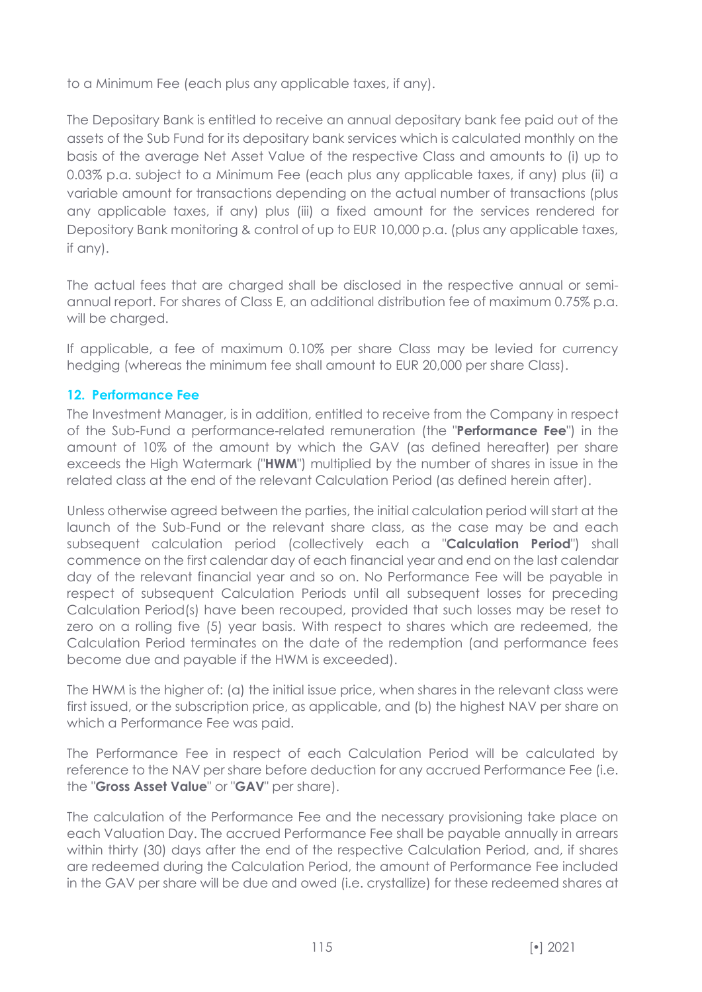to a Minimum Fee (each plus any applicable taxes, if any).

The Depositary Bank is entitled to receive an annual depositary bank fee paid out of the assets of the Sub Fund for its depositary bank services which is calculated monthly on the basis of the average Net Asset Value of the respective Class and amounts to (i) up to 0.03% p.a. subject to a Minimum Fee (each plus any applicable taxes, if any) plus (ii) a variable amount for transactions depending on the actual number of transactions (plus any applicable taxes, if any) plus (iii) a fixed amount for the services rendered for Depository Bank monitoring & control of up to EUR 10,000 p.a. (plus any applicable taxes, if any).

The actual fees that are charged shall be disclosed in the respective annual or semiannual report. For shares of Class E, an additional distribution fee of maximum 0.75% p.a. will be charged.

If applicable, a fee of maximum 0.10% per share Class may be levied for currency hedging (whereas the minimum fee shall amount to EUR 20,000 per share Class).

# **12. Performance Fee**

The Investment Manager, is in addition, entitled to receive from the Company in respect of the Sub-Fund a performance-related remuneration (the "**Performance Fee**") in the amount of 10% of the amount by which the GAV (as defined hereafter) per share exceeds the High Watermark ("**HWM**") multiplied by the number of shares in issue in the related class at the end of the relevant Calculation Period (as defined herein after).

Unless otherwise agreed between the parties, the initial calculation period will start at the launch of the Sub-Fund or the relevant share class, as the case may be and each subsequent calculation period (collectively each a "**Calculation Period**") shall commence on the first calendar day of each financial year and end on the last calendar day of the relevant financial year and so on. No Performance Fee will be payable in respect of subsequent Calculation Periods until all subsequent losses for preceding Calculation Period(s) have been recouped, provided that such losses may be reset to zero on a rolling five (5) year basis. With respect to shares which are redeemed, the Calculation Period terminates on the date of the redemption (and performance fees become due and payable if the HWM is exceeded).

The HWM is the higher of: (a) the initial issue price, when shares in the relevant class were first issued, or the subscription price, as applicable, and (b) the highest NAV per share on which a Performance Fee was paid.

The Performance Fee in respect of each Calculation Period will be calculated by reference to the NAV per share before deduction for any accrued Performance Fee (i.e. the "**Gross Asset Value**" or "**GAV**" per share).

The calculation of the Performance Fee and the necessary provisioning take place on each Valuation Day. The accrued Performance Fee shall be payable annually in arrears within thirty (30) days after the end of the respective Calculation Period, and, if shares are redeemed during the Calculation Period, the amount of Performance Fee included in the GAV per share will be due and owed (i.e. crystallize) for these redeemed shares at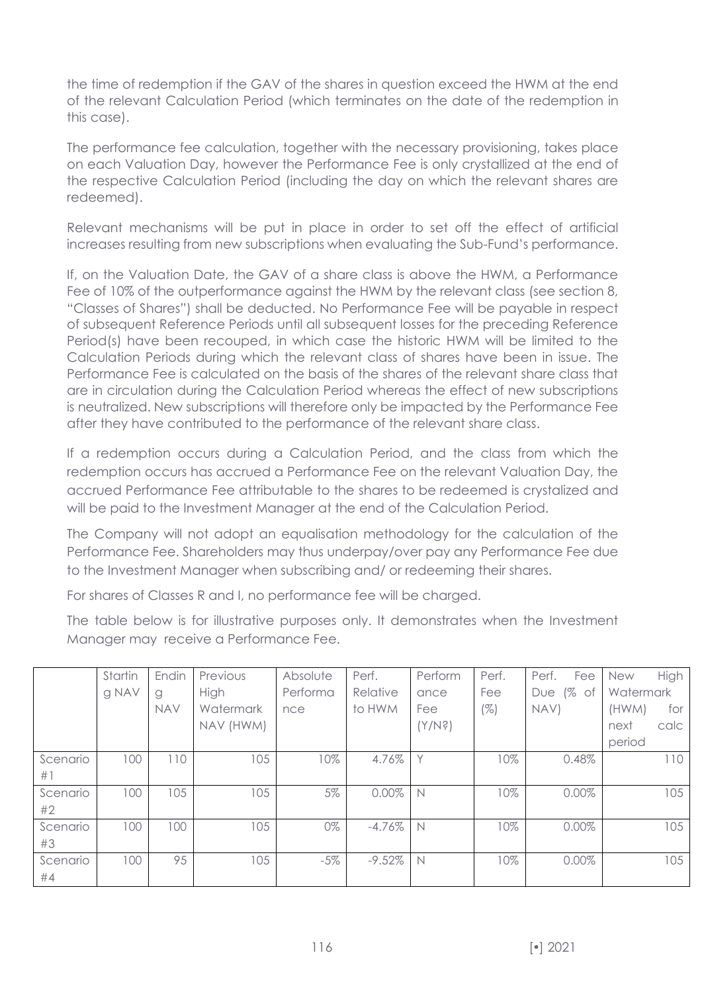the time of redemption if the GAV of the shares in question exceed the HWM at the end of the relevant Calculation Period (which terminates on the date of the redemption in this case).

The performance fee calculation, together with the necessary provisioning, takes place on each Valuation Day, however the Performance Fee is only crystallized at the end of the respective Calculation Period (including the day on which the relevant shares are redeemed).

Relevant mechanisms will be put in place in order to set off the effect of artificial increases resulting from new subscriptions when evaluating the Sub-Fund's performance.

If, on the Valuation Date, the GAV of a share class is above the HWM, a Performance Fee of 10% of the outperformance against the HWM by the relevant class (see section 8, "Classes of Shares") shall be deducted. No Performance Fee will be payable in respect of subsequent Reference Periods until all subsequent losses for the preceding Reference Period(s) have been recouped, in which case the historic HWM will be limited to the Calculation Periods during which the relevant class of shares have been in issue. The Performance Fee is calculated on the basis of the shares of the relevant share class that are in circulation during the Calculation Period whereas the effect of new subscriptions is neutralized. New subscriptions will therefore only be impacted by the Performance Fee after they have contributed to the performance of the relevant share class.

If a redemption occurs during a Calculation Period, and the class from which the redemption occurs has accrued a Performance Fee on the relevant Valuation Day, the accrued Performance Fee attributable to the shares to be redeemed is crystalized and will be paid to the Investment Manager at the end of the Calculation Period.

The Company will not adopt an equalisation methodology for the calculation of the Performance Fee. Shareholders may thus underpay/over pay any Performance Fee due to the Investment Manager when subscribing and/ or redeeming their shares.

For shares of Classes R and I, no performance fee will be charged.

The table below is for illustrative purposes only. It demonstrates when the Investment Manager may receive a Performance Fee.

|          | Startin | Endin      | Previous  | Absolute | Perf.     | Perform | Perf.  | Perf.<br>Fee         | <b>New</b> | High |
|----------|---------|------------|-----------|----------|-----------|---------|--------|----------------------|------------|------|
|          | g NAV   | g          | High      | Performa | Relative  | ance    | Fee    | $\sqrt{2}$ of<br>Due | Watermark  |      |
|          |         | <b>NAV</b> | Watermark | nce      | to HWM    | Fee     | $(\%)$ | NAV)                 | (HWM)      | for  |
|          |         |            | NAV (HWM) |          |           | (X\Nś)  |        |                      | next       | calc |
|          |         |            |           |          |           |         |        |                      | period     |      |
| Scenario | 100     | 110        | 105       | 10%      | 4.76%     |         | 10%    | 0.48%                |            | 110  |
| #1       |         |            |           |          |           |         |        |                      |            |      |
| Scenario | 100     | 105        | 105       | 5%       | $0.00\%$  | N       | 10%    | 0.00%                |            | 105  |
| #2       |         |            |           |          |           |         |        |                      |            |      |
| Scenario | 100     | 100        | 105       | 0%       | $-4.76%$  | N       | 10%    | $0.00\%$             |            | 105  |
| #3       |         |            |           |          |           |         |        |                      |            |      |
| Scenario | 100     | 95         | 105       | $-5%$    | $-9.52\%$ | N       | 10%    | 0.00%                |            | 105  |
| #4       |         |            |           |          |           |         |        |                      |            |      |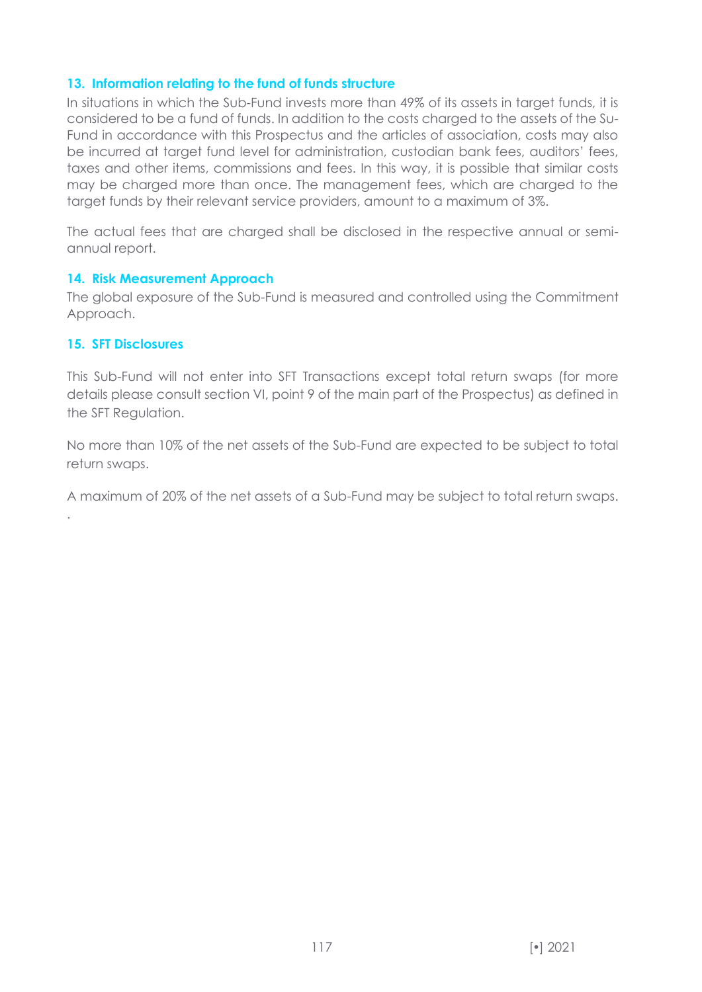#### **13. Information relating to the fund of funds structure**

In situations in which the Sub-Fund invests more than 49% of its assets in target funds, it is considered to be a fund of funds. In addition to the costs charged to the assets of the Su-Fund in accordance with this Prospectus and the articles of association, costs may also be incurred at target fund level for administration, custodian bank fees, auditors' fees, taxes and other items, commissions and fees. In this way, it is possible that similar costs may be charged more than once. The management fees, which are charged to the target funds by their relevant service providers, amount to a maximum of 3%.

The actual fees that are charged shall be disclosed in the respective annual or semiannual report.

#### **14. Risk Measurement Approach**

The global exposure of the Sub-Fund is measured and controlled using the Commitment Approach.

#### **15. SFT Disclosures**

.

This Sub-Fund will not enter into SFT Transactions except total return swaps (for more details please consult section VI, point 9 of the main part of the Prospectus) as defined in the SFT Regulation.

No more than 10% of the net assets of the Sub-Fund are expected to be subject to total return swaps.

A maximum of 20% of the net assets of a Sub-Fund may be subject to total return swaps.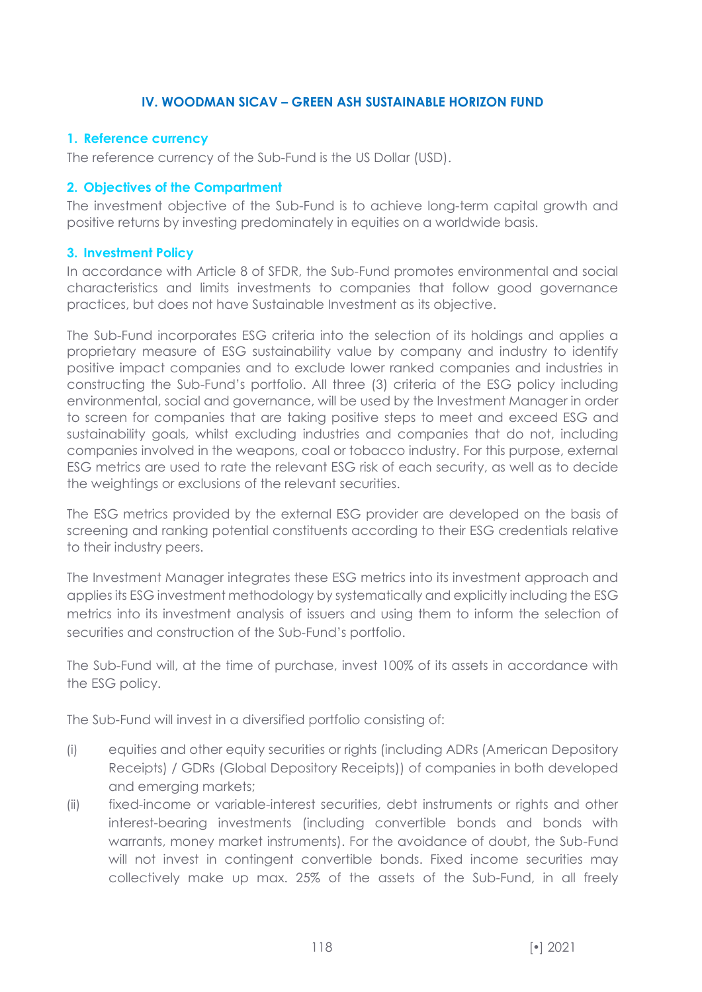## **IV. WOODMAN SICAV – GREEN ASH SUSTAINABLE HORIZON FUND**

### **1. Reference currency**

The reference currency of the Sub-Fund is the US Dollar (USD).

#### **2. Objectives of the Compartment**

The investment objective of the Sub-Fund is to achieve long-term capital growth and positive returns by investing predominately in equities on a worldwide basis.

#### **3. Investment Policy**

In accordance with Article 8 of SFDR, the Sub-Fund promotes environmental and social characteristics and limits investments to companies that follow good governance practices, but does not have Sustainable Investment as its objective.

The Sub-Fund incorporates ESG criteria into the selection of its holdings and applies a proprietary measure of ESG sustainability value by company and industry to identify positive impact companies and to exclude lower ranked companies and industries in constructing the Sub-Fund's portfolio. All three (3) criteria of the ESG policy including environmental, social and governance, will be used by the Investment Manager in order to screen for companies that are taking positive steps to meet and exceed ESG and sustainability goals, whilst excluding industries and companies that do not, including companies involved in the weapons, coal or tobacco industry. For this purpose, external ESG metrics are used to rate the relevant ESG risk of each security, as well as to decide the weightings or exclusions of the relevant securities.

The ESG metrics provided by the external ESG provider are developed on the basis of screening and ranking potential constituents according to their ESG credentials relative to their industry peers.

The Investment Manager integrates these ESG metrics into its investment approach and applies its ESG investment methodology by systematically and explicitly including the ESG metrics into its investment analysis of issuers and using them to inform the selection of securities and construction of the Sub-Fund's portfolio.

The Sub-Fund will, at the time of purchase, invest 100% of its assets in accordance with the ESG policy.

The Sub-Fund will invest in a diversified portfolio consisting of:

- (i) equities and other equity securities or rights (including ADRs (American Depository Receipts) / GDRs (Global Depository Receipts)) of companies in both developed and emerging markets;
- (ii) fixed-income or variable-interest securities, debt instruments or rights and other interest-bearing investments (including convertible bonds and bonds with warrants, money market instruments). For the avoidance of doubt, the Sub-Fund will not invest in contingent convertible bonds. Fixed income securities may collectively make up max. 25% of the assets of the Sub-Fund, in all freely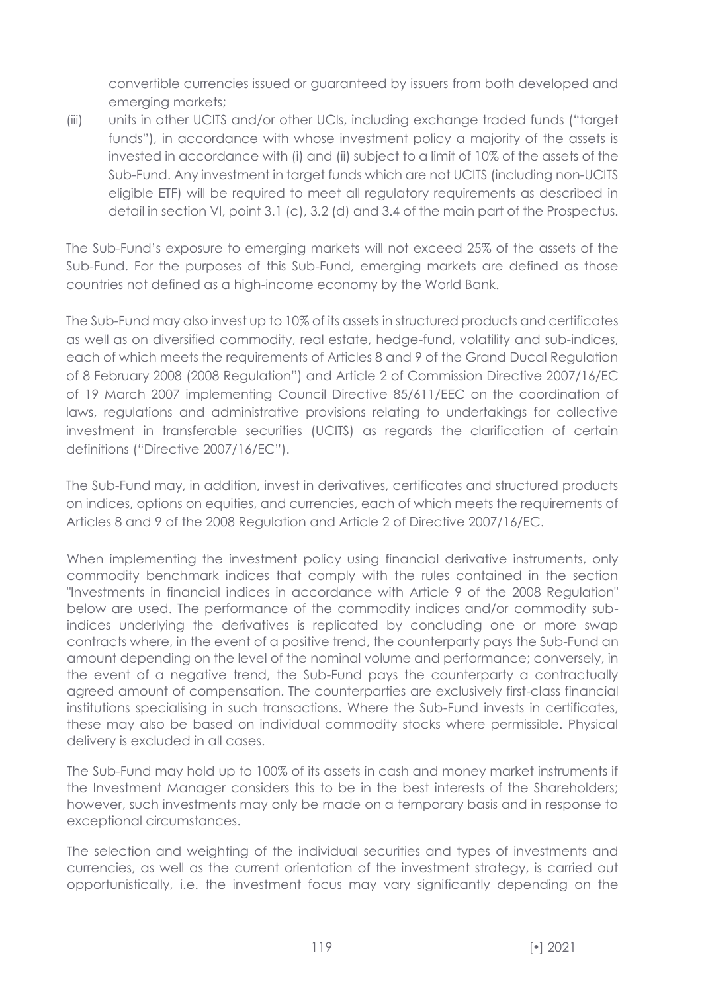convertible currencies issued or guaranteed by issuers from both developed and emerging markets;

(iii) units in other UCITS and/or other UCIs, including exchange traded funds ("target funds"), in accordance with whose investment policy a majority of the assets is invested in accordance with (i) and (ii) subject to a limit of 10% of the assets of the Sub-Fund. Any investment in target funds which are not UCITS (including non-UCITS eligible ETF) will be required to meet all regulatory requirements as described in detail in section VI, point 3.1 (c), 3.2 (d) and 3.4 of the main part of the Prospectus.

The Sub-Fund's exposure to emerging markets will not exceed 25% of the assets of the Sub-Fund. For the purposes of this Sub-Fund, emerging markets are defined as those countries not defined as a high-income economy by the World Bank.

The Sub-Fund may also invest up to 10% of its assets in structured products and certificates as well as on diversified commodity, real estate, hedge-fund, volatility and sub-indices, each of which meets the requirements of Articles 8 and 9 of the Grand Ducal Regulation of 8 February 2008 (2008 Regulation") and Article 2 of Commission Directive 2007/16/EC of 19 March 2007 implementing Council Directive 85/611/EEC on the coordination of laws, regulations and administrative provisions relating to undertakings for collective investment in transferable securities (UCITS) as regards the clarification of certain definitions ("Directive 2007/16/EC").

The Sub-Fund may, in addition, invest in derivatives, certificates and structured products on indices, options on equities, and currencies, each of which meets the requirements of Articles 8 and 9 of the 2008 Regulation and Article 2 of Directive 2007/16/EC.

When implementing the investment policy using financial derivative instruments, only commodity benchmark indices that comply with the rules contained in the section "Investments in financial indices in accordance with Article 9 of the 2008 Regulation" below are used. The performance of the commodity indices and/or commodity subindices underlying the derivatives is replicated by concluding one or more swap contracts where, in the event of a positive trend, the counterparty pays the Sub-Fund an amount depending on the level of the nominal volume and performance; conversely, in the event of a negative trend, the Sub-Fund pays the counterparty a contractually agreed amount of compensation. The counterparties are exclusively first-class financial institutions specialising in such transactions. Where the Sub-Fund invests in certificates, these may also be based on individual commodity stocks where permissible. Physical delivery is excluded in all cases.

The Sub-Fund may hold up to 100% of its assets in cash and money market instruments if the Investment Manager considers this to be in the best interests of the Shareholders; however, such investments may only be made on a temporary basis and in response to exceptional circumstances.

The selection and weighting of the individual securities and types of investments and currencies, as well as the current orientation of the investment strategy, is carried out opportunistically, i.e. the investment focus may vary significantly depending on the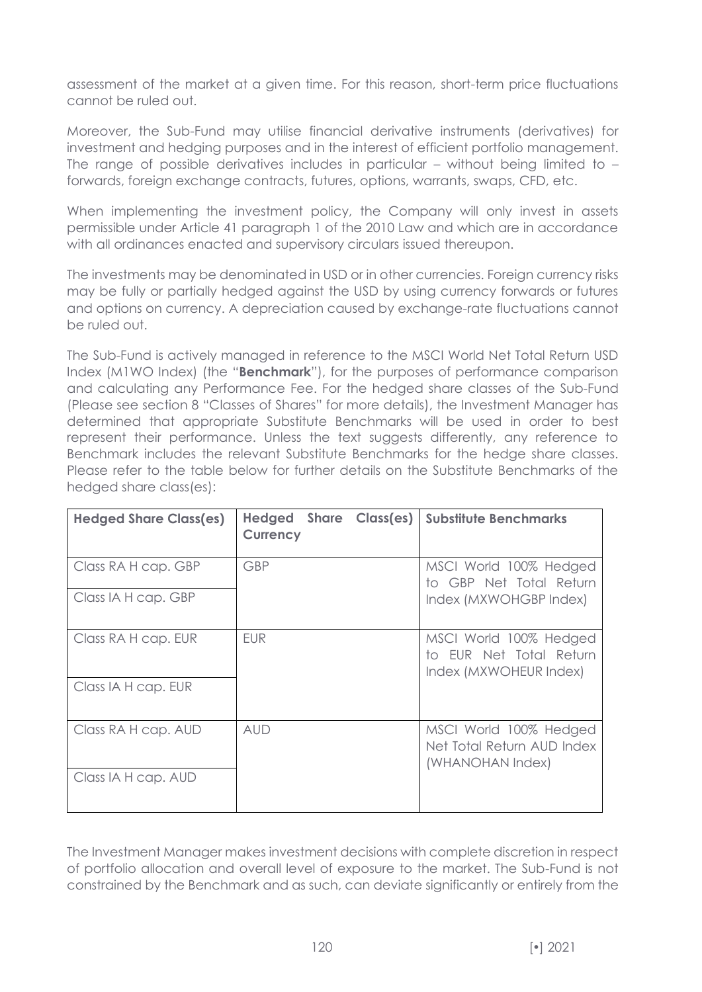assessment of the market at a given time. For this reason, short-term price fluctuations cannot be ruled out.

Moreover, the Sub-Fund may utilise financial derivative instruments (derivatives) for investment and hedging purposes and in the interest of efficient portfolio management. The range of possible derivatives includes in particular – without being limited to – forwards, foreign exchange contracts, futures, options, warrants, swaps, CFD, etc.

When implementing the investment policy, the Company will only invest in assets permissible under Article 41 paragraph 1 of the 2010 Law and which are in accordance with all ordinances enacted and supervisory circulars issued thereupon.

The investments may be denominated in USD or in other currencies. Foreign currency risks may be fully or partially hedged against the USD by using currency forwards or futures and options on currency. A depreciation caused by exchange-rate fluctuations cannot be ruled out.

The Sub-Fund is actively managed in reference to the MSCI World Net Total Return USD Index (M1WO Index) (the "**Benchmark**"), for the purposes of performance comparison and calculating any Performance Fee. For the hedged share classes of the Sub-Fund (Please see section 8 "Classes of Shares" for more details), the Investment Manager has determined that appropriate Substitute Benchmarks will be used in order to best represent their performance. Unless the text suggests differently, any reference to Benchmark includes the relevant Substitute Benchmarks for the hedge share classes. Please refer to the table below for further details on the Substitute Benchmarks of the hedged share class(es):

| <b>Hedged Share Class(es)</b> | Hedged<br><b>Share</b><br>Class(es)<br><b>Currency</b> | <b>Substitute Benchmarks</b>                                                |
|-------------------------------|--------------------------------------------------------|-----------------------------------------------------------------------------|
| Class RA H cap. GBP           | <b>GBP</b>                                             | MSCI World 100% Hedged<br>to GBP Net Total Return                           |
| Class IA H cap. GBP           |                                                        | Index (MXWOHGBP Index)                                                      |
| Class RA H cap. EUR           | <b>EUR</b>                                             | MSCI World 100% Hedged<br>to EUR Net Total Return<br>Index (MXWOHEUR Index) |
| Class IA H cap. EUR           |                                                        |                                                                             |
| Class RA H cap. AUD           | <b>AUD</b>                                             | MSCI World 100% Hedged<br>Net Total Return AUD Index<br>(WHANOHAN Index)    |
| Class IA H cap. AUD           |                                                        |                                                                             |

The Investment Manager makes investment decisions with complete discretion in respect of portfolio allocation and overall level of exposure to the market. The Sub-Fund is not constrained by the Benchmark and as such, can deviate significantly or entirely from the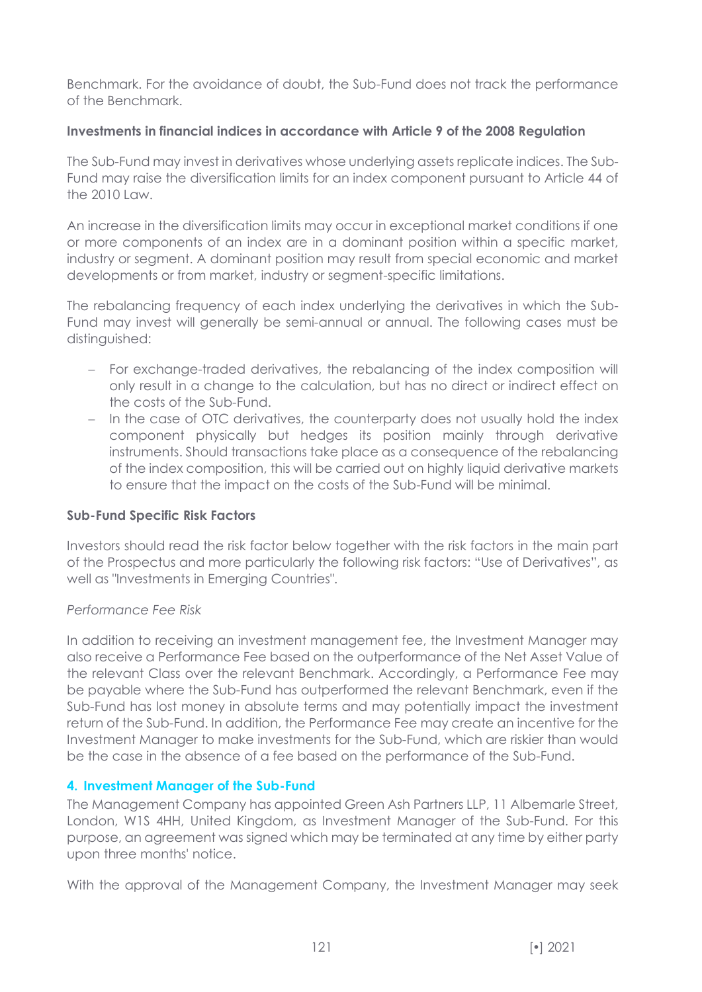Benchmark. For the avoidance of doubt, the Sub-Fund does not track the performance of the Benchmark.

### **Investments in financial indices in accordance with Article 9 of the 2008 Regulation**

The Sub-Fund may invest in derivatives whose underlying assets replicate indices. The Sub-Fund may raise the diversification limits for an index component pursuant to Article 44 of the 2010 Law.

An increase in the diversification limits may occur in exceptional market conditions if one or more components of an index are in a dominant position within a specific market, industry or segment. A dominant position may result from special economic and market developments or from market, industry or segment-specific limitations.

The rebalancing frequency of each index underlying the derivatives in which the Sub-Fund may invest will generally be semi-annual or annual. The following cases must be distinguished:

- − For exchange-traded derivatives, the rebalancing of the index composition will only result in a change to the calculation, but has no direct or indirect effect on the costs of the Sub-Fund.
- − In the case of OTC derivatives, the counterparty does not usually hold the index component physically but hedges its position mainly through derivative instruments. Should transactions take place as a consequence of the rebalancing of the index composition, this will be carried out on highly liquid derivative markets to ensure that the impact on the costs of the Sub-Fund will be minimal.

### **Sub-Fund Specific Risk Factors**

Investors should read the risk factor below together with the risk factors in the main part of the Prospectus and more particularly the following risk factors: "Use of Derivatives", as well as "Investments in Emerging Countries".

### *Performance Fee Risk*

In addition to receiving an investment management fee, the Investment Manager may also receive a Performance Fee based on the outperformance of the Net Asset Value of the relevant Class over the relevant Benchmark. Accordingly, a Performance Fee may be payable where the Sub-Fund has outperformed the relevant Benchmark, even if the Sub-Fund has lost money in absolute terms and may potentially impact the investment return of the Sub-Fund. In addition, the Performance Fee may create an incentive for the Investment Manager to make investments for the Sub-Fund, which are riskier than would be the case in the absence of a fee based on the performance of the Sub-Fund.

### **4. Investment Manager of the Sub-Fund**

The Management Company has appointed Green Ash Partners LLP, 11 Albemarle Street, London, W1S 4HH, United Kingdom, as Investment Manager of the Sub-Fund. For this purpose, an agreement was signed which may be terminated at any time by either party upon three months' notice.

With the approval of the Management Company, the Investment Manager may seek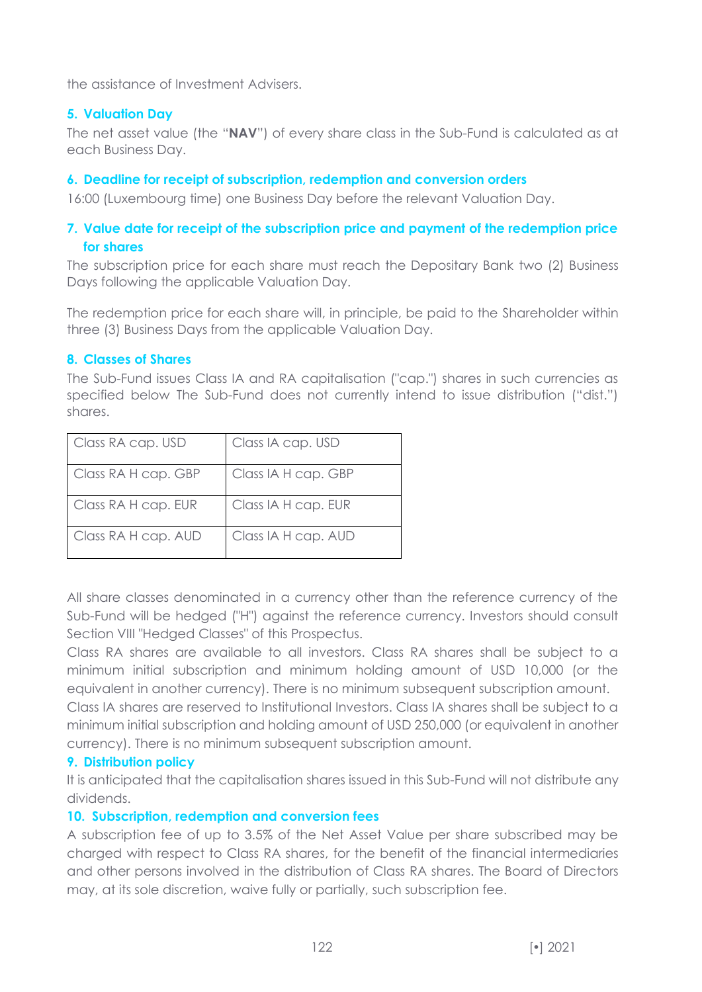the assistance of Investment Advisers.

### **5. Valuation Day**

The net asset value (the "**NAV**") of every share class in the Sub-Fund is calculated as at each Business Day.

#### **6. Deadline for receipt of subscription, redemption and conversion orders**

16:00 (Luxembourg time) one Business Day before the relevant Valuation Day.

## **7. Value date for receipt of the subscription price and payment of the redemption price for shares**

The subscription price for each share must reach the Depositary Bank two (2) Business Days following the applicable Valuation Day.

The redemption price for each share will, in principle, be paid to the Shareholder within three (3) Business Days from the applicable Valuation Day.

#### **8. Classes of Shares**

The Sub-Fund issues Class IA and RA capitalisation ("cap.") shares in such currencies as specified below The Sub-Fund does not currently intend to issue distribution ("dist.") shares.

| Class RA cap. USD   | Class IA cap. USD   |
|---------------------|---------------------|
| Class RA H cap. GBP | Class IA H cap. GBP |
| Class RA H cap. EUR | Class IA H cap. EUR |
| Class RA H cap. AUD | Class IA H cap. AUD |

All share classes denominated in a currency other than the reference currency of the Sub-Fund will be hedged ("H") against the reference currency. Investors should consult Section VIII "Hedged Classes" of this Prospectus.

Class RA shares are available to all investors. Class RA shares shall be subject to a minimum initial subscription and minimum holding amount of USD 10,000 (or the equivalent in another currency). There is no minimum subsequent subscription amount.

Class IA shares are reserved to Institutional Investors. Class IA shares shall be subject to a minimum initial subscription and holding amount of USD 250,000 (or equivalent in another currency). There is no minimum subsequent subscription amount.

#### **9. Distribution policy**

It is anticipated that the capitalisation shares issued in this Sub-Fund will not distribute any dividends.

### **10. Subscription, redemption and conversion fees**

A subscription fee of up to 3.5% of the Net Asset Value per share subscribed may be charged with respect to Class RA shares, for the benefit of the financial intermediaries and other persons involved in the distribution of Class RA shares. The Board of Directors may, at its sole discretion, waive fully or partially, such subscription fee.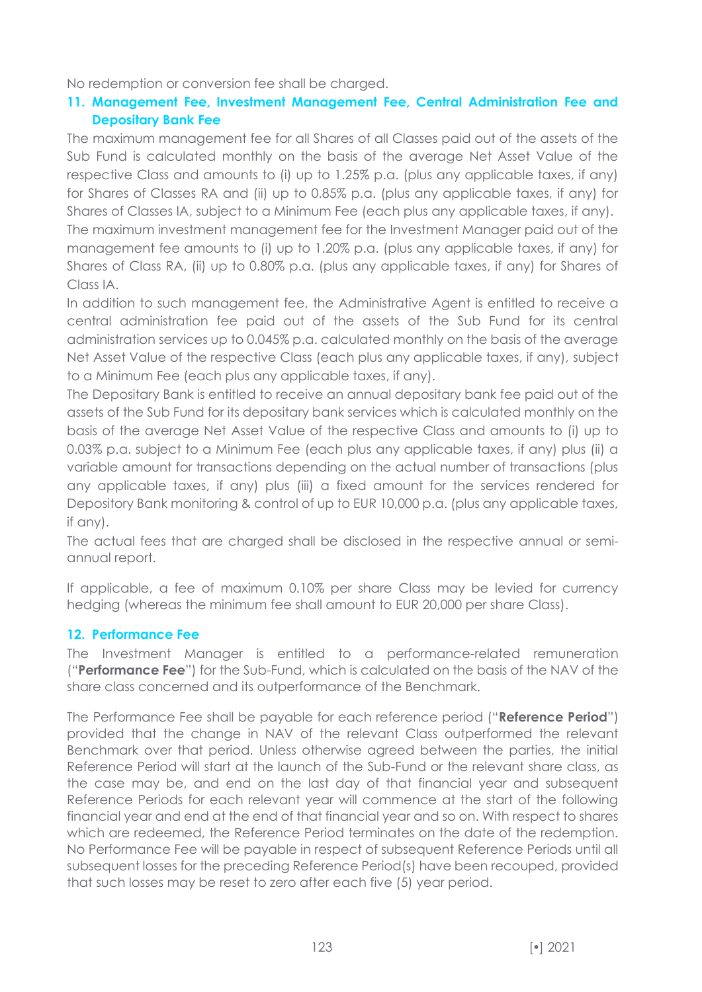No redemption or conversion fee shall be charged.

# **11. Management Fee, Investment Management Fee, Central Administration Fee and Depositary Bank Fee**

The maximum management fee for all Shares of all Classes paid out of the assets of the Sub Fund is calculated monthly on the basis of the average Net Asset Value of the respective Class and amounts to (i) up to 1.25% p.a. (plus any applicable taxes, if any) for Shares of Classes RA and (ii) up to 0.85% p.a. (plus any applicable taxes, if any) for Shares of Classes IA, subject to a Minimum Fee (each plus any applicable taxes, if any).

The maximum investment management fee for the Investment Manager paid out of the management fee amounts to (i) up to 1.20% p.a. (plus any applicable taxes, if any) for Shares of Class RA, (ii) up to 0.80% p.a. (plus any applicable taxes, if any) for Shares of Class IA.

In addition to such management fee, the Administrative Agent is entitled to receive a central administration fee paid out of the assets of the Sub Fund for its central administration services up to 0.045% p.a. calculated monthly on the basis of the average Net Asset Value of the respective Class (each plus any applicable taxes, if any), subject to a Minimum Fee (each plus any applicable taxes, if any).

The Depositary Bank is entitled to receive an annual depositary bank fee paid out of the assets of the Sub Fund for its depositary bank services which is calculated monthly on the basis of the average Net Asset Value of the respective Class and amounts to (i) up to 0.03% p.a. subject to a Minimum Fee (each plus any applicable taxes, if any) plus (ii) a variable amount for transactions depending on the actual number of transactions (plus any applicable taxes, if any) plus (iii) a fixed amount for the services rendered for Depository Bank monitoring & control of up to EUR 10,000 p.a. (plus any applicable taxes, if any).

The actual fees that are charged shall be disclosed in the respective annual or semiannual report.

If applicable, a fee of maximum 0.10% per share Class may be levied for currency hedging (whereas the minimum fee shall amount to EUR 20,000 per share Class).

# **12. Performance Fee**

The Investment Manager is entitled to a performance-related remuneration ("**Performance Fee**") for the Sub-Fund, which is calculated on the basis of the NAV of the share class concerned and its outperformance of the Benchmark.

The Performance Fee shall be payable for each reference period ("**Reference Period**") provided that the change in NAV of the relevant Class outperformed the relevant Benchmark over that period. Unless otherwise agreed between the parties, the initial Reference Period will start at the launch of the Sub-Fund or the relevant share class, as the case may be, and end on the last day of that financial year and subsequent Reference Periods for each relevant year will commence at the start of the following financial year and end at the end of that financial year and so on. With respect to shares which are redeemed, the Reference Period terminates on the date of the redemption. No Performance Fee will be payable in respect of subsequent Reference Periods until all subsequent losses for the preceding Reference Period(s) have been recouped, provided that such losses may be reset to zero after each five (5) year period.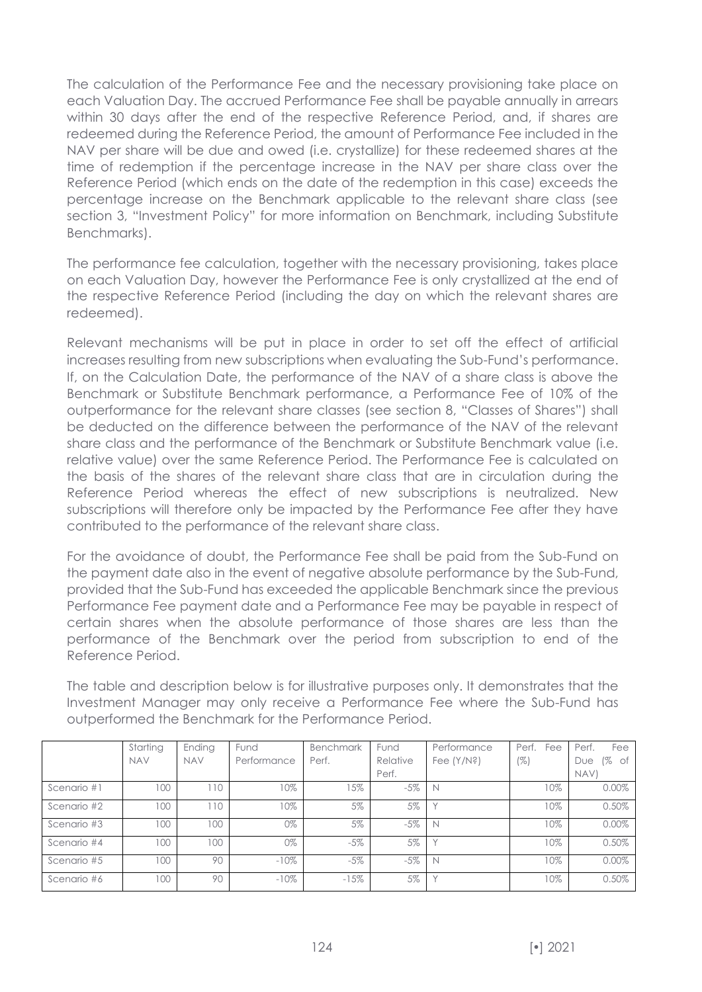The calculation of the Performance Fee and the necessary provisioning take place on each Valuation Day. The accrued Performance Fee shall be payable annually in arrears within 30 days after the end of the respective Reference Period, and, if shares are redeemed during the Reference Period, the amount of Performance Fee included in the NAV per share will be due and owed (i.e. crystallize) for these redeemed shares at the time of redemption if the percentage increase in the NAV per share class over the Reference Period (which ends on the date of the redemption in this case) exceeds the percentage increase on the Benchmark applicable to the relevant share class (see section 3, "Investment Policy" for more information on Benchmark, including Substitute Benchmarks).

The performance fee calculation, together with the necessary provisioning, takes place on each Valuation Day, however the Performance Fee is only crystallized at the end of the respective Reference Period (including the day on which the relevant shares are redeemed).

Relevant mechanisms will be put in place in order to set off the effect of artificial increases resulting from new subscriptions when evaluating the Sub-Fund's performance. If, on the Calculation Date, the performance of the NAV of a share class is above the Benchmark or Substitute Benchmark performance, a Performance Fee of 10% of the outperformance for the relevant share classes (see section 8, "Classes of Shares") shall be deducted on the difference between the performance of the NAV of the relevant share class and the performance of the Benchmark or Substitute Benchmark value (i.e. relative value) over the same Reference Period. The Performance Fee is calculated on the basis of the shares of the relevant share class that are in circulation during the Reference Period whereas the effect of new subscriptions is neutralized. New subscriptions will therefore only be impacted by the Performance Fee after they have contributed to the performance of the relevant share class.

For the avoidance of doubt, the Performance Fee shall be paid from the Sub-Fund on the payment date also in the event of negative absolute performance by the Sub-Fund, provided that the Sub-Fund has exceeded the applicable Benchmark since the previous Performance Fee payment date and a Performance Fee may be payable in respect of certain shares when the absolute performance of those shares are less than the performance of the Benchmark over the period from subscription to end of the Reference Period.

The table and description below is for illustrative purposes only. It demonstrates that the Investment Manager may only receive a Performance Fee where the Sub-Fund has outperformed the Benchmark for the Performance Period.

|             | Starting   | Ending     | Fund        | Benchmark | Fund     | Performance   | Perf.<br>Fee | Perf.<br>Fee    |
|-------------|------------|------------|-------------|-----------|----------|---------------|--------------|-----------------|
|             | <b>NAV</b> | <b>NAV</b> | Performance | Perf.     | Relative | Fee $(Y/N$ ?) | $(\%)$       | 1%<br>of<br>Due |
|             |            |            |             |           | Perf.    |               |              | NAV)            |
| Scenario #1 | 100        | 110        | 10%         | 15%       | $-5%$    |               | 10%          | 0.00%           |
| Scenario #2 | 100        | 10         | $10\%$      | 5%        | 5%       |               | 10%          | 0.50%           |
| Scenario #3 | 100        | 100        | 0%          | 5%        | $-5%$    | N             | 10%          | $0.00\%$        |
| Scenario #4 | 100        | 100        | 0%          | $-5\%$    | 5%       |               | 10%          | 0.50%           |
| Scenario #5 | 100        | 90         | $-10%$      | $-5\%$    | $-5%$    | N             | 10%          | $0.00\%$        |
| Scenario #6 | 100        | 90         | $-10%$      | $-15%$    | 5%       |               | 10%          | 0.50%           |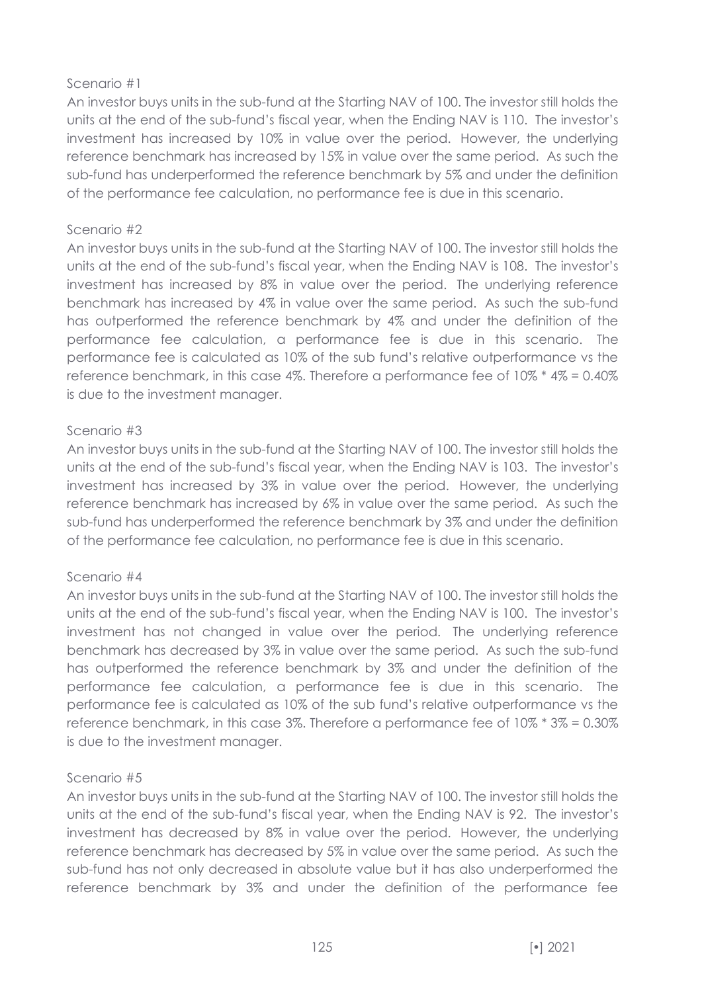### Scenario #1

An investor buys units in the sub-fund at the Starting NAV of 100. The investor still holds the units at the end of the sub-fund's fiscal year, when the Ending NAV is 110. The investor's investment has increased by 10% in value over the period. However, the underlying reference benchmark has increased by 15% in value over the same period. As such the sub-fund has underperformed the reference benchmark by 5% and under the definition of the performance fee calculation, no performance fee is due in this scenario.

#### Scenario #2

An investor buys units in the sub-fund at the Starting NAV of 100. The investor still holds the units at the end of the sub-fund's fiscal year, when the Ending NAV is 108. The investor's investment has increased by 8% in value over the period. The underlying reference benchmark has increased by 4% in value over the same period. As such the sub-fund has outperformed the reference benchmark by 4% and under the definition of the performance fee calculation, a performance fee is due in this scenario. The performance fee is calculated as 10% of the sub fund's relative outperformance vs the reference benchmark, in this case 4%. Therefore a performance fee of 10% \* 4% = 0.40% is due to the investment manager.

### Scenario #3

An investor buys units in the sub-fund at the Starting NAV of 100. The investor still holds the units at the end of the sub-fund's fiscal year, when the Ending NAV is 103. The investor's investment has increased by 3% in value over the period. However, the underlying reference benchmark has increased by 6% in value over the same period. As such the sub-fund has underperformed the reference benchmark by 3% and under the definition of the performance fee calculation, no performance fee is due in this scenario.

### Scenario #4

An investor buys units in the sub-fund at the Starting NAV of 100. The investor still holds the units at the end of the sub-fund's fiscal year, when the Ending NAV is 100. The investor's investment has not changed in value over the period. The underlying reference benchmark has decreased by 3% in value over the same period. As such the sub-fund has outperformed the reference benchmark by 3% and under the definition of the performance fee calculation, a performance fee is due in this scenario. The performance fee is calculated as 10% of the sub fund's relative outperformance vs the reference benchmark, in this case 3%. Therefore a performance fee of 10% \* 3% = 0.30% is due to the investment manager.

### Scenario #5

An investor buys units in the sub-fund at the Starting NAV of 100. The investor still holds the units at the end of the sub-fund's fiscal year, when the Ending NAV is 92. The investor's investment has decreased by 8% in value over the period. However, the underlying reference benchmark has decreased by 5% in value over the same period. As such the sub-fund has not only decreased in absolute value but it has also underperformed the reference benchmark by 3% and under the definition of the performance fee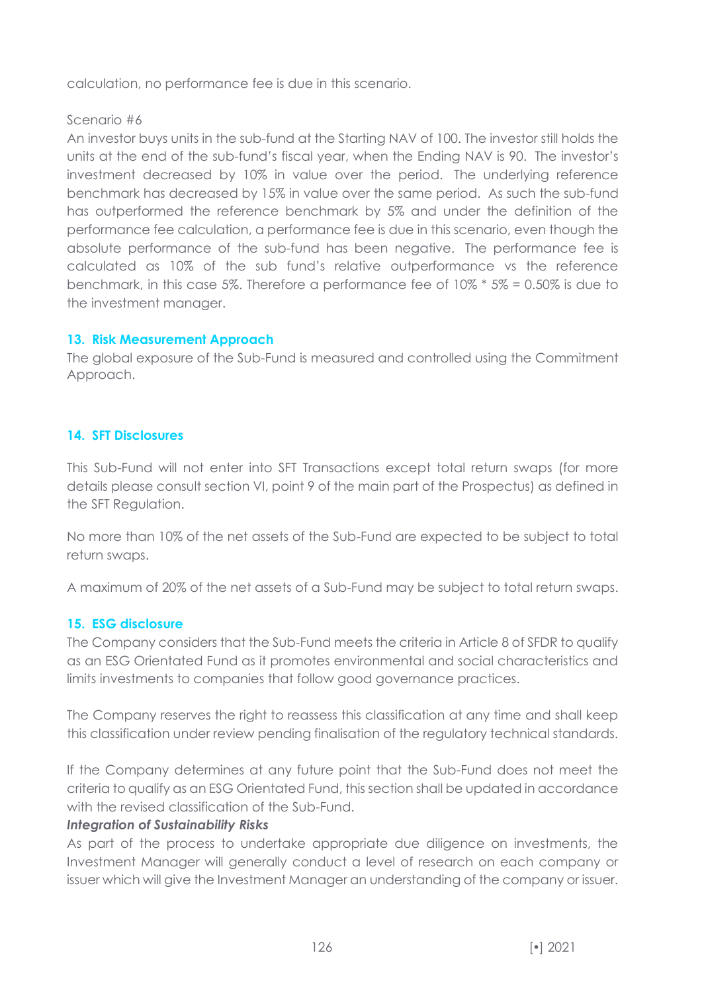calculation, no performance fee is due in this scenario.

# Scenario #6

An investor buys units in the sub-fund at the Starting NAV of 100. The investor still holds the units at the end of the sub-fund's fiscal year, when the Ending NAV is 90. The investor's investment decreased by 10% in value over the period. The underlying reference benchmark has decreased by 15% in value over the same period. As such the sub-fund has outperformed the reference benchmark by 5% and under the definition of the performance fee calculation, a performance fee is due in this scenario, even though the absolute performance of the sub-fund has been negative. The performance fee is calculated as 10% of the sub fund's relative outperformance vs the reference benchmark, in this case 5%. Therefore a performance fee of 10% \* 5% = 0.50% is due to the investment manager.

# **13. Risk Measurement Approach**

The global exposure of the Sub-Fund is measured and controlled using the Commitment Approach.

# **14. SFT Disclosures**

This Sub-Fund will not enter into SFT Transactions except total return swaps (for more details please consult section VI, point 9 of the main part of the Prospectus) as defined in the SFT Regulation.

No more than 10% of the net assets of the Sub-Fund are expected to be subject to total return swaps.

A maximum of 20% of the net assets of a Sub-Fund may be subject to total return swaps.

# **15. ESG disclosure**

The Company considers that the Sub-Fund meets the criteria in Article 8 of SFDR to qualify as an ESG Orientated Fund as it promotes environmental and social characteristics and limits investments to companies that follow good governance practices.

The Company reserves the right to reassess this classification at any time and shall keep this classification under review pending finalisation of the regulatory technical standards.

If the Company determines at any future point that the Sub-Fund does not meet the criteria to qualify as an ESG Orientated Fund, this section shall be updated in accordance with the revised classification of the Sub-Fund.

# *Integration of Sustainability Risks*

As part of the process to undertake appropriate due diligence on investments, the Investment Manager will generally conduct a level of research on each company or issuer which will give the Investment Manager an understanding of the company or issuer.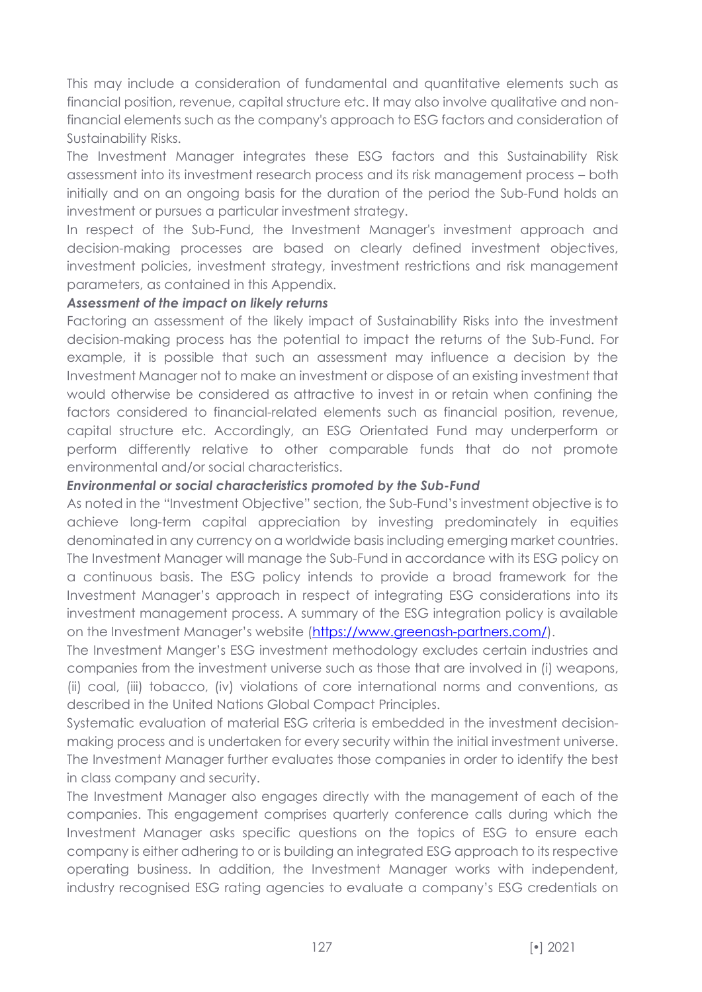This may include a consideration of fundamental and quantitative elements such as financial position, revenue, capital structure etc. It may also involve qualitative and nonfinancial elements such as the company's approach to ESG factors and consideration of Sustainability Risks.

The Investment Manager integrates these ESG factors and this Sustainability Risk assessment into its investment research process and its risk management process – both initially and on an ongoing basis for the duration of the period the Sub-Fund holds an investment or pursues a particular investment strategy.

In respect of the Sub-Fund, the Investment Manager's investment approach and decision-making processes are based on clearly defined investment objectives, investment policies, investment strategy, investment restrictions and risk management parameters, as contained in this Appendix.

### *Assessment of the impact on likely returns*

Factoring an assessment of the likely impact of Sustainability Risks into the investment decision-making process has the potential to impact the returns of the Sub-Fund. For example, it is possible that such an assessment may influence a decision by the Investment Manager not to make an investment or dispose of an existing investment that would otherwise be considered as attractive to invest in or retain when confining the factors considered to financial-related elements such as financial position, revenue, capital structure etc. Accordingly, an ESG Orientated Fund may underperform or perform differently relative to other comparable funds that do not promote environmental and/or social characteristics.

#### *Environmental or social characteristics promoted by the Sub-Fund*

As noted in the "Investment Objective" section, the Sub-Fund's investment objective is to achieve long-term capital appreciation by investing predominately in equities denominated in any currency on a worldwide basis including emerging market countries. The Investment Manager will manage the Sub-Fund in accordance with its ESG policy on a continuous basis. The ESG policy intends to provide a broad framework for the Investment Manager's approach in respect of integrating ESG considerations into its investment management process. A summary of the ESG integration policy is available on the Investment Manager's website ([https://www.greenash-partners.com/\)](https://www.greenash-partners.com/).

The Investment Manger's ESG investment methodology excludes certain industries and companies from the investment universe such as those that are involved in (i) weapons, (ii) coal, (iii) tobacco, (iv) violations of core international norms and conventions, as described in the United Nations Global Compact Principles.

Systematic evaluation of material ESG criteria is embedded in the investment decisionmaking process and is undertaken for every security within the initial investment universe. The Investment Manager further evaluates those companies in order to identify the best in class company and security.

The Investment Manager also engages directly with the management of each of the companies. This engagement comprises quarterly conference calls during which the Investment Manager asks specific questions on the topics of ESG to ensure each company is either adhering to or is building an integrated ESG approach to its respective operating business. In addition, the Investment Manager works with independent, industry recognised ESG rating agencies to evaluate a company's ESG credentials on